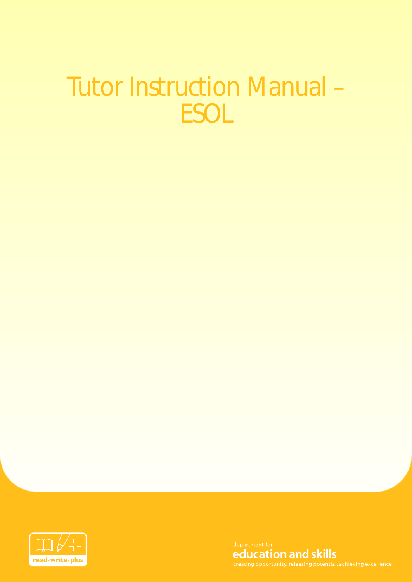# Tutor Instruction Manual – **ESOL**



education and skills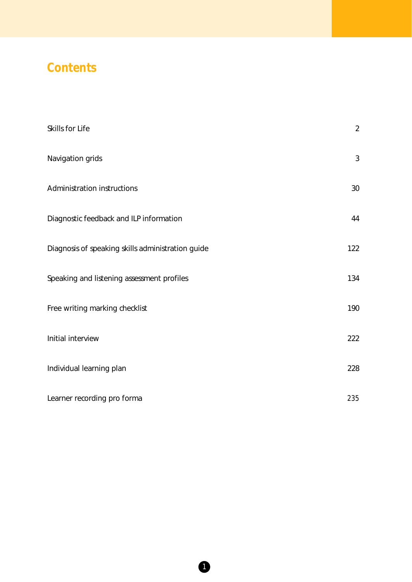### **Contents**

| Skills for Life                                   | $\overline{2}$ |
|---------------------------------------------------|----------------|
| Navigation grids                                  | 3              |
| Administration instructions                       | 30             |
| Diagnostic feedback and ILP information           | 44             |
| Diagnosis of speaking skills administration guide | 122            |
| Speaking and listening assessment profiles        | 134            |
| Free writing marking checklist                    | 190            |
| Initial interview                                 | 222            |
| Individual learning plan                          | 228            |
| Learner recording pro forma                       | 235            |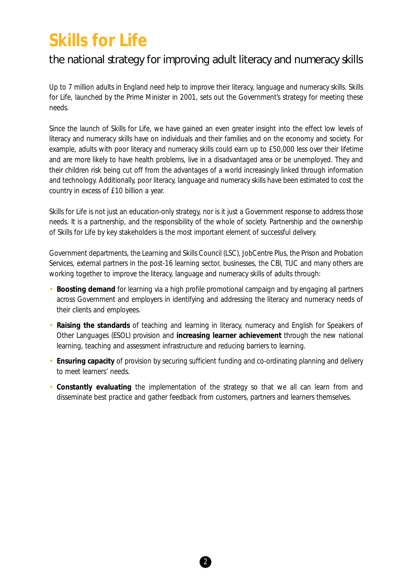### **Skills for Life**

#### the national strategy for improving adult literacy and numeracy skills

Up to 7 million adults in England need help to improve their literacy, language and numeracy skills. *Skills* for Life, launched by the Prime Minister in 2001, sets out the Government's strategy for meeting these needs.

Since the launch of *Skills for Life,* we have gained an even greater insight into the effect low levels of literacy and numeracy skills have on individuals and their families and on the economy and society. For example, adults with poor literacy and numeracy skills could earn up to £50,000 less over their lifetime and are more likely to have health problems, live in a disadvantaged area or be unemployed. They and their children risk being cut off from the advantages of a world increasingly linked through information and technology. Additionally, poor literacy, language and numeracy skills have been estimated to cost the country in excess of £10 billion a year.

*Skills for Life* is not just an education-only strategy, nor is it just a Government response to address those needs. It is a partnership, and the responsibility of the whole of society. Partnership and the ownership of *Skills for Life* by key stakeholders is the most important element of successful delivery.

Government departments, the Learning and Skills Council (LSC), JobCentre Plus, the Prison and Probation Services, external partners in the post-16 learning sector, businesses, the CBI, TUC and many others are working together to improve the literacy, language and numeracy skills of adults through:

- **Boosting demand** for learning via a high profile promotional campaign and by engaging all partners across Government and employers in identifying and addressing the literacy and numeracy needs of their clients and employees.
- **Raising the standards** of teaching and learning in literacy, numeracy and English for Speakers of Other Languages (ESOL) provision and **increasing learner achievement** through the new national learning, teaching and assessment infrastructure and reducing barriers to learning.
- **Ensuring capacity** of provision by securing sufficient funding and co-ordinating planning and delivery to meet learners' needs.
- **Constantly evaluating** the implementation of the strategy so that we all can learn from and disseminate best practice and gather feedback from customers, partners and learners themselves.

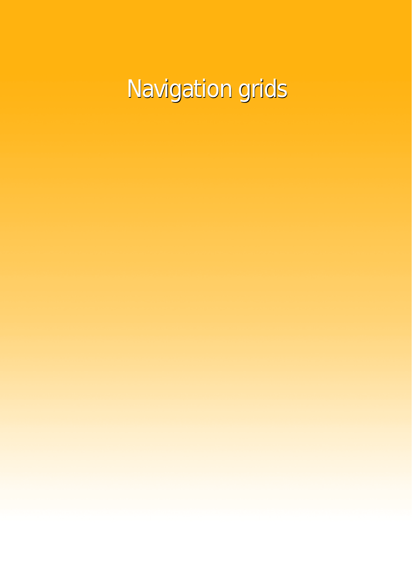Navigation grids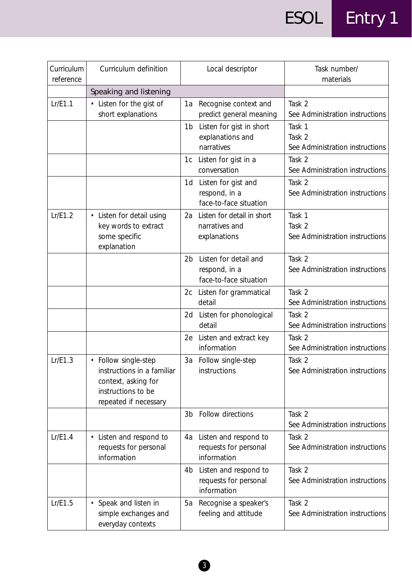| Curriculum<br>reference | Curriculum definition                                                                                                    |                | Local descriptor                                                 | Task number/<br>materials                           |
|-------------------------|--------------------------------------------------------------------------------------------------------------------------|----------------|------------------------------------------------------------------|-----------------------------------------------------|
|                         | Speaking and listening                                                                                                   |                |                                                                  |                                                     |
| Lr/E1.1                 | • Listen for the gist of<br>short explanations                                                                           | 1a             | Recognise context and<br>predict general meaning                 | Task 2<br>See Administration instructions           |
|                         |                                                                                                                          | 1 <sub>b</sub> | Listen for gist in short<br>explanations and<br>narratives       | Task 1<br>Task 2<br>See Administration instructions |
|                         |                                                                                                                          | 1c             | Listen for gist in a<br>conversation                             | Task 2<br>See Administration instructions           |
|                         |                                                                                                                          | 1d             | Listen for gist and<br>respond, in a<br>face-to-face situation   | Task 2<br>See Administration instructions           |
| Lr/E1.2                 | Listen for detail using<br>$\bullet$<br>key words to extract<br>some specific<br>explanation                             | 2a             | Listen for detail in short<br>narratives and<br>explanations     | Task 1<br>Task 2<br>See Administration instructions |
|                         |                                                                                                                          | 2b             | Listen for detail and<br>respond, in a<br>face-to-face situation | Task 2<br>See Administration instructions           |
|                         |                                                                                                                          | 2c             | Listen for grammatical<br>detail                                 | Task 2<br>See Administration instructions           |
|                         |                                                                                                                          | 2d             | Listen for phonological<br>detail                                | Task 2<br>See Administration instructions           |
|                         |                                                                                                                          | 2e             | Listen and extract key<br>information                            | Task 2<br>See Administration instructions           |
| Lr/E1.3                 | • Follow single-step<br>instructions in a familiar<br>context, asking for<br>instructions to be<br>repeated if necessary |                | 3a Follow single-step<br>instructions                            | Task 2<br>See Administration instructions           |
|                         |                                                                                                                          | 3 <sub>b</sub> | Follow directions                                                | Task 2<br>See Administration instructions           |
| Lr/E1.4                 | • Listen and respond to<br>requests for personal<br>information                                                          |                | 4a Listen and respond to<br>requests for personal<br>information | Task 2<br>See Administration instructions           |
|                         |                                                                                                                          | 4b             | Listen and respond to<br>requests for personal<br>information    | Task 2<br>See Administration instructions           |
| Lr/E1.5                 | • Speak and listen in<br>simple exchanges and<br>everyday contexts                                                       | 5a             | Recognise a speaker's<br>feeling and attitude                    | Task 2<br>See Administration instructions           |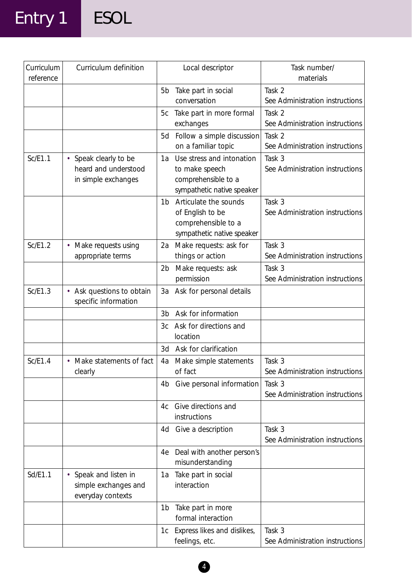# Entry 1 ESOL

| Curriculum<br>reference | Curriculum definition                                                |                | Local descriptor                                                                                 | Task number/<br>materials                 |
|-------------------------|----------------------------------------------------------------------|----------------|--------------------------------------------------------------------------------------------------|-------------------------------------------|
|                         |                                                                      | 5b             | Take part in social<br>conversation                                                              | Task 2<br>See Administration instructions |
|                         |                                                                      | 5c             | Take part in more formal<br>exchanges                                                            | Task 2<br>See Administration instructions |
|                         |                                                                      | 5d             | Follow a simple discussion<br>on a familiar topic                                                | Task 2<br>See Administration instructions |
| Sc/E1.1                 | • Speak clearly to be<br>heard and understood<br>in simple exchanges | 1a             | Use stress and intonation<br>to make speech<br>comprehensible to a<br>sympathetic native speaker | Task 3<br>See Administration instructions |
|                         |                                                                      | 1 <sub>b</sub> | Articulate the sounds<br>of English to be<br>comprehensible to a<br>sympathetic native speaker   | Task 3<br>See Administration instructions |
| Sc/E1.2                 | Make requests using<br>appropriate terms                             | 2a             | Make requests: ask for<br>things or action                                                       | Task 3<br>See Administration instructions |
|                         |                                                                      | 2 <sub>b</sub> | Make requests: ask<br>permission                                                                 | Task 3<br>See Administration instructions |
| Sc/E1.3                 | Ask questions to obtain<br>$\bullet$<br>specific information         |                | 3a Ask for personal details                                                                      |                                           |
|                         |                                                                      | 3b             | Ask for information                                                                              |                                           |
|                         |                                                                      | Зc             | Ask for directions and<br>location                                                               |                                           |
|                         |                                                                      | 3d             | Ask for clarification                                                                            |                                           |
| Sc/E1.4                 | Make statements of fact<br>clearly                                   | 4a             | Make simple statements<br>of fact                                                                | Task 3<br>See Administration instructions |
|                         |                                                                      | 4b             | Give personal information                                                                        | Task 3<br>See Administration instructions |
|                         |                                                                      | 4c             | Give directions and<br>instructions                                                              |                                           |
|                         |                                                                      | 4d             | Give a description                                                                               | Task 3<br>See Administration instructions |
|                         |                                                                      | 4e             | Deal with another person's<br>misunderstanding                                                   |                                           |
| Sd/E1.1                 | Speak and listen in<br>simple exchanges and<br>everyday contexts     | 1a             | Take part in social<br>interaction                                                               |                                           |
|                         |                                                                      | 1b             | Take part in more<br>formal interaction                                                          |                                           |
|                         |                                                                      | 1с             | Express likes and dislikes,<br>feelings, etc.                                                    | Task 3<br>See Administration instructions |

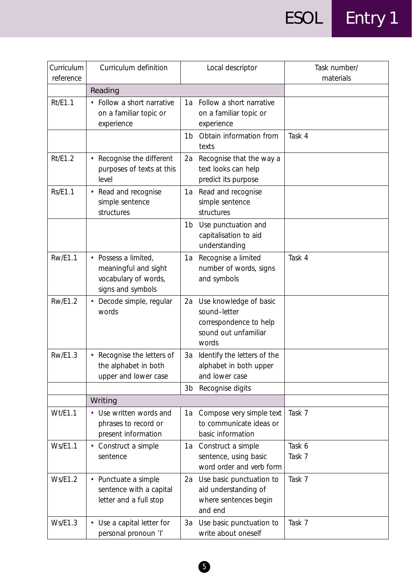| Curriculum<br>reference | Curriculum definition                                                                     | Local descriptor                                                                                        | Task number/<br>materials |
|-------------------------|-------------------------------------------------------------------------------------------|---------------------------------------------------------------------------------------------------------|---------------------------|
|                         | Reading                                                                                   |                                                                                                         |                           |
| Rt/E1.1                 | • Follow a short narrative<br>on a familiar topic or<br>experience                        | Follow a short narrative<br>1а<br>on a familiar topic or<br>experience                                  |                           |
|                         |                                                                                           | Obtain information from<br>1 <sub>b</sub><br>texts                                                      | Task 4                    |
| Rt/E1.2                 | • Recognise the different<br>purposes of texts at this<br>level                           | Recognise that the way a<br>2a<br>text looks can help<br>predict its purpose                            |                           |
| <b>Rs/E1.1</b>          | • Read and recognise<br>simple sentence<br>structures                                     | Read and recognise<br>1a<br>simple sentence<br>structures                                               |                           |
|                         |                                                                                           | Use punctuation and<br>1 <sub>b</sub><br>capitalisation to aid<br>understanding                         |                           |
| <b>Rw/E1.1</b>          | • Possess a limited,<br>meaningful and sight<br>vocabulary of words,<br>signs and symbols | Recognise a limited<br>1a<br>number of words, signs<br>and symbols                                      | Task 4                    |
| <b>Rw/E1.2</b>          | Decode simple, regular<br>words                                                           | Use knowledge of basic<br>2a<br>sound-letter<br>correspondence to help<br>sound out unfamiliar<br>words |                           |
| <b>Rw/E1.3</b>          | Recognise the letters of<br>the alphabet in both<br>upper and lower case                  | Identify the letters of the<br>3a<br>alphabet in both upper<br>and lower case                           |                           |
|                         |                                                                                           | 3b Recognise digits                                                                                     |                           |
|                         | Writing                                                                                   |                                                                                                         |                           |
| Wt/E1.1                 | • Use written words and<br>phrases to record or<br>present information                    | Compose very simple text<br>1а<br>to communicate ideas or<br>basic information                          | Task 7                    |
| <b>Ws/E1.1</b>          | • Construct a simple<br>sentence                                                          | 1a Construct a simple<br>sentence, using basic<br>word order and verb form                              | Task 6<br>Task 7          |
| <b>Ws/E1.2</b>          | • Punctuate a simple<br>sentence with a capital<br>letter and a full stop                 | Use basic punctuation to<br>2a<br>aid understanding of<br>where sentences begin<br>and end              | Task 7                    |
| Ws/E1.3                 | • Use a capital letter for<br>personal pronoun 'l'                                        | Use basic punctuation to<br>3a<br>write about oneself                                                   | Task 7                    |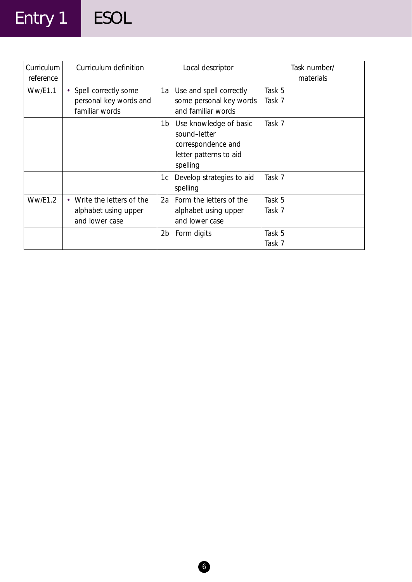# Entry 1 ESOL

| Curriculum<br>reference | Curriculum definition                                              | Local descriptor                                                                                         | Task number/<br>materials |
|-------------------------|--------------------------------------------------------------------|----------------------------------------------------------------------------------------------------------|---------------------------|
| <b>Ww/E1.1</b>          | • Spell correctly some<br>personal key words and<br>familiar words | 1a Use and spell correctly<br>some personal key words<br>and familiar words                              | Task 5<br>Task 7          |
|                         |                                                                    | Use knowledge of basic<br>1b<br>sound-letter<br>correspondence and<br>letter patterns to aid<br>spelling | Task 7                    |
|                         |                                                                    | Develop strategies to aid<br>1c<br>spelling                                                              | Task 7                    |
| <b>Ww/E1.2</b>          | Write the letters of the<br>alphabet using upper<br>and lower case | 2a Form the letters of the<br>alphabet using upper<br>and lower case                                     | Task 5<br>Task 7          |
|                         |                                                                    | Form digits<br>2b                                                                                        | Task 5<br>Task 7          |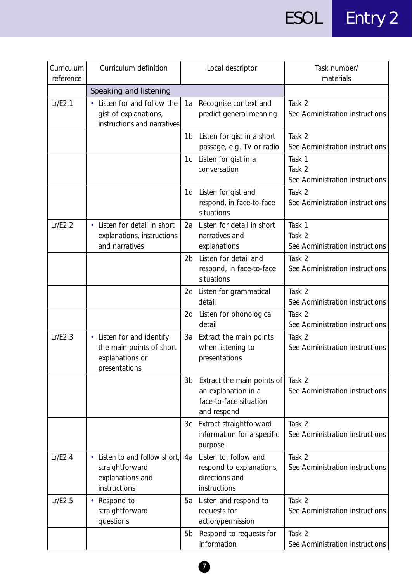| Curriculum<br>reference | Curriculum definition                                                                           |                | Local descriptor                                                                           | Task number/<br>materials                           |
|-------------------------|-------------------------------------------------------------------------------------------------|----------------|--------------------------------------------------------------------------------------------|-----------------------------------------------------|
|                         | Speaking and listening                                                                          |                |                                                                                            |                                                     |
| Lr/E2.1                 | • Listen for and follow the<br>gist of explanations,<br>instructions and narratives             | 1a             | Recognise context and<br>predict general meaning                                           | Task 2<br>See Administration instructions           |
|                         |                                                                                                 | 1b             | Listen for gist in a short<br>passage, e.g. TV or radio                                    | Task 2<br>See Administration instructions           |
|                         |                                                                                                 | 1c             | Listen for gist in a<br>conversation                                                       | Task 1<br>Task 2<br>See Administration instructions |
|                         |                                                                                                 | 1d             | Listen for gist and<br>respond, in face-to-face<br>situations                              | Task 2<br>See Administration instructions           |
| Lr/E2.2                 | • Listen for detail in short<br>explanations, instructions<br>and narratives                    | 2a             | Listen for detail in short<br>narratives and<br>explanations                               | Task 1<br>Task 2<br>See Administration instructions |
|                         |                                                                                                 | 2 <sub>b</sub> | Listen for detail and<br>respond, in face-to-face<br>situations                            | Task 2<br>See Administration instructions           |
|                         |                                                                                                 | 2c             | Listen for grammatical<br>detail                                                           | Task 2<br>See Administration instructions           |
|                         |                                                                                                 | 2d             | Listen for phonological<br>detail                                                          | Task 2<br>See Administration instructions           |
| Lr/E2.3                 | • Listen for and identify<br>the main points of short<br>explanations or<br>presentations       | 3a             | Extract the main points<br>when listening to<br>presentations                              | Task 2<br>See Administration instructions           |
|                         |                                                                                                 | 3b             | Extract the main points of<br>an explanation in a<br>face-to-face situation<br>and respond | Task 2<br>See Administration instructions           |
|                         |                                                                                                 | 3c             | Extract straightforward<br>information for a specific<br>purpose                           | Task 2<br>See Administration instructions           |
| Lr/E2.4                 | Listen to and follow short,<br>$\bullet$<br>straightforward<br>explanations and<br>instructions | 4a             | Listen to, follow and<br>respond to explanations,<br>directions and<br>instructions        | Task 2<br>See Administration instructions           |
| Lr/E2.5                 | Respond to<br>$\bullet$<br>straightforward<br>questions                                         | 5a             | Listen and respond to<br>requests for<br>action/permission                                 | Task 2<br>See Administration instructions           |
|                         |                                                                                                 | 5 <sub>b</sub> | Respond to requests for<br>information                                                     | Task 2<br>See Administration instructions           |

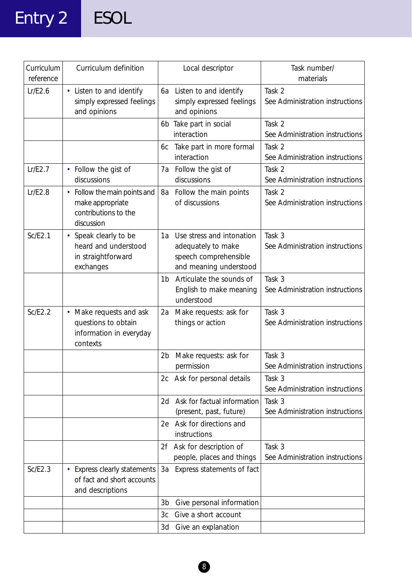# Entry 2 ESOL

| Curriculum<br>reference | Curriculum definition                                                                            | Local descriptor                                                                                         | Task number/<br>materials                 |
|-------------------------|--------------------------------------------------------------------------------------------------|----------------------------------------------------------------------------------------------------------|-------------------------------------------|
| Lr/E2.6                 | • Listen to and identify<br>simply expressed feelings<br>and opinions                            | 6a Listen to and identify<br>simply expressed feelings<br>and opinions                                   | Task 2<br>See Administration instructions |
|                         |                                                                                                  | Take part in social<br>6b<br>interaction                                                                 | Task 2<br>See Administration instructions |
|                         |                                                                                                  | Take part in more formal<br>6c<br>interaction                                                            | Task 2<br>See Administration instructions |
| Lr/E2.7                 | • Follow the gist of<br>discussions                                                              | 7a Follow the gist of<br>discussions                                                                     | Task 2<br>See Administration instructions |
| Lr/E2.8                 | • Follow the main points and<br>make appropriate<br>contributions to the<br>discussion           | Follow the main points<br>8a<br>of discussions                                                           | Task 2<br>See Administration instructions |
| Sc/E2.1                 | • Speak clearly to be<br>heard and understood<br>in straightforward<br>exchanges                 | Use stress and intonation<br>1a<br>adequately to make<br>speech comprehensible<br>and meaning understood | Task 3<br>See Administration instructions |
|                         |                                                                                                  | Articulate the sounds of<br>1 <sub>b</sub><br>English to make meaning<br>understood                      | Task 3<br>See Administration instructions |
| SC/E2.2                 | • Make requests and ask<br>questions to obtain<br>information in everyday<br>contexts            | Make requests: ask for<br>2a<br>things or action                                                         | Task 3<br>See Administration instructions |
|                         |                                                                                                  | Make requests: ask for<br>2 <sub>b</sub><br>permission                                                   | Task 3<br>See Administration instructions |
|                         |                                                                                                  | 2c Ask for personal details                                                                              | Task 3<br>See Administration instructions |
|                         |                                                                                                  | Ask for factual information<br>2d<br>(present, past, future)                                             | Task 3<br>See Administration instructions |
|                         |                                                                                                  | 2e Ask for directions and<br>instructions                                                                |                                           |
|                         |                                                                                                  | Ask for description of<br>2f<br>people, places and things                                                | Task 3<br>See Administration instructions |
| Sc/E2.3                 | <b>Express clearly statements</b><br>$\bullet$<br>of fact and short accounts<br>and descriptions | Express statements of fact<br>За                                                                         |                                           |
|                         |                                                                                                  | Give personal information<br>3b                                                                          |                                           |
|                         |                                                                                                  | Give a short account<br>3c                                                                               |                                           |
|                         |                                                                                                  | Give an explanation<br>3d                                                                                |                                           |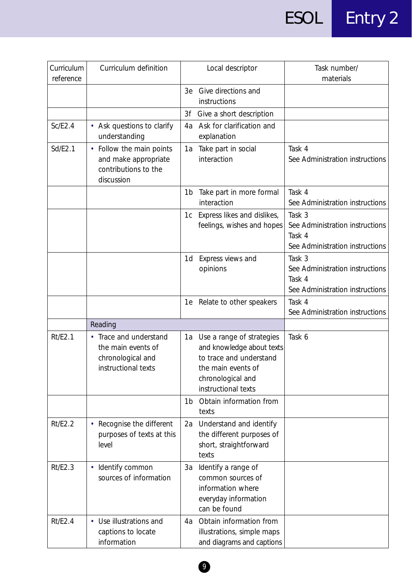| Curriculum<br>reference | Curriculum definition                                                                     | Local descriptor                                                                                                                                          | Task number/<br>materials                                                              |
|-------------------------|-------------------------------------------------------------------------------------------|-----------------------------------------------------------------------------------------------------------------------------------------------------------|----------------------------------------------------------------------------------------|
|                         |                                                                                           | Give directions and<br>3e<br>instructions                                                                                                                 |                                                                                        |
|                         |                                                                                           | Give a short description<br>3f                                                                                                                            |                                                                                        |
| SC/E2.4                 | • Ask questions to clarify<br>understanding                                               | Ask for clarification and<br>4a<br>explanation                                                                                                            |                                                                                        |
| Sd/E2.1                 | Follow the main points<br>٠<br>and make appropriate<br>contributions to the<br>discussion | Take part in social<br>1a<br>interaction                                                                                                                  | Task 4<br>See Administration instructions                                              |
|                         |                                                                                           | Take part in more formal<br>1b<br>interaction                                                                                                             | Task 4<br>See Administration instructions                                              |
|                         |                                                                                           | Express likes and dislikes,<br>1c<br>feelings, wishes and hopes                                                                                           | Task 3<br>See Administration instructions<br>Task 4<br>See Administration instructions |
|                         |                                                                                           | Express views and<br>1d<br>opinions                                                                                                                       | Task 3<br>See Administration instructions<br>Task 4<br>See Administration instructions |
|                         |                                                                                           | Relate to other speakers<br>1e                                                                                                                            | Task 4<br>See Administration instructions                                              |
|                         | Reading                                                                                   |                                                                                                                                                           |                                                                                        |
| Rt/E2.1                 | • Trace and understand<br>the main events of<br>chronological and<br>instructional texts  | Use a range of strategies<br>1a<br>and knowledge about texts<br>to trace and understand<br>the main events of<br>chronological and<br>instructional texts | Task 6                                                                                 |
|                         |                                                                                           | Obtain information from<br>1 <sub>b</sub><br>texts                                                                                                        |                                                                                        |
| Rt/E2.2                 | Recognise the different<br>purposes of texts at this<br>level                             | Understand and identify<br>2a<br>the different purposes of<br>short, straightforward<br>texts                                                             |                                                                                        |
| Rt/E2.3                 | • Identify common<br>sources of information                                               | Identify a range of<br>3a<br>common sources of<br>information where<br>everyday information<br>can be found                                               |                                                                                        |
| Rt/E2.4                 | • Use illustrations and<br>captions to locate<br>information                              | Obtain information from<br>4а<br>illustrations, simple maps<br>and diagrams and captions                                                                  |                                                                                        |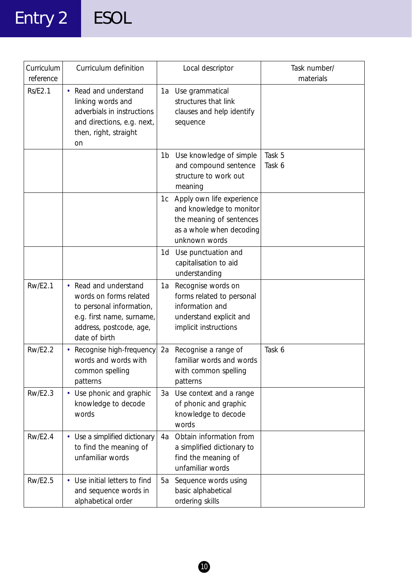# Entry 2 ESOL

| Curriculum<br>reference | Curriculum definition                                                                                                                                | Local descriptor                                                                                                                     | Task number/<br>materials |
|-------------------------|------------------------------------------------------------------------------------------------------------------------------------------------------|--------------------------------------------------------------------------------------------------------------------------------------|---------------------------|
| <b>Rs/E2.1</b>          | Read and understand<br>$\bullet$<br>linking words and<br>adverbials in instructions<br>and directions, e.g. next,<br>then, right, straight<br>on     | 1a Use grammatical<br>structures that link<br>clauses and help identify<br>sequence                                                  |                           |
|                         |                                                                                                                                                      | Use knowledge of simple<br>1b<br>and compound sentence<br>structure to work out<br>meaning                                           | Task 5<br>Task 6          |
|                         |                                                                                                                                                      | Apply own life experience<br>1c<br>and knowledge to monitor<br>the meaning of sentences<br>as a whole when decoding<br>unknown words |                           |
|                         |                                                                                                                                                      | Use punctuation and<br>1d<br>capitalisation to aid<br>understanding                                                                  |                           |
| <b>Rw/E2.1</b>          | • Read and understand<br>words on forms related<br>to personal information,<br>e.g. first name, surname,<br>address, postcode, age,<br>date of birth | Recognise words on<br>1a<br>forms related to personal<br>information and<br>understand explicit and<br>implicit instructions         |                           |
| <b>Rw/E2.2</b>          | Recognise high-frequency<br>words and words with<br>common spelling<br>patterns                                                                      | Recognise a range of<br>2a<br>familiar words and words<br>with common spelling<br>patterns                                           | Task 6                    |
| <b>Rw/E2.3</b>          | Use phonic and graphic<br>$\bullet$<br>knowledge to decode<br>words                                                                                  | Use context and a range<br>3a<br>of phonic and graphic<br>knowledge to decode<br>words                                               |                           |
| <b>Rw/E2.4</b>          | • Use a simplified dictionary<br>to find the meaning of<br>unfamiliar words                                                                          | Obtain information from<br>4а<br>a simplified dictionary to<br>find the meaning of<br>unfamiliar words                               |                           |
| <b>Rw/E2.5</b>          | Use initial letters to find<br>and sequence words in<br>alphabetical order                                                                           | Sequence words using<br>5a<br>basic alphabetical<br>ordering skills                                                                  |                           |

0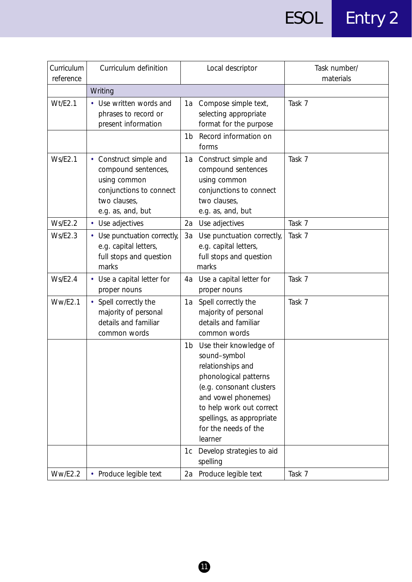| Curriculum<br>reference | Curriculum definition                                                                                                         | Local descriptor                                                                                                                                                                                                                                                                         | Task number/<br>materials |
|-------------------------|-------------------------------------------------------------------------------------------------------------------------------|------------------------------------------------------------------------------------------------------------------------------------------------------------------------------------------------------------------------------------------------------------------------------------------|---------------------------|
|                         | Writing                                                                                                                       |                                                                                                                                                                                                                                                                                          |                           |
| Wt/E2.1                 | • Use written words and<br>phrases to record or<br>present information                                                        | Compose simple text,<br>1a<br>selecting appropriate<br>format for the purpose<br>Record information on<br>1b<br>forms                                                                                                                                                                    | Task 7                    |
| <b>Ws/E2.1</b>          | • Construct simple and<br>compound sentences,<br>using common<br>conjunctions to connect<br>two clauses,<br>e.g. as, and, but | Construct simple and<br>1a<br>compound sentences<br>using common<br>conjunctions to connect<br>two clauses,<br>e.g. as, and, but                                                                                                                                                         | Task 7                    |
| <b>Ws/E2.2</b>          | • Use adjectives                                                                                                              | 2a Use adjectives                                                                                                                                                                                                                                                                        | Task 7                    |
| Ws/E2.3                 | • Use punctuation correctly,<br>e.g. capital letters,<br>full stops and question<br>marks                                     | Use punctuation correctly,<br>За<br>e.g. capital letters,<br>full stops and question<br>marks                                                                                                                                                                                            | Task 7                    |
| Ws/E2.4                 | • Use a capital letter for<br>proper nouns                                                                                    | Use a capital letter for<br>4a<br>proper nouns                                                                                                                                                                                                                                           | Task 7                    |
| <b>Ww/E2.1</b>          | Spell correctly the<br>majority of personal<br>details and familiar<br>common words                                           | Spell correctly the<br>1a<br>majority of personal<br>details and familiar<br>common words                                                                                                                                                                                                | Task 7                    |
|                         |                                                                                                                               | Use their knowledge of<br>1b<br>sound-symbol<br>relationships and<br>phonological patterns<br>(e.g. consonant clusters<br>and vowel phonemes)<br>to help work out correct<br>spellings, as appropriate<br>for the needs of the<br>learner<br>Develop strategies to aid<br>1c<br>spelling |                           |
| <b>Ww/E2.2</b>          | • Produce legible text                                                                                                        | Produce legible text<br>2a                                                                                                                                                                                                                                                               | Task 7                    |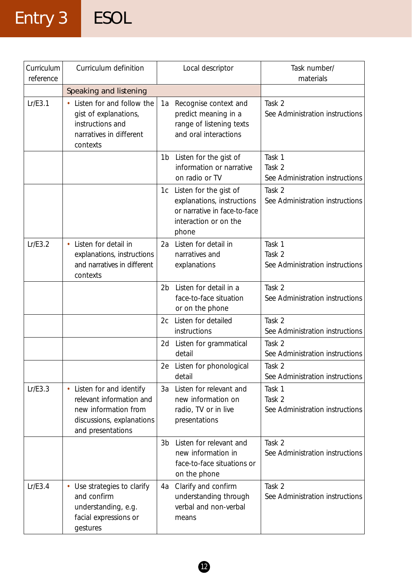# Entry 3 ESOL

| Curriculum<br>reference | Curriculum definition                                                                                                                      | Local descriptor                                                                                                             | Task number/<br>materials                           |
|-------------------------|--------------------------------------------------------------------------------------------------------------------------------------------|------------------------------------------------------------------------------------------------------------------------------|-----------------------------------------------------|
|                         | Speaking and listening                                                                                                                     |                                                                                                                              |                                                     |
| Lr/E3.1                 | Listen for and follow the<br>gist of explanations,<br>instructions and<br>narratives in different<br>contexts                              | Recognise context and<br>1a<br>predict meaning in a<br>range of listening texts<br>and oral interactions                     | Task 2<br>See Administration instructions           |
|                         |                                                                                                                                            | Listen for the gist of<br>1b<br>information or narrative<br>on radio or TV                                                   | Task 1<br>Task 2<br>See Administration instructions |
|                         |                                                                                                                                            | Listen for the gist of<br>1c<br>explanations, instructions<br>or narrative in face-to-face<br>interaction or on the<br>phone | Task 2<br>See Administration instructions           |
| Lr/E3.2                 | Listen for detail in<br>$\bullet$<br>explanations, instructions<br>and narratives in different<br>contexts                                 | Listen for detail in<br>2a<br>narratives and<br>explanations                                                                 | Task 1<br>Task 2<br>See Administration instructions |
|                         |                                                                                                                                            | Listen for detail in a<br>2b<br>face-to-face situation<br>or on the phone                                                    | Task 2<br>See Administration instructions           |
|                         |                                                                                                                                            | Listen for detailed<br>2c<br>instructions                                                                                    | Task 2<br>See Administration instructions           |
|                         |                                                                                                                                            | Listen for grammatical<br>2d<br>detail                                                                                       | Task 2<br>See Administration instructions           |
|                         |                                                                                                                                            | 2e Listen for phonological<br>detail                                                                                         | Task 2<br>See Administration instructions           |
| Lr/E3.3                 | Listen for and identify<br>$\bullet$<br>relevant information and<br>new information from<br>discussions, explanations<br>and presentations | Listen for relevant and<br>3a<br>new information on<br>radio, TV or in live<br>presentations                                 | Task 1<br>Task 2<br>See Administration instructions |
|                         |                                                                                                                                            | Listen for relevant and<br>3b<br>new information in<br>face-to-face situations or<br>on the phone                            | Task 2<br>See Administration instructions           |
| Lr/E3.4                 | Use strategies to clarify<br>$\bullet$<br>and confirm<br>understanding, e.g.<br>facial expressions or<br>gestures                          | Clarify and confirm<br>4a<br>understanding through<br>verbal and non-verbal<br>means                                         | Task 2<br>See Administration instructions           |

 $\bigcirc$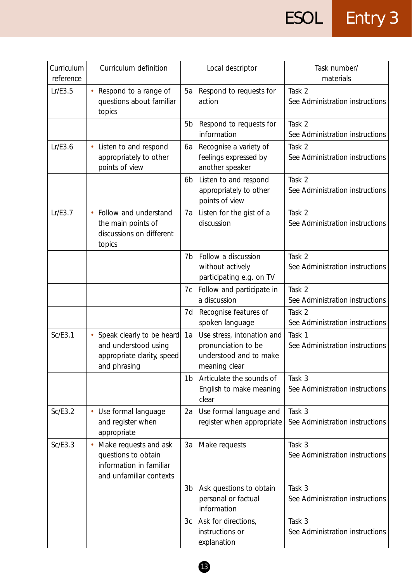| Curriculum<br>reference | Curriculum definition                                                                              |                | Local descriptor                                                                             | Task number/<br>materials                 |
|-------------------------|----------------------------------------------------------------------------------------------------|----------------|----------------------------------------------------------------------------------------------|-------------------------------------------|
| Lr/E3.5                 | Respond to a range of<br>questions about familiar<br>topics                                        | 5a             | Respond to requests for<br>action                                                            | Task 2<br>See Administration instructions |
|                         |                                                                                                    | 5b             | Respond to requests for<br>information                                                       | Task 2<br>See Administration instructions |
| Lr/E3.6                 | Listen to and respond<br>appropriately to other<br>points of view                                  | 6a             | Recognise a variety of<br>feelings expressed by<br>another speaker                           | Task 2<br>See Administration instructions |
|                         |                                                                                                    | 6 <sub>b</sub> | Listen to and respond<br>appropriately to other<br>points of view                            | Task 2<br>See Administration instructions |
| Lr/E3.7                 | Follow and understand<br>$\bullet$<br>the main points of<br>discussions on different<br>topics     | 7a             | Listen for the gist of a<br>discussion                                                       | Task 2<br>See Administration instructions |
|                         |                                                                                                    | 7b             | Follow a discussion<br>without actively<br>participating e.g. on TV                          | Task 2<br>See Administration instructions |
|                         |                                                                                                    | 7c             | Follow and participate in<br>a discussion                                                    | Task 2<br>See Administration instructions |
|                         |                                                                                                    | 7d             | Recognise features of<br>spoken language                                                     | Task 2<br>See Administration instructions |
| Sc/E3.1                 | Speak clearly to be heard<br>and understood using<br>appropriate clarity, speed<br>and phrasing    | 1a             | Use stress, intonation and<br>pronunciation to be<br>understood and to make<br>meaning clear | Task 1<br>See Administration instructions |
|                         |                                                                                                    | 1 <sub>b</sub> | Articulate the sounds of<br>English to make meaning<br>clear                                 | Task 3<br>See Administration instructions |
| Sc/E3.2                 | Use formal language<br>$\bullet$<br>and register when<br>appropriate                               | 2a             | Use formal language and<br>register when appropriate                                         | Task 3<br>See Administration instructions |
| Sc/E3.3                 | Make requests and ask<br>questions to obtain<br>information in familiar<br>and unfamiliar contexts | 3a             | Make requests                                                                                | Task 3<br>See Administration instructions |
|                         |                                                                                                    | 3b             | Ask questions to obtain<br>personal or factual<br>information                                | Task 3<br>See Administration instructions |
|                         |                                                                                                    | Зc             | Ask for directions,<br>instructions or<br>explanation                                        | Task 3<br>See Administration instructions |

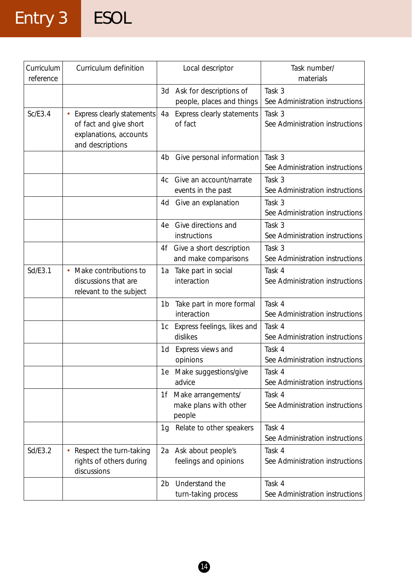# Entry 3 ESOL

| Curriculum<br>reference | Curriculum definition                                                                              | Local descriptor                                            | Task number/<br>materials                 |
|-------------------------|----------------------------------------------------------------------------------------------------|-------------------------------------------------------------|-------------------------------------------|
|                         |                                                                                                    | Ask for descriptions of<br>3d<br>people, places and things  | Task 3<br>See Administration instructions |
| Sc/E3.4                 | Express clearly statements<br>of fact and give short<br>explanations, accounts<br>and descriptions | Express clearly statements<br>4a<br>of fact                 | Task 3<br>See Administration instructions |
|                         |                                                                                                    | Give personal information<br>4b                             | Task 3<br>See Administration instructions |
|                         |                                                                                                    | Give an account/narrate<br>4c<br>events in the past         | Task 3<br>See Administration instructions |
|                         |                                                                                                    | Give an explanation<br>4d                                   | Task 3<br>See Administration instructions |
|                         |                                                                                                    | Give directions and<br>4e<br>instructions                   | Task 3<br>See Administration instructions |
|                         |                                                                                                    | Give a short description<br>4f<br>and make comparisons      | Task 3<br>See Administration instructions |
| Sd/E3.1                 | Make contributions to<br>$\bullet$<br>discussions that are<br>relevant to the subject              | Take part in social<br>1a<br>interaction                    | Task 4<br>See Administration instructions |
|                         |                                                                                                    | Take part in more formal<br>1b<br>interaction               | Task 4<br>See Administration instructions |
|                         |                                                                                                    | Express feelings, likes and<br>1c<br>dislikes               | Task 4<br>See Administration instructions |
|                         |                                                                                                    | Express views and<br>1d<br>opinions                         | Task 4<br>See Administration instructions |
|                         |                                                                                                    | 1e Make suggestions/give<br>advice                          | Task 4<br>See Administration instructions |
|                         |                                                                                                    | Make arrangements/<br>1f<br>make plans with other<br>people | Task 4<br>See Administration instructions |
|                         |                                                                                                    | Relate to other speakers<br>1g                              | Task 4<br>See Administration instructions |
| Sd/E3.2                 | Respect the turn-taking<br>rights of others during<br>discussions                                  | Ask about people's<br>2a<br>feelings and opinions           | Task 4<br>See Administration instructions |
|                         |                                                                                                    | Understand the<br>2b<br>turn-taking process                 | Task 4<br>See Administration instructions |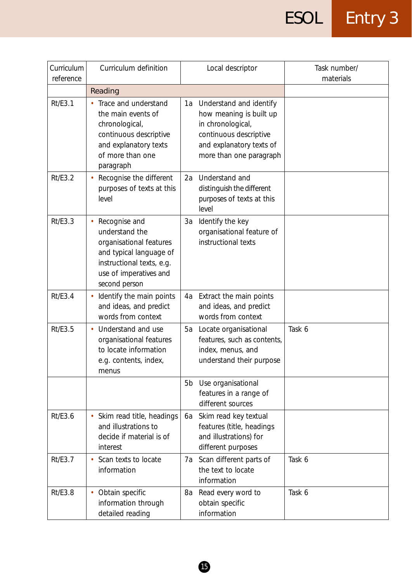| Curriculum<br>reference | Curriculum definition                                                                                                                                         | Local descriptor                                                                                                                                            | Task number/<br>materials |
|-------------------------|---------------------------------------------------------------------------------------------------------------------------------------------------------------|-------------------------------------------------------------------------------------------------------------------------------------------------------------|---------------------------|
|                         | Reading                                                                                                                                                       |                                                                                                                                                             |                           |
| Rt/E3.1                 | Trace and understand<br>the main events of<br>chronological,<br>continuous descriptive<br>and explanatory texts<br>of more than one<br>paragraph              | 1a Understand and identify<br>how meaning is built up<br>in chronological,<br>continuous descriptive<br>and explanatory texts of<br>more than one paragraph |                           |
| <b>Rt/E3.2</b>          | Recognise the different<br>purposes of texts at this<br>level                                                                                                 | Understand and<br>2a<br>distinguish the different<br>purposes of texts at this<br>level                                                                     |                           |
| Rt/E3.3                 | Recognise and<br>understand the<br>organisational features<br>and typical language of<br>instructional texts, e.g.<br>use of imperatives and<br>second person | Identify the key<br>3a<br>organisational feature of<br>instructional texts                                                                                  |                           |
| Rt/E3.4                 | Identify the main points<br>and ideas, and predict<br>words from context                                                                                      | 4a Extract the main points<br>and ideas, and predict<br>words from context                                                                                  |                           |
| <b>Rt/E3.5</b>          | Understand and use<br>organisational features<br>to locate information<br>e.g. contents, index,<br>menus                                                      | Locate organisational<br>5a<br>features, such as contents,<br>index, menus, and<br>understand their purpose                                                 | Task 6                    |
|                         |                                                                                                                                                               | Use organisational<br>5b<br>features in a range of<br>different sources                                                                                     |                           |
| Rt/E3.6                 | Skim read title, headings<br>$\bullet$<br>and illustrations to<br>decide if material is of<br>interest                                                        | Skim read key textual<br>6а<br>features (title, headings<br>and illustrations) for<br>different purposes                                                    |                           |
| Rt/E3.7                 | Scan texts to locate<br>information                                                                                                                           | Scan different parts of<br>7a<br>the text to locate<br>information                                                                                          | Task 6                    |
| <b>Rt/E3.8</b>          | Obtain specific<br>information through<br>detailed reading                                                                                                    | Read every word to<br>8a<br>obtain specific<br>information                                                                                                  | Task 6                    |

 $\bullet$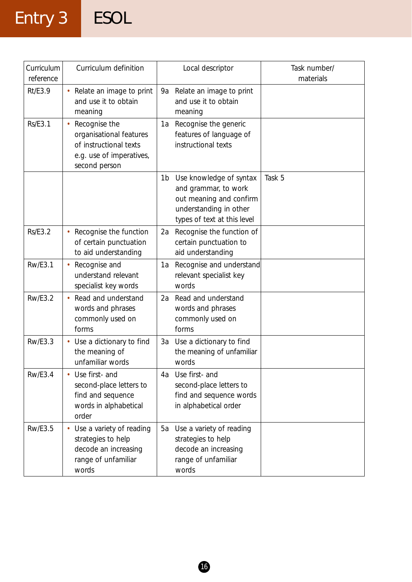# Entry 3 ESOL

| Curriculum<br>reference | Curriculum definition                                                                                           | Local descriptor                                                                                                                          | Task number/<br>materials |
|-------------------------|-----------------------------------------------------------------------------------------------------------------|-------------------------------------------------------------------------------------------------------------------------------------------|---------------------------|
| Rt/E3.9                 | • Relate an image to print<br>and use it to obtain<br>meaning                                                   | Relate an image to print<br>9a<br>and use it to obtain<br>meaning                                                                         |                           |
| <b>Rs/E3.1</b>          | Recognise the<br>organisational features<br>of instructional texts<br>e.g. use of imperatives,<br>second person | Recognise the generic<br>1a<br>features of language of<br>instructional texts                                                             |                           |
|                         |                                                                                                                 | Use knowledge of syntax<br>1b<br>and grammar, to work<br>out meaning and confirm<br>understanding in other<br>types of text at this level | Task 5                    |
| <b>Rs/E3.2</b>          | Recognise the function<br>of certain punctuation<br>to aid understanding                                        | Recognise the function of<br>2a<br>certain punctuation to<br>aid understanding                                                            |                           |
| <b>Rw/E3.1</b>          | Recognise and<br>understand relevant<br>specialist key words                                                    | Recognise and understand<br>1a<br>relevant specialist key<br>words                                                                        |                           |
| <b>Rw/E3.2</b>          | Read and understand<br>words and phrases<br>commonly used on<br>forms                                           | Read and understand<br>2a<br>words and phrases<br>commonly used on<br>forms                                                               |                           |
| <b>Rw/E3.3</b>          | • Use a dictionary to find<br>the meaning of<br>unfamiliar words                                                | Use a dictionary to find<br>3a<br>the meaning of unfamiliar<br>words                                                                      |                           |
| <b>Rw/E3.4</b>          | Use first- and<br>second-place letters to<br>find and sequence<br>words in alphabetical<br>order                | Use first- and<br>4a<br>second-place letters to<br>find and sequence words<br>in alphabetical order                                       |                           |
| <b>Rw/E3.5</b>          | Use a variety of reading<br>strategies to help<br>decode an increasing<br>range of unfamiliar<br>words          | Use a variety of reading<br>5a<br>strategies to help<br>decode an increasing<br>range of unfamiliar<br>words                              |                           |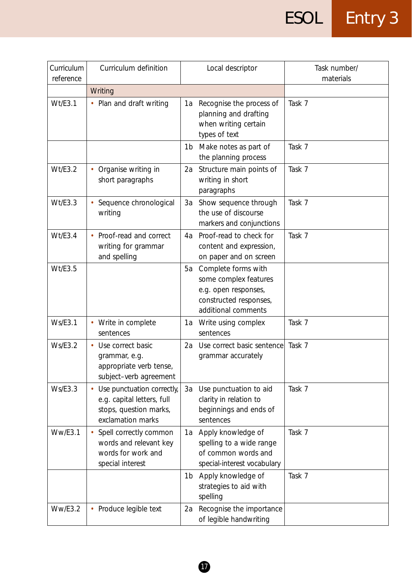| Curriculum<br>reference | Curriculum definition                                                                                   | Local descriptor                                                                                                            | Task number/<br>materials |
|-------------------------|---------------------------------------------------------------------------------------------------------|-----------------------------------------------------------------------------------------------------------------------------|---------------------------|
|                         | Writing                                                                                                 |                                                                                                                             |                           |
| Wt/E3.1                 | • Plan and draft writing                                                                                | Recognise the process of<br>1a<br>planning and drafting<br>when writing certain<br>types of text                            | Task 7                    |
|                         |                                                                                                         | Make notes as part of<br>1 <sub>b</sub><br>the planning process                                                             | Task 7                    |
| Wt/E3.2                 | Organise writing in<br>short paragraphs                                                                 | Structure main points of<br>2a<br>writing in short<br>paragraphs                                                            | Task 7                    |
| Wt/E3.3                 | Sequence chronological<br>writing                                                                       | Show sequence through<br>3a<br>the use of discourse<br>markers and conjunctions                                             | Task 7                    |
| Wt/E3.4                 | • Proof-read and correct<br>writing for grammar<br>and spelling                                         | Proof-read to check for<br>4a<br>content and expression,<br>on paper and on screen                                          | Task 7                    |
| Wt/E3.5                 |                                                                                                         | Complete forms with<br>5a<br>some complex features<br>e.g. open responses,<br>constructed responses,<br>additional comments |                           |
| <b>Ws/E3.1</b>          | • Write in complete<br>sentences                                                                        | Write using complex<br>1a<br>sentences                                                                                      | Task 7                    |
| Ws/E3.2                 | Use correct basic<br>grammar, e.g.<br>appropriate verb tense,<br>subject-verb agreement                 | Use correct basic sentence<br>2a<br>grammar accurately                                                                      | Task 7                    |
| Ws/E3.3                 | Use punctuation correctly,<br>e.g. capital letters, full<br>stops, question marks,<br>exclamation marks | Use punctuation to aid<br>3a<br>clarity in relation to<br>beginnings and ends of<br>sentences                               | Task 7                    |
| Ww/E3.1                 | Spell correctly common<br>words and relevant key<br>words for work and<br>special interest              | 1a Apply knowledge of<br>spelling to a wide range<br>of common words and<br>special-interest vocabulary                     | Task 7                    |
|                         |                                                                                                         | Apply knowledge of<br>1b<br>strategies to aid with<br>spelling                                                              | Task 7                    |
| WW/ES.2                 | • Produce legible text                                                                                  | Recognise the importance<br>2a<br>of legible handwriting                                                                    |                           |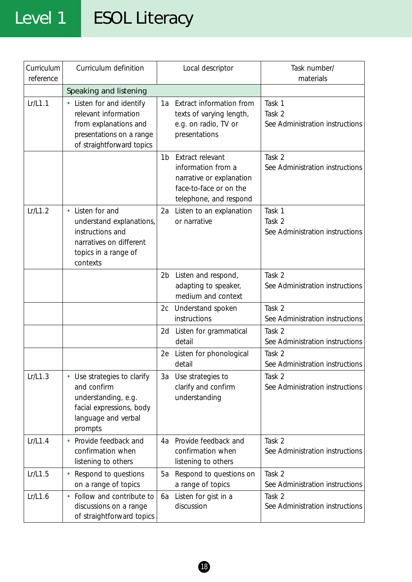## Level 1 ESOL Literacy

| Curriculum<br>reference | Curriculum definition                                                                                                                      |    | Local descriptor                                                                                                       | Task number/<br>materials                           |
|-------------------------|--------------------------------------------------------------------------------------------------------------------------------------------|----|------------------------------------------------------------------------------------------------------------------------|-----------------------------------------------------|
|                         | Speaking and listening                                                                                                                     |    |                                                                                                                        |                                                     |
| Lr/L1.1                 | • Listen for and identify<br>relevant information<br>from explanations and<br>presentations on a range<br>of straightforward topics        | 1а | Extract information from<br>texts of varying length,<br>e.g. on radio, TV or<br>presentations                          | Task 1<br>Task 2<br>See Administration instructions |
|                         |                                                                                                                                            | 1b | Extract relevant<br>information from a<br>narrative or explanation<br>face-to-face or on the<br>telephone, and respond | Task 2<br>See Administration instructions           |
| Lr/L1.2                 | Listen for and<br>$\bullet$<br>understand explanations,<br>instructions and<br>narratives on different<br>topics in a range of<br>contexts | 2a | Listen to an explanation<br>or narrative                                                                               | Task 1<br>Task 2<br>See Administration instructions |
|                         |                                                                                                                                            |    | 2b Listen and respond,<br>adapting to speaker,<br>medium and context                                                   | Task 2<br>See Administration instructions           |
|                         |                                                                                                                                            |    | 2c Understand spoken<br>instructions                                                                                   | Task 2<br>See Administration instructions           |
|                         |                                                                                                                                            |    | 2d Listen for grammatical<br>detail                                                                                    | Task 2<br>See Administration instructions           |
|                         |                                                                                                                                            | 2e | Listen for phonological<br>detail                                                                                      | Task 2<br>See Administration instructions           |
| Lr/L1.3                 | Use strategies to clarify<br>٠<br>and confirm<br>understanding, e.g.<br>facial expressions, body<br>language and verbal<br>prompts         | 3a | Use strategies to<br>clarify and confirm<br>understanding                                                              | Task 2<br>See Administration instructions           |
| Lr/L1.4                 | • Provide feedback and<br>confirmation when<br>listening to others                                                                         | 4a | Provide feedback and<br>confirmation when<br>listening to others                                                       | Task 2<br>See Administration instructions           |
| Lr/L1.5                 | Respond to questions<br>on a range of topics                                                                                               | 5а | Respond to questions on<br>a range of topics                                                                           | Task 2<br>See Administration instructions           |
| Lr/L1.6                 | Follow and contribute to<br>discussions on a range<br>of straightforward topics                                                            | 6а | Listen for gist in a<br>discussion                                                                                     | Task 2<br>See Administration instructions           |

18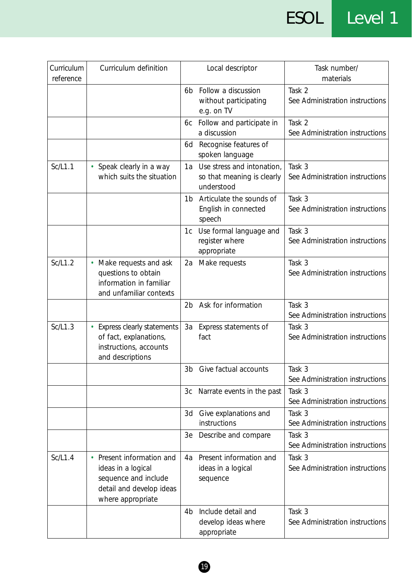ESOL Level 1

| Curriculum<br>reference | Curriculum definition                                                                                                  |                | Local descriptor                                                       | Task number/<br>materials                 |
|-------------------------|------------------------------------------------------------------------------------------------------------------------|----------------|------------------------------------------------------------------------|-------------------------------------------|
|                         |                                                                                                                        | 6b             | Follow a discussion<br>without participating<br>e.g. on TV             | Task 2<br>See Administration instructions |
|                         |                                                                                                                        | 6c             | Follow and participate in<br>a discussion                              | Task 2<br>See Administration instructions |
|                         |                                                                                                                        | 6d             | Recognise features of<br>spoken language                               |                                           |
| Sc/L1.1                 | • Speak clearly in a way<br>which suits the situation                                                                  | 1a             | Use stress and intonation,<br>so that meaning is clearly<br>understood | Task 3<br>See Administration instructions |
|                         |                                                                                                                        | 1b             | Articulate the sounds of<br>English in connected<br>speech             | Task 3<br>See Administration instructions |
|                         |                                                                                                                        | 1c             | Use formal language and<br>register where<br>appropriate               | Task 3<br>See Administration instructions |
| Sc/L1.2                 | Make requests and ask<br>questions to obtain<br>information in familiar<br>and unfamiliar contexts                     | 2a             | Make requests                                                          | Task 3<br>See Administration instructions |
|                         |                                                                                                                        | 2 <sub>b</sub> | Ask for information                                                    | Task 3<br>See Administration instructions |
| Sc/L1.3                 | Express clearly statements<br>of fact, explanations,<br>instructions, accounts<br>and descriptions                     | 3a             | Express statements of<br>fact                                          | Task 3<br>See Administration instructions |
|                         |                                                                                                                        | 3 <sub>b</sub> | Give factual accounts                                                  | Task 3<br>See Administration instructions |
|                         |                                                                                                                        | 3c             | Narrate events in the past                                             | Task 3<br>See Administration instructions |
|                         |                                                                                                                        | 3d             | Give explanations and<br>instructions                                  | Task 3<br>See Administration instructions |
|                         |                                                                                                                        | 3e             | Describe and compare                                                   | Task 3<br>See Administration instructions |
| Sc/L1.4                 | Present information and<br>ideas in a logical<br>sequence and include<br>detail and develop ideas<br>where appropriate | 4a             | Present information and<br>ideas in a logical<br>sequence              | Task 3<br>See Administration instructions |
|                         |                                                                                                                        | 4b             | Include detail and<br>develop ideas where<br>appropriate               | Task 3<br>See Administration instructions |

 $\bullet$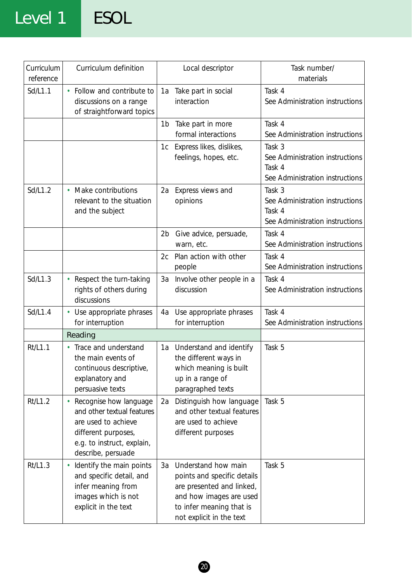### Level 1 ESOL

| Curriculum<br>reference | Curriculum definition                                                                                                                                  | Local descriptor                                                                                                                                                         | Task number/<br>materials                                                              |
|-------------------------|--------------------------------------------------------------------------------------------------------------------------------------------------------|--------------------------------------------------------------------------------------------------------------------------------------------------------------------------|----------------------------------------------------------------------------------------|
| Sd/L1.1                 | Follow and contribute to<br>discussions on a range<br>of straightforward topics                                                                        | 1a Take part in social<br>interaction                                                                                                                                    | Task 4<br>See Administration instructions                                              |
|                         |                                                                                                                                                        | Take part in more<br>1 <sub>b</sub><br>formal interactions                                                                                                               | Task 4<br>See Administration instructions                                              |
|                         |                                                                                                                                                        | Express likes, dislikes,<br>1c<br>feelings, hopes, etc.                                                                                                                  | Task 3<br>See Administration instructions<br>Task 4<br>See Administration instructions |
| Sd/L1.2                 | Make contributions<br>$\bullet$<br>relevant to the situation<br>and the subject                                                                        | Express views and<br>2a<br>opinions                                                                                                                                      | Task 3<br>See Administration instructions<br>Task 4<br>See Administration instructions |
|                         |                                                                                                                                                        | Give advice, persuade,<br>2b<br>warn, etc.                                                                                                                               | Task 4<br>See Administration instructions                                              |
|                         |                                                                                                                                                        | Plan action with other<br>2c<br>people                                                                                                                                   | Task 4<br>See Administration instructions                                              |
| Sd/L1.3                 | Respect the turn-taking<br>rights of others during<br>discussions                                                                                      | Involve other people in a<br>3a<br>discussion                                                                                                                            | Task 4<br>See Administration instructions                                              |
| Sd/L1.4                 | • Use appropriate phrases<br>for interruption                                                                                                          | Use appropriate phrases<br>4a<br>for interruption                                                                                                                        | Task 4<br>See Administration instructions                                              |
|                         | Reading                                                                                                                                                |                                                                                                                                                                          |                                                                                        |
| Rt/L1.1                 | Trace and understand<br>$\bullet$<br>the main events of<br>continuous descriptive,<br>explanatory and<br>persuasive texts                              | Understand and identify<br>1a<br>the different ways in<br>which meaning is built<br>up in a range of<br>paragraphed texts                                                | Task 5                                                                                 |
| Rt/L1.2                 | Recognise how language<br>and other textual features<br>are used to achieve<br>different purposes,<br>e.g. to instruct, explain,<br>describe, persuade | Distinguish how language<br>2a<br>and other textual features<br>are used to achieve<br>different purposes                                                                | Task 5                                                                                 |
| Rt/L1.3                 | Identify the main points<br>and specific detail, and<br>infer meaning from<br>images which is not<br>explicit in the text                              | Understand how main<br>За<br>points and specific details<br>are presented and linked,<br>and how images are used<br>to infer meaning that is<br>not explicit in the text | Task 5                                                                                 |

20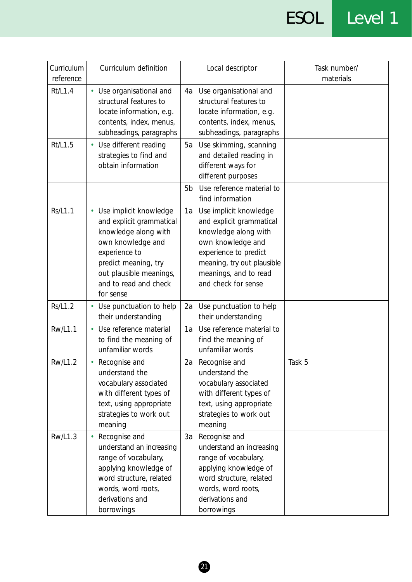# ESOL Level 1

| Curriculum<br>reference | Curriculum definition                                                                                                                                                                                       | Local descriptor                                                                                                                                                                                             | Task number/<br>materials |
|-------------------------|-------------------------------------------------------------------------------------------------------------------------------------------------------------------------------------------------------------|--------------------------------------------------------------------------------------------------------------------------------------------------------------------------------------------------------------|---------------------------|
| Rt/L1.4                 | • Use organisational and<br>structural features to<br>locate information, e.g.<br>contents, index, menus,<br>subheadings, paragraphs                                                                        | Use organisational and<br>4a<br>structural features to<br>locate information, e.g.<br>contents, index, menus,<br>subheadings, paragraphs                                                                     |                           |
| Rt/L1.5                 | • Use different reading<br>strategies to find and<br>obtain information                                                                                                                                     | Use skimming, scanning<br>5a<br>and detailed reading in<br>different ways for<br>different purposes                                                                                                          |                           |
|                         |                                                                                                                                                                                                             | Use reference material to<br>5 <sub>b</sub><br>find information                                                                                                                                              |                           |
| <b>Rs/L1.1</b>          | • Use implicit knowledge<br>and explicit grammatical<br>knowledge along with<br>own knowledge and<br>experience to<br>predict meaning, try<br>out plausible meanings,<br>and to read and check<br>for sense | Use implicit knowledge<br>1a<br>and explicit grammatical<br>knowledge along with<br>own knowledge and<br>experience to predict<br>meaning, try out plausible<br>meanings, and to read<br>and check for sense |                           |
| Rs/L1.2                 | • Use punctuation to help<br>their understanding                                                                                                                                                            | Use punctuation to help<br>2a<br>their understanding                                                                                                                                                         |                           |
| <b>Rw/L1.1</b>          | Use reference material<br>to find the meaning of<br>unfamiliar words                                                                                                                                        | Use reference material to<br>1a<br>find the meaning of<br>unfamiliar words                                                                                                                                   |                           |
| <b>Rw/L1.2</b>          | Recognise and<br>understand the<br>vocabulary associated<br>with different types of<br>text, using appropriate<br>strategies to work out<br>meaning                                                         | 2a Recognise and<br>understand the<br>vocabulary associated<br>with different types of<br>text, using appropriate<br>strategies to work out<br>meaning                                                       | Task 5                    |
| <b>Rw/L1.3</b>          | Recognise and<br>understand an increasing<br>range of vocabulary,<br>applying knowledge of<br>word structure, related<br>words, word roots,<br>derivations and<br>borrowings                                | Recognise and<br>За<br>understand an increasing<br>range of vocabulary,<br>applying knowledge of<br>word structure, related<br>words, word roots,<br>derivations and<br>borrowings                           |                           |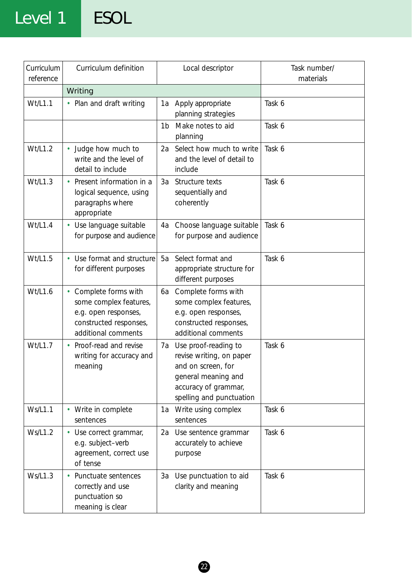### Level 1 ESOL

| Curriculum<br>reference | Curriculum definition                                                                                                               | Local descriptor                                                                                                                                        | Task number/<br>materials |
|-------------------------|-------------------------------------------------------------------------------------------------------------------------------------|---------------------------------------------------------------------------------------------------------------------------------------------------------|---------------------------|
|                         | Writing                                                                                                                             |                                                                                                                                                         |                           |
| Wt/L1.1                 | • Plan and draft writing                                                                                                            | 1a<br>Apply appropriate<br>planning strategies                                                                                                          | Task 6                    |
|                         |                                                                                                                                     | Make notes to aid<br>1 <sub>b</sub><br>planning                                                                                                         | Task 6                    |
| Wt/L1.2                 | • Judge how much to<br>write and the level of<br>detail to include                                                                  | Select how much to write<br>2a<br>and the level of detail to<br>include                                                                                 | Task 6                    |
| Wt/L1.3                 | Present information in a<br>logical sequence, using<br>paragraphs where<br>appropriate                                              | Structure texts<br>3a<br>sequentially and<br>coherently                                                                                                 | Task 6                    |
| Wt/L1.4                 | • Use language suitable<br>for purpose and audience                                                                                 | Choose language suitable<br>4a<br>for purpose and audience                                                                                              | Task 6                    |
| Wt/L1.5                 | Use format and structure<br>for different purposes                                                                                  | Select format and<br>5a<br>appropriate structure for<br>different purposes                                                                              | Task 6                    |
| Wt/L1.6                 | Complete forms with<br>$\bullet$<br>some complex features,<br>e.g. open responses,<br>constructed responses,<br>additional comments | Complete forms with<br>6a<br>some complex features,<br>e.g. open responses,<br>constructed responses,<br>additional comments                            |                           |
| Wt/L1.7                 | Proof-read and revise<br>writing for accuracy and<br>meaning                                                                        | Use proof-reading to<br>7a<br>revise writing, on paper<br>and on screen, for<br>general meaning and<br>accuracy of grammar,<br>spelling and punctuation | Task 6                    |
| Ws/L1.1                 | • Write in complete<br>sentences                                                                                                    | 1a Write using complex<br>sentences                                                                                                                     | Task 6                    |
| Ws/L1.2                 | • Use correct grammar,<br>e.g. subject-verb<br>agreement, correct use<br>of tense                                                   | Use sentence grammar<br>2a<br>accurately to achieve<br>purpose                                                                                          | Task 6                    |
| Ws/L1.3                 | Punctuate sentences<br>correctly and use<br>punctuation so<br>meaning is clear                                                      | 3a Use punctuation to aid<br>clarity and meaning                                                                                                        | Task 6                    |

2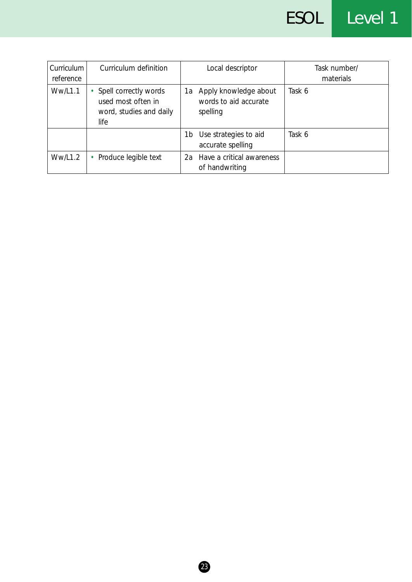| Curriculum<br>reference | Curriculum definition                                                          | Local descriptor                                                 | Task number/<br>materials |
|-------------------------|--------------------------------------------------------------------------------|------------------------------------------------------------------|---------------------------|
| Ww/L1.1                 | Spell correctly words<br>used most often in<br>word, studies and daily<br>life | Apply knowledge about<br>1a<br>words to aid accurate<br>spelling | Task 6                    |
|                         |                                                                                | Use strategies to aid<br>1b<br>accurate spelling                 | Task 6                    |
| Ww/L1.2                 | Produce legible text<br>٠                                                      | Have a critical awareness<br>2a<br>of handwriting                |                           |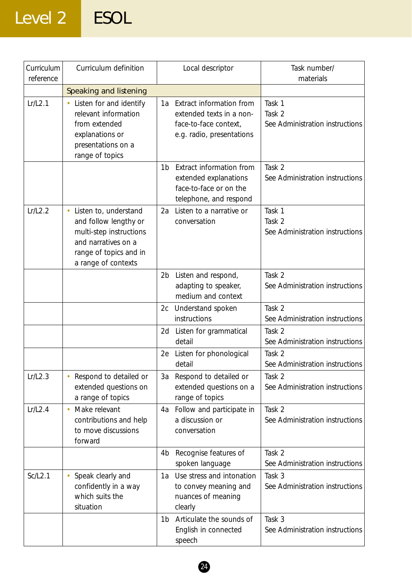## Level 2 ESOL

| Curriculum<br>reference | Curriculum definition                                                                                                                                          | Local descriptor                                                                                                 | Task number/<br>materials                           |
|-------------------------|----------------------------------------------------------------------------------------------------------------------------------------------------------------|------------------------------------------------------------------------------------------------------------------|-----------------------------------------------------|
|                         | Speaking and listening                                                                                                                                         |                                                                                                                  |                                                     |
| Lr/L2.1                 | Listen for and identify<br>$\bullet$<br>relevant information<br>from extended<br>explanations or<br>presentations on a<br>range of topics                      | Extract information from<br>1a<br>extended texts in a non-<br>face-to-face context,<br>e.g. radio, presentations | Task 1<br>Task 2<br>See Administration instructions |
|                         |                                                                                                                                                                | Extract information from<br>1b<br>extended explanations<br>face-to-face or on the<br>telephone, and respond      | Task 2<br>See Administration instructions           |
| Lr/L2.2                 | Listen to, understand<br>$\bullet$<br>and follow lengthy or<br>multi-step instructions<br>and narratives on a<br>range of topics and in<br>a range of contexts | Listen to a narrative or<br>2a<br>conversation                                                                   | Task 1<br>Task 2<br>See Administration instructions |
|                         |                                                                                                                                                                | 2b Listen and respond,<br>adapting to speaker,<br>medium and context                                             | Task 2<br>See Administration instructions           |
|                         |                                                                                                                                                                | Understand spoken<br>2c<br>instructions                                                                          | Task 2<br>See Administration instructions           |
|                         |                                                                                                                                                                | Listen for grammatical<br>2d<br>detail                                                                           | Task 2<br>See Administration instructions           |
|                         |                                                                                                                                                                | Listen for phonological<br>2e<br>detail                                                                          | Task 2<br>See Administration instructions           |
| Lr/L2.3                 | Respond to detailed or<br>extended questions on<br>a range of topics                                                                                           | Respond to detailed or<br>За<br>extended questions on a<br>range of topics                                       | Task 2<br>See Administration instructions           |
| Lr/L2.4                 | Make relevant<br>$\bullet$<br>contributions and help<br>to move discussions<br>forward                                                                         | Follow and participate in<br>4a<br>a discussion or<br>conversation                                               | Task 2<br>See Administration instructions           |
|                         |                                                                                                                                                                | Recognise features of<br>4 <sub>b</sub><br>spoken language                                                       | Task 2<br>See Administration instructions           |
| Sc/L2.1                 | Speak clearly and<br>$\bullet$<br>confidently in a way<br>which suits the<br>situation                                                                         | Use stress and intonation<br>1a<br>to convey meaning and<br>nuances of meaning<br>clearly                        | Task 3<br>See Administration instructions           |
|                         |                                                                                                                                                                | Articulate the sounds of<br>1b<br>English in connected<br>speech                                                 | Task 3<br>See Administration instructions           |

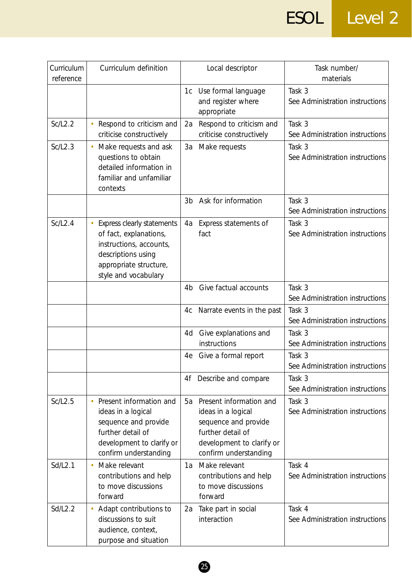ESOL Level 2

| Curriculum<br>reference | Curriculum definition                                                                                                                                   | Local descriptor                                                                                                                                       | Task number/<br>materials                 |
|-------------------------|---------------------------------------------------------------------------------------------------------------------------------------------------------|--------------------------------------------------------------------------------------------------------------------------------------------------------|-------------------------------------------|
|                         |                                                                                                                                                         | Use formal language<br>1c<br>and register where<br>appropriate                                                                                         | Task 3<br>See Administration instructions |
| Sc/L2.2                 | Respond to criticism and<br>criticise constructively                                                                                                    | Respond to criticism and<br>2a<br>criticise constructively                                                                                             | Task 3<br>See Administration instructions |
| Sc/L2.3                 | Make requests and ask<br>questions to obtain<br>detailed information in<br>familiar and unfamiliar<br>contexts                                          | 3a<br>Make requests                                                                                                                                    | Task 3<br>See Administration instructions |
|                         |                                                                                                                                                         | Ask for information<br>3 <sub>b</sub>                                                                                                                  | Task 3<br>See Administration instructions |
| Sc/L2.4                 | Express clearly statements<br>of fact, explanations,<br>instructions, accounts,<br>descriptions using<br>appropriate structure,<br>style and vocabulary | Express statements of<br>4a<br>fact                                                                                                                    | Task 3<br>See Administration instructions |
|                         |                                                                                                                                                         | Give factual accounts<br>4 <sub>b</sub>                                                                                                                | Task 3<br>See Administration instructions |
|                         |                                                                                                                                                         | Narrate events in the past<br>4c                                                                                                                       | Task 3<br>See Administration instructions |
|                         |                                                                                                                                                         | Give explanations and<br>4d<br>instructions                                                                                                            | Task 3<br>See Administration instructions |
|                         |                                                                                                                                                         | Give a formal report<br>4e                                                                                                                             | Task 3<br>See Administration instructions |
|                         |                                                                                                                                                         | Describe and compare<br>4f                                                                                                                             | Task 3<br>See Administration instructions |
| Sc/L2.5                 | Present information and<br>ideas in a logical<br>sequence and provide<br>further detail of<br>development to clarify or<br>confirm understanding        | 5a<br>Present information and<br>ideas in a logical<br>sequence and provide<br>further detail of<br>development to clarify or<br>confirm understanding | Task 3<br>See Administration instructions |
| Sd/L2.1                 | Make relevant<br>$\bullet$<br>contributions and help<br>to move discussions<br>forward                                                                  | Make relevant<br>1a<br>contributions and help<br>to move discussions<br>forward                                                                        | Task 4<br>See Administration instructions |
| Sd/L2.2                 | Adapt contributions to<br>discussions to suit<br>audience, context,<br>purpose and situation                                                            | Take part in social<br>2a<br>interaction                                                                                                               | Task 4<br>See Administration instructions |

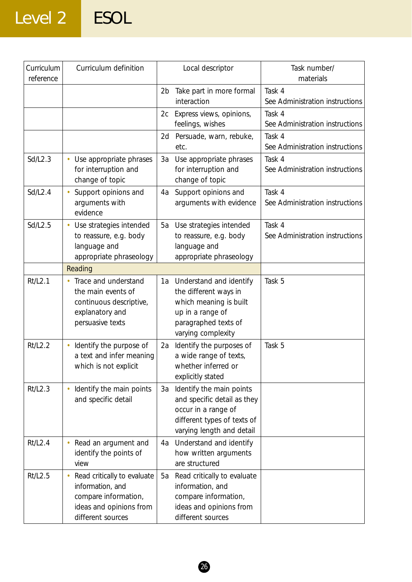## Level 2 ESOL

| Curriculum<br>reference | Curriculum definition                                                                                                   | Local descriptor                                                                                                                                 | Task number/<br>materials                 |
|-------------------------|-------------------------------------------------------------------------------------------------------------------------|--------------------------------------------------------------------------------------------------------------------------------------------------|-------------------------------------------|
|                         |                                                                                                                         | Take part in more formal<br>2 <sub>b</sub><br>interaction                                                                                        | Task 4<br>See Administration instructions |
|                         |                                                                                                                         | Express views, opinions,<br>2c<br>feelings, wishes                                                                                               | Task 4<br>See Administration instructions |
|                         |                                                                                                                         | Persuade, warn, rebuke,<br>2d<br>etc.                                                                                                            | Task 4<br>See Administration instructions |
| Sd/L2.3                 | Use appropriate phrases<br>$\bullet$<br>for interruption and<br>change of topic                                         | Use appropriate phrases<br>3a<br>for interruption and<br>change of topic                                                                         | Task 4<br>See Administration instructions |
| Sd/L2.4                 | Support opinions and<br>arguments with<br>evidence                                                                      | Support opinions and<br>4a<br>arguments with evidence                                                                                            | Task 4<br>See Administration instructions |
| Sd/L2.5                 | Use strategies intended<br>$\bullet$<br>to reassure, e.g. body<br>language and<br>appropriate phraseology               | Use strategies intended<br>5a<br>to reassure, e.g. body<br>language and<br>appropriate phraseology                                               | Task 4<br>See Administration instructions |
|                         | Reading                                                                                                                 |                                                                                                                                                  |                                           |
| Rt/L2.1                 | Trace and understand<br>the main events of<br>continuous descriptive,<br>explanatory and<br>persuasive texts            | 1a Understand and identify<br>the different ways in<br>which meaning is built<br>up in a range of<br>paragraphed texts of<br>varying complexity  | Task 5                                    |
| <b>Rt/L2.2</b>          | Identify the purpose of<br>۰<br>a text and infer meaning<br>which is not explicit                                       | Identify the purposes of<br>2a<br>a wide range of texts,<br>whether inferred or<br>explicitly stated                                             | Task 5                                    |
| Rt/L2.3                 | Identify the main points<br>and specific detail                                                                         | Identify the main points<br>3a<br>and specific detail as they<br>occur in a range of<br>different types of texts of<br>varying length and detail |                                           |
| Rt/L2.4                 | Read an argument and<br>identify the points of<br>view                                                                  | Understand and identify<br>4a<br>how written arguments<br>are structured                                                                         |                                           |
| Rt/L2.5                 | Read critically to evaluate<br>information, and<br>compare information,<br>ideas and opinions from<br>different sources | 5a<br>Read critically to evaluate<br>information, and<br>compare information,<br>ideas and opinions from<br>different sources                    |                                           |

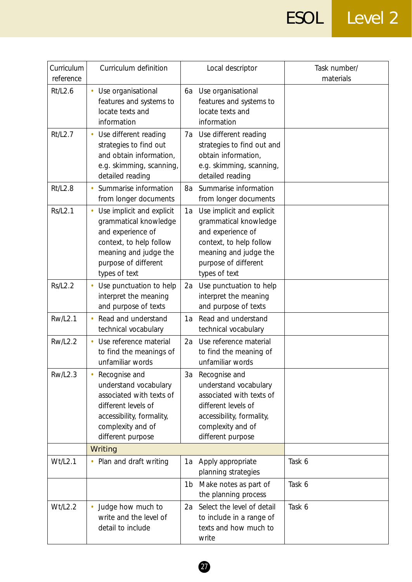## ESOL Level 2

| Curriculum<br>reference | Curriculum definition                                                                                                                                                | Local descriptor                                                                                                                                                           | Task number/<br>materials |
|-------------------------|----------------------------------------------------------------------------------------------------------------------------------------------------------------------|----------------------------------------------------------------------------------------------------------------------------------------------------------------------------|---------------------------|
| Rt/L2.6                 | Use organisational<br>features and systems to<br>locate texts and<br>information                                                                                     | Use organisational<br>6a<br>features and systems to<br>locate texts and<br>information                                                                                     |                           |
| Rt/L2.7                 | Use different reading<br>strategies to find out<br>and obtain information,<br>e.g. skimming, scanning,<br>detailed reading                                           | Use different reading<br>7a<br>strategies to find out and<br>obtain information,<br>e.g. skimming, scanning,<br>detailed reading                                           |                           |
| <b>Rt/L2.8</b>          | Summarise information<br>from longer documents                                                                                                                       | Summarise information<br>8a<br>from longer documents                                                                                                                       |                           |
| <b>Rs/L2.1</b>          | Use implicit and explicit<br>grammatical knowledge<br>and experience of<br>context, to help follow<br>meaning and judge the<br>purpose of different<br>types of text | Use implicit and explicit<br>1a<br>grammatical knowledge<br>and experience of<br>context, to help follow<br>meaning and judge the<br>purpose of different<br>types of text |                           |
| <b>Rs/L2.2</b>          | Use punctuation to help<br>interpret the meaning<br>and purpose of texts                                                                                             | Use punctuation to help<br>2a<br>interpret the meaning<br>and purpose of texts                                                                                             |                           |
| <b>Rw/L2.1</b>          | Read and understand<br>technical vocabulary                                                                                                                          | Read and understand<br>1a<br>technical vocabulary                                                                                                                          |                           |
| <b>Rw/L2.2</b>          | Use reference material<br>to find the meanings of<br>unfamiliar words                                                                                                | Use reference material<br>2a<br>to find the meaning of<br>unfamiliar words                                                                                                 |                           |
| <b>Rw/L2.3</b>          | Recognise and<br>understand vocabulary<br>associated with texts of<br>different levels of<br>accessibility, formality,<br>complexity and of<br>different purpose     | Recognise and<br>3a<br>understand vocabulary<br>associated with texts of<br>different levels of<br>accessibility, formality,<br>complexity and of<br>different purpose     |                           |
|                         | Writing                                                                                                                                                              |                                                                                                                                                                            |                           |
| Wt/L2.1                 | • Plan and draft writing                                                                                                                                             | 1a Apply appropriate<br>planning strategies                                                                                                                                | Task 6                    |
|                         |                                                                                                                                                                      | Make notes as part of<br>1b<br>the planning process                                                                                                                        | Task 6                    |
| Wt/L2.2                 | Judge how much to<br>write and the level of<br>detail to include                                                                                                     | Select the level of detail<br>2a<br>to include in a range of<br>texts and how much to<br>write                                                                             | Task 6                    |

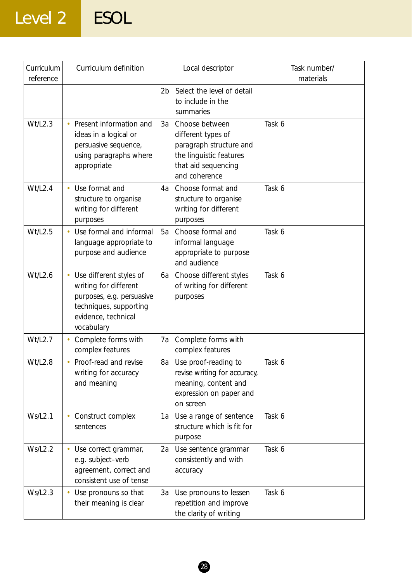## Level 2 ESOL

| Curriculum<br>reference | Curriculum definition                                                                                                                        | Local descriptor                                                                                                                         | Task number/<br>materials |
|-------------------------|----------------------------------------------------------------------------------------------------------------------------------------------|------------------------------------------------------------------------------------------------------------------------------------------|---------------------------|
|                         |                                                                                                                                              | Select the level of detail<br>2 <sub>b</sub><br>to include in the<br>summaries                                                           |                           |
| Wt/L2.3                 | Present information and<br>ideas in a logical or<br>persuasive sequence,<br>using paragraphs where<br>appropriate                            | Choose between<br>3a<br>different types of<br>paragraph structure and<br>the linguistic features<br>that aid sequencing<br>and coherence | Task 6                    |
| Wt/L2.4                 | Use format and<br>structure to organise<br>writing for different<br>purposes                                                                 | Choose format and<br>4a<br>structure to organise<br>writing for different<br>purposes                                                    | Task 6                    |
| Wt/L2.5                 | Use formal and informal<br>language appropriate to<br>purpose and audience                                                                   | Choose formal and<br>5a<br>informal language<br>appropriate to purpose<br>and audience                                                   | Task 6                    |
| Wt/L2.6                 | Use different styles of<br>writing for different<br>purposes, e.g. persuasive<br>techniques, supporting<br>evidence, technical<br>vocabulary | Choose different styles<br>6a<br>of writing for different<br>purposes                                                                    | Task 6                    |
| Wt/L2.7                 | Complete forms with<br>complex features                                                                                                      | Complete forms with<br>7a<br>complex features                                                                                            |                           |
| Wt/L2.8                 | Proof-read and revise<br>writing for accuracy<br>and meaning                                                                                 | Use proof-reading to<br>8a<br>revise writing for accuracy,<br>meaning, content and<br>expression on paper and<br>on screen               | Task 6                    |
| Ws/L2.1                 | Construct complex<br>sentences                                                                                                               | Use a range of sentence<br>1a<br>structure which is fit for<br>purpose                                                                   | Task 6                    |
| <b>Ws/L2.2</b>          | Use correct grammar,<br>e.g. subject-verb<br>agreement, correct and<br>consistent use of tense                                               | Use sentence grammar<br>2a<br>consistently and with<br>accuracy                                                                          | Task 6                    |
| <b>Ws/L2.3</b>          | Use pronouns so that<br>their meaning is clear                                                                                               | Use pronouns to lessen<br>3a<br>repetition and improve<br>the clarity of writing                                                         | Task 6                    |

28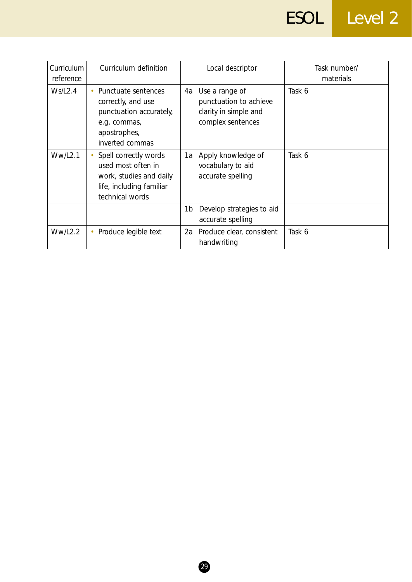# ESOL Level 2

| Curriculum<br>reference | Curriculum definition                                                                                                   | Local descriptor                                                                               | Task number/<br>materials |
|-------------------------|-------------------------------------------------------------------------------------------------------------------------|------------------------------------------------------------------------------------------------|---------------------------|
| Ws/L2.4                 | Punctuate sentences<br>correctly, and use<br>punctuation accurately,<br>e.g. commas,<br>apostrophes,<br>inverted commas | Use a range of<br>4a -<br>punctuation to achieve<br>clarity in simple and<br>complex sentences | Task 6                    |
| <b>Ww/L2.1</b>          | Spell correctly words<br>used most often in<br>work, studies and daily<br>life, including familiar<br>technical words   | Apply knowledge of<br>1a<br>vocabulary to aid<br>accurate spelling                             | Task 6                    |
|                         |                                                                                                                         | Develop strategies to aid<br>1b<br>accurate spelling                                           |                           |
| WW/L2.2                 | Produce legible text                                                                                                    | Produce clear, consistent<br>2a<br>handwriting                                                 | Task 6                    |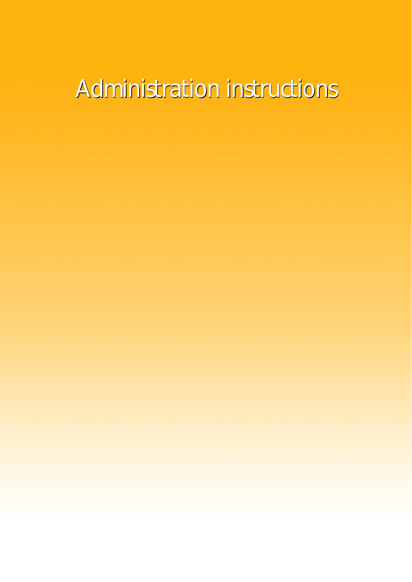# Administration instructions

- 
- 
- -
- 
- 
-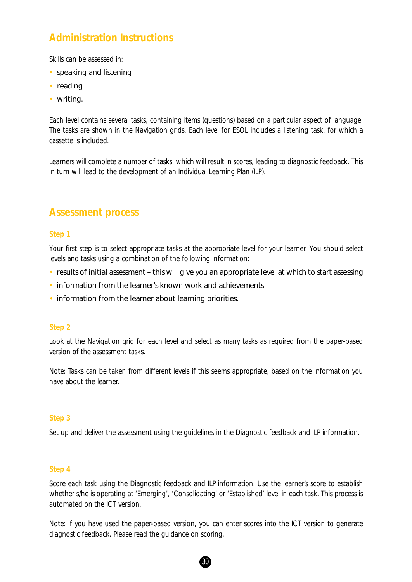#### **Administration Instructions**

Skills can be assessed in:

- speaking and listening
- reading
- writing.

Each level contains several tasks, containing items (questions) based on a particular aspect of language. The tasks are shown in the Navigation grids. Each level for ESOL includes a listening task, for which a cassette is included.

Learners will complete a number of tasks, which will result in scores, leading to diagnostic feedback. This in turn will lead to the development of an Individual Learning Plan (ILP).

#### **Assessment process**

#### **Step 1**

Your first step is to select appropriate tasks at the appropriate level for your learner. You should select levels and tasks using a combination of the following information:

- results of initial assessment this will give you an appropriate level at which to start assessing
- information from the learner's known work and achievements
- information from the learner about learning priorities.

#### **Step 2**

Look at the Navigation grid for each level and select as many tasks as required from the paper-based version of the assessment tasks.

*Note:* Tasks can be taken from different levels if this seems appropriate, based on the information you have about the learner.

#### **Step 3**

Set up and deliver the assessment using the guidelines in the Diagnostic feedback and ILP information.

#### **Step 4**

Score each task using the Diagnostic feedback and ILP information. Use the learner's score to establish whether s/he is operating at 'Emerging', 'Consolidating' or 'Established' level in each task. This process is automated on the ICT version.

*Note:* If you have used the paper-based version, you can enter scores into the ICT version to generate diagnostic feedback. Please read the guidance on scoring.

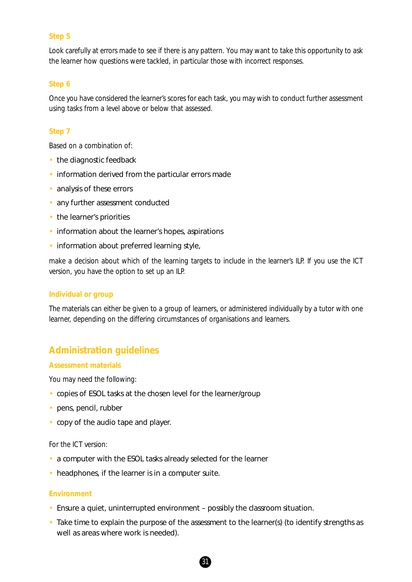#### **Step 5**

Look carefully at errors made to see if there is any pattern. You may want to take this opportunity to ask the learner how questions were tackled, in particular those with incorrect responses.

#### **Step 6**

Once you have considered the learner's scores for each task, you may wish to conduct further assessment using tasks from a level above or below that assessed.

#### **Step 7**

Based on a combination of:

- the diagnostic feedback
- information derived from the particular errors made
- analysis of these errors
- any further assessment conducted
- the learner's priorities
- information about the learner's hopes, aspirations
- information about preferred learning style,

make a decision about which of the learning targets to include in the learner's ILP. If you use the ICT version, you have the option to set up an ILP.

#### **Individual or group**

The materials can either be given to a group of learners, or administered individually by a tutor with one learner, depending on the differing circumstances of organisations and learners.

#### **Administration guidelines**

#### **Assessment materials**

You may need the following:

- copies of ESOL tasks at the chosen level for the learner/group
- pens, pencil, rubber
- copy of the audio tape and player.

#### For the ICT version:

- a computer with the ESOL tasks already selected for the learner
- headphones, if the learner is in a computer suite.

#### **Environment**

- Ensure a quiet, uninterrupted environment possibly the classroom situation.
- Take time to explain the purpose of the assessment to the learner(s) (to identify strengths as well as areas where work is needed).

31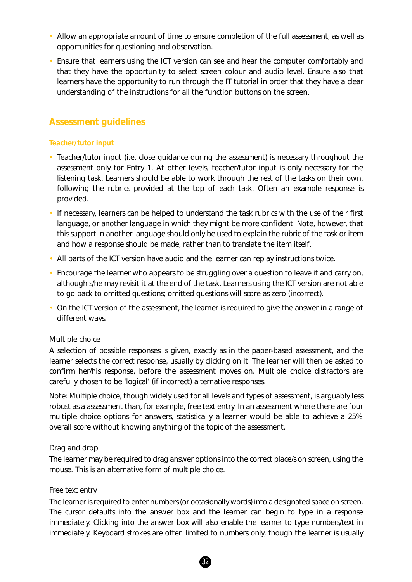- Allow an appropriate amount of time to ensure completion of the full assessment, as well as opportunities for questioning and observation.
- Ensure that learners using the ICT version can see and hear the computer comfortably and that they have the opportunity to select screen colour and audio level. Ensure also that learners have the opportunity to run through the IT tutorial in order that they have a clear understanding of the instructions for all the function buttons on the screen.

#### **Assessment guidelines**

#### **Teacher/tutor input**

- Teacher/tutor input (i.e. close guidance during the assessment) is necessary throughout the assessment only for Entry 1. At other levels, teacher/tutor input is only necessary for the listening task. Learners should be able to work through the rest of the tasks on their own, following the rubrics provided at the top of each task. Often an example response is provided.
- If necessary, learners can be helped to understand the task rubrics with the use of their first language, or another language in which they might be more confident. Note, however, that this support in another language should only be used to explain the rubric of the task or item and how a response should be made, rather than to translate the item itself.
- All parts of the ICT version have audio and the learner can replay instructions twice.
- Encourage the learner who appears to be struggling over a question to leave it and carry on, although s/he may revisit it at the end of the task. Learners using the ICT version are not able to go back to omitted questions; omitted questions will score as zero (incorrect).
- On the ICT version of the assessment, the learner is required to give the answer in a range of different ways.

#### *Multiple choice*

A selection of possible responses is given, exactly as in the paper-based assessment, and the learner selects the correct response, usually by clicking on it. The learner will then be asked to confirm her/his response, before the assessment moves on. Multiple choice distractors are carefully chosen to be 'logical' (if incorrect) alternative responses.

*Note:* Multiple choice, though widely used for all levels and types of assessment, is arguably less robust as a assessment than, for example, free text entry. In an assessment where there are four multiple choice options for answers, statistically a learner would be able to achieve a 25% overall score without knowing anything of the topic of the assessment.

#### *Drag and drop*

The learner may be required to drag answer options into the correct place/s on screen, using the mouse. This is an alternative form of multiple choice.

#### *Free text entry*

The learner is required to enter numbers (or occasionally words) into a designated space on screen. The cursor defaults into the answer box and the learner can begin to type in a response immediately. Clicking into the answer box will also enable the learner to type numbers/text in immediately. Keyboard strokes are often limited to numbers only, though the learner is usually

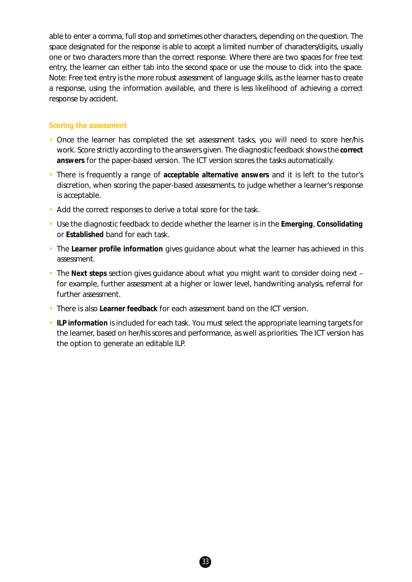able to enter a comma, full stop and sometimes other characters, depending on the question. The space designated for the response is able to accept a limited number of characters/digits, usually one or two characters more than the correct response. Where there are two spaces for free text entry, the learner can either tab into the second space or use the mouse to click into the space. *Note:* Free text entry is the more robust assessment of language skills, as the learner has to create a response, using the information available, and there is less likelihood of achieving a correct response by accident.

#### **Scoring the assessment**

- Once the learner has completed the set assessment tasks, you will need to score her/his work. Score strictly according to the answers given. The diagnostic feedback shows the **correct answers** for the paper-based version. The ICT version scores the tasks automatically.
- There is frequently a range of **acceptable alternative answers** and it is left to the tutor's discretion, when scoring the paper-based assessments, to judge whether a learner's response is acceptable.
- Add the correct responses to derive a total score for the task.
- Use the diagnostic feedback to decide whether the learner is in the **Emerging**, **Consolidating** or **Established** band for each task.
- The **Learner profile information** gives guidance about what the learner has achieved in this assessment.
- The **Next steps** section gives guidance about what you might want to consider doing next for example, further assessment at a higher or lower level, handwriting analysis, referral for further assessment.
- There is also **Learner feedback** for each assessment band on the ICT version.
- **ILP information** is included for each task. You must select the appropriate learning targets for the learner, based on her/his scores and performance, as well as priorities. The ICT version has the option to generate an editable ILP.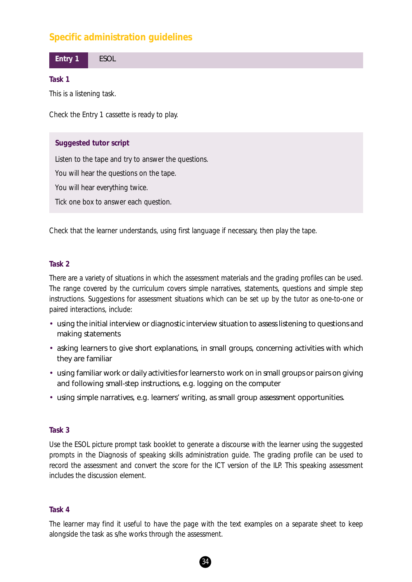## **Specific administration guidelines**

**Entry 1** ESOL

#### **Task 1**

This is a listening task.

Check the Entry 1 cassette is ready to play.

#### **Suggested tutor script**

*Listen to the tape and try to answer the questions. You will hear the questions on the tape. You will hear everything twice. Tick one box to answer each question.*

Check that the learner understands, using first language if necessary, then play the tape.

#### **Task 2**

There are a variety of situations in which the assessment materials and the grading profiles can be used. The range covered by the curriculum covers simple narratives, statements, questions and simple step instructions. Suggestions for assessment situations which can be set up by the tutor as one-to-one or paired interactions, include:

- using the initial interview or diagnostic interview situation to assess listening to questions and making statements
- asking learners to give short explanations, in small groups, concerning activities with which they are familiar
- using familiar work or daily activities for learners to work on in small groups or pairs on giving and following small-step instructions, e.g. logging on the computer
- using simple narratives, e.g. learners' writing, as small group assessment opportunities.

#### **Task 3**

Use the ESOL picture prompt task booklet to generate a discourse with the learner using the suggested prompts in the Diagnosis of speaking skills administration guide. The grading profile can be used to record the assessment and convert the score for the ICT version of the ILP. This speaking assessment includes the discussion element.

#### **Task 4**

The learner may find it useful to have the page with the text examples on a separate sheet to keep alongside the task as s/he works through the assessment.

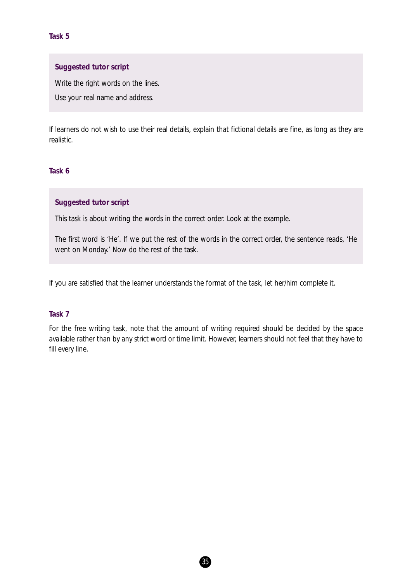#### **Suggested tutor script**

*Write the right words on the lines.*

*Use your real name and address.*

If learners do not wish to use their real details, explain that fictional details are fine, as long as they are realistic.

### **Task 6**

#### **Suggested tutor script**

*This task is about writing the words in the correct order. Look at the example.*

*The first word is 'He'. If we put the rest of the words in the correct order, the sentence reads, 'He went on Monday.' Now do the rest of the task.*

If you are satisfied that the learner understands the format of the task, let her/him complete it.

#### **Task 7**

For the free writing task, note that the amount of writing required should be decided by the space available rather than by any strict word or time limit. However, learners should not feel that they have to fill every line.

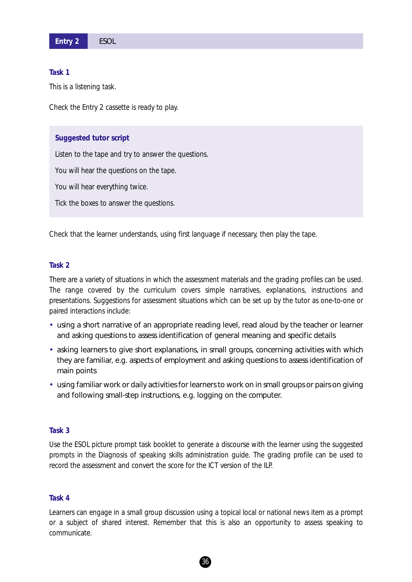This is a listening task.

Check the Entry 2 cassette is ready to play.

#### **Suggested tutor script**

*Listen to the tape and try to answer the questions. You will hear the questions on the tape. You will hear everything twice. Tick the boxes to answer the questions.*

Check that the learner understands, using first language if necessary, then play the tape.

#### **Task 2**

There are a variety of situations in which the assessment materials and the grading profiles can be used. The range covered by the curriculum covers simple narratives, explanations, instructions and presentations. Suggestions for assessment situations which can be set up by the tutor as one-to-one or paired interactions include:

- using a short narrative of an appropriate reading level, read aloud by the teacher or learner and asking questions to assess identification of general meaning and specific details
- asking learners to give short explanations, in small groups, concerning activities with which they are familiar, e.g. aspects of employment and asking questions to assess identification of main points
- using familiar work or daily activities for learners to work on in small groups or pairs on giving and following small-step instructions, e.g. logging on the computer.

#### **Task 3**

Use the ESOL picture prompt task booklet to generate a discourse with the learner using the suggested prompts in the Diagnosis of speaking skills administration guide. The grading profile can be used to record the assessment and convert the score for the ICT version of the ILP.

#### **Task 4**

Learners can engage in a small group discussion using a topical local or national news item as a prompt or a subject of shared interest. Remember that this is also an opportunity to assess *speaking to communicate.*

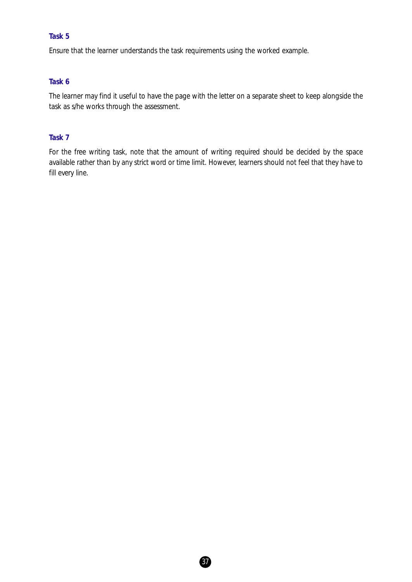Ensure that the learner understands the task requirements using the worked example.

### **Task 6**

The learner may find it useful to have the page with the letter on a separate sheet to keep alongside the task as s/he works through the assessment.

## **Task 7**

For the free writing task, note that the amount of writing required should be decided by the space available rather than by any strict word or time limit. However, learners should not feel that they have to fill every line.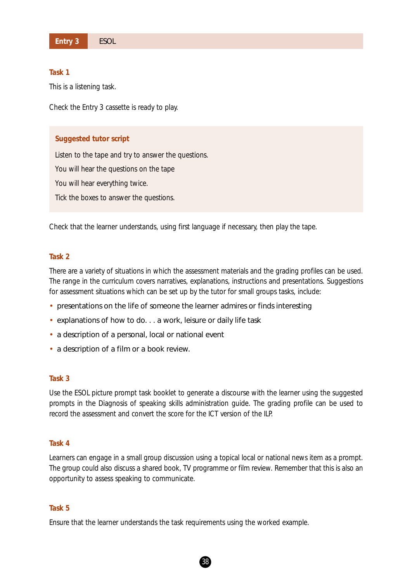This is a listening task.

Check the Entry 3 cassette is ready to play.

#### **Suggested tutor script**

*Listen to the tape and try to answer the questions. You will hear the questions on the tape You will hear everything twice. Tick the boxes to answer the questions.*

Check that the learner understands, using first language if necessary, then play the tape.

#### **Task 2**

There are a variety of situations in which the assessment materials and the grading profiles can be used. The range in the curriculum covers narratives, explanations, instructions and presentations. Suggestions for assessment situations which can be set up by the tutor for small groups tasks, include:

- presentations on the life of someone the learner admires or finds interesting
- explanations of how to do. . . a work, leisure or daily life task
- a description of a personal, local or national event
- a description of a film or a book review.

#### **Task 3**

Use the ESOL picture prompt task booklet to generate a discourse with the learner using the suggested prompts in the Diagnosis of speaking skills administration guide. The grading profile can be used to record the assessment and convert the score for the ICT version of the ILP.

#### **Task 4**

Learners can engage in a small group discussion using a topical local or national news item as a prompt. The group could also discuss a shared book, TV programme or film review. Remember that this is also an opportunity to assess *speaking to communicate.*

#### **Task 5**

Ensure that the learner understands the task requirements using the worked example.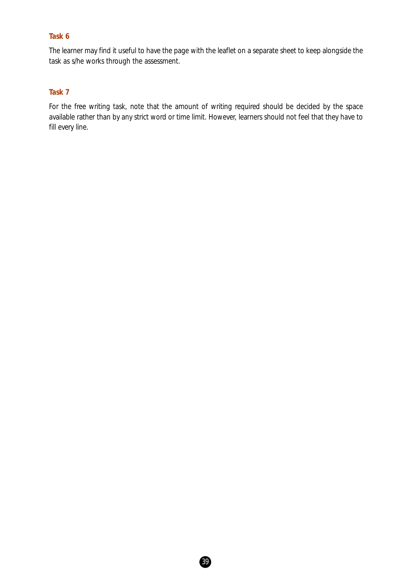The learner may find it useful to have the page with the leaflet on a separate sheet to keep alongside the task as s/he works through the assessment.

## **Task 7**

For the free writing task, note that the amount of writing required should be decided by the space available rather than by any strict word or time limit. However, learners should not feel that they have to fill every line.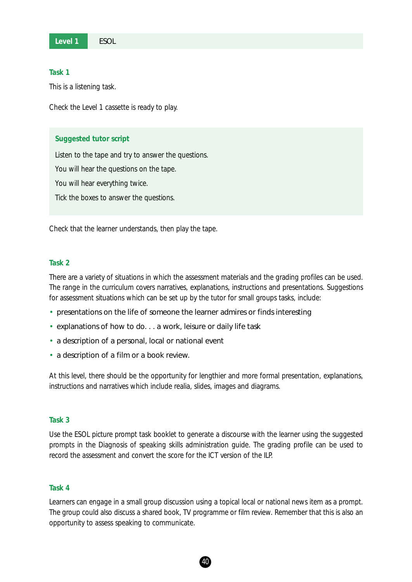This is a listening task.

Check the Level 1 cassette is ready to play.

#### **Suggested tutor script**

*Listen to the tape and try to answer the questions. You will hear the questions on the tape. You will hear everything twice. Tick the boxes to answer the questions.*

Check that the learner understands, then play the tape.

#### **Task 2**

There are a variety of situations in which the assessment materials and the grading profiles can be used. The range in the curriculum covers narratives, explanations, instructions and presentations. Suggestions for assessment situations which can be set up by the tutor for small groups tasks, include:

- presentations on the life of someone the learner admires or finds interesting
- explanations of how to do. . . a work, leisure or daily life task
- a description of a personal, local or national event
- a description of a film or a book review.

At this level, there should be the opportunity for lengthier and more formal presentation, explanations, instructions and narratives which include realia, slides, images and diagrams.

## **Task 3**

Use the ESOL picture prompt task booklet to generate a discourse with the learner using the suggested prompts in the Diagnosis of speaking skills administration guide. The grading profile can be used to record the assessment and convert the score for the ICT version of the ILP.

#### **Task 4**

Learners can engage in a small group discussion using a topical local or national news item as a prompt. The group could also discuss a shared book, TV programme or film review. Remember that this is also an opportunity to assess *speaking to communicate.*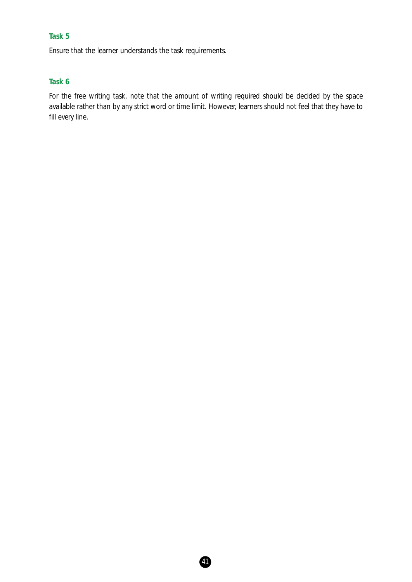Ensure that the learner understands the task requirements.

## **Task 6**

For the free writing task, note that the amount of writing required should be decided by the space available rather than by any strict word or time limit. However, learners should not feel that they have to fill every line.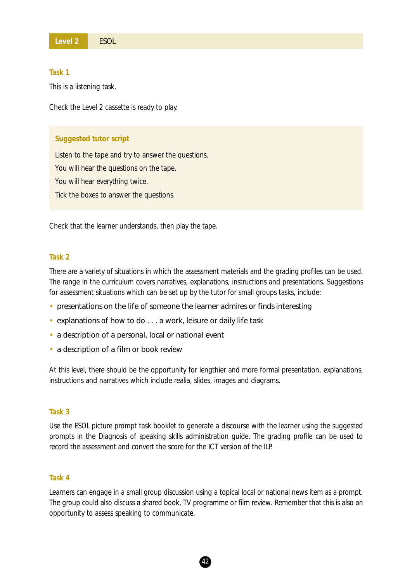This is a listening task.

Check the Level 2 cassette is ready to play.

#### **Suggested tutor script**

*Listen to the tape and try to answer the questions. You will hear the questions on the tape. You will hear everything twice. Tick the boxes to answer the questions.*

Check that the learner understands, then play the tape.

#### **Task 2**

There are a variety of situations in which the assessment materials and the grading profiles can be used. The range in the curriculum covers narratives, explanations, instructions and presentations. Suggestions for assessment situations which can be set up by the tutor for small groups tasks, include:

- presentations on the life of someone the learner admires or finds interesting
- explanations of how to do . . . a work, leisure or daily life task
- a description of a personal, local or national event
- a description of a film or book review

At this level, there should be the opportunity for lengthier and more formal presentation, explanations, instructions and narratives which include realia, slides, images and diagrams.

#### **Task 3**

Use the ESOL picture prompt task booklet to generate a discourse with the learner using the suggested prompts in the Diagnosis of speaking skills administration guide. The grading profile can be used to record the assessment and convert the score for the ICT version of the ILP.

#### **Task 4**

Learners can engage in a small group discussion using a topical local or national news item as a prompt. The group could also discuss a shared book, TV programme or film review. Remember that this is also an opportunity to assess *speaking to communicate.*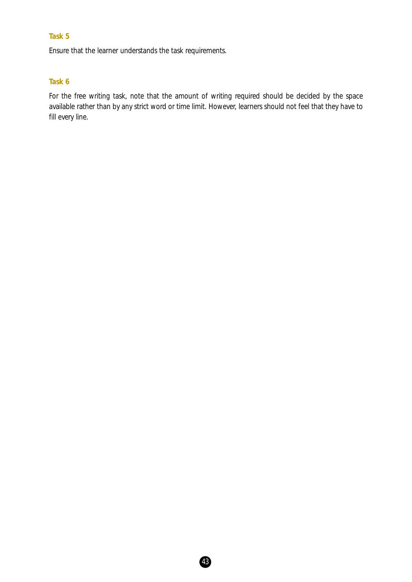Ensure that the learner understands the task requirements.

## **Task 6**

For the free writing task, note that the amount of writing required should be decided by the space available rather than by any strict word or time limit. However, learners should not feel that they have to fill every line.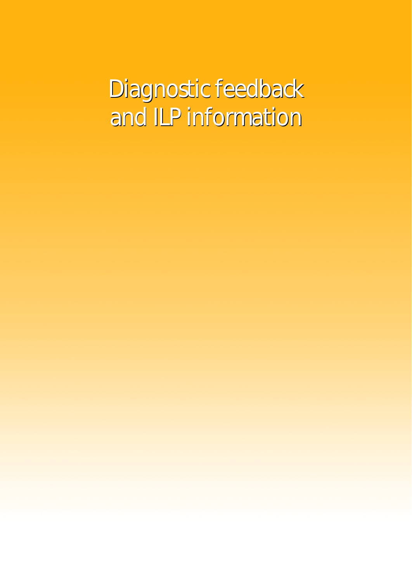Diagnostic feedback Diagnostic feedback and ILP information and ILP information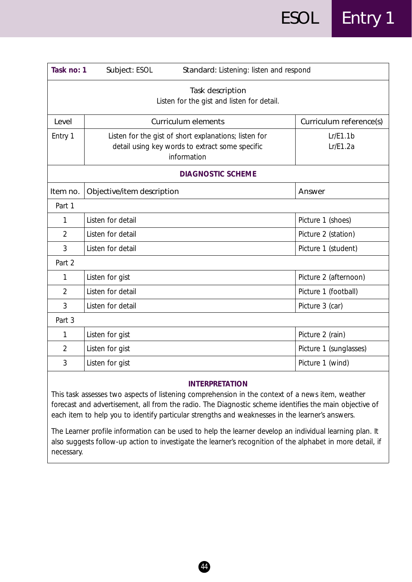| Task no: 1     | Standard: Listening: listen and respond<br>Subject: ESOL                                                                |                         |
|----------------|-------------------------------------------------------------------------------------------------------------------------|-------------------------|
|                | Task description<br>Listen for the gist and listen for detail.                                                          |                         |
| Level          | <b>Curriculum elements</b>                                                                                              | Curriculum reference(s) |
| Entry 1        | Listen for the gist of short explanations; listen for<br>detail using key words to extract some specific<br>information | Lr/E1.1b<br>Lr/E1.2a    |
|                | <b>DIAGNOSTIC SCHEME</b>                                                                                                |                         |
| Item no.       | Objective/item description                                                                                              | Answer                  |
| Part 1         |                                                                                                                         |                         |
| 1              | Listen for detail                                                                                                       | Picture 1 (shoes)       |
| $\overline{2}$ | Listen for detail                                                                                                       | Picture 2 (station)     |
| 3              | Listen for detail                                                                                                       | Picture 1 (student)     |
| Part 2         |                                                                                                                         |                         |
| 1              | Listen for gist                                                                                                         | Picture 2 (afternoon)   |
| $\overline{2}$ | Listen for detail                                                                                                       | Picture 1 (football)    |
| 3              | Listen for detail                                                                                                       | Picture 3 (car)         |
| Part 3         |                                                                                                                         |                         |
| 1              | Listen for gist                                                                                                         | Picture 2 (rain)        |
| $\overline{2}$ | Listen for gist                                                                                                         | Picture 1 (sunglasses)  |
| 3              | Listen for gist                                                                                                         | Picture 1 (wind)        |

This task assesses two aspects of listening comprehension in the context of a news item, weather forecast and advertisement, all from the radio. The Diagnostic scheme identifies the main objective of each item to help you to identify particular strengths and weaknesses in the learner's answers.

The Learner profile information can be used to help the learner develop an individual learning plan. It also suggests follow-up action to investigate the learner's recognition of the alphabet in more detail, if necessary.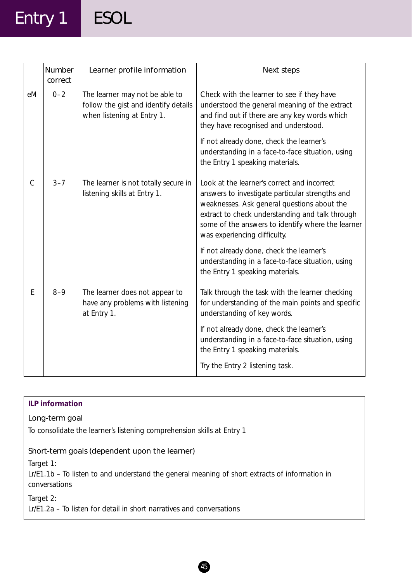## Entry 1 ESOL

|                | Number<br>correct | Learner profile information                                                                          | Next steps                                                                                                                                                                                                                                                                            |
|----------------|-------------------|------------------------------------------------------------------------------------------------------|---------------------------------------------------------------------------------------------------------------------------------------------------------------------------------------------------------------------------------------------------------------------------------------|
| eM             | $0 - 2$           | The learner may not be able to<br>follow the gist and identify details<br>when listening at Entry 1. | Check with the learner to see if they have<br>understood the general meaning of the extract<br>and find out if there are any key words which<br>they have recognised and understood.                                                                                                  |
|                |                   |                                                                                                      | If not already done, check the learner's<br>understanding in a face-to-face situation, using<br>the Entry 1 speaking materials.                                                                                                                                                       |
| $\overline{C}$ | $3 - 7$           | The learner is not totally secure in<br>listening skills at Entry 1.                                 | Look at the learner's correct and incorrect<br>answers to investigate particular strengths and<br>weaknesses. Ask general questions about the<br>extract to check understanding and talk through<br>some of the answers to identify where the learner<br>was experiencing difficulty. |
|                |                   |                                                                                                      | If not already done, check the learner's<br>understanding in a face-to-face situation, using<br>the Entry 1 speaking materials.                                                                                                                                                       |
| E              | $8 - 9$           | The learner does not appear to<br>have any problems with listening<br>at Entry 1.                    | Talk through the task with the learner checking<br>for understanding of the main points and specific<br>understanding of key words.                                                                                                                                                   |
|                |                   |                                                                                                      | If not already done, check the learner's<br>understanding in a face-to-face situation, using<br>the Entry 1 speaking materials.                                                                                                                                                       |
|                |                   |                                                                                                      | Try the Entry 2 listening task.                                                                                                                                                                                                                                                       |

## **ILP information**

## Long-term goal

To consolidate the learner's listening comprehension skills at Entry 1

## Short-term goals (dependent upon the learner)

*Target 1:*

Lr/E1.1b – To listen to and understand the general meaning of short extracts of information in conversations

*Target 2:*

Lr/E1.2a – To listen for detail in short narratives and conversations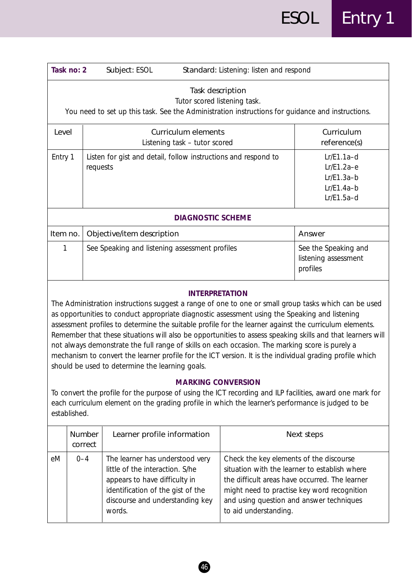| Task no: 2 | Standard: Listening: listen and respond<br>Subject: ESOL                                                                                             |                                                                              |  |  |
|------------|------------------------------------------------------------------------------------------------------------------------------------------------------|------------------------------------------------------------------------------|--|--|
|            | Task description<br>Tutor scored listening task.<br>You need to set up this task. See the Administration instructions for guidance and instructions. |                                                                              |  |  |
| I evel     | Curriculum elements<br>Listening task – tutor scored                                                                                                 | Curriculum<br>reference(s)                                                   |  |  |
| Entry 1    | Listen for gist and detail, follow instructions and respond to<br>requests                                                                           | $Lr/E1.1a-d$<br>$Lr/E1.2a-e$<br>$Lr/E1.3a-b$<br>$Lr/E1.4a-b$<br>$Lr/E1.5a-d$ |  |  |
|            | <b>DIAGNOSTIC SCHEME</b>                                                                                                                             |                                                                              |  |  |
| Item no.   | Objective/item description                                                                                                                           | Answer                                                                       |  |  |
|            | See Speaking and listening assessment profiles                                                                                                       | See the Speaking and<br>listening assessment<br>profiles                     |  |  |

The Administration instructions suggest a range of one to one or small group tasks which can be used as opportunities to conduct appropriate diagnostic assessment using the Speaking and listening assessment profiles to determine the suitable profile for the learner against the curriculum elements. Remember that these situations will also be opportunities to assess speaking skills and that learners will not always demonstrate the full range of skills on each occasion. The marking score is purely a mechanism to convert the learner profile for the ICT version. It is the individual grading profile which should be used to determine the learning goals.

## **MARKING CONVERSION**

To convert the profile for the purpose of using the ICT recording and ILP facilities, award one mark for each curriculum element on the grading profile in which the learner's performance is judged to be established.

|    | Number<br>correct | Learner profile information                                                                                                                                                           | Next steps                                                                                                                                                                                                                                                     |
|----|-------------------|---------------------------------------------------------------------------------------------------------------------------------------------------------------------------------------|----------------------------------------------------------------------------------------------------------------------------------------------------------------------------------------------------------------------------------------------------------------|
| eM | $0 - 4$           | The learner has understood very<br>little of the interaction. S/he<br>appears to have difficulty in<br>identification of the gist of the<br>discourse and understanding key<br>words. | Check the key elements of the discourse<br>situation with the learner to establish where<br>the difficult areas have occurred. The learner<br>might need to practise key word recognition<br>and using question and answer techniques<br>to aid understanding. |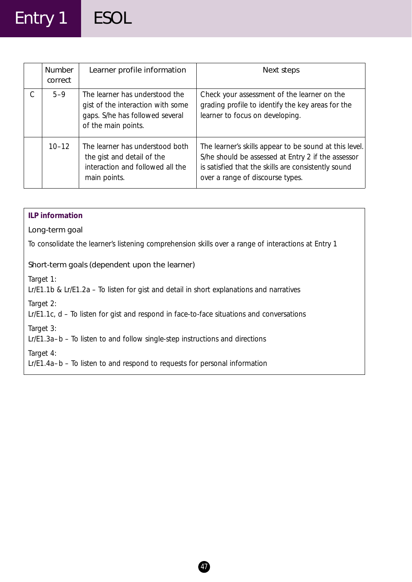# Entry 1 ESOL

| <b>Number</b><br>correct | Learner profile information                                                                                                   | Next steps                                                                                                                                                                                              |
|--------------------------|-------------------------------------------------------------------------------------------------------------------------------|---------------------------------------------------------------------------------------------------------------------------------------------------------------------------------------------------------|
| $5 - 9$                  | The learner has understood the<br>gist of the interaction with some<br>gaps. S/he has followed several<br>of the main points. | Check your assessment of the learner on the<br>grading profile to identify the key areas for the<br>learner to focus on developing.                                                                     |
| $10 - 12$                | The learner has understood both<br>the gist and detail of the<br>interaction and followed all the<br>main points.             | The learner's skills appear to be sound at this level.<br>S/he should be assessed at Entry 2 if the assessor<br>is satisfied that the skills are consistently sound<br>over a range of discourse types. |

| <b>ILP</b> information                                                                                      |  |
|-------------------------------------------------------------------------------------------------------------|--|
| Long-term goal                                                                                              |  |
| To consolidate the learner's listening comprehension skills over a range of interactions at Entry 1         |  |
| Short-term goals (dependent upon the learner)                                                               |  |
| Target 1:<br>$Lr/E1.1b$ & $Lr/E1.2a - To$ listen for gist and detail in short explanations and narratives   |  |
| Target 2:<br>$Lr/E1.1c$ , $d$ – To listen for gist and respond in face-to-face situations and conversations |  |
| Target 3:<br>Lr/E1.3a-b – To listen to and follow single-step instructions and directions                   |  |
| Target 4:<br>Lr/E1.4a-b - To listen to and respond to requests for personal information                     |  |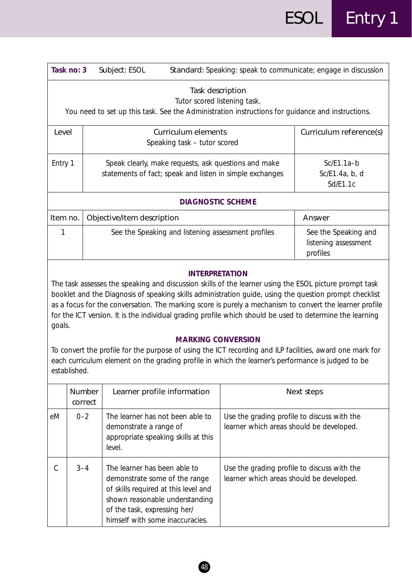| Task no: 3<br>Standard: Speaking: speak to communicate; engage in discussion<br>Subject: ESOL |                                                                                                                                                      |                                                          |  |  |
|-----------------------------------------------------------------------------------------------|------------------------------------------------------------------------------------------------------------------------------------------------------|----------------------------------------------------------|--|--|
|                                                                                               | Task description<br>Tutor scored listening task.<br>You need to set up this task. See the Administration instructions for guidance and instructions. |                                                          |  |  |
| Level                                                                                         | Curriculum elements<br>Speaking task – tutor scored                                                                                                  | Curriculum reference(s)                                  |  |  |
| Entry 1                                                                                       | Speak clearly, make requests, ask questions and make<br>statements of fact; speak and listen in simple exchanges                                     | $Sc/E1.1a-b$<br>Sc/E1.4a, b, d<br>Sd/ E1.1c              |  |  |
| <b>DIAGNOSTIC SCHEME</b>                                                                      |                                                                                                                                                      |                                                          |  |  |
| Item no.                                                                                      | Objective/item description                                                                                                                           | Answer                                                   |  |  |
|                                                                                               | See the Speaking and listening assessment profiles                                                                                                   | See the Speaking and<br>listening assessment<br>profiles |  |  |

The task assesses the speaking and discussion skills of the learner using the ESOL picture prompt task booklet and the Diagnosis of speaking skills administration guide, using the question prompt checklist as a focus for the conversation. The marking score is purely a mechanism to convert the learner profile for the ICT version. It is the individual grading profile which should be used to determine the learning goals.

### **MARKING CONVERSION**

To convert the profile for the purpose of using the ICT recording and ILP facilities, award one mark for each curriculum element on the grading profile in which the learner's performance is judged to be established.

|    | <b>Number</b><br>correct | Learner profile information                                                                                                                                                                                | Next steps                                                                              |
|----|--------------------------|------------------------------------------------------------------------------------------------------------------------------------------------------------------------------------------------------------|-----------------------------------------------------------------------------------------|
| eM | $0 - 2$                  | The learner has not been able to<br>demonstrate a range of<br>appropriate speaking skills at this<br>level.                                                                                                | Use the grading profile to discuss with the<br>learner which areas should be developed. |
|    | $3 - 4$                  | The learner has been able to<br>demonstrate some of the range<br>of skills required at this level and<br>shown reasonable understanding<br>of the task, expressing her/<br>himself with some inaccuracies. | Use the grading profile to discuss with the<br>learner which areas should be developed. |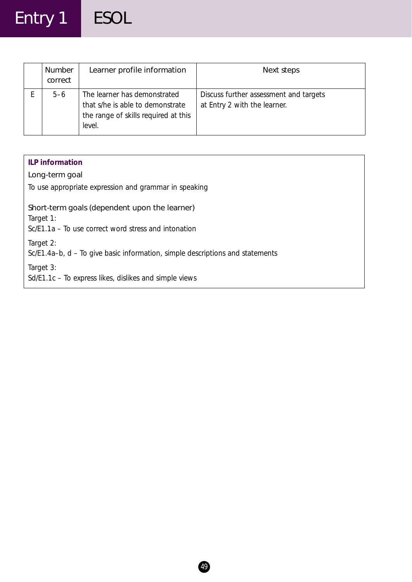## Entry 1 ESOL

| Number<br>correct | Learner profile information                                                                                        | Next steps                                                             |
|-------------------|--------------------------------------------------------------------------------------------------------------------|------------------------------------------------------------------------|
| $5 - 6$           | The learner has demonstrated<br>that s/he is able to demonstrate<br>the range of skills required at this<br>level. | Discuss further assessment and targets<br>at Entry 2 with the learner. |

## **ILP information**

## Long-term goal

To use appropriate expression and grammar in speaking

## Short-term goals (dependent upon the learner)

*Target 1:*

Sc/E1.1a – To use correct word stress and intonation

*Target 2:*

Sc/E1.4a–b, d – To give basic information, simple descriptions and statements

*Target 3:*

Sd/E1.1c – To express likes, dislikes and simple views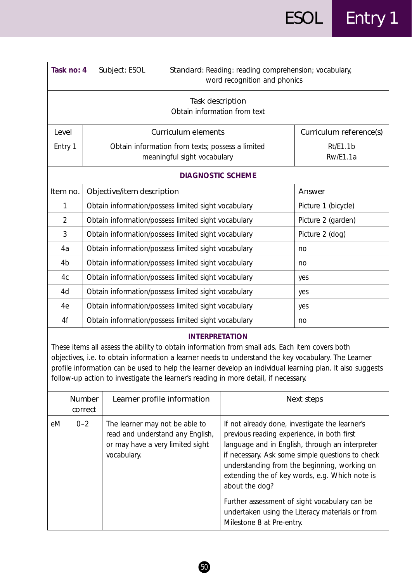| Task no: 4     | Subject: ESOL<br>Standard: Reading: reading comprehension; vocabulary,<br>word recognition and phonics |                             |  |  |
|----------------|--------------------------------------------------------------------------------------------------------|-----------------------------|--|--|
|                | Task description<br>Obtain information from text                                                       |                             |  |  |
| Level          | <b>Curriculum elements</b>                                                                             | Curriculum reference(s)     |  |  |
| Entry 1        | Obtain information from texts; possess a limited<br>meaningful sight vocabulary                        | Rt/E1.1b<br><b>Rw/E1.1a</b> |  |  |
|                | <b>DIAGNOSTIC SCHEME</b>                                                                               |                             |  |  |
| Item no.       | Objective/item description                                                                             | Answer                      |  |  |
| 1              | Obtain information/possess limited sight vocabulary                                                    | Picture 1 (bicycle)         |  |  |
| $\overline{2}$ | Obtain information/possess limited sight vocabulary                                                    | Picture 2 (garden)          |  |  |
| 3              | Obtain information/possess limited sight vocabulary                                                    | Picture 2 (dog)             |  |  |
| 4a             | Obtain information/possess limited sight vocabulary                                                    | no                          |  |  |
| 4 <sub>b</sub> | Obtain information/possess limited sight vocabulary                                                    | no                          |  |  |
| 4c             | Obtain information/possess limited sight vocabulary                                                    | yes                         |  |  |
| 4d             | Obtain information/possess limited sight vocabulary                                                    | yes                         |  |  |
| 4e             | Obtain information/possess limited sight vocabulary                                                    | yes                         |  |  |
| 4f             | Obtain information/possess limited sight vocabulary                                                    | no                          |  |  |

These items all assess the ability to obtain information from small ads. Each item covers both objectives, i.e. to obtain information a learner needs to understand the key vocabulary. The Learner profile information can be used to help the learner develop an individual learning plan. It also suggests follow-up action to investigate the learner's reading in more detail, if necessary.

|    | <b>Number</b><br>correct | Learner profile information                                                                                           | Next steps                                                                                                                                                                                                                                                                                                                                                                                                                                               |
|----|--------------------------|-----------------------------------------------------------------------------------------------------------------------|----------------------------------------------------------------------------------------------------------------------------------------------------------------------------------------------------------------------------------------------------------------------------------------------------------------------------------------------------------------------------------------------------------------------------------------------------------|
| eM | $0 - 2$                  | The learner may not be able to<br>read and understand any English,<br>or may have a very limited sight<br>vocabulary. | If not already done, investigate the learner's<br>previous reading experience, in both first<br>language and in English, through an interpreter<br>if necessary. Ask some simple questions to check<br>understanding from the beginning, working on<br>extending the of key words, e.g. Which note is<br>about the dog?<br>Further assessment of sight vocabulary can be<br>undertaken using the Literacy materials or from<br>Milestone 8 at Pre-entry. |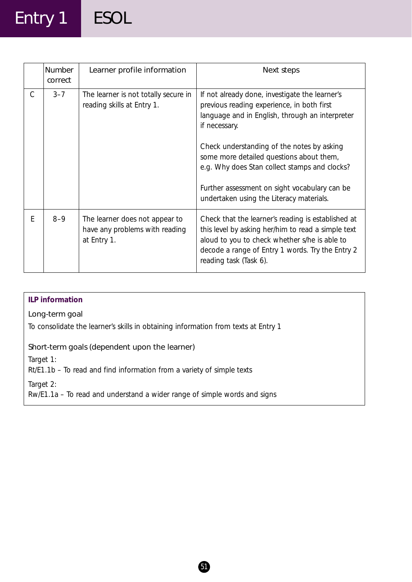## Entry 1 ESOL

|   | Number<br>correct | Learner profile information                                                     | Next steps                                                                                                                                                                                                                              |
|---|-------------------|---------------------------------------------------------------------------------|-----------------------------------------------------------------------------------------------------------------------------------------------------------------------------------------------------------------------------------------|
| C | $3 - 7$           | The learner is not totally secure in<br>reading skills at Entry 1.              | If not already done, investigate the learner's<br>previous reading experience, in both first<br>language and in English, through an interpreter<br>if necessary.                                                                        |
|   |                   |                                                                                 | Check understanding of the notes by asking<br>some more detailed questions about them,<br>e.g. Why does Stan collect stamps and clocks?                                                                                                 |
|   |                   |                                                                                 | Further assessment on sight vocabulary can be<br>undertaken using the Literacy materials.                                                                                                                                               |
| E | $8 - 9$           | The learner does not appear to<br>have any problems with reading<br>at Entry 1. | Check that the learner's reading is established at<br>this level by asking her/him to read a simple text<br>aloud to you to check whether s/he is able to<br>decode a range of Entry 1 words. Try the Entry 2<br>reading task (Task 6). |

## **ILP information**

## Long-term goal

To consolidate the learner's skills in obtaining information from texts at Entry 1

## Short-term goals (dependent upon the learner)

*Target 1:*

Rt/E1.1b – To read and find information from a variety of simple texts

*Target 2:*

Rw/E1.1a – To read and understand a wider range of simple words and signs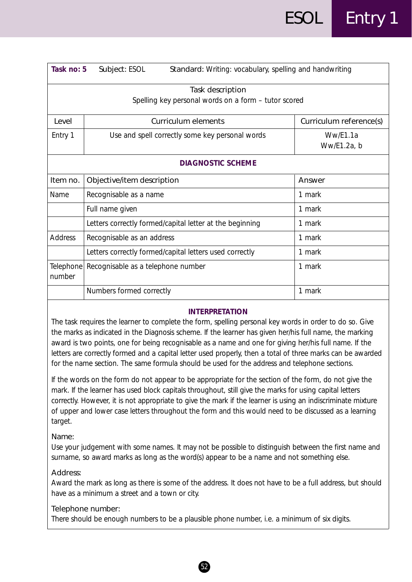| Task no: 5          | Subject: ESOL<br>Standard: Writing: vocabulary, spelling and handwriting |                         |  |  |  |
|---------------------|--------------------------------------------------------------------------|-------------------------|--|--|--|
|                     | Task description<br>Spelling key personal words on a form - tutor scored |                         |  |  |  |
| I evel              | Curriculum elements                                                      | Curriculum reference(s) |  |  |  |
| Entry 1             | Use and spell correctly some key personal words                          | Ww/E1.1a<br>Ww/E1.2a, b |  |  |  |
|                     | <b>DIAGNOSTIC SCHEME</b>                                                 |                         |  |  |  |
| Item no.            | Objective/item description                                               | Answer                  |  |  |  |
| Name                | Recognisable as a name                                                   | 1 mark                  |  |  |  |
|                     | Full name given                                                          | 1 mark                  |  |  |  |
|                     | Letters correctly formed/capital letter at the beginning                 | 1 mark                  |  |  |  |
| <b>Address</b>      | Recognisable as an address                                               | 1 mark                  |  |  |  |
|                     | Letters correctly formed/capital letters used correctly                  | 1 mark                  |  |  |  |
| Telephone<br>number | Recognisable as a telephone number                                       | 1 mark                  |  |  |  |
|                     | Numbers formed correctly                                                 | 1 mark                  |  |  |  |

The task requires the learner to complete the form, spelling personal key words in order to do so. Give the marks as indicated in the Diagnosis scheme. If the learner has given her/his full name, the marking award is two points, one for being recognisable as a name and one for giving her/his full name. If the letters are correctly formed and a capital letter used properly, then a total of three marks can be awarded for the name section. The same formula should be used for the address and telephone sections.

If the words on the form do not appear to be appropriate for the section of the form, do not give the mark. If the learner has used block capitals throughout, still give the marks for using capital letters correctly. However, it is not appropriate to give the mark if the learner is using an indiscriminate mixture of upper and lower case letters throughout the form and this would need to be discussed as a learning target.

#### *Name:*

Use your judgement with some names. It may not be possible to distinguish between the first name and surname, so award marks as long as the word(s) appear to be a name and not something else.

#### *Address:*

Award the mark as long as there is some of the address. It does not have to be a full address, but should have as a minimum a street and a town or city.

#### *Telephone number:*

There should be enough numbers to be a plausible phone number, i.e. a minimum of six digits.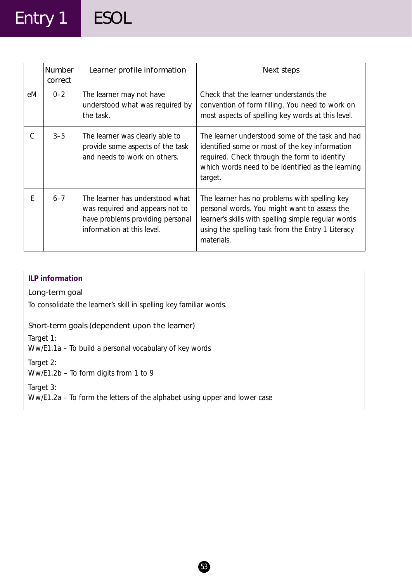## Entry 1 ESOL

|    | Number<br>correct | Learner profile information                                                                                                          | Next steps                                                                                                                                                                                                              |
|----|-------------------|--------------------------------------------------------------------------------------------------------------------------------------|-------------------------------------------------------------------------------------------------------------------------------------------------------------------------------------------------------------------------|
| eM | $0 - 2$           | The learner may not have<br>understood what was required by<br>the task.                                                             | Check that the learner understands the<br>convention of form filling. You need to work on<br>most aspects of spelling key words at this level.                                                                          |
|    | $3 - 5$           | The learner was clearly able to<br>provide some aspects of the task<br>and needs to work on others.                                  | The learner understood some of the task and had<br>identified some or most of the key information<br>required. Check through the form to identify<br>which words need to be identified as the learning<br>target.       |
| E  | $6 - 7$           | The learner has understood what<br>was required and appears not to<br>have problems providing personal<br>information at this level. | The learner has no problems with spelling key<br>personal words. You might want to assess the<br>learner's skills with spelling simple regular words<br>using the spelling task from the Entry 1 Literacy<br>materials. |

## **ILP information**

## Long-term goal

To consolidate the learner's skill in spelling key familiar words.

## Short-term goals (dependent upon the learner)

*Target 1:*

Ww/E1.1a – To build a personal vocabulary of key words

*Target 2:*

Ww/E1.2b – To form digits from 1 to 9

*Target 3:*

Ww/E1.2a – To form the letters of the alphabet using upper and lower case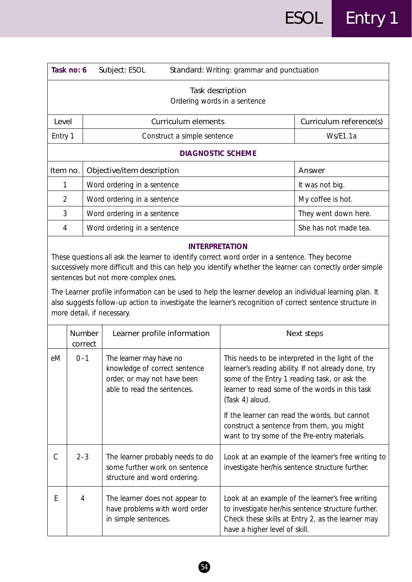|                                                                                                                                                                                                                                                                                                                                                                                                                                                                                                                                  | Task no: 6        | Subject: ESOL                                                                                                          |                                                  | Standard: Writing: grammar and punctuation                                                                                                                                                                                                                                                                                                                                 |                         |
|----------------------------------------------------------------------------------------------------------------------------------------------------------------------------------------------------------------------------------------------------------------------------------------------------------------------------------------------------------------------------------------------------------------------------------------------------------------------------------------------------------------------------------|-------------------|------------------------------------------------------------------------------------------------------------------------|--------------------------------------------------|----------------------------------------------------------------------------------------------------------------------------------------------------------------------------------------------------------------------------------------------------------------------------------------------------------------------------------------------------------------------------|-------------------------|
|                                                                                                                                                                                                                                                                                                                                                                                                                                                                                                                                  |                   |                                                                                                                        | Task description<br>Ordering words in a sentence |                                                                                                                                                                                                                                                                                                                                                                            |                         |
| Level                                                                                                                                                                                                                                                                                                                                                                                                                                                                                                                            |                   |                                                                                                                        | Curriculum elements                              |                                                                                                                                                                                                                                                                                                                                                                            | Curriculum reference(s) |
| Entry 1                                                                                                                                                                                                                                                                                                                                                                                                                                                                                                                          |                   |                                                                                                                        | Construct a simple sentence                      |                                                                                                                                                                                                                                                                                                                                                                            | Ws/E1.1a                |
|                                                                                                                                                                                                                                                                                                                                                                                                                                                                                                                                  |                   |                                                                                                                        | <b>DIAGNOSTIC SCHEME</b>                         |                                                                                                                                                                                                                                                                                                                                                                            |                         |
| Item no.                                                                                                                                                                                                                                                                                                                                                                                                                                                                                                                         |                   | Objective/item description                                                                                             |                                                  |                                                                                                                                                                                                                                                                                                                                                                            | Answer                  |
| 1                                                                                                                                                                                                                                                                                                                                                                                                                                                                                                                                |                   | Word ordering in a sentence                                                                                            |                                                  |                                                                                                                                                                                                                                                                                                                                                                            | It was not big.         |
| $\overline{2}$                                                                                                                                                                                                                                                                                                                                                                                                                                                                                                                   |                   | Word ordering in a sentence                                                                                            |                                                  |                                                                                                                                                                                                                                                                                                                                                                            | My coffee is hot.       |
| 3                                                                                                                                                                                                                                                                                                                                                                                                                                                                                                                                |                   | Word ordering in a sentence                                                                                            |                                                  |                                                                                                                                                                                                                                                                                                                                                                            | They went down here.    |
| $\overline{4}$                                                                                                                                                                                                                                                                                                                                                                                                                                                                                                                   |                   | Word ordering in a sentence                                                                                            |                                                  |                                                                                                                                                                                                                                                                                                                                                                            | She has not made tea.   |
| <b>INTERPRETATION</b><br>These questions all ask the learner to identify correct word order in a sentence. They become<br>successively more difficult and this can help you identify whether the learner can correctly order simple<br>sentences but not more complex ones.<br>The Learner profile information can be used to help the learner develop an individual learning plan. It<br>also suggests follow-up action to investigate the learner's recognition of correct sentence structure in<br>more detail, if necessary. |                   |                                                                                                                        |                                                  |                                                                                                                                                                                                                                                                                                                                                                            |                         |
|                                                                                                                                                                                                                                                                                                                                                                                                                                                                                                                                  | Number<br>correct | Learner profile information                                                                                            |                                                  |                                                                                                                                                                                                                                                                                                                                                                            | Next steps              |
| eM                                                                                                                                                                                                                                                                                                                                                                                                                                                                                                                               | $0 - 1$           | The learner may have no<br>knowledge of correct sentence<br>order, or may not have been<br>able to read the sentences. |                                                  | This needs to be interpreted in the light of the<br>learner's reading ability. If not already done, try<br>some of the Entry 1 reading task, or ask the<br>learner to read some of the words in this task<br>(Task 4) aloud.<br>If the learner can read the words, but cannot<br>construct a sentence from them, you might<br>want to try some of the Pre-entry materials. |                         |
|                                                                                                                                                                                                                                                                                                                                                                                                                                                                                                                                  | $2 - 3$           |                                                                                                                        |                                                  | The learner probably needs to do $\Box$ Look at an example of the learner's free writing to                                                                                                                                                                                                                                                                                |                         |

The learner probably needs to do  $\parallel$  Look at an example of the learner's free writing to some further work on sentence  $\vert$  investigate her/his sentence structure further. structure and word ordering. E  $\begin{vmatrix} 4 \\ 1 \end{vmatrix}$  The learner does not appear to  $\begin{vmatrix} \text{Look at an example of the learner's free writing} \end{vmatrix}$ have problems with word order  $\vert$  to investigate her/his sentence structure further.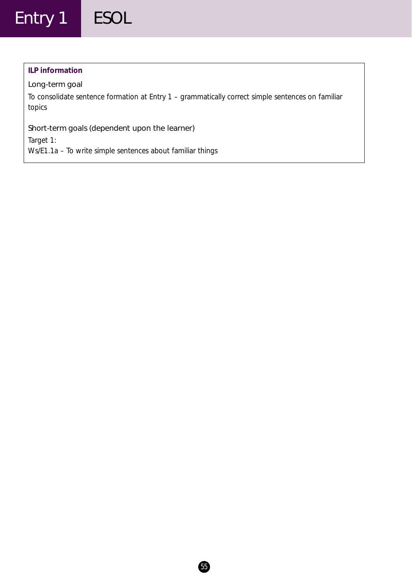### **ILP information**

## Long-term goal

To consolidate sentence formation at Entry 1 – grammatically correct simple sentences on familiar topics

## Short-term goals (dependent upon the learner)

*Target 1:*

Ws/E1.1a – To write simple sentences about familiar things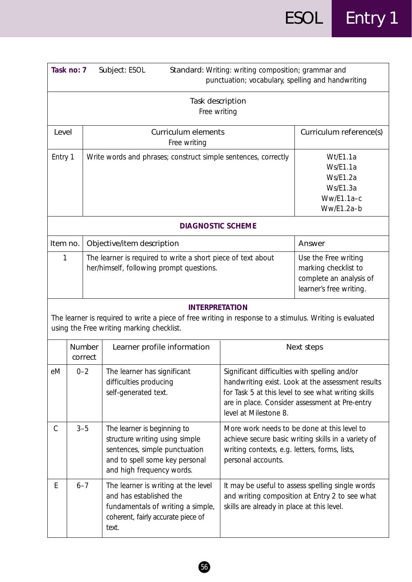|                                                     | Task no: 7<br>Subject: ESOL                                                                                                                                                                                                                     |                   | Standard: Writing: writing composition; grammar and<br>punctuation; vocabulary, spelling and handwriting                                                                       |                                                                                                                                                                                                                                      |            |
|-----------------------------------------------------|-------------------------------------------------------------------------------------------------------------------------------------------------------------------------------------------------------------------------------------------------|-------------------|--------------------------------------------------------------------------------------------------------------------------------------------------------------------------------|--------------------------------------------------------------------------------------------------------------------------------------------------------------------------------------------------------------------------------------|------------|
| Task description<br>Free writing                    |                                                                                                                                                                                                                                                 |                   |                                                                                                                                                                                |                                                                                                                                                                                                                                      |            |
| <b>Curriculum elements</b><br>Level<br>Free writing |                                                                                                                                                                                                                                                 |                   |                                                                                                                                                                                | Curriculum reference(s)                                                                                                                                                                                                              |            |
|                                                     | Entry 1<br>Write words and phrases; construct simple sentences, correctly                                                                                                                                                                       |                   |                                                                                                                                                                                | Wt/E1.1a<br>Ws/E1.1a<br>Ws/E1.2a<br>Ws/E1.3a<br>Ww/E1.1a-c<br>Ww/E1.2a-b                                                                                                                                                             |            |
|                                                     |                                                                                                                                                                                                                                                 |                   | <b>DIAGNOSTIC SCHEME</b>                                                                                                                                                       |                                                                                                                                                                                                                                      |            |
| Item no.                                            |                                                                                                                                                                                                                                                 |                   | Objective/item description                                                                                                                                                     |                                                                                                                                                                                                                                      | Answer     |
| 1                                                   | The learner is required to write a short piece of text about<br>her/himself, following prompt questions.                                                                                                                                        |                   |                                                                                                                                                                                | Use the Free writing<br>marking checklist to<br>complete an analysis of<br>learner's free writing.                                                                                                                                   |            |
|                                                     |                                                                                                                                                                                                                                                 |                   | <b>INTERPRETATION</b><br>The learner is required to write a piece of free writing in response to a stimulus. Writing is evaluated<br>using the Free writing marking checklist. |                                                                                                                                                                                                                                      |            |
|                                                     |                                                                                                                                                                                                                                                 | Number<br>correct | Learner profile information                                                                                                                                                    |                                                                                                                                                                                                                                      | Next steps |
| eМ                                                  | $0 - 2$                                                                                                                                                                                                                                         |                   | The learner has significant<br>difficulties producing<br>self-generated text.                                                                                                  | Significant difficulties with spelling and/or<br>handwriting exist. Look at the assessment results<br>for Task 5 at this level to see what writing skills<br>are in place. Consider assessment at Pre-entry<br>level at Milestone 8. |            |
| $\mathsf{C}$                                        | $3 - 5$<br>The learner is beginning to<br>structure writing using simple<br>sentences, simple punctuation<br>writing contexts, e.g. letters, forms, lists,<br>and to spell some key personal<br>personal accounts.<br>and high frequency words. |                   | More work needs to be done at this level to<br>achieve secure basic writing skills in a variety of                                                                             |                                                                                                                                                                                                                                      |            |
| E                                                   | $6 - 7$                                                                                                                                                                                                                                         |                   | The learner is writing at the level<br>and has established the<br>fundamentals of writing a simple,<br>coherent, fairly accurate piece of<br>text.                             | It may be useful to assess spelling single words<br>and writing composition at Entry 2 to see what<br>skills are already in place at this level.                                                                                     |            |

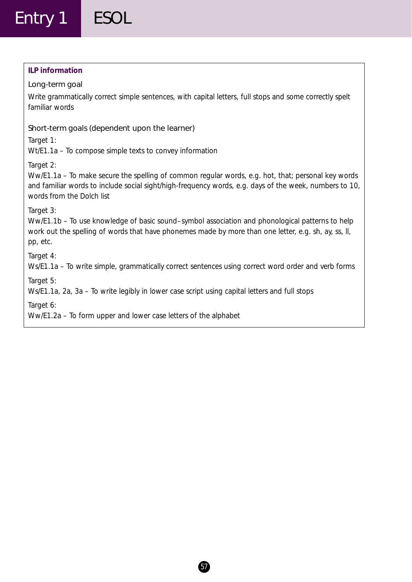## **ILP information**

## Long-term goal

Write grammatically correct simple sentences, with capital letters, full stops and some correctly spelt familiar words

## Short-term goals (dependent upon the learner)

*Target 1:*

Wt/E1.1a – To compose simple texts to convey information

*Target 2:*

Ww/E1.1a – To make secure the spelling of common regular words, e.g. hot, that; personal key words and familiar words to include social sight/high-frequency words, e.g. days of the week, numbers to 10, words from the Dolch list

*Target 3:*

Ww/E1.1b – To use knowledge of basic sound–symbol association and phonological patterns to help work out the spelling of words that have phonemes made by more than one letter, e.g. sh, ay, ss, ll, pp, etc.

*Target 4:*

Ws/E1.1a – To write simple, grammatically correct sentences using correct word order and verb forms

*Target 5:*

Ws/E1.1a, 2a, 3a – To write legibly in lower case script using capital letters and full stops

*Target 6:*

Ww/E1.2a – To form upper and lower case letters of the alphabet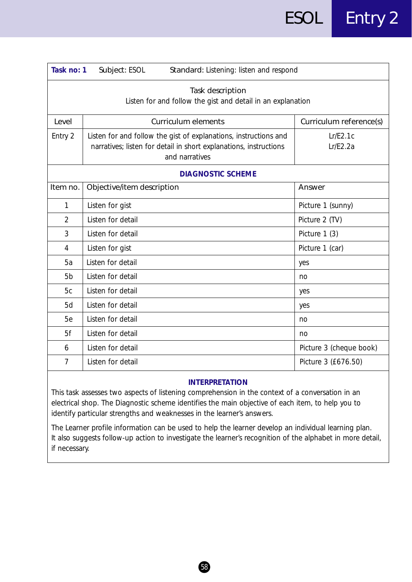| Task no: 1<br>Subject: ESOL<br>Standard: Listening: listen and respond          |                                                                                                                                                         |                         |  |
|---------------------------------------------------------------------------------|---------------------------------------------------------------------------------------------------------------------------------------------------------|-------------------------|--|
| Task description<br>Listen for and follow the gist and detail in an explanation |                                                                                                                                                         |                         |  |
| Level                                                                           | <b>Curriculum elements</b>                                                                                                                              | Curriculum reference(s) |  |
| Entry 2                                                                         | Listen for and follow the gist of explanations, instructions and<br>narratives; listen for detail in short explanations, instructions<br>and narratives | Lr/E2.1c<br>Lr/E2.2a    |  |
|                                                                                 | <b>DIAGNOSTIC SCHEME</b>                                                                                                                                |                         |  |
| Item no.                                                                        | Objective/item description                                                                                                                              | Answer                  |  |
| 1                                                                               | Listen for gist                                                                                                                                         | Picture 1 (sunny)       |  |
| $\overline{2}$                                                                  | Listen for detail                                                                                                                                       | Picture 2 (TV)          |  |
| 3                                                                               | Listen for detail                                                                                                                                       | Picture 1 (3)           |  |
| 4                                                                               | Listen for gist                                                                                                                                         | Picture 1 (car)         |  |
| 5a                                                                              | Listen for detail                                                                                                                                       | yes                     |  |
| 5 <sub>b</sub>                                                                  | Listen for detail                                                                                                                                       | no                      |  |
| 5c                                                                              | Listen for detail                                                                                                                                       | yes                     |  |
| 5d                                                                              | Listen for detail                                                                                                                                       | yes                     |  |
| 5e                                                                              | Listen for detail                                                                                                                                       | no                      |  |
| 5f                                                                              | Listen for detail                                                                                                                                       | no                      |  |
| 6                                                                               | Listen for detail                                                                                                                                       | Picture 3 (cheque book) |  |
| $\overline{7}$                                                                  | Listen for detail                                                                                                                                       | Picture 3 (£676.50)     |  |

This task assesses two aspects of listening comprehension in the context of a conversation in an electrical shop. The Diagnostic scheme identifies the main objective of each item, to help you to identify particular strengths and weaknesses in the learner's answers.

The Learner profile information can be used to help the learner develop an individual learning plan. It also suggests follow-up action to investigate the learner's recognition of the alphabet in more detail, if necessary.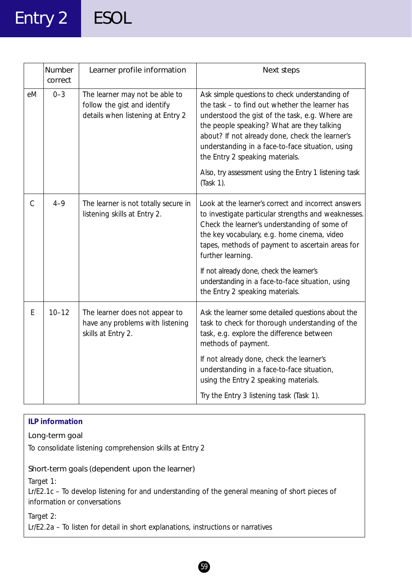## Entry 2 ESOL

|               | Number<br>correct | Learner profile information                                                                         | Next steps                                                                                                                                                                                                                                                                                                                                                                                                            |
|---------------|-------------------|-----------------------------------------------------------------------------------------------------|-----------------------------------------------------------------------------------------------------------------------------------------------------------------------------------------------------------------------------------------------------------------------------------------------------------------------------------------------------------------------------------------------------------------------|
| eM            | $0 - 3$           | The learner may not be able to<br>follow the gist and identify<br>details when listening at Entry 2 | Ask simple questions to check understanding of<br>the task - to find out whether the learner has<br>understood the gist of the task, e.g. Where are<br>the people speaking? What are they talking<br>about? If not already done, check the learner's<br>understanding in a face-to-face situation, using<br>the Entry 2 speaking materials.<br>Also, try assessment using the Entry 1 listening task                  |
|               |                   |                                                                                                     | (Task 1).                                                                                                                                                                                                                                                                                                                                                                                                             |
| $\mathcal{C}$ | $4 - 9$           | The learner is not totally secure in<br>listening skills at Entry 2.                                | Look at the learner's correct and incorrect answers<br>to investigate particular strengths and weaknesses.<br>Check the learner's understanding of some of<br>the key vocabulary, e.g. home cinema, video<br>tapes, methods of payment to ascertain areas for<br>further learning.<br>If not already done, check the learner's<br>understanding in a face-to-face situation, using<br>the Entry 2 speaking materials. |
| E             | $10 - 12$         | The learner does not appear to<br>have any problems with listening<br>skills at Entry 2.            | Ask the learner some detailed questions about the<br>task to check for thorough understanding of the<br>task, e.g. explore the difference between<br>methods of payment.<br>If not already done, check the learner's<br>understanding in a face-to-face situation,<br>using the Entry 2 speaking materials.                                                                                                           |
|               |                   |                                                                                                     | Try the Entry 3 listening task (Task 1).                                                                                                                                                                                                                                                                                                                                                                              |

## **ILP information**

## Long-term goal

To consolidate listening comprehension skills at Entry 2

## Short-term goals (dependent upon the learner)

*Target 1:*

Lr/E2.1c – To develop listening for and understanding of the general meaning of short pieces of information or conversations

*Target 2:*

Lr/E2.2a – To listen for detail in short explanations, instructions or narratives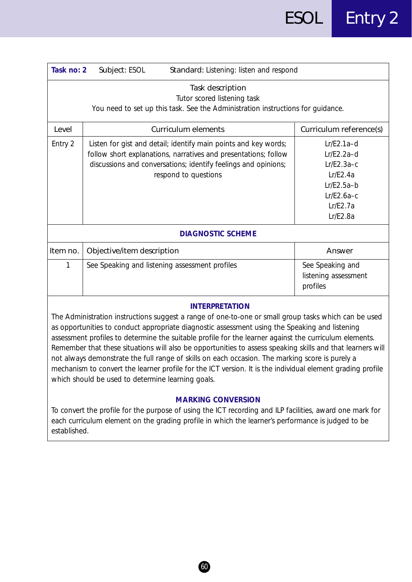| Task no: 2                                                     | Standard: Listening: listen and respond<br>Subject: ESOL                                                                                                                                                                     |                                                                                                                  |  |  |  |
|----------------------------------------------------------------|------------------------------------------------------------------------------------------------------------------------------------------------------------------------------------------------------------------------------|------------------------------------------------------------------------------------------------------------------|--|--|--|
|                                                                | Task description<br>Tutor scored listening task<br>You need to set up this task. See the Administration instructions for guidance.                                                                                           |                                                                                                                  |  |  |  |
| Level<br><b>Curriculum elements</b><br>Curriculum reference(s) |                                                                                                                                                                                                                              |                                                                                                                  |  |  |  |
| Entry 2                                                        | Listen for gist and detail; identify main points and key words;<br>follow short explanations, narratives and presentations; follow<br>discussions and conversations; identify feelings and opinions;<br>respond to questions | $Lr/E2.1a-d$<br>$Lr/E2.2a-d$<br>$Lr/E2.3a-c$<br>Lr/E2.4a<br>$Lr/E2.5a-b$<br>$Lr/E2.6a-c$<br>Lr/E2.7a<br>Lr/E2.8a |  |  |  |
|                                                                | <b>DIAGNOSTIC SCHEME</b>                                                                                                                                                                                                     |                                                                                                                  |  |  |  |
| Item no.                                                       | Objective/item description                                                                                                                                                                                                   | Answer                                                                                                           |  |  |  |
| 1                                                              | See Speaking and listening assessment profiles                                                                                                                                                                               | See Speaking and<br>listening assessment<br>profiles                                                             |  |  |  |
| <b>INITEDDDETATIONI</b>                                        |                                                                                                                                                                                                                              |                                                                                                                  |  |  |  |

The Administration instructions suggest a range of one-to-one or small group tasks which can be used as opportunities to conduct appropriate diagnostic assessment using the Speaking and listening assessment profiles to determine the suitable profile for the learner against the curriculum elements. Remember that these situations will also be opportunities to assess speaking skills and that learners will not always demonstrate the full range of skills on each occasion. The marking score is purely a mechanism to convert the learner profile for the ICT version. It is the individual element grading profile which should be used to determine learning goals.

## **MARKING CONVERSION**

To convert the profile for the purpose of using the ICT recording and ILP facilities, award one mark for each curriculum element on the grading profile in which the learner's performance is judged to be established.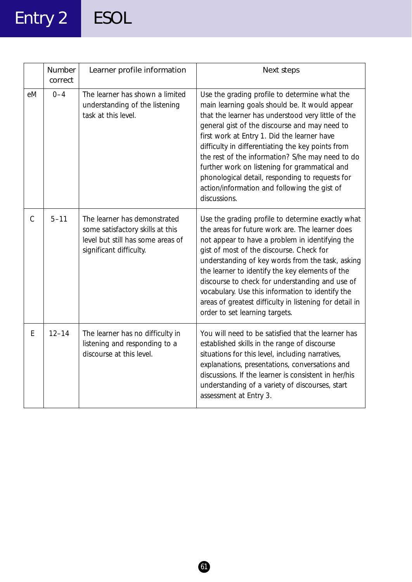# Entry 2 ESOL

|               | Number<br>correct | Learner profile information                                                                                                      | Next steps                                                                                                                                                                                                                                                                                                                                                                                                                                                                                                                         |
|---------------|-------------------|----------------------------------------------------------------------------------------------------------------------------------|------------------------------------------------------------------------------------------------------------------------------------------------------------------------------------------------------------------------------------------------------------------------------------------------------------------------------------------------------------------------------------------------------------------------------------------------------------------------------------------------------------------------------------|
| eM            | $0 - 4$           | The learner has shown a limited<br>understanding of the listening<br>task at this level.                                         | Use the grading profile to determine what the<br>main learning goals should be. It would appear<br>that the learner has understood very little of the<br>general gist of the discourse and may need to<br>first work at Entry 1. Did the learner have<br>difficulty in differentiating the key points from<br>the rest of the information? S/he may need to do<br>further work on listening for grammatical and<br>phonological detail, responding to requests for<br>action/information and following the gist of<br>discussions. |
| $\mathcal{C}$ | $5 - 11$          | The learner has demonstrated<br>some satisfactory skills at this<br>level but still has some areas of<br>significant difficulty. | Use the grading profile to determine exactly what<br>the areas for future work are. The learner does<br>not appear to have a problem in identifying the<br>gist of most of the discourse. Check for<br>understanding of key words from the task, asking<br>the learner to identify the key elements of the<br>discourse to check for understanding and use of<br>vocabulary. Use this information to identify the<br>areas of greatest difficulty in listening for detail in<br>order to set learning targets.                     |
| E             | $12 - 14$         | The learner has no difficulty in<br>listening and responding to a<br>discourse at this level.                                    | You will need to be satisfied that the learner has<br>established skills in the range of discourse<br>situations for this level, including narratives,<br>explanations, presentations, conversations and<br>discussions. If the learner is consistent in her/his<br>understanding of a variety of discourses, start<br>assessment at Entry 3.                                                                                                                                                                                      |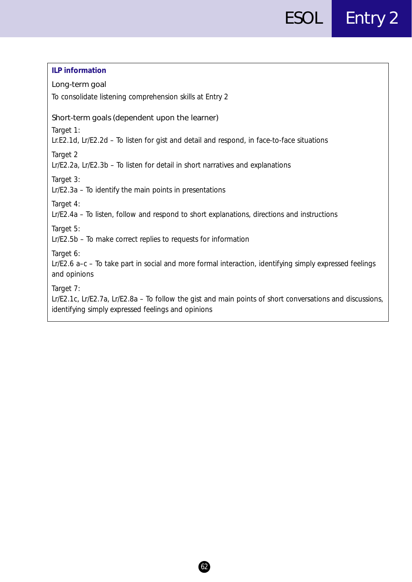| <b>ILP</b> information                                                                                                                                                       |
|------------------------------------------------------------------------------------------------------------------------------------------------------------------------------|
| Long-term goal                                                                                                                                                               |
| To consolidate listening comprehension skills at Entry 2                                                                                                                     |
| Short-term goals (dependent upon the learner)                                                                                                                                |
| Target 1:<br>Lr.E2.1d, Lr/E2.2d - To listen for gist and detail and respond, in face-to-face situations                                                                      |
| Target 2<br>Lr/E2.2a, Lr/E2.3b - To listen for detail in short narratives and explanations                                                                                   |
| Target 3:<br>Lr/E2.3a - To identify the main points in presentations                                                                                                         |
| Target 4:<br>Lr/E2.4a - To listen, follow and respond to short explanations, directions and instructions                                                                     |
| Target 5:<br>Lr/E2.5b - To make correct replies to requests for information                                                                                                  |
| Target 6:<br>Lr/E2.6 a-c - To take part in social and more formal interaction, identifying simply expressed feelings<br>and opinions                                         |
| Target 7:<br>Lr/E2.1c, Lr/E2.7a, Lr/E2.8a – To follow the gist and main points of short conversations and discussions,<br>identifying simply expressed feelings and opinions |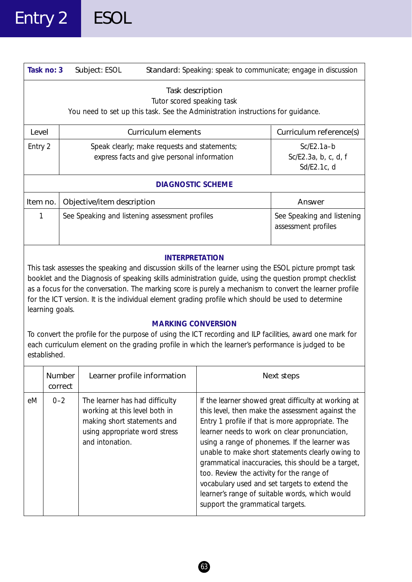|                                                                                                                                                                                                                                                                                                                                                                                                                                                                                                                                                                                                                                                                                                                                               | Task no: 3<br>Subject: ESOL<br>Standard: Speaking: speak to communicate; engage in discussion |                                                                                                                                                                                                                                                                                                                                                                                                                                                                                                                                                                                                                                                                                |  |                                                     |  |
|-----------------------------------------------------------------------------------------------------------------------------------------------------------------------------------------------------------------------------------------------------------------------------------------------------------------------------------------------------------------------------------------------------------------------------------------------------------------------------------------------------------------------------------------------------------------------------------------------------------------------------------------------------------------------------------------------------------------------------------------------|-----------------------------------------------------------------------------------------------|--------------------------------------------------------------------------------------------------------------------------------------------------------------------------------------------------------------------------------------------------------------------------------------------------------------------------------------------------------------------------------------------------------------------------------------------------------------------------------------------------------------------------------------------------------------------------------------------------------------------------------------------------------------------------------|--|-----------------------------------------------------|--|
| Task description<br>Tutor scored speaking task<br>You need to set up this task. See the Administration instructions for guidance.                                                                                                                                                                                                                                                                                                                                                                                                                                                                                                                                                                                                             |                                                                                               |                                                                                                                                                                                                                                                                                                                                                                                                                                                                                                                                                                                                                                                                                |  |                                                     |  |
| Level                                                                                                                                                                                                                                                                                                                                                                                                                                                                                                                                                                                                                                                                                                                                         |                                                                                               | Curriculum elements                                                                                                                                                                                                                                                                                                                                                                                                                                                                                                                                                                                                                                                            |  | Curriculum reference(s)                             |  |
| Entry 2                                                                                                                                                                                                                                                                                                                                                                                                                                                                                                                                                                                                                                                                                                                                       |                                                                                               | Speak clearly; make requests and statements;<br>express facts and give personal information                                                                                                                                                                                                                                                                                                                                                                                                                                                                                                                                                                                    |  | $Sc/E2.1a-b$<br>Sc/E2.3a, b, c, d, f<br>Sd/E2.1c, d |  |
|                                                                                                                                                                                                                                                                                                                                                                                                                                                                                                                                                                                                                                                                                                                                               |                                                                                               | <b>DIAGNOSTIC SCHEME</b>                                                                                                                                                                                                                                                                                                                                                                                                                                                                                                                                                                                                                                                       |  |                                                     |  |
| Item no.                                                                                                                                                                                                                                                                                                                                                                                                                                                                                                                                                                                                                                                                                                                                      |                                                                                               | Objective/item description                                                                                                                                                                                                                                                                                                                                                                                                                                                                                                                                                                                                                                                     |  | Answer                                              |  |
| 1                                                                                                                                                                                                                                                                                                                                                                                                                                                                                                                                                                                                                                                                                                                                             |                                                                                               | See Speaking and listening assessment profiles                                                                                                                                                                                                                                                                                                                                                                                                                                                                                                                                                                                                                                 |  | See Speaking and listening<br>assessment profiles   |  |
| <b>INTERPRETATION</b><br>This task assesses the speaking and discussion skills of the learner using the ESOL picture prompt task<br>booklet and the Diagnosis of speaking skills administration guide, using the question prompt checklist<br>as a focus for the conversation. The marking score is purely a mechanism to convert the learner profile<br>for the ICT version. It is the individual element grading profile which should be used to determine<br>learning goals.<br><b>MARKING CONVERSION</b><br>To convert the profile for the purpose of using the ICT recording and ILP facilities, award one mark for<br>each curriculum element on the grading profile in which the learner's performance is judged to be<br>established. |                                                                                               |                                                                                                                                                                                                                                                                                                                                                                                                                                                                                                                                                                                                                                                                                |  |                                                     |  |
|                                                                                                                                                                                                                                                                                                                                                                                                                                                                                                                                                                                                                                                                                                                                               | Number<br>correct                                                                             | Learner profile information                                                                                                                                                                                                                                                                                                                                                                                                                                                                                                                                                                                                                                                    |  | Next steps                                          |  |
| eM                                                                                                                                                                                                                                                                                                                                                                                                                                                                                                                                                                                                                                                                                                                                            | $0 - 2$                                                                                       | If the learner showed great difficulty at working at<br>The learner has had difficulty<br>working at this level both in<br>this level, then make the assessment against the<br>Entry 1 profile if that is more appropriate. The<br>making short statements and<br>using appropriate word stress<br>learner needs to work on clear pronunciation,<br>and intonation.<br>using a range of phonemes. If the learner was<br>unable to make short statements clearly owing to<br>grammatical inaccuracies, this should be a target,<br>too. Review the activity for the range of<br>vocabulary used and set targets to extend the<br>learner's range of suitable words, which would |  |                                                     |  |

63

support the grammatical targets.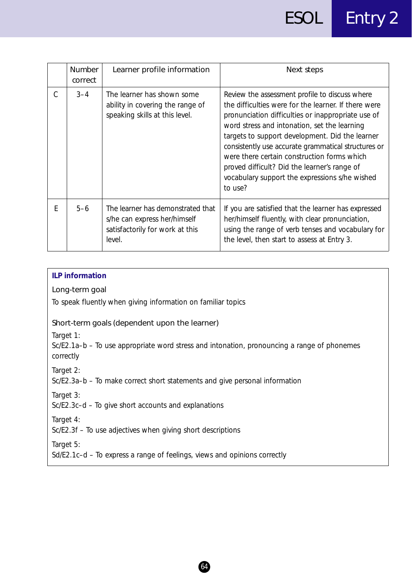|   | <b>Number</b><br>correct | Learner profile information                                                                                    | Next steps                                                                                                                                                                                                                                                                                                                                                                                                                                                                         |
|---|--------------------------|----------------------------------------------------------------------------------------------------------------|------------------------------------------------------------------------------------------------------------------------------------------------------------------------------------------------------------------------------------------------------------------------------------------------------------------------------------------------------------------------------------------------------------------------------------------------------------------------------------|
| C | $3 - 4$                  | The learner has shown some<br>ability in covering the range of<br>speaking skills at this level.               | Review the assessment profile to discuss where<br>the difficulties were for the learner. If there were<br>pronunciation difficulties or inappropriate use of<br>word stress and intonation, set the learning<br>targets to support development. Did the learner<br>consistently use accurate grammatical structures or<br>were there certain construction forms which<br>proved difficult? Did the learner's range of<br>vocabulary support the expressions s/he wished<br>to use? |
| F | $5 - 6$                  | The learner has demonstrated that<br>s/he can express her/himself<br>satisfactorily for work at this<br>level. | If you are satisfied that the learner has expressed<br>her/himself fluently, with clear pronunciation,<br>using the range of verb tenses and vocabulary for<br>the level, then start to assess at Entry 3.                                                                                                                                                                                                                                                                         |

## **ILP information**

## Long-term goal

To speak fluently when giving information on familiar topics

## Short-term goals (dependent upon the learner)

*Target 1:*

Sc/E2.1a–b – To use appropriate word stress and intonation, pronouncing a range of phonemes correctly

64

*Target 2:*

Sc/E2.3a–b – To make correct short statements and give personal information

*Target 3:*

Sc/E2.3c–d – To give short accounts and explanations

*Target 4:*

Sc/E2.3f – To use adjectives when giving short descriptions

*Target 5:*

Sd/E2.1c–d – To express a range of feelings, views and opinions correctly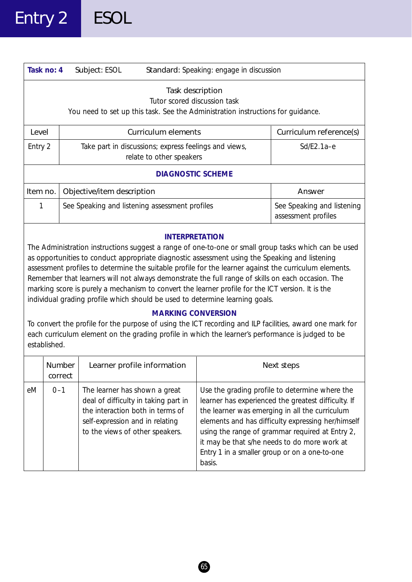| Task no: 4            | Subject: ESOL                                                                     | Standard: Speaking: engage in discussion                                                                                            |                                                   |
|-----------------------|-----------------------------------------------------------------------------------|-------------------------------------------------------------------------------------------------------------------------------------|---------------------------------------------------|
|                       |                                                                                   | Task description<br>Tutor scored discussion task<br>You need to set up this task. See the Administration instructions for quidance. |                                                   |
| Level                 |                                                                                   | Curriculum elements                                                                                                                 | Curriculum reference(s)                           |
| Entry 2               | Take part in discussions; express feelings and views,<br>relate to other speakers |                                                                                                                                     | $Sd/E2.1a-e$                                      |
|                       |                                                                                   | <b>DIAGNOSTIC SCHEME</b>                                                                                                            |                                                   |
| Item no.              | Objective/item description                                                        |                                                                                                                                     | Answer                                            |
| 1                     |                                                                                   | See Speaking and listening assessment profiles                                                                                      | See Speaking and listening<br>assessment profiles |
| <b>INTERPRETATION</b> |                                                                                   |                                                                                                                                     |                                                   |

The Administration instructions suggest a range of one-to-one or small group tasks which can be used as opportunities to conduct appropriate diagnostic assessment using the Speaking and listening assessment profiles to determine the suitable profile for the learner against the curriculum elements. Remember that learners will not always demonstrate the full range of skills on each occasion. The marking score is purely a mechanism to convert the learner profile for the ICT version. It is the individual grading profile which should be used to determine learning goals.

## **MARKING CONVERSION**

To convert the profile for the purpose of using the ICT recording and ILP facilities, award one mark for each curriculum element on the grading profile in which the learner's performance is judged to be established.

|    | <b>Number</b><br>correct | Learner profile information                                                                                                                                                     | Next steps                                                                                                                                                                                                                                                                                                                                                                  |  |  |
|----|--------------------------|---------------------------------------------------------------------------------------------------------------------------------------------------------------------------------|-----------------------------------------------------------------------------------------------------------------------------------------------------------------------------------------------------------------------------------------------------------------------------------------------------------------------------------------------------------------------------|--|--|
| eM | $0 - 1$                  | The learner has shown a great<br>deal of difficulty in taking part in<br>the interaction both in terms of<br>self-expression and in relating<br>to the views of other speakers. | Use the grading profile to determine where the<br>learner has experienced the greatest difficulty. If<br>the learner was emerging in all the curriculum<br>elements and has difficulty expressing her/himself<br>using the range of grammar required at Entry 2,<br>it may be that s/he needs to do more work at<br>Entry 1 in a smaller group or on a one-to-one<br>basis. |  |  |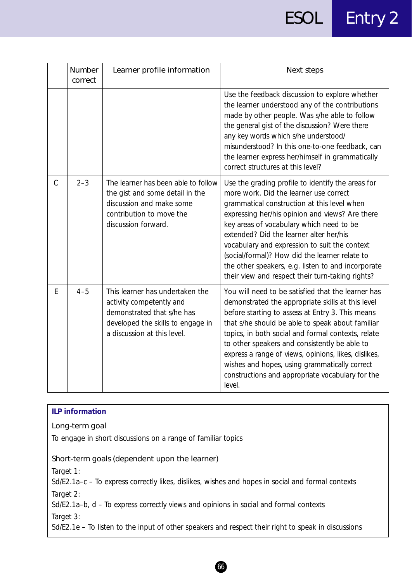# ESOL Entry 2

|               | Number<br>correct | Learner profile information                                                                                                                                   | Next steps                                                                                                                                                                                                                                                                                                                                                                                                                                                                                        |
|---------------|-------------------|---------------------------------------------------------------------------------------------------------------------------------------------------------------|---------------------------------------------------------------------------------------------------------------------------------------------------------------------------------------------------------------------------------------------------------------------------------------------------------------------------------------------------------------------------------------------------------------------------------------------------------------------------------------------------|
|               |                   |                                                                                                                                                               | Use the feedback discussion to explore whether<br>the learner understood any of the contributions<br>made by other people. Was s/he able to follow<br>the general gist of the discussion? Were there<br>any key words which s/he understood/<br>misunderstood? In this one-to-one feedback, can<br>the learner express her/himself in grammatically<br>correct structures at this level?                                                                                                          |
| $\mathcal{C}$ | $2 - 3$           | The learner has been able to follow<br>the gist and some detail in the<br>discussion and make some<br>contribution to move the<br>discussion forward.         | Use the grading profile to identify the areas for<br>more work. Did the learner use correct<br>grammatical construction at this level when<br>expressing her/his opinion and views? Are there<br>key areas of vocabulary which need to be<br>extended? Did the learner alter her/his<br>vocabulary and expression to suit the context<br>(social/formal)? How did the learner relate to<br>the other speakers, e.g. listen to and incorporate<br>their view and respect their turn-taking rights? |
| E             | $4 - 5$           | This learner has undertaken the<br>activity competently and<br>demonstrated that s/he has<br>developed the skills to engage in<br>a discussion at this level. | You will need to be satisfied that the learner has<br>demonstrated the appropriate skills at this level<br>before starting to assess at Entry 3. This means<br>that s/he should be able to speak about familiar<br>topics, in both social and formal contexts, relate<br>to other speakers and consistently be able to<br>express a range of views, opinions, likes, dislikes,<br>wishes and hopes, using grammatically correct<br>constructions and appropriate vocabulary for the<br>level.     |

| <b>ILP information</b>                                                                                           |
|------------------------------------------------------------------------------------------------------------------|
| Long-term goal                                                                                                   |
| To engage in short discussions on a range of familiar topics                                                     |
| Short-term goals (dependent upon the learner)                                                                    |
| Target 1:<br>Sd/E2.1a–c – To express correctly likes, dislikes, wishes and hopes in social and formal contexts   |
| Target 2:<br>Sd/E2.1a-b, d - To express correctly views and opinions in social and formal contexts               |
| Target 3:<br>Sd/E2.1e - To listen to the input of other speakers and respect their right to speak in discussions |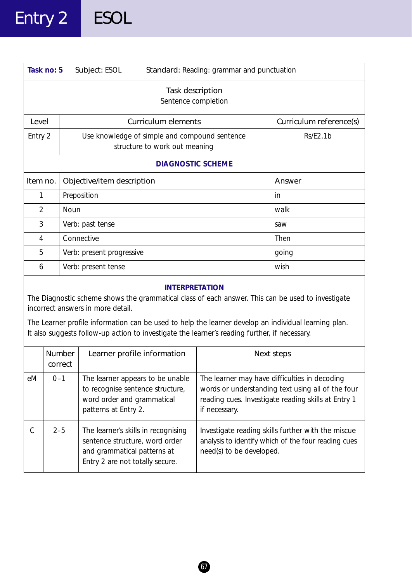| Task no: 5<br>Standard: Reading: grammar and punctuation<br>Subject: ESOL                                                                                                                                                                                                                                                                                                |                          |                                                                                                                            |                                                                                                                                                                            |                         |  |
|--------------------------------------------------------------------------------------------------------------------------------------------------------------------------------------------------------------------------------------------------------------------------------------------------------------------------------------------------------------------------|--------------------------|----------------------------------------------------------------------------------------------------------------------------|----------------------------------------------------------------------------------------------------------------------------------------------------------------------------|-------------------------|--|
| Task description<br>Sentence completion                                                                                                                                                                                                                                                                                                                                  |                          |                                                                                                                            |                                                                                                                                                                            |                         |  |
| Level                                                                                                                                                                                                                                                                                                                                                                    |                          | <b>Curriculum elements</b>                                                                                                 |                                                                                                                                                                            | Curriculum reference(s) |  |
| Entry 2                                                                                                                                                                                                                                                                                                                                                                  |                          | Use knowledge of simple and compound sentence<br>structure to work out meaning                                             |                                                                                                                                                                            | Rs/E2.1b                |  |
| <b>DIAGNOSTIC SCHEME</b>                                                                                                                                                                                                                                                                                                                                                 |                          |                                                                                                                            |                                                                                                                                                                            |                         |  |
| Item no.                                                                                                                                                                                                                                                                                                                                                                 |                          | Objective/item description                                                                                                 |                                                                                                                                                                            | Answer                  |  |
|                                                                                                                                                                                                                                                                                                                                                                          | Preposition<br>1         |                                                                                                                            |                                                                                                                                                                            | in                      |  |
|                                                                                                                                                                                                                                                                                                                                                                          | Noun<br>$\overline{2}$   |                                                                                                                            |                                                                                                                                                                            | walk                    |  |
|                                                                                                                                                                                                                                                                                                                                                                          | 3<br>Verb: past tense    |                                                                                                                            |                                                                                                                                                                            | saw                     |  |
| 4                                                                                                                                                                                                                                                                                                                                                                        |                          | Connective                                                                                                                 |                                                                                                                                                                            | Then                    |  |
| 5                                                                                                                                                                                                                                                                                                                                                                        |                          | Verb: present progressive                                                                                                  |                                                                                                                                                                            | going                   |  |
| Verb: present tense<br>6                                                                                                                                                                                                                                                                                                                                                 |                          |                                                                                                                            |                                                                                                                                                                            | wish                    |  |
| <b>INTERPRETATION</b><br>The Diagnostic scheme shows the grammatical class of each answer. This can be used to investigate<br>incorrect answers in more detail.<br>The Learner profile information can be used to help the learner develop an individual learning plan.<br>It also suggests follow-up action to investigate the learner's reading further, if necessary. |                          |                                                                                                                            |                                                                                                                                                                            |                         |  |
|                                                                                                                                                                                                                                                                                                                                                                          | <b>Number</b><br>correct | Learner profile information                                                                                                |                                                                                                                                                                            | Next steps              |  |
| $0 - 1$<br>eM                                                                                                                                                                                                                                                                                                                                                            |                          | The learner appears to be unable<br>to recognise sentence structure,<br>word order and grammatical<br>patterns at Entry 2. | The learner may have difficulties in decoding<br>words or understanding text using all of the four<br>reading cues. Investigate reading skills at Entry 1<br>if necessary. |                         |  |
|                                                                                                                                                                                                                                                                                                                                                                          |                          |                                                                                                                            |                                                                                                                                                                            |                         |  |

C 2–5 The learner's skills in recognising Investigate reading skills further with the miscue sentence structure, word order  $\vert$  analysis to identify which of the four reading cues and grammatical patterns at  $\vert$  need(s) to be developed. Entry 2 are not totally secure.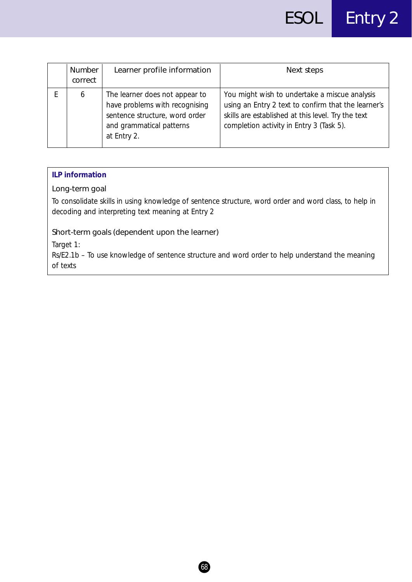| Number<br>correct | Learner profile information                                                                                                                   | Next steps                                                                                                                                                                                             |
|-------------------|-----------------------------------------------------------------------------------------------------------------------------------------------|--------------------------------------------------------------------------------------------------------------------------------------------------------------------------------------------------------|
| 6                 | The learner does not appear to<br>have problems with recognising<br>sentence structure, word order<br>and grammatical patterns<br>at Entry 2. | You might wish to undertake a miscue analysis<br>using an Entry 2 text to confirm that the learner's<br>skills are established at this level. Try the text<br>completion activity in Entry 3 (Task 5). |

### **ILP information**

## Long-term goal

To consolidate skills in using knowledge of sentence structure, word order and word class, to help in decoding and interpreting text meaning at Entry 2

## Short-term goals (dependent upon the learner)

*Target 1:*

Rs/E2.1b – To use knowledge of sentence structure and word order to help understand the meaning of texts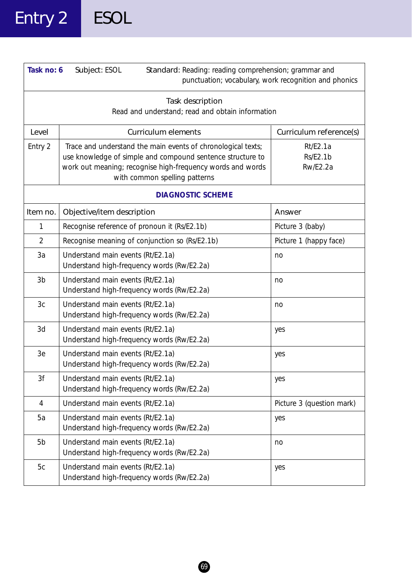## Entry 2 ESOL

| Task no: 6     | Subject: ESOL<br>Standard: Reading: reading comprehension; grammar and                                                                                                                                                    | punctuation; vocabulary, work recognition and phonics |
|----------------|---------------------------------------------------------------------------------------------------------------------------------------------------------------------------------------------------------------------------|-------------------------------------------------------|
|                | Task description<br>Read and understand; read and obtain information                                                                                                                                                      |                                                       |
| Level          | <b>Curriculum elements</b>                                                                                                                                                                                                | Curriculum reference(s)                               |
| Entry 2        | Trace and understand the main events of chronological texts;<br>use knowledge of simple and compound sentence structure to<br>work out meaning; recognise high-frequency words and words<br>with common spelling patterns | Rt/E2.1a<br><b>Rs/E2.1b</b><br>Rw/E2.2a               |
|                | <b>DIAGNOSTIC SCHEME</b>                                                                                                                                                                                                  |                                                       |
| Item no.       | Objective/item description                                                                                                                                                                                                | Answer                                                |
| 1              | Recognise reference of pronoun it (Rs/E2.1b)                                                                                                                                                                              | Picture 3 (baby)                                      |
| $\overline{2}$ | Recognise meaning of conjunction so (Rs/E2.1b)                                                                                                                                                                            | Picture 1 (happy face)                                |
| 3a             | Understand main events (Rt/E2.1a)<br>Understand high-frequency words (Rw/E2.2a)                                                                                                                                           | no                                                    |
| 3b             | Understand main events (Rt/E2.1a)<br>Understand high-frequency words (Rw/E2.2a)                                                                                                                                           | no                                                    |
| 3c             | Understand main events (Rt/E2.1a)<br>Understand high-frequency words (Rw/E2.2a)                                                                                                                                           | no                                                    |
| 3d             | Understand main events (Rt/E2.1a)<br>Understand high-frequency words (Rw/E2.2a)                                                                                                                                           | yes                                                   |
| 3e             | Understand main events (Rt/E2.1a)<br>Understand high-frequency words (Rw/E2.2a)                                                                                                                                           | yes                                                   |
| 3f             | Understand main events (Rt/E2.1a)<br>Understand high-frequency words (Rw/E2.2a)                                                                                                                                           | yes                                                   |
| 4              | Understand main events (Rt/E2.1a)                                                                                                                                                                                         | Picture 3 (question mark)                             |
| 5a             | Understand main events (Rt/E2.1a)<br>Understand high-frequency words (Rw/E2.2a)                                                                                                                                           | yes                                                   |
| 5b             | Understand main events (Rt/E2.1a)<br>Understand high-frequency words (Rw/E2.2a)                                                                                                                                           | no                                                    |
| 5c             | Understand main events (Rt/E2.1a)<br>Understand high-frequency words (Rw/E2.2a)                                                                                                                                           | yes                                                   |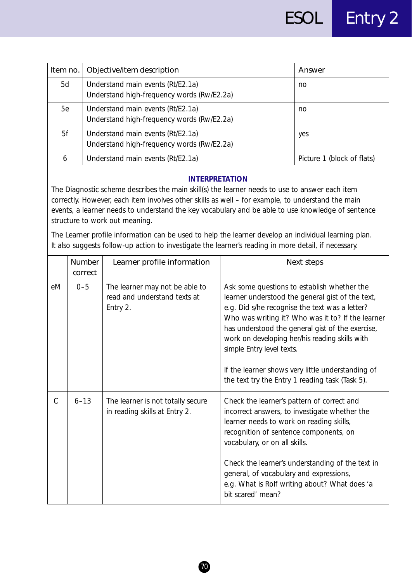| Item no. | Objective/item description                                                      | Answer                     |
|----------|---------------------------------------------------------------------------------|----------------------------|
| 5d       | Understand main events (Rt/E2.1a)<br>Understand high-frequency words (Rw/E2.2a) | no                         |
| 5e       | Understand main events (Rt/E2.1a)<br>Understand high-frequency words (Rw/E2.2a) | no                         |
| 5f       | Understand main events (Rt/E2.1a)<br>Understand high-frequency words (Rw/E2.2a) | yes                        |
| 6        | Understand main events (Rt/E2.1a)                                               | Picture 1 (block of flats) |

The Diagnostic scheme describes the main skill(s) the learner needs to use to answer each item correctly. However, each item involves other skills as well – for example, to understand the main events, a learner needs to understand the key vocabulary and be able to use knowledge of sentence structure to work out meaning.

The Learner profile information can be used to help the learner develop an individual learning plan. It also suggests follow-up action to investigate the learner's reading in more detail, if necessary.

|               | Number<br>correct | Learner profile information                                                | Next steps                                                                                                                                                                                                                                                                                                                                                                                                                                        |
|---------------|-------------------|----------------------------------------------------------------------------|---------------------------------------------------------------------------------------------------------------------------------------------------------------------------------------------------------------------------------------------------------------------------------------------------------------------------------------------------------------------------------------------------------------------------------------------------|
| eM            | $0 - 5$           | The learner may not be able to<br>read and understand texts at<br>Entry 2. | Ask some questions to establish whether the<br>learner understood the general gist of the text,<br>e.g. Did s/he recognise the text was a letter?<br>Who was writing it? Who was it to? If the learner<br>has understood the general gist of the exercise,<br>work on developing her/his reading skills with<br>simple Entry level texts.<br>If the learner shows very little understanding of<br>the text try the Entry 1 reading task (Task 5). |
| $\mathcal{C}$ | $6 - 13$          | The learner is not totally secure<br>in reading skills at Entry 2.         | Check the learner's pattern of correct and<br>incorrect answers, to investigate whether the<br>learner needs to work on reading skills,<br>recognition of sentence components, on<br>vocabulary, or on all skills.<br>Check the learner's understanding of the text in<br>general, of vocabulary and expressions,<br>e.g. What is Rolf writing about? What does 'a<br>bit scared' mean?                                                           |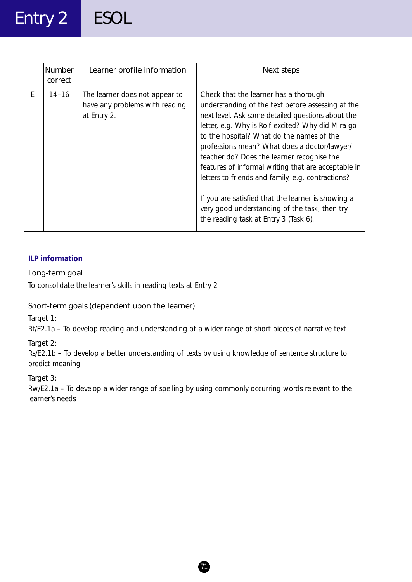### Entry 2 ESOL

|   | <b>Number</b><br>correct | Learner profile information                                                     | Next steps                                                                                                                                                                                                                                                                                                                                                                                                                                                                                                                                                                                                  |
|---|--------------------------|---------------------------------------------------------------------------------|-------------------------------------------------------------------------------------------------------------------------------------------------------------------------------------------------------------------------------------------------------------------------------------------------------------------------------------------------------------------------------------------------------------------------------------------------------------------------------------------------------------------------------------------------------------------------------------------------------------|
| F | $14 - 16$                | The learner does not appear to<br>have any problems with reading<br>at Entry 2. | Check that the learner has a thorough<br>understanding of the text before assessing at the<br>next level. Ask some detailed questions about the<br>letter, e.g. Why is Rolf excited? Why did Mira go<br>to the hospital? What do the names of the<br>professions mean? What does a doctor/lawyer/<br>teacher do? Does the learner recognise the<br>features of informal writing that are acceptable in<br>letters to friends and family, e.g. contractions?<br>If you are satisfied that the learner is showing a<br>very good understanding of the task, then try<br>the reading task at Entry 3 (Task 6). |

#### **ILP information**

#### Long-term goal

To consolidate the learner's skills in reading texts at Entry 2

#### Short-term goals (dependent upon the learner)

*Target 1:*

Rt/E2.1a – To develop reading and understanding of a wider range of short pieces of narrative text

*Target 2:*

Rs/E2.1b – To develop a better understanding of texts by using knowledge of sentence structure to predict meaning

*Target 3:*

Rw/E2.1a – To develop a wider range of spelling by using commonly occurring words relevant to the learner's needs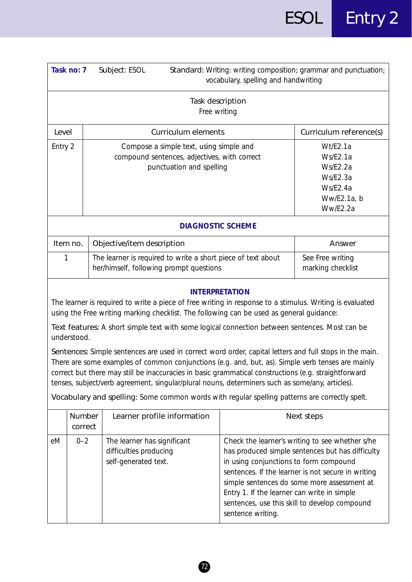|                                                                                                                                                                                                                                                                                                                                                                                                                                                                                                                                                                                                                                                                        | Task no: 7                                                                                                                                            | Subject: ESOL                                                                                                       |                                  | vocabulary, spelling and handwriting                                                                       | Standard: Writing: writing composition; grammar and punctuation;                                                                                                                                                                                          |
|------------------------------------------------------------------------------------------------------------------------------------------------------------------------------------------------------------------------------------------------------------------------------------------------------------------------------------------------------------------------------------------------------------------------------------------------------------------------------------------------------------------------------------------------------------------------------------------------------------------------------------------------------------------------|-------------------------------------------------------------------------------------------------------------------------------------------------------|---------------------------------------------------------------------------------------------------------------------|----------------------------------|------------------------------------------------------------------------------------------------------------|-----------------------------------------------------------------------------------------------------------------------------------------------------------------------------------------------------------------------------------------------------------|
|                                                                                                                                                                                                                                                                                                                                                                                                                                                                                                                                                                                                                                                                        |                                                                                                                                                       |                                                                                                                     | Task description<br>Free writing |                                                                                                            |                                                                                                                                                                                                                                                           |
|                                                                                                                                                                                                                                                                                                                                                                                                                                                                                                                                                                                                                                                                        | Curriculum elements<br>Level                                                                                                                          |                                                                                                                     |                                  | Curriculum reference(s)                                                                                    |                                                                                                                                                                                                                                                           |
| Entry 2                                                                                                                                                                                                                                                                                                                                                                                                                                                                                                                                                                                                                                                                |                                                                                                                                                       | Compose a simple text, using simple and<br>compound sentences, adjectives, with correct<br>punctuation and spelling |                                  | Wt/E2.1a<br>Ws/E2.1a<br>Ws/E2.2a<br>Ws/E2.3a<br>Ws/E2.4a<br>Ww/E2.1a, b<br>Ww/E2.2a                        |                                                                                                                                                                                                                                                           |
|                                                                                                                                                                                                                                                                                                                                                                                                                                                                                                                                                                                                                                                                        |                                                                                                                                                       |                                                                                                                     | <b>DIAGNOSTIC SCHEME</b>         |                                                                                                            |                                                                                                                                                                                                                                                           |
| Item no.<br>Objective/item description<br>Answer                                                                                                                                                                                                                                                                                                                                                                                                                                                                                                                                                                                                                       |                                                                                                                                                       |                                                                                                                     |                                  |                                                                                                            |                                                                                                                                                                                                                                                           |
|                                                                                                                                                                                                                                                                                                                                                                                                                                                                                                                                                                                                                                                                        | The learner is required to write a short piece of text about<br>See Free writing<br>1<br>her/himself, following prompt questions<br>marking checklist |                                                                                                                     |                                  |                                                                                                            |                                                                                                                                                                                                                                                           |
| <b>INTERPRETATION</b><br>The learner is required to write a piece of free writing in response to a stimulus. Writing is evaluated<br>using the Free writing marking checklist. The following can be used as general guidance:<br>Text features: A short simple text with some logical connection between sentences. Most can be<br>understood.<br>Sentences: Simple sentences are used in correct word order, capital letters and full stops in the main.<br>There are some examples of common conjunctions (e.g. and, but, as). Simple verb tenses are mainly<br>correct but there may still be inaccuracies in basic grammatical constructions (e.g. straightforward |                                                                                                                                                       |                                                                                                                     |                                  |                                                                                                            |                                                                                                                                                                                                                                                           |
|                                                                                                                                                                                                                                                                                                                                                                                                                                                                                                                                                                                                                                                                        |                                                                                                                                                       |                                                                                                                     |                                  | tenses, subject/verb agreement, singular/plural nouns, determiners such as some/any, articles).            |                                                                                                                                                                                                                                                           |
|                                                                                                                                                                                                                                                                                                                                                                                                                                                                                                                                                                                                                                                                        |                                                                                                                                                       |                                                                                                                     |                                  | Vocabulary and spelling: Some common words with regular spelling patterns are correctly spelt.             |                                                                                                                                                                                                                                                           |
|                                                                                                                                                                                                                                                                                                                                                                                                                                                                                                                                                                                                                                                                        | Number<br>correct                                                                                                                                     |                                                                                                                     | Learner profile information      |                                                                                                            | Next steps                                                                                                                                                                                                                                                |
| eM                                                                                                                                                                                                                                                                                                                                                                                                                                                                                                                                                                                                                                                                     | $0 - 2$                                                                                                                                               | The learner has significant<br>difficulties producing<br>self-generated text.                                       |                                  | in using conjunctions to form compound<br>Entry 1. If the learner can write in simple<br>sentence writing. | Check the learner's writing to see whether s/he<br>has produced simple sentences but has difficulty<br>sentences. If the learner is not secure in writing<br>simple sentences do some more assessment at<br>sentences, use this skill to develop compound |

 $\bigcirc$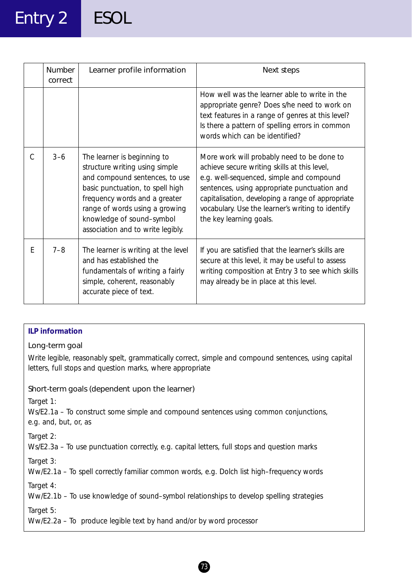## Entry 2 ESOL

|   | <b>Number</b><br>correct | Learner profile information                                                                                                                                                                                                                                              | Next steps                                                                                                                                                                                                                                                                                                                  |
|---|--------------------------|--------------------------------------------------------------------------------------------------------------------------------------------------------------------------------------------------------------------------------------------------------------------------|-----------------------------------------------------------------------------------------------------------------------------------------------------------------------------------------------------------------------------------------------------------------------------------------------------------------------------|
|   |                          |                                                                                                                                                                                                                                                                          | How well was the learner able to write in the<br>appropriate genre? Does s/he need to work on<br>text features in a range of genres at this level?<br>Is there a pattern of spelling errors in common<br>words which can be identified?                                                                                     |
| C | $3 - 6$                  | The learner is beginning to<br>structure writing using simple<br>and compound sentences, to use<br>basic punctuation, to spell high<br>frequency words and a greater<br>range of words using a growing<br>knowledge of sound-symbol<br>association and to write legibly. | More work will probably need to be done to<br>achieve secure writing skills at this level,<br>e.g. well-sequenced, simple and compound<br>sentences, using appropriate punctuation and<br>capitalisation, developing a range of appropriate<br>vocabulary. Use the learner's writing to identify<br>the key learning goals. |
| E | $7 - 8$                  | The learner is writing at the level<br>and has established the<br>fundamentals of writing a fairly<br>simple, coherent, reasonably<br>accurate piece of text.                                                                                                            | If you are satisfied that the learner's skills are<br>secure at this level, it may be useful to assess<br>writing composition at Entry 3 to see which skills<br>may already be in place at this level.                                                                                                                      |

#### **ILP information**

#### Long-term goal

Write legible, reasonably spelt, grammatically correct, simple and compound sentences, using capital letters, full stops and question marks, where appropriate

#### Short-term goals (dependent upon the learner)

*Target 1:*

Ws/E2.1a – To construct some simple and compound sentences using common conjunctions, e.g. and, but, or, as

*Target 2:*

Ws/E2.3a – To use punctuation correctly, e.g. capital letters, full stops and question marks

*Target 3:*

Ww/E2.1a – To spell correctly familiar common words, e.g. Dolch list high–frequency words

*Target 4:*

Ww/E2.1b – To use knowledge of sound–symbol relationships to develop spelling strategies

*Target 5:*

Ww/E2.2a – To produce legible text by hand and/or by word processor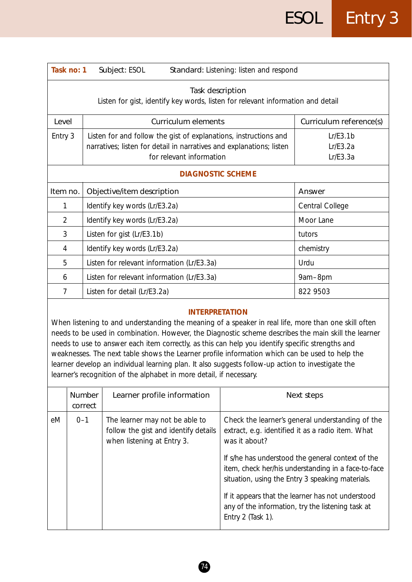| Task no: 1<br>Subject: ESOL<br>Standard: Listening: listen and respond |                                                                                                                                                                      |                                  |  |  |
|------------------------------------------------------------------------|----------------------------------------------------------------------------------------------------------------------------------------------------------------------|----------------------------------|--|--|
|                                                                        | Task description<br>Listen for gist, identify key words, listen for relevant information and detail                                                                  |                                  |  |  |
| Level                                                                  | <b>Curriculum elements</b>                                                                                                                                           | Curriculum reference(s)          |  |  |
| Entry 3                                                                | Listen for and follow the gist of explanations, instructions and<br>narratives; listen for detail in narratives and explanations; listen<br>for relevant information | Lr/E3.1b<br>Lr/E3.2a<br>Lr/E3.3a |  |  |
|                                                                        | <b>DIAGNOSTIC SCHEME</b>                                                                                                                                             |                                  |  |  |
| Item no.                                                               | Objective/item description                                                                                                                                           | Answer                           |  |  |
|                                                                        | Identify key words (Lr/E3.2a)                                                                                                                                        | Central College                  |  |  |
| 2                                                                      | Identify key words (Lr/E3.2a)                                                                                                                                        | Moor Lane                        |  |  |
| 3                                                                      | Listen for gist (Lr/E3.1b)                                                                                                                                           | tutors                           |  |  |
| 4                                                                      | Identify key words (Lr/E3.2a)                                                                                                                                        | chemistry                        |  |  |
| 5                                                                      | Listen for relevant information (Lr/E3.3a)                                                                                                                           | Urdu                             |  |  |
| 6                                                                      | Listen for relevant information (Lr/E3.3a)                                                                                                                           | 9am-8pm                          |  |  |
| 7                                                                      | Listen for detail (Lr/E3.2a)                                                                                                                                         | 822 9503                         |  |  |

When listening to and understanding the meaning of a speaker in real life, more than one skill often needs to be used in combination. However, the Diagnostic scheme describes the main skill the learner needs to use to answer each item correctly, as this can help you identify specific strengths and weaknesses. The next table shows the Learner profile information which can be used to help the learner develop an individual learning plan. It also suggests follow-up action to investigate the learner's recognition of the alphabet in more detail, if necessary.

|    | Number<br>correct | Learner profile information                                                                          | Next steps                                                                                                                                                   |
|----|-------------------|------------------------------------------------------------------------------------------------------|--------------------------------------------------------------------------------------------------------------------------------------------------------------|
| eM | $0 - 1$           | The learner may not be able to<br>follow the gist and identify details<br>when listening at Entry 3. | Check the learner's general understanding of the<br>extract, e.g. identified it as a radio item. What<br>was it about?                                       |
|    |                   |                                                                                                      | If s/he has understood the general context of the<br>item, check her/his understanding in a face-to-face<br>situation, using the Entry 3 speaking materials. |
|    |                   |                                                                                                      | If it appears that the learner has not understood<br>any of the information, try the listening task at<br>Entry $2$ (Task 1).                                |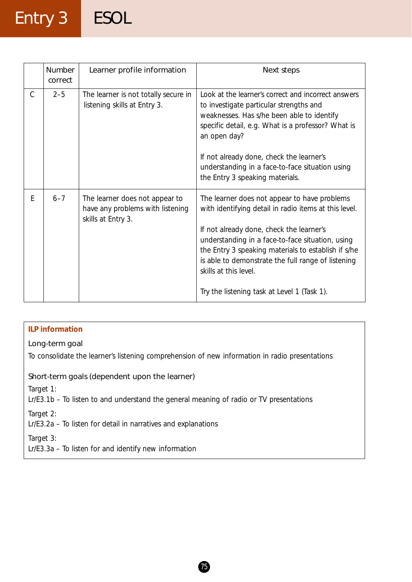### Entry 3 ESOL

|   | <b>Number</b><br>correct | Learner profile information                                                              | Next steps                                                                                                                                                                                                                                                     |
|---|--------------------------|------------------------------------------------------------------------------------------|----------------------------------------------------------------------------------------------------------------------------------------------------------------------------------------------------------------------------------------------------------------|
| C | $2 - 5$                  | The learner is not totally secure in<br>listening skills at Entry 3.                     | Look at the learner's correct and incorrect answers<br>to investigate particular strengths and<br>weaknesses. Has s/he been able to identify<br>specific detail, e.g. What is a professor? What is<br>an open day?<br>If not already done, check the learner's |
|   |                          |                                                                                          | understanding in a face-to-face situation using<br>the Entry 3 speaking materials.                                                                                                                                                                             |
| E | $6 - 7$                  | The learner does not appear to<br>have any problems with listening<br>skills at Entry 3. | The learner does not appear to have problems<br>with identifying detail in radio items at this level.<br>If not already done, check the learner's                                                                                                              |
|   |                          |                                                                                          | understanding in a face-to-face situation, using<br>the Entry 3 speaking materials to establish if s/he<br>is able to demonstrate the full range of listening<br>skills at this level.                                                                         |
|   |                          |                                                                                          | Try the listening task at Level 1 (Task 1).                                                                                                                                                                                                                    |

### **ILP information** Long-term goal To consolidate the learner's listening comprehension of new information in radio presentations Short-term goals (dependent upon the learner) *Target 1:* Lr/E3.1b – To listen to and understand the general meaning of radio or TV presentations *Target 2:* Lr/E3.2a – To listen for detail in narratives and explanations *Target 3:* Lr/E3.3a – To listen for and identify new information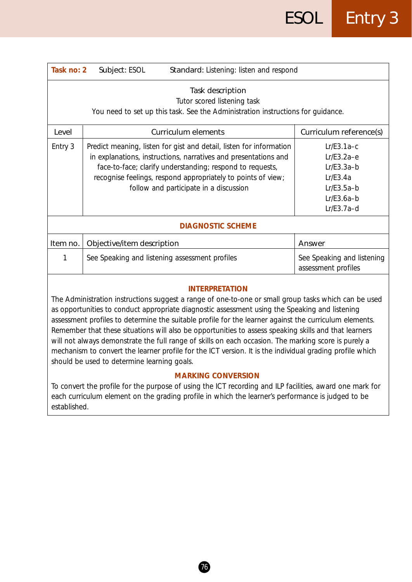| Task no: 2 | Subject: ESOL<br>Standard: Listening: listen and respond                                                                                                                                                                                                                                                      |                                                                                                          |  |  |  |
|------------|---------------------------------------------------------------------------------------------------------------------------------------------------------------------------------------------------------------------------------------------------------------------------------------------------------------|----------------------------------------------------------------------------------------------------------|--|--|--|
|            | Task description<br>Tutor scored listening task<br>You need to set up this task. See the Administration instructions for quidance.                                                                                                                                                                            |                                                                                                          |  |  |  |
| Level      | Curriculum elements                                                                                                                                                                                                                                                                                           | Curriculum reference(s)                                                                                  |  |  |  |
| Entry 3    | Predict meaning, listen for gist and detail, listen for information<br>in explanations, instructions, narratives and presentations and<br>face-to-face; clarify understanding; respond to requests,<br>recognise feelings, respond appropriately to points of view;<br>follow and participate in a discussion | $Lr/E3.1a-c$<br>$Lr/E3.2a-e$<br>$Lr/E3.3a-b$<br>Lr/E3.4a<br>$Lr/E3.5a-b$<br>$Lr/E3.6a-b$<br>$Lr/E3.7a-d$ |  |  |  |
|            | <b>DIAGNOSTIC SCHEME</b>                                                                                                                                                                                                                                                                                      |                                                                                                          |  |  |  |
| Item no.   | Objective/item description                                                                                                                                                                                                                                                                                    | Answer                                                                                                   |  |  |  |
|            | See Speaking and listening assessment profiles                                                                                                                                                                                                                                                                | See Speaking and listening<br>assessment profiles                                                        |  |  |  |
|            |                                                                                                                                                                                                                                                                                                               |                                                                                                          |  |  |  |

The Administration instructions suggest a range of one-to-one or small group tasks which can be used as opportunities to conduct appropriate diagnostic assessment using the Speaking and listening assessment profiles to determine the suitable profile for the learner against the curriculum elements. Remember that these situations will also be opportunities to assess speaking skills and that learners will not always demonstrate the full range of skills on each occasion. The marking score is purely a mechanism to convert the learner profile for the ICT version. It is the individual grading profile which should be used to determine learning goals.

#### **MARKING CONVERSION**

To convert the profile for the purpose of using the ICT recording and ILP facilities, award one mark for each curriculum element on the grading profile in which the learner's performance is judged to be established.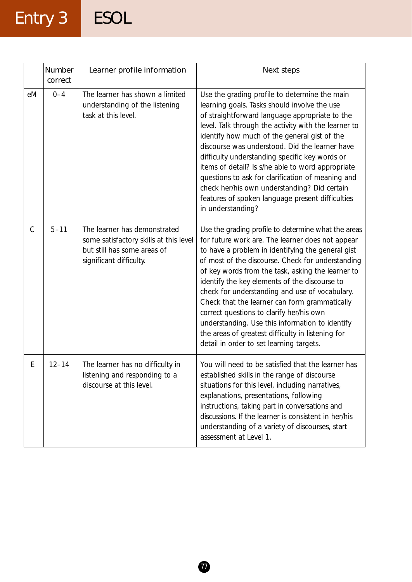# Entry 3 ESOL

|               | Number<br>correct | Learner profile information                                                                                                      | Next steps                                                                                                                                                                                                                                                                                                                                                                                                                                                                                                                                                                                                                 |
|---------------|-------------------|----------------------------------------------------------------------------------------------------------------------------------|----------------------------------------------------------------------------------------------------------------------------------------------------------------------------------------------------------------------------------------------------------------------------------------------------------------------------------------------------------------------------------------------------------------------------------------------------------------------------------------------------------------------------------------------------------------------------------------------------------------------------|
| eM            | $0 - 4$           | The learner has shown a limited<br>understanding of the listening<br>task at this level.                                         | Use the grading profile to determine the main<br>learning goals. Tasks should involve the use<br>of straightforward language appropriate to the<br>level. Talk through the activity with the learner to<br>identify how much of the general gist of the<br>discourse was understood. Did the learner have<br>difficulty understanding specific key words or<br>items of detail? Is s/he able to word appropriate<br>questions to ask for clarification of meaning and<br>check her/his own understanding? Did certain<br>features of spoken language present difficulties<br>in understanding?                             |
| $\mathcal{C}$ | $5 - 11$          | The learner has demonstrated<br>some satisfactory skills at this level<br>but still has some areas of<br>significant difficulty. | Use the grading profile to determine what the areas<br>for future work are. The learner does not appear<br>to have a problem in identifying the general gist<br>of most of the discourse. Check for understanding<br>of key words from the task, asking the learner to<br>identify the key elements of the discourse to<br>check for understanding and use of vocabulary.<br>Check that the learner can form grammatically<br>correct questions to clarify her/his own<br>understanding. Use this information to identify<br>the areas of greatest difficulty in listening for<br>detail in order to set learning targets. |
| Ε             | $12 - 14$         | The learner has no difficulty in<br>listening and responding to a<br>discourse at this level.                                    | You will need to be satisfied that the learner has<br>established skills in the range of discourse<br>situations for this level, including narratives,<br>explanations, presentations, following<br>instructions, taking part in conversations and<br>discussions. If the learner is consistent in her/his<br>understanding of a variety of discourses, start<br>assessment at Level 1.                                                                                                                                                                                                                                    |

 $\boldsymbol{\bm{\theta}}$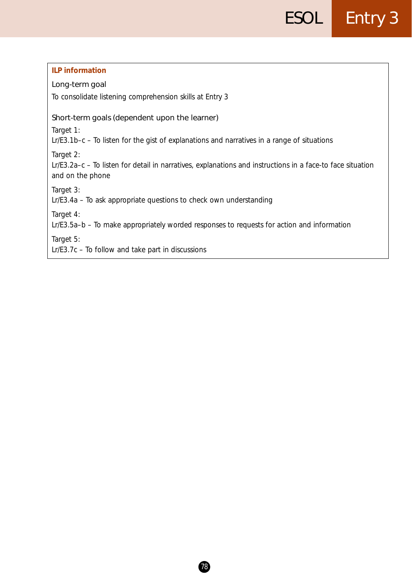| <b>ILP information</b>                                                                                                                      |
|---------------------------------------------------------------------------------------------------------------------------------------------|
| Long-term goal                                                                                                                              |
| To consolidate listening comprehension skills at Entry 3                                                                                    |
| Short-term goals (dependent upon the learner)                                                                                               |
| Target 1:                                                                                                                                   |
| $Lr/E3.1b-c$ – To listen for the gist of explanations and narratives in a range of situations                                               |
| Target 2:<br>Lr/E3.2a-c - To listen for detail in narratives, explanations and instructions in a face-to face situation<br>and on the phone |
| Target 3:                                                                                                                                   |
| Lr/E3.4a - To ask appropriate questions to check own understanding                                                                          |
| Target 4:<br>Lr/E3.5a-b – To make appropriately worded responses to requests for action and information                                     |
| Target 5:<br>$Lr/E3.7c$ – To follow and take part in discussions                                                                            |
|                                                                                                                                             |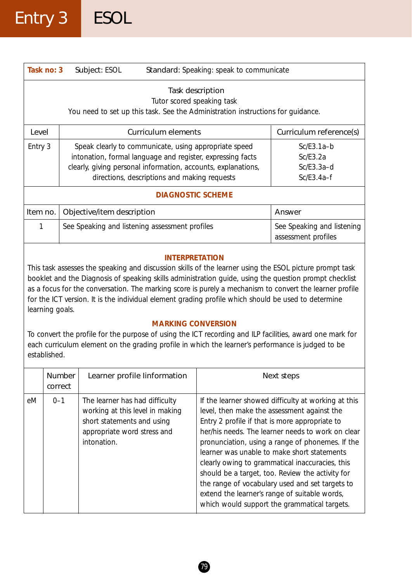|          | Standard: Speaking: speak to communicate<br>Task no: 3<br>Subject: ESOL                                                                                                                                                                                                                                                                                                                                                                                                                                                                                                                                                                                                                                                                       |                                                |  |                                                   |  |
|----------|-----------------------------------------------------------------------------------------------------------------------------------------------------------------------------------------------------------------------------------------------------------------------------------------------------------------------------------------------------------------------------------------------------------------------------------------------------------------------------------------------------------------------------------------------------------------------------------------------------------------------------------------------------------------------------------------------------------------------------------------------|------------------------------------------------|--|---------------------------------------------------|--|
|          | Task description<br>Tutor scored speaking task<br>You need to set up this task. See the Administration instructions for guidance.                                                                                                                                                                                                                                                                                                                                                                                                                                                                                                                                                                                                             |                                                |  |                                                   |  |
| Level    |                                                                                                                                                                                                                                                                                                                                                                                                                                                                                                                                                                                                                                                                                                                                               | <b>Curriculum elements</b>                     |  | Curriculum reference(s)                           |  |
| Entry 3  | Speak clearly to communicate, using appropriate speed<br>$Sc/E3.1a-b$<br>intonation, formal language and register, expressing facts<br>Sc/E3.2a<br>clearly, giving personal information, accounts, explanations,<br>$Sc/E3.3a-d$<br>directions, descriptions and making requests<br>$Sc/E3.4a-f$                                                                                                                                                                                                                                                                                                                                                                                                                                              |                                                |  |                                                   |  |
|          |                                                                                                                                                                                                                                                                                                                                                                                                                                                                                                                                                                                                                                                                                                                                               | <b>DIAGNOSTIC SCHEME</b>                       |  |                                                   |  |
| Item no. |                                                                                                                                                                                                                                                                                                                                                                                                                                                                                                                                                                                                                                                                                                                                               | Objective/item description                     |  | Answer                                            |  |
| 1        |                                                                                                                                                                                                                                                                                                                                                                                                                                                                                                                                                                                                                                                                                                                                               | See Speaking and listening assessment profiles |  | See Speaking and listening<br>assessment profiles |  |
|          | <b>INTERPRETATION</b><br>This task assesses the speaking and discussion skills of the learner using the ESOL picture prompt task<br>booklet and the Diagnosis of speaking skills administration guide, using the question prompt checklist<br>as a focus for the conversation. The marking score is purely a mechanism to convert the learner profile<br>for the ICT version. It is the individual element grading profile which should be used to determine<br>learning goals.<br><b>MARKING CONVERSION</b><br>To convert the profile for the purpose of using the ICT recording and ILP facilities, award one mark for<br>each curriculum element on the grading profile in which the learner's performance is judged to be<br>established. |                                                |  |                                                   |  |
|          | Number<br>correct                                                                                                                                                                                                                                                                                                                                                                                                                                                                                                                                                                                                                                                                                                                             | Learner profile linformation                   |  | Next steps                                        |  |
| eM       | $0 - 1$<br>The learner has had difficulty<br>If the learner showed difficulty at working at this<br>working at this level in making<br>level, then make the assessment against the<br>short statements and using<br>Entry 2 profile if that is more appropriate to<br>her/his needs. The learner needs to work on clear<br>appropriate word stress and<br>intonation.<br>pronunciation, using a range of phonemes. If the<br>learner was unable to make short statements<br>clearly owing to grammatical inaccuracies, this<br>should be a target, too. Review the activity for<br>the range of vocabulary used and set targets to<br>extend the learner's range of suitable words,<br>which would support the grammatical targets.           |                                                |  |                                                   |  |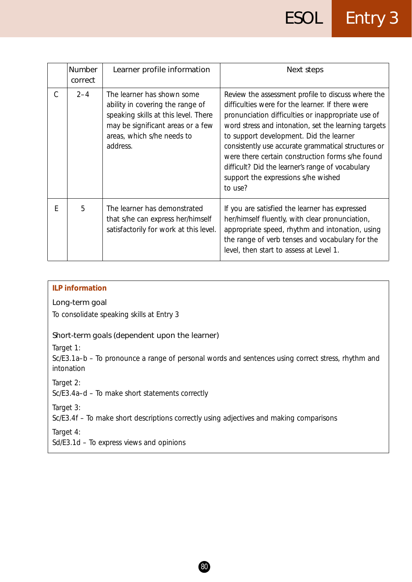|   | <b>Number</b><br>correct | Learner profile information                                                                                                                                                           | Next steps                                                                                                                                                                                                                                                                                                                                                                                                                                                                       |
|---|--------------------------|---------------------------------------------------------------------------------------------------------------------------------------------------------------------------------------|----------------------------------------------------------------------------------------------------------------------------------------------------------------------------------------------------------------------------------------------------------------------------------------------------------------------------------------------------------------------------------------------------------------------------------------------------------------------------------|
| C | $2 - 4$                  | The learner has shown some<br>ability in covering the range of<br>speaking skills at this level. There<br>may be significant areas or a few<br>areas, which s/he needs to<br>address. | Review the assessment profile to discuss where the<br>difficulties were for the learner. If there were<br>pronunciation difficulties or inappropriate use of<br>word stress and intonation, set the learning targets<br>to support development. Did the learner<br>consistently use accurate grammatical structures or<br>were there certain construction forms s/he found<br>difficult? Did the learner's range of vocabulary<br>support the expressions s/he wished<br>to use? |
| F | 5                        | The learner has demonstrated<br>that s/he can express her/himself<br>satisfactorily for work at this level.                                                                           | If you are satisfied the learner has expressed<br>her/himself fluently, with clear pronunciation,<br>appropriate speed, rhythm and intonation, using<br>the range of verb tenses and vocabulary for the<br>level, then start to assess at Level 1.                                                                                                                                                                                                                               |

#### **ILP information**

Long-term goal

To consolidate speaking skills at Entry 3

#### Short-term goals (dependent upon the learner)

*Target 1:*

Sc/E3.1a–b – To pronounce a range of personal words and sentences using correct stress, rhythm and intonation

*Target 2:*

Sc/E3.4a–d – To make short statements correctly

*Target 3:*

Sc/E3.4f – To make short descriptions correctly using adjectives and making comparisons

*Target 4:*

Sd/E3.1d – To express views and opinions

 $(80)$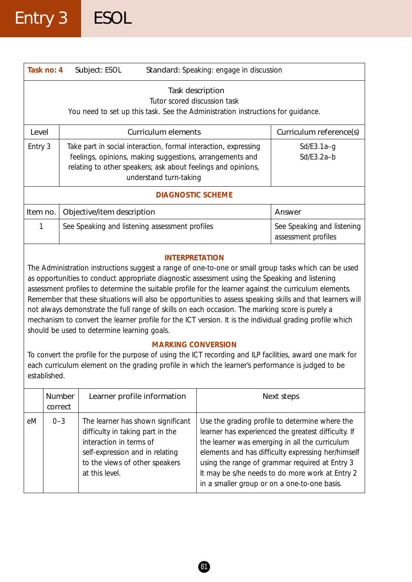| Task no: 4                                                                                                                                                                                                                                                                                                                                                                                                                                                                                                                                                                                                                                                                                                            | Subject: ESOL                                                                                                                       | Standard: Speaking: engage in discussion                                                                                                                                                                              |                                                   |  |  |
|-----------------------------------------------------------------------------------------------------------------------------------------------------------------------------------------------------------------------------------------------------------------------------------------------------------------------------------------------------------------------------------------------------------------------------------------------------------------------------------------------------------------------------------------------------------------------------------------------------------------------------------------------------------------------------------------------------------------------|-------------------------------------------------------------------------------------------------------------------------------------|-----------------------------------------------------------------------------------------------------------------------------------------------------------------------------------------------------------------------|---------------------------------------------------|--|--|
|                                                                                                                                                                                                                                                                                                                                                                                                                                                                                                                                                                                                                                                                                                                       | Task description<br>Tutor scored discussion task<br>You need to set up this task. See the Administration instructions for guidance. |                                                                                                                                                                                                                       |                                                   |  |  |
| Level                                                                                                                                                                                                                                                                                                                                                                                                                                                                                                                                                                                                                                                                                                                 |                                                                                                                                     | Curriculum elements                                                                                                                                                                                                   | Curriculum reference(s)                           |  |  |
| Entry 3                                                                                                                                                                                                                                                                                                                                                                                                                                                                                                                                                                                                                                                                                                               |                                                                                                                                     | Take part in social interaction, formal interaction, expressing<br>feelings, opinions, making suggestions, arrangements and<br>relating to other speakers; ask about feelings and opinions,<br>understand turn-taking | $Sd/E3.1a-g$<br>$Sd/E3.2a-b$                      |  |  |
|                                                                                                                                                                                                                                                                                                                                                                                                                                                                                                                                                                                                                                                                                                                       | <b>DIAGNOSTIC SCHEME</b>                                                                                                            |                                                                                                                                                                                                                       |                                                   |  |  |
| Item no.                                                                                                                                                                                                                                                                                                                                                                                                                                                                                                                                                                                                                                                                                                              | Objective/item description                                                                                                          |                                                                                                                                                                                                                       | Answer                                            |  |  |
| 1                                                                                                                                                                                                                                                                                                                                                                                                                                                                                                                                                                                                                                                                                                                     | See Speaking and listening assessment profiles                                                                                      |                                                                                                                                                                                                                       | See Speaking and listening<br>assessment profiles |  |  |
| <b>INTERPRETATION</b><br>The Administration instructions suggest a range of one-to-one or small group tasks which can be used<br>as opportunities to conduct appropriate diagnostic assessment using the Speaking and listening<br>assessment profiles to determine the suitable profile for the learner against the curriculum elements.<br>Remember that these situations will also be opportunities to assess speaking skills and that learners will<br>not always demonstrate the full range of skills on each occasion. The marking score is purely a<br>mechanism to convert the learner profile for the ICT version. It is the individual grading profile which<br>should be used to determine learning goals. |                                                                                                                                     |                                                                                                                                                                                                                       |                                                   |  |  |
| <b>MARKING CONVERSION</b><br>To convert the profile for the purpose of using the ICT recording and ILP facilities, award one mark for<br>each curriculum element on the grading profile in which the learner's performance is judged to be<br>established.                                                                                                                                                                                                                                                                                                                                                                                                                                                            |                                                                                                                                     |                                                                                                                                                                                                                       |                                                   |  |  |

|    | <b>Number</b><br>correct | Learner profile information                                                                                                                                                             | Next steps                                                                                                                                                                                                                                                                                                                                                         |
|----|--------------------------|-----------------------------------------------------------------------------------------------------------------------------------------------------------------------------------------|--------------------------------------------------------------------------------------------------------------------------------------------------------------------------------------------------------------------------------------------------------------------------------------------------------------------------------------------------------------------|
| eМ | $0 - 3$                  | The learner has shown significant<br>difficulty in taking part in the<br>interaction in terms of<br>self-expression and in relating<br>to the views of other speakers<br>at this level. | Use the grading profile to determine where the<br>learner has experienced the greatest difficulty. If<br>the learner was emerging in all the curriculum<br>elements and has difficulty expressing her/himself<br>using the range of grammar required at Entry 3<br>It may be s/he needs to do more work at Entry 2<br>in a smaller group or on a one-to-one basis. |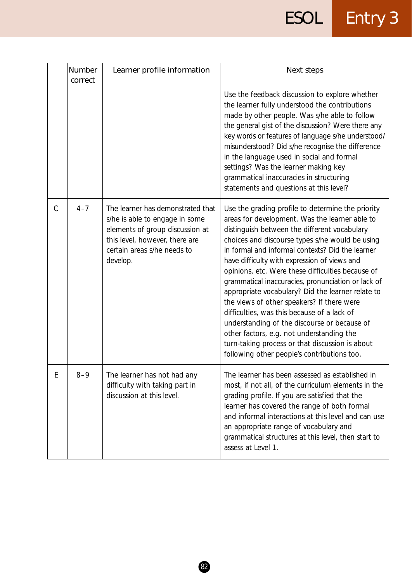# ESOL Entry 3

|               | Number<br>correct | Learner profile information                                                                                                                                                         | Next steps                                                                                                                                                                                                                                                                                                                                                                                                                                                                                                                                                                                                                                                                                                                                                             |
|---------------|-------------------|-------------------------------------------------------------------------------------------------------------------------------------------------------------------------------------|------------------------------------------------------------------------------------------------------------------------------------------------------------------------------------------------------------------------------------------------------------------------------------------------------------------------------------------------------------------------------------------------------------------------------------------------------------------------------------------------------------------------------------------------------------------------------------------------------------------------------------------------------------------------------------------------------------------------------------------------------------------------|
|               |                   |                                                                                                                                                                                     | Use the feedback discussion to explore whether<br>the learner fully understood the contributions<br>made by other people. Was s/he able to follow<br>the general gist of the discussion? Were there any<br>key words or features of language s/he understood/<br>misunderstood? Did s/he recognise the difference<br>in the language used in social and formal<br>settings? Was the learner making key<br>grammatical inaccuracies in structuring<br>statements and questions at this level?                                                                                                                                                                                                                                                                           |
| $\mathcal{C}$ | $4 - 7$           | The learner has demonstrated that<br>s/he is able to engage in some<br>elements of group discussion at<br>this level, however, there are<br>certain areas s/he needs to<br>develop. | Use the grading profile to determine the priority<br>areas for development. Was the learner able to<br>distinguish between the different vocabulary<br>choices and discourse types s/he would be using<br>in formal and informal contexts? Did the learner<br>have difficulty with expression of views and<br>opinions, etc. Were these difficulties because of<br>grammatical inaccuracies, pronunciation or lack of<br>appropriate vocabulary? Did the learner relate to<br>the views of other speakers? If there were<br>difficulties, was this because of a lack of<br>understanding of the discourse or because of<br>other factors, e.g. not understanding the<br>turn-taking process or that discussion is about<br>following other people's contributions too. |
| Ŀ             | $8 - 9$           | The learner has not had any<br>difficulty with taking part in<br>discussion at this level.                                                                                          | The learner has been assessed as established in<br>most, if not all, of the curriculum elements in the<br>grading profile. If you are satisfied that the<br>learner has covered the range of both formal<br>and informal interactions at this level and can use<br>an appropriate range of vocabulary and<br>grammatical structures at this level, then start to<br>assess at Level 1.                                                                                                                                                                                                                                                                                                                                                                                 |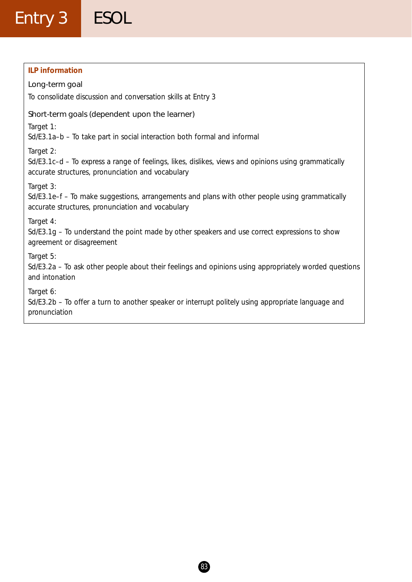### Entry 3 ESOL

#### **ILP information**

#### Long-term goal To consolidate discussion and conversation skills at Entry 3

#### Short-term goals (dependent upon the learner)

*Target 1:*

Sd/E3.1a–b – To take part in social interaction both formal and informal

*Target 2:*

Sd/E3.1c–d – To express a range of feelings, likes, dislikes, views and opinions using grammatically accurate structures, pronunciation and vocabulary

*Target 3:*

Sd/E3.1e–f – To make suggestions, arrangements and plans with other people using grammatically accurate structures, pronunciation and vocabulary

*Target 4:*

Sd/E3.1g – To understand the point made by other speakers and use correct expressions to show agreement or disagreement

*Target 5:*

Sd/E3.2a – To ask other people about their feelings and opinions using appropriately worded questions and intonation

*Target 6:*

Sd/E3.2b – To offer a turn to another speaker or interrupt politely using appropriate language and pronunciation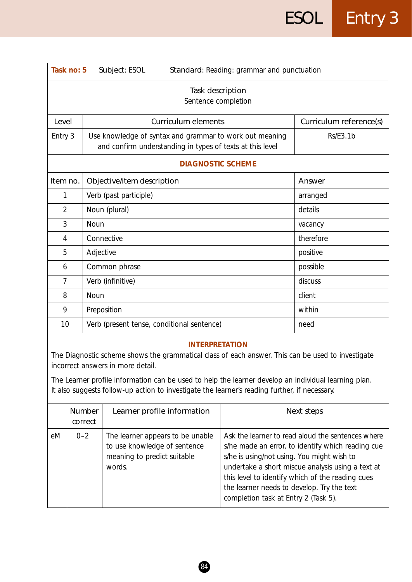| Task no: 5<br>Subject: ESOL<br>Standard: Reading: grammar and punctuation |                                                                                                                      |                         |  |  |
|---------------------------------------------------------------------------|----------------------------------------------------------------------------------------------------------------------|-------------------------|--|--|
| Task description<br>Sentence completion                                   |                                                                                                                      |                         |  |  |
| Level                                                                     | <b>Curriculum elements</b>                                                                                           | Curriculum reference(s) |  |  |
| Entry 3                                                                   | Use knowledge of syntax and grammar to work out meaning<br>and confirm understanding in types of texts at this level | <b>Rs/E3.1b</b>         |  |  |
|                                                                           | <b>DIAGNOSTIC SCHEME</b>                                                                                             |                         |  |  |
| Item no.                                                                  | Objective/item description                                                                                           | Answer                  |  |  |
| 1                                                                         | Verb (past participle)                                                                                               | arranged                |  |  |
| $\overline{2}$                                                            | Noun (plural)                                                                                                        | details                 |  |  |
| 3                                                                         | Noun                                                                                                                 | vacancy                 |  |  |
| 4                                                                         | Connective                                                                                                           | therefore               |  |  |
| 5                                                                         | Adjective                                                                                                            | positive                |  |  |
| 6                                                                         | Common phrase                                                                                                        | possible                |  |  |
| 7                                                                         | Verb (infinitive)                                                                                                    | discuss                 |  |  |
| 8                                                                         | Noun                                                                                                                 | client                  |  |  |
| 9                                                                         | Preposition                                                                                                          | within                  |  |  |
| 10                                                                        | Verb (present tense, conditional sentence)                                                                           | need                    |  |  |

The Diagnostic scheme shows the grammatical class of each answer. This can be used to investigate incorrect answers in more detail.

The Learner profile information can be used to help the learner develop an individual learning plan. It also suggests follow-up action to investigate the learner's reading further, if necessary.

|    | <b>Number</b><br>correct | Learner profile information                                                                               | Next steps                                                                                                                                                                                                                                                                                                                                          |
|----|--------------------------|-----------------------------------------------------------------------------------------------------------|-----------------------------------------------------------------------------------------------------------------------------------------------------------------------------------------------------------------------------------------------------------------------------------------------------------------------------------------------------|
| eM | $0 - 2$                  | The learner appears to be unable<br>to use knowledge of sentence<br>meaning to predict suitable<br>words. | Ask the learner to read aloud the sentences where<br>s/he made an error, to identify which reading cue<br>s/he is using/not using. You might wish to<br>undertake a short miscue analysis using a text at<br>this level to identify which of the reading cues<br>the learner needs to develop. Try the text<br>completion task at Entry 2 (Task 5). |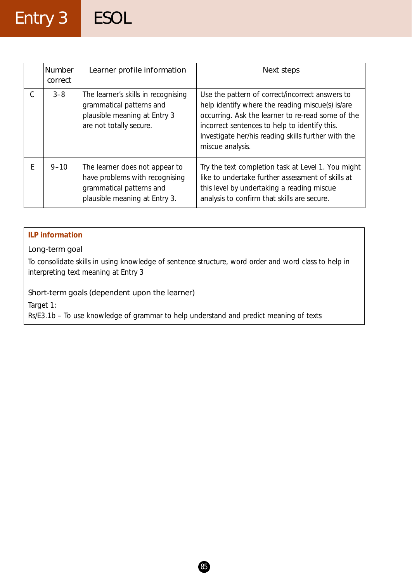### Entry 3 ESOL

| <b>Number</b><br>correct | Learner profile information                                                                                                   | Next steps                                                                                                                                                                                                                                                                           |
|--------------------------|-------------------------------------------------------------------------------------------------------------------------------|--------------------------------------------------------------------------------------------------------------------------------------------------------------------------------------------------------------------------------------------------------------------------------------|
| $3 - 8$                  | The learner's skills in recognising<br>grammatical patterns and<br>plausible meaning at Entry 3<br>are not totally secure.    | Use the pattern of correct/incorrect answers to<br>help identify where the reading miscue(s) is/are<br>occurring. Ask the learner to re-read some of the<br>incorrect sentences to help to identify this.<br>Investigate her/his reading skills further with the<br>miscue analysis. |
| $9 - 10$                 | The learner does not appear to<br>have problems with recognising<br>grammatical patterns and<br>plausible meaning at Entry 3. | Try the text completion task at Level 1. You might<br>like to undertake further assessment of skills at<br>this level by undertaking a reading miscue<br>analysis to confirm that skills are secure.                                                                                 |

#### **ILP information**

#### Long-term goal

To consolidate skills in using knowledge of sentence structure, word order and word class to help in interpreting text meaning at Entry 3

#### Short-term goals (dependent upon the learner)

*Target 1:*

Rs/E3.1b – To use knowledge of grammar to help understand and predict meaning of texts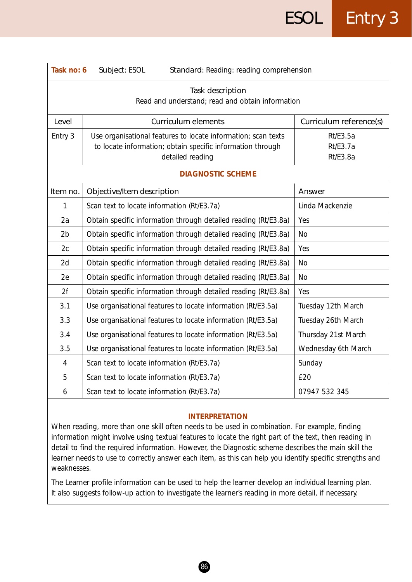| Task no: 6<br>Subject: ESOL<br>Standard: Reading: reading comprehension |                                                                                                                                                 |                                                       |  |
|-------------------------------------------------------------------------|-------------------------------------------------------------------------------------------------------------------------------------------------|-------------------------------------------------------|--|
| Task description<br>Read and understand; read and obtain information    |                                                                                                                                                 |                                                       |  |
| Level                                                                   | <b>Curriculum elements</b>                                                                                                                      | Curriculum reference(s)                               |  |
| Entry 3                                                                 | Use organisational features to locate information; scan texts<br>to locate information; obtain specific information through<br>detailed reading | <b>Rt/E3.5a</b><br><b>Rt/E3.7a</b><br><b>Rt/E3.8a</b> |  |
|                                                                         | <b>DIAGNOSTIC SCHEME</b>                                                                                                                        |                                                       |  |
| Item no.                                                                | Objective/Item description                                                                                                                      | Answer                                                |  |
| 1                                                                       | Scan text to locate information (Rt/E3.7a)                                                                                                      | Linda Mackenzie                                       |  |
| 2a                                                                      | Obtain specific information through detailed reading (Rt/E3.8a)                                                                                 | Yes                                                   |  |
| 2 <sub>b</sub>                                                          | Obtain specific information through detailed reading (Rt/E3.8a)                                                                                 | <b>No</b>                                             |  |
| 2c                                                                      | Obtain specific information through detailed reading (Rt/E3.8a)                                                                                 | Yes                                                   |  |
| 2d                                                                      | Obtain specific information through detailed reading (Rt/E3.8a)                                                                                 | <b>No</b>                                             |  |
| 2e                                                                      | Obtain specific information through detailed reading (Rt/E3.8a)                                                                                 | <b>No</b>                                             |  |
| 2f                                                                      | Obtain specific information through detailed reading (Rt/E3.8a)                                                                                 | Yes                                                   |  |
| 3.1                                                                     | Use organisational features to locate information (Rt/E3.5a)                                                                                    | Tuesday 12th March                                    |  |
| 3.3                                                                     | Use organisational features to locate information (Rt/E3.5a)                                                                                    | Tuesday 26th March                                    |  |
| 3.4                                                                     | Use organisational features to locate information (Rt/E3.5a)                                                                                    | Thursday 21st March                                   |  |
| 3.5                                                                     | Use organisational features to locate information (Rt/E3.5a)                                                                                    | Wednesday 6th March                                   |  |
| $\overline{4}$                                                          | Scan text to locate information (Rt/E3.7a)                                                                                                      | Sunday                                                |  |
| 5                                                                       | Scan text to locate information (Rt/E3.7a)                                                                                                      | £20                                                   |  |
| 6                                                                       | Scan text to locate information (Rt/E3.7a)                                                                                                      | 07947 532 345                                         |  |

When reading, more than one skill often needs to be used in combination. For example, finding information might involve using textual features to locate the right part of the text, then reading in detail to find the required information. However, the Diagnostic scheme describes the main skill the learner needs to use to correctly answer each item, as this can help you identify specific strengths and weaknesses.

The Learner profile information can be used to help the learner develop an individual learning plan. It also suggests follow-up action to investigate the learner's reading in more detail, if necessary.

 $(86)$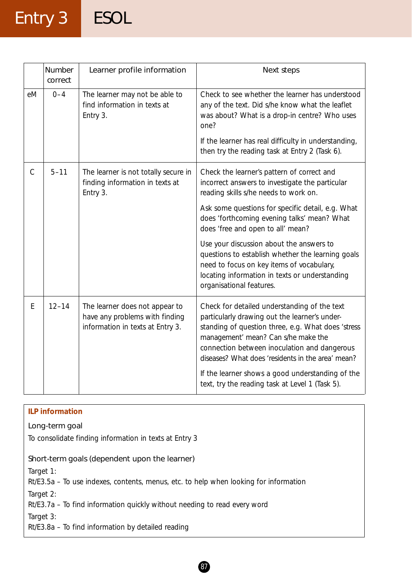## Entry 3 ESOL

|               | Number<br>correct | Learner profile information                                                                          | Next steps                                                                                                                                                                                                                                                                                      |
|---------------|-------------------|------------------------------------------------------------------------------------------------------|-------------------------------------------------------------------------------------------------------------------------------------------------------------------------------------------------------------------------------------------------------------------------------------------------|
| eM            | $0 - 4$           | The learner may not be able to<br>find information in texts at<br>Entry 3.                           | Check to see whether the learner has understood<br>any of the text. Did s/he know what the leaflet<br>was about? What is a drop-in centre? Who uses<br>one?<br>If the learner has real difficulty in understanding,                                                                             |
|               |                   |                                                                                                      | then try the reading task at Entry 2 (Task 6).                                                                                                                                                                                                                                                  |
| $\mathcal{C}$ | $5 - 11$          | The learner is not totally secure in<br>finding information in texts at<br>Entry 3.                  | Check the learner's pattern of correct and<br>incorrect answers to investigate the particular<br>reading skills s/he needs to work on.                                                                                                                                                          |
|               |                   |                                                                                                      | Ask some questions for specific detail, e.g. What<br>does 'forthcoming evening talks' mean? What<br>does 'free and open to all' mean?                                                                                                                                                           |
|               |                   |                                                                                                      | Use your discussion about the answers to<br>questions to establish whether the learning goals<br>need to focus on key items of vocabulary,<br>locating information in texts or understanding<br>organisational features.                                                                        |
| E             | $12 - 14$         | The learner does not appear to<br>have any problems with finding<br>information in texts at Entry 3. | Check for detailed understanding of the text<br>particularly drawing out the learner's under-<br>standing of question three, e.g. What does 'stress<br>management' mean? Can s/he make the<br>connection between inoculation and dangerous<br>diseases? What does 'residents in the area' mean? |
|               |                   |                                                                                                      | If the learner shows a good understanding of the<br>text, try the reading task at Level 1 (Task 5).                                                                                                                                                                                             |

| <b>ILP information</b>                                                                 |
|----------------------------------------------------------------------------------------|
| Long-term goal                                                                         |
| To consolidate finding information in texts at Entry 3                                 |
| Short-term goals (dependent upon the learner)                                          |
| Target 1:                                                                              |
| Rt/E3.5a – To use indexes, contents, menus, etc. to help when looking for information  |
| Target 2:<br>Rt/E3.7a – To find information quickly without needing to read every word |
| Target 3:                                                                              |
| $Rt/E3.8a$ – To find information by detailed reading                                   |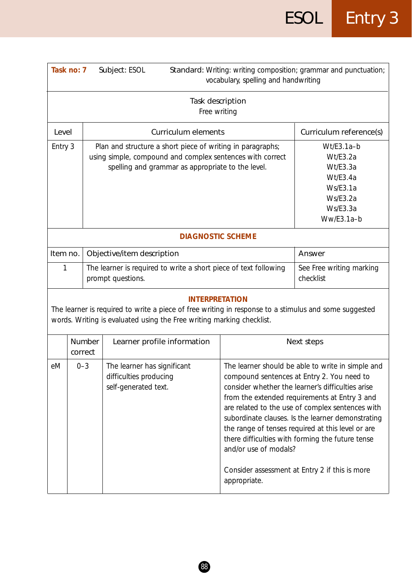| Task no: 7<br>Subject: ESOL                                     |                                                                                                                                                                                         |                                                                                                                                                                                                         | vocabulary, spelling and handwriting  | Standard: Writing: writing composition; grammar and punctuation;                                                                                                                                                                                                                                                                                                                                                                                                          |  |  |
|-----------------------------------------------------------------|-----------------------------------------------------------------------------------------------------------------------------------------------------------------------------------------|---------------------------------------------------------------------------------------------------------------------------------------------------------------------------------------------------------|---------------------------------------|---------------------------------------------------------------------------------------------------------------------------------------------------------------------------------------------------------------------------------------------------------------------------------------------------------------------------------------------------------------------------------------------------------------------------------------------------------------------------|--|--|
|                                                                 | Task description<br>Free writing                                                                                                                                                        |                                                                                                                                                                                                         |                                       |                                                                                                                                                                                                                                                                                                                                                                                                                                                                           |  |  |
| Level                                                           |                                                                                                                                                                                         | <b>Curriculum elements</b>                                                                                                                                                                              |                                       | Curriculum reference(s)                                                                                                                                                                                                                                                                                                                                                                                                                                                   |  |  |
|                                                                 | Entry 3<br>Plan and structure a short piece of writing in paragraphs;<br>using simple, compound and complex sentences with correct<br>spelling and grammar as appropriate to the level. |                                                                                                                                                                                                         |                                       |                                                                                                                                                                                                                                                                                                                                                                                                                                                                           |  |  |
|                                                                 | <b>DIAGNOSTIC SCHEME</b>                                                                                                                                                                |                                                                                                                                                                                                         |                                       |                                                                                                                                                                                                                                                                                                                                                                                                                                                                           |  |  |
| Item no.                                                        |                                                                                                                                                                                         | Objective/item description                                                                                                                                                                              |                                       | Answer                                                                                                                                                                                                                                                                                                                                                                                                                                                                    |  |  |
| 1                                                               |                                                                                                                                                                                         | The learner is required to write a short piece of text following<br>prompt questions.                                                                                                                   |                                       | See Free writing marking<br>checklist                                                                                                                                                                                                                                                                                                                                                                                                                                     |  |  |
|                                                                 |                                                                                                                                                                                         | <b>INTERPRETATION</b><br>The learner is required to write a piece of free writing in response to a stimulus and some suggested<br>words. Writing is evaluated using the Free writing marking checklist. |                                       |                                                                                                                                                                                                                                                                                                                                                                                                                                                                           |  |  |
|                                                                 | <b>Number</b><br>correct                                                                                                                                                                | Learner profile information                                                                                                                                                                             |                                       | Next steps                                                                                                                                                                                                                                                                                                                                                                                                                                                                |  |  |
| eM<br>$0 - 3$<br>difficulties producing<br>self-generated text. |                                                                                                                                                                                         | The learner has significant                                                                                                                                                                             | and/or use of modals?<br>appropriate. | The learner should be able to write in simple and<br>compound sentences at Entry 2. You need to<br>consider whether the learner's difficulties arise<br>from the extended requirements at Entry 3 and<br>are related to the use of complex sentences with<br>subordinate clauses. Is the learner demonstrating<br>the range of tenses required at this level or are<br>there difficulties with forming the future tense<br>Consider assessment at Entry 2 if this is more |  |  |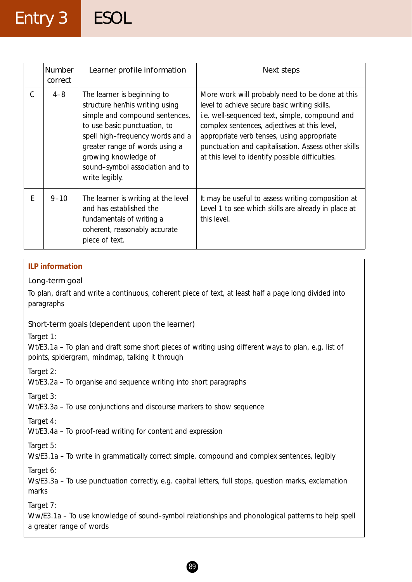### Entry 3 ESOL

|   | Number<br>correct | Learner profile information                                                                                                                                                                                                                                                         | Next steps                                                                                                                                                                                                                                                                                                                                                  |
|---|-------------------|-------------------------------------------------------------------------------------------------------------------------------------------------------------------------------------------------------------------------------------------------------------------------------------|-------------------------------------------------------------------------------------------------------------------------------------------------------------------------------------------------------------------------------------------------------------------------------------------------------------------------------------------------------------|
| С | $4 - 8$           | The learner is beginning to<br>structure her/his writing using<br>simple and compound sentences,<br>to use basic punctuation, to<br>spell high-frequency words and a<br>greater range of words using a<br>growing knowledge of<br>sound-symbol association and to<br>write legibly. | More work will probably need to be done at this<br>level to achieve secure basic writing skills,<br>i.e. well-sequenced text, simple, compound and<br>complex sentences, adjectives at this level,<br>appropriate verb tenses, using appropriate<br>punctuation and capitalisation. Assess other skills<br>at this level to identify possible difficulties. |
| E | $9 - 10$          | The learner is writing at the level<br>and has established the<br>fundamentals of writing a<br>coherent, reasonably accurate<br>piece of text.                                                                                                                                      | It may be useful to assess writing composition at<br>Level 1 to see which skills are already in place at<br>this level.                                                                                                                                                                                                                                     |

#### **ILP information**

#### Long-term goal

To plan, draft and write a continuous, coherent piece of text, at least half a page long divided into paragraphs

#### Short-term goals (dependent upon the learner)

*Target 1:*

Wt/E3.1a – To plan and draft some short pieces of writing using different ways to plan, e.g. list of points, spidergram, mindmap, talking it through

*Target 2:*

Wt/E3.2a – To organise and sequence writing into short paragraphs

*Target 3:*

Wt/E3.3a – To use conjunctions and discourse markers to show sequence

*Target 4:*

Wt/E3.4a – To proof-read writing for content and expression

*Target 5:*

Ws/E3.1a – To write in grammatically correct simple, compound and complex sentences, legibly

*Target 6:*

Ws/E3.3a – To use punctuation correctly, e.g. capital letters, full stops, question marks, exclamation marks

*Target 7:*

Ww/E3.1a – To use knowledge of sound–symbol relationships and phonological patterns to help spell a greater range of words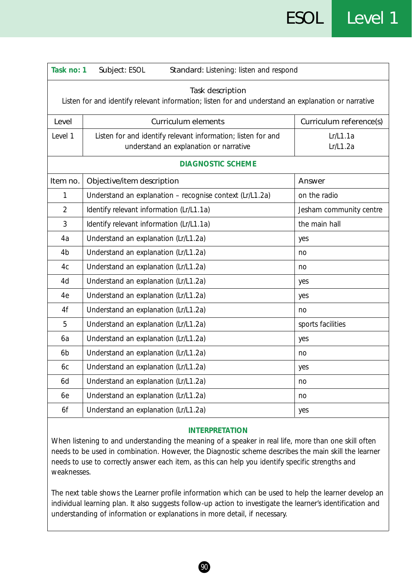| Task no: 1<br>Subject: ESOL<br>Standard: Listening: listen and respond                                                  |                                                                                                        |                         |  |  |
|-------------------------------------------------------------------------------------------------------------------------|--------------------------------------------------------------------------------------------------------|-------------------------|--|--|
| Task description<br>Listen for and identify relevant information; listen for and understand an explanation or narrative |                                                                                                        |                         |  |  |
| Level                                                                                                                   | <b>Curriculum elements</b>                                                                             | Curriculum reference(s) |  |  |
| Level 1                                                                                                                 | Listen for and identify relevant information; listen for and<br>understand an explanation or narrative | Lr/L1.1a<br>Lr/L1.2a    |  |  |
|                                                                                                                         | <b>DIAGNOSTIC SCHEME</b>                                                                               |                         |  |  |
| Item no.                                                                                                                | Objective/item description                                                                             | Answer                  |  |  |
| 1                                                                                                                       | Understand an explanation - recognise context (Lr/L1.2a)                                               | on the radio            |  |  |
| $\overline{2}$                                                                                                          | Identify relevant information (Lr/L1.1a)                                                               | Jesham community centre |  |  |
| 3                                                                                                                       | Identify relevant information (Lr/L1.1a)                                                               | the main hall           |  |  |
| 4a                                                                                                                      | Understand an explanation (Lr/L1.2a)                                                                   | yes                     |  |  |
| 4b                                                                                                                      | Understand an explanation (Lr/L1.2a)                                                                   | no                      |  |  |
| 4c                                                                                                                      | Understand an explanation (Lr/L1.2a)                                                                   | no                      |  |  |
| 4d                                                                                                                      | Understand an explanation (Lr/L1.2a)                                                                   | yes                     |  |  |
| 4e                                                                                                                      | Understand an explanation (Lr/L1.2a)                                                                   | yes                     |  |  |
| 4f                                                                                                                      | Understand an explanation (Lr/L1.2a)                                                                   | no                      |  |  |
| 5                                                                                                                       | Understand an explanation (Lr/L1.2a)                                                                   | sports facilities       |  |  |
| 6a                                                                                                                      | Understand an explanation (Lr/L1.2a)                                                                   | yes                     |  |  |
| 6 <sub>b</sub>                                                                                                          | Understand an explanation (Lr/L1.2a)                                                                   | no                      |  |  |
| 6с                                                                                                                      | Understand an explanation (Lr/L1.2a)                                                                   | yes                     |  |  |
| 6d                                                                                                                      | Understand an explanation (Lr/L1.2a)                                                                   | no                      |  |  |
| 6e                                                                                                                      | Understand an explanation (Lr/L1.2a)                                                                   | no                      |  |  |
| 6f                                                                                                                      | Understand an explanation (Lr/L1.2a)                                                                   | yes                     |  |  |

When listening to and understanding the meaning of a speaker in real life, more than one skill often needs to be used in combination. However, the Diagnostic scheme describes the main skill the learner needs to use to correctly answer each item, as this can help you identify specific strengths and weaknesses.

The next table shows the Learner profile information which can be used to help the learner develop an individual learning plan. It also suggests follow-up action to investigate the learner's identification and understanding of information or explanations in more detail, if necessary.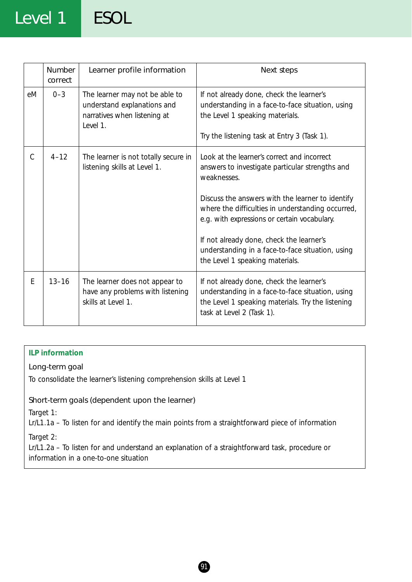### Level 1 ESOL

|               | <b>Number</b><br>correct | Learner profile information                                                                               | Next steps                                                                                                                                                                                                                                                                                                                                                                                                |
|---------------|--------------------------|-----------------------------------------------------------------------------------------------------------|-----------------------------------------------------------------------------------------------------------------------------------------------------------------------------------------------------------------------------------------------------------------------------------------------------------------------------------------------------------------------------------------------------------|
| eM            | $0 - 3$                  | The learner may not be able to<br>understand explanations and<br>narratives when listening at<br>Level 1. | If not already done, check the learner's<br>understanding in a face-to-face situation, using<br>the Level 1 speaking materials.<br>Try the listening task at Entry 3 (Task 1).                                                                                                                                                                                                                            |
| $\mathcal{C}$ | $4 - 12$                 | The learner is not totally secure in<br>listening skills at Level 1.                                      | Look at the learner's correct and incorrect<br>answers to investigate particular strengths and<br>weaknesses.<br>Discuss the answers with the learner to identify<br>where the difficulties in understanding occurred,<br>e.g. with expressions or certain vocabulary.<br>If not already done, check the learner's<br>understanding in a face-to-face situation, using<br>the Level 1 speaking materials. |
| E             | $13 - 16$                | The learner does not appear to<br>have any problems with listening<br>skills at Level 1.                  | If not already done, check the learner's<br>understanding in a face-to-face situation, using<br>the Level 1 speaking materials. Try the listening<br>task at Level 2 (Task 1).                                                                                                                                                                                                                            |

#### **ILP information**

#### Long-term goal

To consolidate the learner's listening comprehension skills at Level 1

#### Short-term goals (dependent upon the learner)

*Target 1:*

Lr/L1.1a – To listen for and identify the main points from a straightforward piece of information

*Target 2:*

Lr/L1.2a – To listen for and understand an explanation of a straightforward task, procedure or information in a one-to-one situation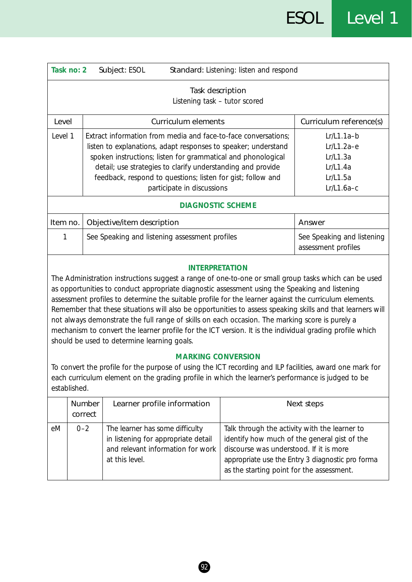|              | Task no: 2                                                                                                                                                                                                                                                                                                                                                                                                                                                                                                                                                                                                                                                                                                                                                                                                                                                                                                                                                          | Standard: Listening: listen and respond<br>Subject: ESOL                                                                      |                                                                                                                                       |                                                                                                  |  |
|--------------|---------------------------------------------------------------------------------------------------------------------------------------------------------------------------------------------------------------------------------------------------------------------------------------------------------------------------------------------------------------------------------------------------------------------------------------------------------------------------------------------------------------------------------------------------------------------------------------------------------------------------------------------------------------------------------------------------------------------------------------------------------------------------------------------------------------------------------------------------------------------------------------------------------------------------------------------------------------------|-------------------------------------------------------------------------------------------------------------------------------|---------------------------------------------------------------------------------------------------------------------------------------|--------------------------------------------------------------------------------------------------|--|
|              | Task description<br>Listening task - tutor scored                                                                                                                                                                                                                                                                                                                                                                                                                                                                                                                                                                                                                                                                                                                                                                                                                                                                                                                   |                                                                                                                               |                                                                                                                                       |                                                                                                  |  |
| Level        |                                                                                                                                                                                                                                                                                                                                                                                                                                                                                                                                                                                                                                                                                                                                                                                                                                                                                                                                                                     | <b>Curriculum elements</b>                                                                                                    |                                                                                                                                       | Curriculum reference(s)                                                                          |  |
| Level 1      | Extract information from media and face-to-face conversations;<br>listen to explanations, adapt responses to speaker; understand<br>spoken instructions; listen for grammatical and phonological<br>detail; use strategies to clarify understanding and provide<br>feedback, respond to questions; listen for gist; follow and<br>participate in discussions                                                                                                                                                                                                                                                                                                                                                                                                                                                                                                                                                                                                        |                                                                                                                               |                                                                                                                                       | $Lr/L1.1a-b$<br>$Lr/L1.2a-e$<br>Lr/L1.3a<br>Lr/L1.4a<br>Lr/L1.5a<br>$Lr/L1.6a-c$                 |  |
|              |                                                                                                                                                                                                                                                                                                                                                                                                                                                                                                                                                                                                                                                                                                                                                                                                                                                                                                                                                                     | <b>DIAGNOSTIC SCHEME</b>                                                                                                      |                                                                                                                                       |                                                                                                  |  |
| Item no.     |                                                                                                                                                                                                                                                                                                                                                                                                                                                                                                                                                                                                                                                                                                                                                                                                                                                                                                                                                                     | Objective/item description                                                                                                    |                                                                                                                                       | Answer                                                                                           |  |
| 1            | See Speaking and listening assessment profiles                                                                                                                                                                                                                                                                                                                                                                                                                                                                                                                                                                                                                                                                                                                                                                                                                                                                                                                      |                                                                                                                               |                                                                                                                                       | See Speaking and listening<br>assessment profiles                                                |  |
| established. | <b>INTERPRETATION</b><br>The Administration instructions suggest a range of one-to-one or small group tasks which can be used<br>as opportunities to conduct appropriate diagnostic assessment using the Speaking and listening<br>assessment profiles to determine the suitable profile for the learner against the curriculum elements.<br>Remember that these situations will also be opportunities to assess speaking skills and that learners will<br>not always demonstrate the full range of skills on each occasion. The marking score is purely a<br>mechanism to convert the learner profile for the ICT version. It is the individual grading profile which<br>should be used to determine learning goals.<br><b>MARKING CONVERSION</b><br>To convert the profile for the purpose of using the ICT recording and ILP facilities, award one mark for<br>each curriculum element on the grading profile in which the learner's performance is judged to be |                                                                                                                               |                                                                                                                                       |                                                                                                  |  |
|              | Number<br>correct                                                                                                                                                                                                                                                                                                                                                                                                                                                                                                                                                                                                                                                                                                                                                                                                                                                                                                                                                   | Learner profile information                                                                                                   |                                                                                                                                       | Next steps                                                                                       |  |
| eM           | $0 - 2$                                                                                                                                                                                                                                                                                                                                                                                                                                                                                                                                                                                                                                                                                                                                                                                                                                                                                                                                                             | The learner has some difficulty<br>in listening for appropriate detail<br>and relevant information for work<br>at this level. | Talk through the activity with the learner to<br>discourse was understood. If it is more<br>as the starting point for the assessment. | identify how much of the general gist of the<br>appropriate use the Entry 3 diagnostic pro forma |  |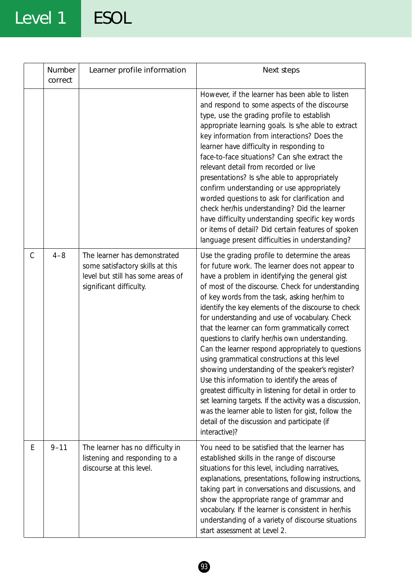## Level 1 ESOL

|   | Number<br>correct | Learner profile information                                                                                                      | Next steps                                                                                                                                                                                                                                                                                                                                                                                                                                                                                                                                                                                                                                                                                                                                                                                                                                                                                                                         |
|---|-------------------|----------------------------------------------------------------------------------------------------------------------------------|------------------------------------------------------------------------------------------------------------------------------------------------------------------------------------------------------------------------------------------------------------------------------------------------------------------------------------------------------------------------------------------------------------------------------------------------------------------------------------------------------------------------------------------------------------------------------------------------------------------------------------------------------------------------------------------------------------------------------------------------------------------------------------------------------------------------------------------------------------------------------------------------------------------------------------|
|   |                   |                                                                                                                                  | However, if the learner has been able to listen<br>and respond to some aspects of the discourse<br>type, use the grading profile to establish<br>appropriate learning goals. Is s/he able to extract<br>key information from interactions? Does the<br>learner have difficulty in responding to<br>face-to-face situations? Can s/he extract the<br>relevant detail from recorded or live<br>presentations? Is s/he able to appropriately<br>confirm understanding or use appropriately<br>worded questions to ask for clarification and<br>check her/his understanding? Did the learner<br>have difficulty understanding specific key words<br>or items of detail? Did certain features of spoken<br>language present difficulties in understanding?                                                                                                                                                                              |
| C | $4 - 8$           | The learner has demonstrated<br>some satisfactory skills at this<br>level but still has some areas of<br>significant difficulty. | Use the grading profile to determine the areas<br>for future work. The learner does not appear to<br>have a problem in identifying the general gist<br>of most of the discourse. Check for understanding<br>of key words from the task, asking her/him to<br>identify the key elements of the discourse to check<br>for understanding and use of vocabulary. Check<br>that the learner can form grammatically correct<br>questions to clarify her/his own understanding.<br>Can the learner respond appropriately to questions<br>using grammatical constructions at this level<br>showing understanding of the speaker's register?<br>Use this information to identify the areas of<br>greatest difficulty in listening for detail in order to<br>set learning targets. If the activity was a discussion,<br>was the learner able to listen for gist, follow the<br>detail of the discussion and participate (if<br>interactive)? |
| E | $9 - 11$          | The learner has no difficulty in<br>listening and responding to a<br>discourse at this level.                                    | You need to be satisfied that the learner has<br>established skills in the range of discourse<br>situations for this level, including narratives,<br>explanations, presentations, following instructions,<br>taking part in conversations and discussions, and<br>show the appropriate range of grammar and<br>vocabulary. If the learner is consistent in her/his<br>understanding of a variety of discourse situations<br>start assessment at Level 2.                                                                                                                                                                                                                                                                                                                                                                                                                                                                           |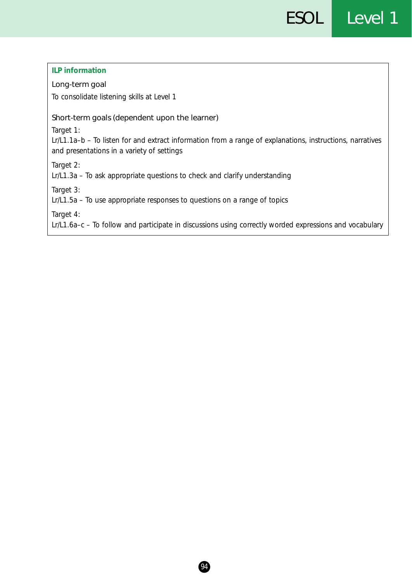| <b>ILP</b> information                                                                                                                                               |
|----------------------------------------------------------------------------------------------------------------------------------------------------------------------|
| Long-term goal                                                                                                                                                       |
| To consolidate listening skills at Level 1                                                                                                                           |
| Short-term goals (dependent upon the learner)                                                                                                                        |
| Target 1:<br>Lr/L1.1a-b – To listen for and extract information from a range of explanations, instructions, narratives<br>and presentations in a variety of settings |
| Target 2:<br>Lr/L1.3a – To ask appropriate questions to check and clarify understanding                                                                              |
| Target 3:<br>Lr/L1.5a – To use appropriate responses to questions on a range of topics                                                                               |
| Target 4:<br>Lr/L1.6a–c – To follow and participate in discussions using correctly worded expressions and vocabulary                                                 |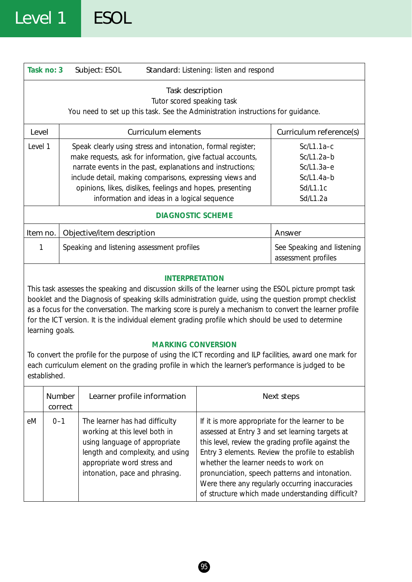|                                                                                                                                                                                                                                                                                                                                                                                                                                                                                                                                                                                                                          | Task no: 3        | Subject: ESOL                                                                                                                                                                                                                                                                                                                                                   |                            | Standard: Listening: listen and respond                                                                                                                                                                                                                                                                                                                                                                        |                                                                                      |
|--------------------------------------------------------------------------------------------------------------------------------------------------------------------------------------------------------------------------------------------------------------------------------------------------------------------------------------------------------------------------------------------------------------------------------------------------------------------------------------------------------------------------------------------------------------------------------------------------------------------------|-------------------|-----------------------------------------------------------------------------------------------------------------------------------------------------------------------------------------------------------------------------------------------------------------------------------------------------------------------------------------------------------------|----------------------------|----------------------------------------------------------------------------------------------------------------------------------------------------------------------------------------------------------------------------------------------------------------------------------------------------------------------------------------------------------------------------------------------------------------|--------------------------------------------------------------------------------------|
| Task description<br>Tutor scored speaking task<br>You need to set up this task. See the Administration instructions for guidance.                                                                                                                                                                                                                                                                                                                                                                                                                                                                                        |                   |                                                                                                                                                                                                                                                                                                                                                                 |                            |                                                                                                                                                                                                                                                                                                                                                                                                                |                                                                                      |
| Level                                                                                                                                                                                                                                                                                                                                                                                                                                                                                                                                                                                                                    |                   |                                                                                                                                                                                                                                                                                                                                                                 | <b>Curriculum elements</b> |                                                                                                                                                                                                                                                                                                                                                                                                                | Curriculum reference(s)                                                              |
| Level 1                                                                                                                                                                                                                                                                                                                                                                                                                                                                                                                                                                                                                  |                   | Speak clearly using stress and intonation, formal register;<br>make requests, ask for information, give factual accounts,<br>narrate events in the past, explanations and instructions;<br>include detail, making comparisons, expressing views and<br>opinions, likes, dislikes, feelings and hopes, presenting<br>information and ideas in a logical sequence |                            |                                                                                                                                                                                                                                                                                                                                                                                                                | $Sc/L1.1a-c$<br>$Sc/L1.2a-b$<br>$Sc/L1.3a-e$<br>$Sc/L1.4a-b$<br>Sd/L1.1c<br>Sd/L1.2a |
|                                                                                                                                                                                                                                                                                                                                                                                                                                                                                                                                                                                                                          |                   |                                                                                                                                                                                                                                                                                                                                                                 | <b>DIAGNOSTIC SCHEME</b>   |                                                                                                                                                                                                                                                                                                                                                                                                                |                                                                                      |
| Item no.                                                                                                                                                                                                                                                                                                                                                                                                                                                                                                                                                                                                                 |                   | Objective/item description                                                                                                                                                                                                                                                                                                                                      |                            |                                                                                                                                                                                                                                                                                                                                                                                                                | Answer                                                                               |
| 1                                                                                                                                                                                                                                                                                                                                                                                                                                                                                                                                                                                                                        |                   | Speaking and listening assessment profiles                                                                                                                                                                                                                                                                                                                      |                            |                                                                                                                                                                                                                                                                                                                                                                                                                | See Speaking and listening<br>assessment profiles                                    |
| <b>INTERPRETATION</b><br>This task assesses the speaking and discussion skills of the learner using the ESOL picture prompt task<br>booklet and the Diagnosis of speaking skills administration guide, using the question prompt checklist<br>as a focus for the conversation. The marking score is purely a mechanism to convert the learner profile<br>for the ICT version. It is the individual element grading profile which should be used to determine<br>learning goals.<br><b>MARKING CONVERSION</b><br>To convert the profile for the purpose of using the ICT recording and ILP facilities, award one mark for |                   |                                                                                                                                                                                                                                                                                                                                                                 |                            |                                                                                                                                                                                                                                                                                                                                                                                                                |                                                                                      |
|                                                                                                                                                                                                                                                                                                                                                                                                                                                                                                                                                                                                                          | established.      | each curriculum element on the grading profile in which the learner's performance is judged to be                                                                                                                                                                                                                                                               |                            |                                                                                                                                                                                                                                                                                                                                                                                                                |                                                                                      |
|                                                                                                                                                                                                                                                                                                                                                                                                                                                                                                                                                                                                                          | Number<br>correct | Learner profile information                                                                                                                                                                                                                                                                                                                                     |                            |                                                                                                                                                                                                                                                                                                                                                                                                                | Next steps                                                                           |
| eM                                                                                                                                                                                                                                                                                                                                                                                                                                                                                                                                                                                                                       | $0 - 1$           | The learner has had difficulty<br>working at this level both in<br>using language of appropriate<br>length and complexity, and using<br>appropriate word stress and<br>intonation, pace and phrasing.                                                                                                                                                           |                            | If it is more appropriate for the learner to be<br>assessed at Entry 3 and set learning targets at<br>this level, review the grading profile against the<br>Entry 3 elements. Review the profile to establish<br>whether the learner needs to work on<br>pronunciation, speech patterns and intonation.<br>Were there any regularly occurring inaccuracies<br>of structure which made understanding difficult? |                                                                                      |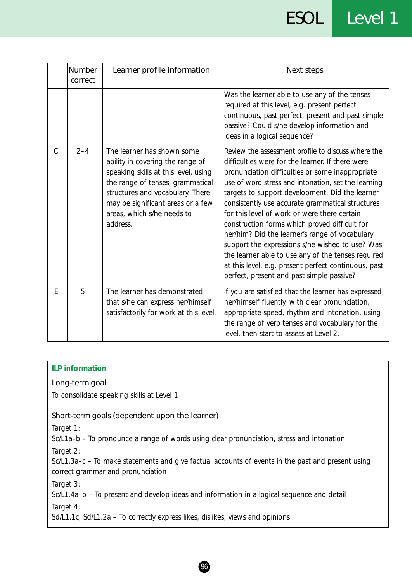### ESOL Level 1

|               | <b>Number</b><br>correct | Learner profile information                                                                                                                                                                                                                                   | Next steps                                                                                                                                                                                                                                                                                                                                                                                                                                                                                                                                                                                                                                                                                |
|---------------|--------------------------|---------------------------------------------------------------------------------------------------------------------------------------------------------------------------------------------------------------------------------------------------------------|-------------------------------------------------------------------------------------------------------------------------------------------------------------------------------------------------------------------------------------------------------------------------------------------------------------------------------------------------------------------------------------------------------------------------------------------------------------------------------------------------------------------------------------------------------------------------------------------------------------------------------------------------------------------------------------------|
|               |                          |                                                                                                                                                                                                                                                               | Was the learner able to use any of the tenses<br>required at this level, e.g. present perfect<br>continuous, past perfect, present and past simple<br>passive? Could s/he develop information and<br>ideas in a logical sequence?                                                                                                                                                                                                                                                                                                                                                                                                                                                         |
| $\mathcal{C}$ | $2 - 4$                  | The learner has shown some<br>ability in covering the range of<br>speaking skills at this level, using<br>the range of tenses, grammatical<br>structures and vocabulary. There<br>may be significant areas or a few<br>areas, which s/he needs to<br>address. | Review the assessment profile to discuss where the<br>difficulties were for the learner. If there were<br>pronunciation difficulties or some inappropriate<br>use of word stress and intonation, set the learning<br>targets to support development. Did the learner<br>consistently use accurate grammatical structures<br>for this level of work or were there certain<br>construction forms which proved difficult for<br>her/him? Did the learner's range of vocabulary<br>support the expressions s/he wished to use? Was<br>the learner able to use any of the tenses required<br>at this level, e.g. present perfect continuous, past<br>perfect, present and past simple passive? |
| E             | 5                        | The learner has demonstrated<br>that s/he can express her/himself<br>satisfactorily for work at this level.                                                                                                                                                   | If you are satisfied that the learner has expressed<br>her/himself fluently, with clear pronunciation,<br>appropriate speed, rhythm and intonation, using<br>the range of verb tenses and vocabulary for the<br>level, then start to assess at Level 2.                                                                                                                                                                                                                                                                                                                                                                                                                                   |

#### **ILP information**

#### Long-term goal

To consolidate speaking skills at Level 1

#### Short-term goals (dependent upon the learner)

*Target 1:*

Sc/L1a–b – To pronounce a range of words using clear pronunciation, stress and intonation

*Target 2:*

Sc/L1.3a–c – To make statements and give factual accounts of events in the past and present using correct grammar and pronunciation

*Target 3:*

Sc/L1.4a–b – To present and develop ideas and information in a logical sequence and detail

*Target 4:*

Sd/L1.1c, Sd/L1.2a – To correctly express likes, dislikes, views and opinions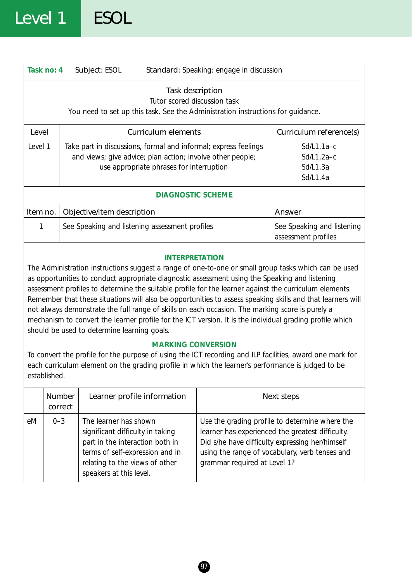|                                                                                                                                                                                                                                                                                                                                                                                                                                                                                                                                                                                                                                                                                                                       | Task no: 4    | Standard: Speaking: engage in discussion<br>Subject: ESOL |                                                                                                        |                                                                 |                                                    |
|-----------------------------------------------------------------------------------------------------------------------------------------------------------------------------------------------------------------------------------------------------------------------------------------------------------------------------------------------------------------------------------------------------------------------------------------------------------------------------------------------------------------------------------------------------------------------------------------------------------------------------------------------------------------------------------------------------------------------|---------------|-----------------------------------------------------------|--------------------------------------------------------------------------------------------------------|-----------------------------------------------------------------|----------------------------------------------------|
| Task description<br>Tutor scored discussion task<br>You need to set up this task. See the Administration instructions for guidance.                                                                                                                                                                                                                                                                                                                                                                                                                                                                                                                                                                                   |               |                                                           |                                                                                                        |                                                                 |                                                    |
| Level                                                                                                                                                                                                                                                                                                                                                                                                                                                                                                                                                                                                                                                                                                                 |               |                                                           | <b>Curriculum elements</b>                                                                             |                                                                 | Curriculum reference(s)                            |
| Level 1                                                                                                                                                                                                                                                                                                                                                                                                                                                                                                                                                                                                                                                                                                               |               |                                                           | and views; give advice; plan action; involve other people;<br>use appropriate phrases for interruption | Take part in discussions, formal and informal; express feelings | $Sd/L1.1a-c$<br>Sd/L1.2a-c<br>Sd/L1.3a<br>Sd/L1.4a |
|                                                                                                                                                                                                                                                                                                                                                                                                                                                                                                                                                                                                                                                                                                                       |               |                                                           | <b>DIAGNOSTIC SCHEME</b>                                                                               |                                                                 |                                                    |
| Item no.                                                                                                                                                                                                                                                                                                                                                                                                                                                                                                                                                                                                                                                                                                              |               | Objective/item description                                |                                                                                                        |                                                                 | Answer                                             |
| 1                                                                                                                                                                                                                                                                                                                                                                                                                                                                                                                                                                                                                                                                                                                     |               |                                                           | See Speaking and listening assessment profiles                                                         |                                                                 | See Speaking and listening<br>assessment profiles  |
| <b>INTERPRETATION</b><br>The Administration instructions suggest a range of one-to-one or small group tasks which can be used<br>as opportunities to conduct appropriate diagnostic assessment using the Speaking and listening<br>assessment profiles to determine the suitable profile for the learner against the curriculum elements.<br>Remember that these situations will also be opportunities to assess speaking skills and that learners will<br>not always demonstrate the full range of skills on each occasion. The marking score is purely a<br>mechanism to convert the learner profile for the ICT version. It is the individual grading profile which<br>should be used to determine learning goals. |               |                                                           |                                                                                                        |                                                                 |                                                    |
| <b>MARKING CONVERSION</b><br>To convert the profile for the purpose of using the ICT recording and ILP facilities, award one mark for<br>each curriculum element on the grading profile in which the learner's performance is judged to be<br>established.                                                                                                                                                                                                                                                                                                                                                                                                                                                            |               |                                                           |                                                                                                        |                                                                 |                                                    |
|                                                                                                                                                                                                                                                                                                                                                                                                                                                                                                                                                                                                                                                                                                                       | <b>Number</b> |                                                           | Learner profile information                                                                            |                                                                 | Next steps                                         |

|    | Number  | Learner profile information                                                                                                                                                                  | Next steps                                                                                                                                                                                                                              |
|----|---------|----------------------------------------------------------------------------------------------------------------------------------------------------------------------------------------------|-----------------------------------------------------------------------------------------------------------------------------------------------------------------------------------------------------------------------------------------|
|    | correct |                                                                                                                                                                                              |                                                                                                                                                                                                                                         |
| eM | $0 - 3$ | The learner has shown<br>significant difficulty in taking<br>part in the interaction both in<br>terms of self-expression and in<br>relating to the views of other<br>speakers at this level. | Use the grading profile to determine where the<br>learner has experienced the greatest difficulty.<br>Did s/he have difficulty expressing her/himself<br>using the range of vocabulary, verb tenses and<br>grammar required at Level 1? |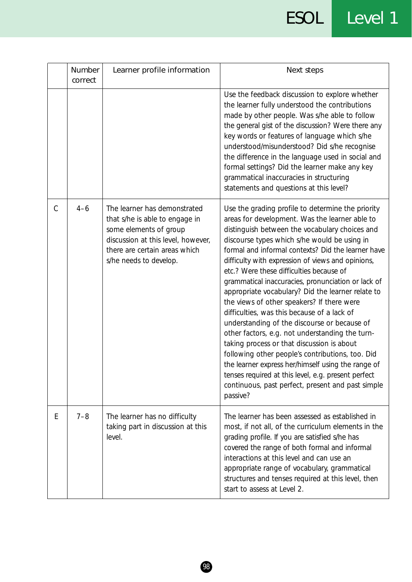### ESOL Level 1

|               | Number<br>correct | Learner profile information                                                                                                                                                               | Next steps                                                                                                                                                                                                                                                                                                                                                                                                                                                                                                                                                                                                                                                                                                                                                                                                                                                                                                                                              |
|---------------|-------------------|-------------------------------------------------------------------------------------------------------------------------------------------------------------------------------------------|---------------------------------------------------------------------------------------------------------------------------------------------------------------------------------------------------------------------------------------------------------------------------------------------------------------------------------------------------------------------------------------------------------------------------------------------------------------------------------------------------------------------------------------------------------------------------------------------------------------------------------------------------------------------------------------------------------------------------------------------------------------------------------------------------------------------------------------------------------------------------------------------------------------------------------------------------------|
|               |                   |                                                                                                                                                                                           | Use the feedback discussion to explore whether<br>the learner fully understood the contributions<br>made by other people. Was s/he able to follow<br>the general gist of the discussion? Were there any<br>key words or features of language which s/he<br>understood/misunderstood? Did s/he recognise<br>the difference in the language used in social and<br>formal settings? Did the learner make any key<br>grammatical inaccuracies in structuring<br>statements and questions at this level?                                                                                                                                                                                                                                                                                                                                                                                                                                                     |
| $\mathcal{C}$ | $4 - 6$           | The learner has demonstrated<br>that s/he is able to engage in<br>some elements of group<br>discussion at this level, however,<br>there are certain areas which<br>s/he needs to develop. | Use the grading profile to determine the priority<br>areas for development. Was the learner able to<br>distinguish between the vocabulary choices and<br>discourse types which s/he would be using in<br>formal and informal contexts? Did the learner have<br>difficulty with expression of views and opinions,<br>etc.? Were these difficulties because of<br>grammatical inaccuracies, pronunciation or lack of<br>appropriate vocabulary? Did the learner relate to<br>the views of other speakers? If there were<br>difficulties, was this because of a lack of<br>understanding of the discourse or because of<br>other factors, e.g. not understanding the turn-<br>taking process or that discussion is about<br>following other people's contributions, too. Did<br>the learner express her/himself using the range of<br>tenses required at this level, e.g. present perfect<br>continuous, past perfect, present and past simple<br>passive? |
| E             | $7 - 8$           | The learner has no difficulty<br>taking part in discussion at this<br>level.                                                                                                              | The learner has been assessed as established in<br>most, if not all, of the curriculum elements in the<br>grading profile. If you are satisfied s/he has<br>covered the range of both formal and informal<br>interactions at this level and can use an<br>appropriate range of vocabulary, grammatical<br>structures and tenses required at this level, then<br>start to assess at Level 2.                                                                                                                                                                                                                                                                                                                                                                                                                                                                                                                                                             |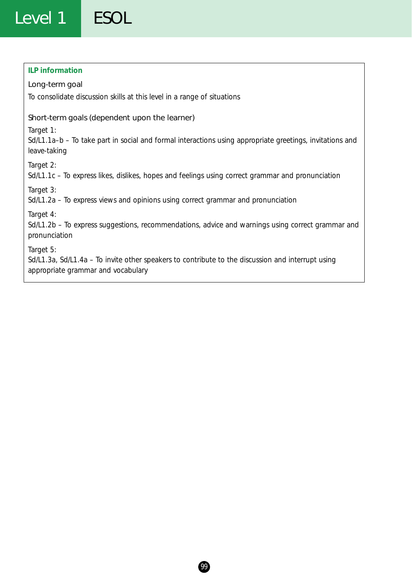### Level 1 ESOL

#### **ILP information**

#### Long-term goal

To consolidate discussion skills at this level in a range of situations

#### Short-term goals (dependent upon the learner)

*Target 1:*

Sd/L1.1a–b – To take part in social and formal interactions using appropriate greetings, invitations and leave-taking

*Target 2:*

Sd/L1.1c – To express likes, dislikes, hopes and feelings using correct grammar and pronunciation

*Target 3:*

Sd/L1.2a – To express views and opinions using correct grammar and pronunciation

*Target 4:*

Sd/L1.2b – To express suggestions, recommendations, advice and warnings using correct grammar and pronunciation

*Target 5:*

Sd/L1.3a, Sd/L1.4a – To invite other speakers to contribute to the discussion and interrupt using appropriate grammar and vocabulary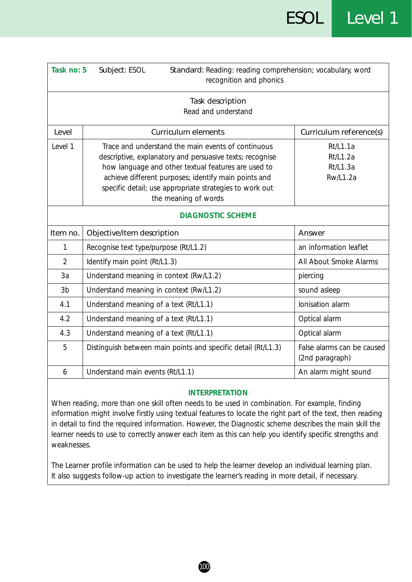| Task no: 5     | Subject: ESOL<br>Standard: Reading: reading comprehension; vocabulary, word<br>recognition and phonics                                                                                                                                                                                                           |                                                     |  |  |  |  |
|----------------|------------------------------------------------------------------------------------------------------------------------------------------------------------------------------------------------------------------------------------------------------------------------------------------------------------------|-----------------------------------------------------|--|--|--|--|
|                | Task description<br>Read and understand                                                                                                                                                                                                                                                                          |                                                     |  |  |  |  |
| Level          | <b>Curriculum elements</b>                                                                                                                                                                                                                                                                                       | Curriculum reference(s)                             |  |  |  |  |
| Level 1        | Trace and understand the main events of continuous<br>descriptive, explanatory and persuasive texts; recognise<br>how language and other textual features are used to<br>achieve different purposes; identify main points and<br>specific detail; use appropriate strategies to work out<br>the meaning of words | Rt/L1.1a<br>Rt/L1.2a<br>Rt/L1.3a<br><b>Rw/L1.2a</b> |  |  |  |  |
|                | <b>DIAGNOSTIC SCHEME</b>                                                                                                                                                                                                                                                                                         |                                                     |  |  |  |  |
| Item no.       | Objective/item description                                                                                                                                                                                                                                                                                       | Answer                                              |  |  |  |  |
| 1              | Recognise text type/purpose (Rt/L1.2)                                                                                                                                                                                                                                                                            | an information leaflet                              |  |  |  |  |
| $\overline{2}$ | Identify main point (Rt/L1.3)                                                                                                                                                                                                                                                                                    | All About Smoke Alarms                              |  |  |  |  |
| 3a             | Understand meaning in context (Rw/L1.2)                                                                                                                                                                                                                                                                          | piercing                                            |  |  |  |  |
| 3 <sub>b</sub> | Understand meaning in context (Rw/L1.2)                                                                                                                                                                                                                                                                          | sound asleep                                        |  |  |  |  |
| 4.1            | Understand meaning of a text (Rt/L1.1)                                                                                                                                                                                                                                                                           | Ionisation alarm                                    |  |  |  |  |
| 4.2            | Understand meaning of a text (Rt/L1.1)                                                                                                                                                                                                                                                                           | Optical alarm                                       |  |  |  |  |
| 4.3            | Understand meaning of a text (Rt/L1.1)                                                                                                                                                                                                                                                                           | Optical alarm                                       |  |  |  |  |
| 5              | Distinguish between main points and specific detail (Rt/L1.3)                                                                                                                                                                                                                                                    | False alarms can be caused<br>(2nd paragraph)       |  |  |  |  |
| 6              | Understand main events (Rt/L1.1)                                                                                                                                                                                                                                                                                 | An alarm might sound                                |  |  |  |  |

When reading, more than one skill often needs to be used in combination. For example, finding information might involve firstly using textual features to locate the right part of the text, then reading in detail to find the required information. However, the Diagnostic scheme describes the main skill the learner needs to use to correctly answer each item as this can help you identify specific strengths and weaknesses.

The Learner profile information can be used to help the learner develop an individual learning plan. It also suggests follow-up action to investigate the learner's reading in more detail, if necessary.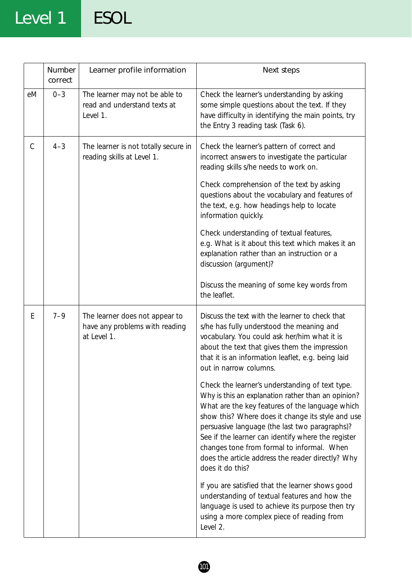### Level 1 ESOL

|    | Number<br>correct | Learner profile information                                                     | Next steps                                                                                                                                                                                                                                                                                                                                                                                                                                   |
|----|-------------------|---------------------------------------------------------------------------------|----------------------------------------------------------------------------------------------------------------------------------------------------------------------------------------------------------------------------------------------------------------------------------------------------------------------------------------------------------------------------------------------------------------------------------------------|
| eM | $0 - 3$           | The learner may not be able to<br>read and understand texts at<br>Level 1.      | Check the learner's understanding by asking<br>some simple questions about the text. If they<br>have difficulty in identifying the main points, try<br>the Entry 3 reading task (Task 6).                                                                                                                                                                                                                                                    |
| C  | $4 - 3$           | The learner is not totally secure in<br>reading skills at Level 1.              | Check the learner's pattern of correct and<br>incorrect answers to investigate the particular<br>reading skills s/he needs to work on.                                                                                                                                                                                                                                                                                                       |
|    |                   |                                                                                 | Check comprehension of the text by asking<br>questions about the vocabulary and features of<br>the text, e.g. how headings help to locate<br>information quickly.                                                                                                                                                                                                                                                                            |
|    |                   |                                                                                 | Check understanding of textual features,<br>e.g. What is it about this text which makes it an<br>explanation rather than an instruction or a<br>discussion (argument)?                                                                                                                                                                                                                                                                       |
|    |                   |                                                                                 | Discuss the meaning of some key words from<br>the leaflet.                                                                                                                                                                                                                                                                                                                                                                                   |
| Ε  | $7 - 9$           | The learner does not appear to<br>have any problems with reading<br>at Level 1. | Discuss the text with the learner to check that<br>s/he has fully understood the meaning and<br>vocabulary. You could ask her/him what it is<br>about the text that gives them the impression<br>that it is an information leaflet, e.g. being laid<br>out in narrow columns.                                                                                                                                                                |
|    |                   |                                                                                 | Check the learner's understanding of text type.<br>Why is this an explanation rather than an opinion?<br>What are the key features of the language which<br>show this? Where does it change its style and use<br>persuasive language (the last two paragraphs)?<br>See if the learner can identify where the register<br>changes tone from formal to informal. When<br>does the article address the reader directly? Why<br>does it do this? |
|    |                   |                                                                                 | If you are satisfied that the learner shows good<br>understanding of textual features and how the<br>language is used to achieve its purpose then try<br>using a more complex piece of reading from<br>Level 2.                                                                                                                                                                                                                              |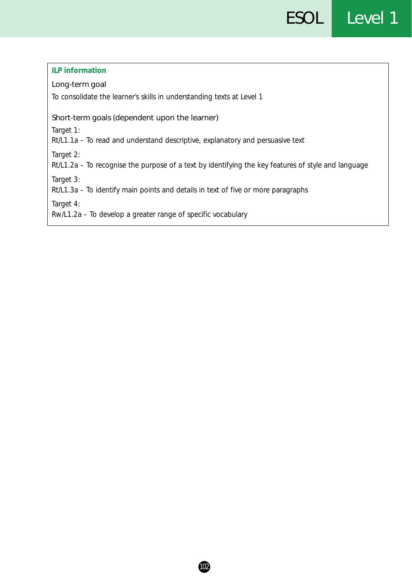#### **ILP information**

#### Long-term goal

To consolidate the learner's skills in understanding texts at Level 1

#### Short-term goals (dependent upon the learner)

*Target 1:*

Rt/L1.1a – To read and understand descriptive, explanatory and persuasive text

*Target 2:*

Rt/L1.2a – To recognise the purpose of a text by identifying the key features of style and language

*Target 3:*

Rt/L1.3a – To identify main points and details in text of five or more paragraphs

*Target 4:*

Rw/L1.2a – To develop a greater range of specific vocabulary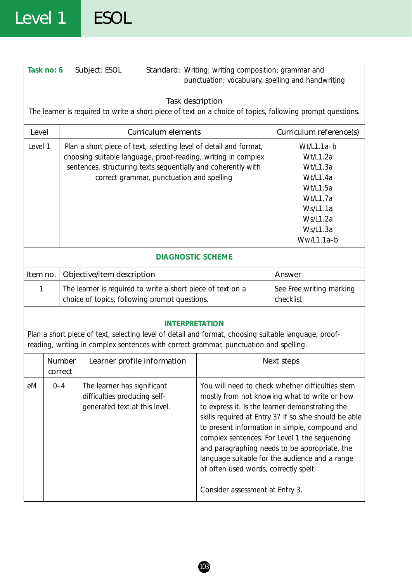### Level 1 ESOL

|                                                                                                                                                                                                                        | Task no: 6                          |                                                                                                              | Subject: ESOL                                                                                                                                                                                                                                    | Standard: Writing: writing composition; grammar and<br>punctuation; vocabulary, spelling and handwriting                                                                                                                                                                                                                                                                                                                                                                                       |                                                                                                                          |  |  |
|------------------------------------------------------------------------------------------------------------------------------------------------------------------------------------------------------------------------|-------------------------------------|--------------------------------------------------------------------------------------------------------------|--------------------------------------------------------------------------------------------------------------------------------------------------------------------------------------------------------------------------------------------------|------------------------------------------------------------------------------------------------------------------------------------------------------------------------------------------------------------------------------------------------------------------------------------------------------------------------------------------------------------------------------------------------------------------------------------------------------------------------------------------------|--------------------------------------------------------------------------------------------------------------------------|--|--|
| Task description<br>The learner is required to write a short piece of text on a choice of topics, following prompt questions.                                                                                          |                                     |                                                                                                              |                                                                                                                                                                                                                                                  |                                                                                                                                                                                                                                                                                                                                                                                                                                                                                                |                                                                                                                          |  |  |
|                                                                                                                                                                                                                        | <b>Curriculum elements</b><br>Level |                                                                                                              |                                                                                                                                                                                                                                                  |                                                                                                                                                                                                                                                                                                                                                                                                                                                                                                | Curriculum reference(s)                                                                                                  |  |  |
| Level 1                                                                                                                                                                                                                |                                     |                                                                                                              | Plan a short piece of text, selecting level of detail and format,<br>choosing suitable language, proof-reading, writing in complex<br>sentences, structuring texts sequentially and coherently with<br>correct grammar, punctuation and spelling |                                                                                                                                                                                                                                                                                                                                                                                                                                                                                                | Wt/L1.1a-b<br>Wt/L1.2a<br>Wt/L1.3a<br>Wt/L1.4a<br>Wt/L1.5a<br>Wt/L1.7a<br>Ws/L1.1a<br>Ws/L1.2a<br>Ws/L1.3a<br>Ww/L1.1a-b |  |  |
| <b>DIAGNOSTIC SCHEME</b>                                                                                                                                                                                               |                                     |                                                                                                              |                                                                                                                                                                                                                                                  |                                                                                                                                                                                                                                                                                                                                                                                                                                                                                                |                                                                                                                          |  |  |
| Item no.                                                                                                                                                                                                               |                                     |                                                                                                              | Objective/item description                                                                                                                                                                                                                       |                                                                                                                                                                                                                                                                                                                                                                                                                                                                                                | Answer                                                                                                                   |  |  |
| 1                                                                                                                                                                                                                      |                                     | The learner is required to write a short piece of text on a<br>choice of topics, following prompt questions. |                                                                                                                                                                                                                                                  | See Free writing marking<br>checklist                                                                                                                                                                                                                                                                                                                                                                                                                                                          |                                                                                                                          |  |  |
| <b>INTERPRETATION</b><br>Plan a short piece of text, selecting level of detail and format, choosing suitable language, proof-<br>reading, writing in complex sentences with correct grammar, punctuation and spelling. |                                     |                                                                                                              |                                                                                                                                                                                                                                                  |                                                                                                                                                                                                                                                                                                                                                                                                                                                                                                |                                                                                                                          |  |  |
|                                                                                                                                                                                                                        | <b>Number</b><br>correct            |                                                                                                              | Learner profile information                                                                                                                                                                                                                      |                                                                                                                                                                                                                                                                                                                                                                                                                                                                                                | Next steps                                                                                                               |  |  |
| eM                                                                                                                                                                                                                     | $0 - 4$                             |                                                                                                              | The learner has significant<br>difficulties producing self-<br>generated text at this level.                                                                                                                                                     | You will need to check whether difficulties stem<br>mostly from not knowing what to write or how<br>to express it. Is the learner demonstrating the<br>skills required at Entry 3? If so s/he should be able<br>to present information in simple, compound and<br>complex sentences. For Level 1 the sequencing<br>and paragraphing needs to be appropriate, the<br>language suitable for the audience and a range<br>of often used words, correctly spelt.<br>Consider assessment at Entry 3. |                                                                                                                          |  |  |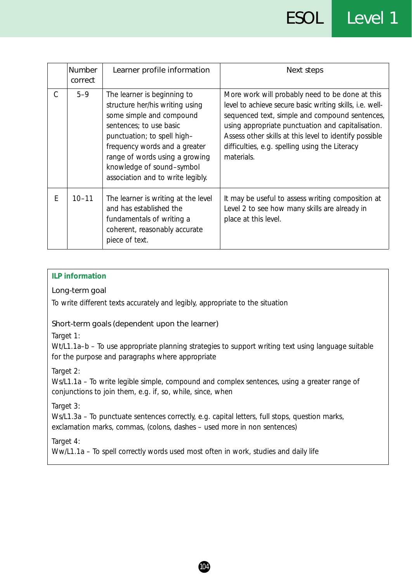|   | <b>Number</b><br>correct | Learner profile information                                                                                                                                                                                                                                                               | Next steps                                                                                                                                                                                                                                                                                                                                          |
|---|--------------------------|-------------------------------------------------------------------------------------------------------------------------------------------------------------------------------------------------------------------------------------------------------------------------------------------|-----------------------------------------------------------------------------------------------------------------------------------------------------------------------------------------------------------------------------------------------------------------------------------------------------------------------------------------------------|
| C | $5 - 9$                  | The learner is beginning to<br>structure her/his writing using<br>some simple and compound<br>sentences; to use basic<br>punctuation; to spell high-<br>frequency words and a greater<br>range of words using a growing<br>knowledge of sound-symbol<br>association and to write legibly. | More work will probably need to be done at this<br>level to achieve secure basic writing skills, <i>i.e.</i> well-<br>sequenced text, simple and compound sentences,<br>using appropriate punctuation and capitalisation.<br>Assess other skills at this level to identify possible<br>difficulties, e.g. spelling using the Literacy<br>materials. |
| E | $10 - 11$                | The learner is writing at the level<br>and has established the<br>fundamentals of writing a<br>coherent, reasonably accurate<br>piece of text.                                                                                                                                            | It may be useful to assess writing composition at<br>Level 2 to see how many skills are already in<br>place at this level.                                                                                                                                                                                                                          |

#### **ILP information**

#### Long-term goal

To write different texts accurately and legibly, appropriate to the situation

#### Short-term goals (dependent upon the learner)

*Target 1:*

Wt/L1.1a-b - To use appropriate planning strategies to support writing text using language suitable for the purpose and paragraphs where appropriate

#### *Target 2:*

Ws/L1.1a – To write legible simple, compound and complex sentences, using a greater range of conjunctions to join them, e.g. if, so, while, since, when

*Target 3:*

Ws/L1.3a - To punctuate sentences correctly, e.g. capital letters, full stops, question marks, exclamation marks, commas, (colons, dashes – used more in non sentences)

#### *Target 4:*

Ww/L1.1a – To spell correctly words used most often in work, studies and daily life

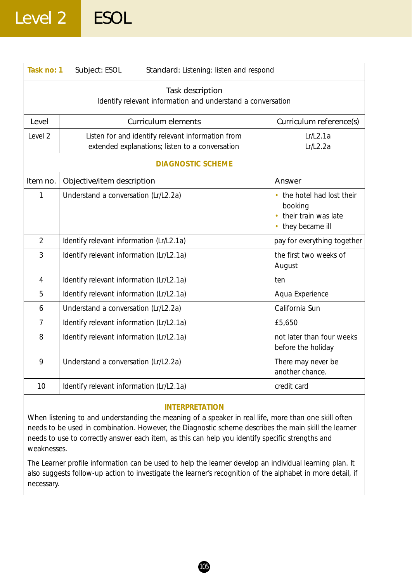# Level 2 ESOL

| Task no: 1     | Subject: ESOL<br>Standard: Listening: listen and respond                                             |                                                                                  |  |  |
|----------------|------------------------------------------------------------------------------------------------------|----------------------------------------------------------------------------------|--|--|
|                | Task description<br>Identify relevant information and understand a conversation                      |                                                                                  |  |  |
| Level          | <b>Curriculum elements</b>                                                                           | Curriculum reference(s)                                                          |  |  |
| Level 2        | Listen for and identify relevant information from<br>extended explanations; listen to a conversation | Lr/L2.1a<br>Lr/L2.2a                                                             |  |  |
|                | <b>DIAGNOSTIC SCHEME</b>                                                                             |                                                                                  |  |  |
| Item no.       | Objective/item description                                                                           | Answer                                                                           |  |  |
| 1              | Understand a conversation (Lr/L2.2a)                                                                 | • the hotel had lost their<br>booking<br>their train was late<br>they became ill |  |  |
| $\overline{2}$ | Identify relevant information (Lr/L2.1a)                                                             | pay for everything together                                                      |  |  |
| 3              | Identify relevant information (Lr/L2.1a)                                                             | the first two weeks of<br>August                                                 |  |  |
| $\overline{4}$ | Identify relevant information (Lr/L2.1a)                                                             | ten                                                                              |  |  |
| 5              | Identify relevant information (Lr/L2.1a)                                                             | Aqua Experience                                                                  |  |  |
| 6              | Understand a conversation (Lr/L2.2a)                                                                 | California Sun                                                                   |  |  |
| $\overline{7}$ | Identify relevant information (Lr/L2.1a)                                                             | £5,650                                                                           |  |  |
| 8              | Identify relevant information (Lr/L2.1a)                                                             | not later than four weeks<br>before the holiday                                  |  |  |
| 9              | Understand a conversation (Lr/L2.2a)                                                                 | There may never be<br>another chance.                                            |  |  |
| 10             | Identify relevant information (Lr/L2.1a)                                                             | credit card                                                                      |  |  |

### **INTERPRETATION**

When listening to and understanding the meaning of a speaker in real life, more than one skill often needs to be used in combination. However, the Diagnostic scheme describes the main skill the learner needs to use to correctly answer each item, as this can help you identify specific strengths and weaknesses.

The Learner profile information can be used to help the learner develop an individual learning plan. It also suggests follow-up action to investigate the learner's recognition of the alphabet in more detail, if necessary.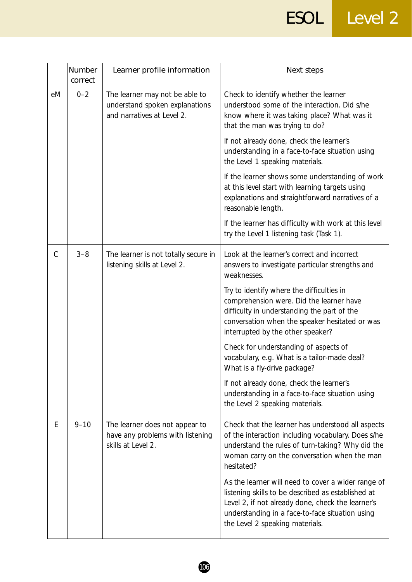|    | Number<br>correct | Learner profile information                                                                    | Next steps                                                                                                                                                                                                                                          |
|----|-------------------|------------------------------------------------------------------------------------------------|-----------------------------------------------------------------------------------------------------------------------------------------------------------------------------------------------------------------------------------------------------|
| eM | $0 - 2$           | The learner may not be able to<br>understand spoken explanations<br>and narratives at Level 2. | Check to identify whether the learner<br>understood some of the interaction. Did s/he<br>know where it was taking place? What was it<br>that the man was trying to do?                                                                              |
|    |                   |                                                                                                | If not already done, check the learner's<br>understanding in a face-to-face situation using<br>the Level 1 speaking materials.                                                                                                                      |
|    |                   |                                                                                                | If the learner shows some understanding of work<br>at this level start with learning targets using<br>explanations and straightforward narratives of a<br>reasonable length.                                                                        |
|    |                   |                                                                                                | If the learner has difficulty with work at this level<br>try the Level 1 listening task (Task 1).                                                                                                                                                   |
| C  | $3 - 8$           | The learner is not totally secure in<br>listening skills at Level 2.                           | Look at the learner's correct and incorrect<br>answers to investigate particular strengths and<br>weaknesses.                                                                                                                                       |
|    |                   |                                                                                                | Try to identify where the difficulties in<br>comprehension were. Did the learner have<br>difficulty in understanding the part of the<br>conversation when the speaker hesitated or was<br>interrupted by the other speaker?                         |
|    |                   |                                                                                                | Check for understanding of aspects of<br>vocabulary, e.g. What is a tailor-made deal?<br>What is a fly-drive package?                                                                                                                               |
|    |                   |                                                                                                | If not already done, check the learner's<br>understanding in a face-to-face situation using<br>the Level 2 speaking materials.                                                                                                                      |
| E  | $9 - 10$          | The learner does not appear to<br>have any problems with listening<br>skills at Level 2.       | Check that the learner has understood all aspects<br>of the interaction including vocabulary. Does s/he<br>understand the rules of turn-taking? Why did the<br>woman carry on the conversation when the man<br>hesitated?                           |
|    |                   |                                                                                                | As the learner will need to cover a wider range of<br>listening skills to be described as established at<br>Level 2, if not already done, check the learner's<br>understanding in a face-to-face situation using<br>the Level 2 speaking materials. |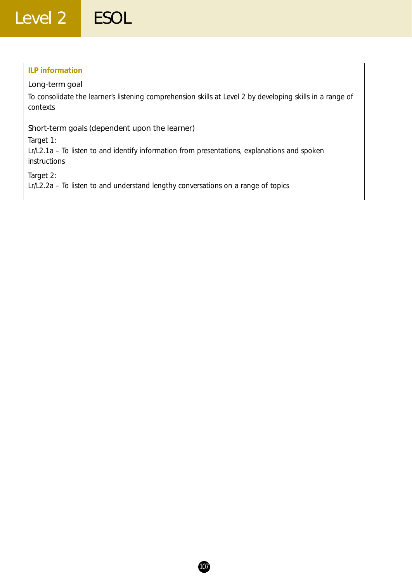### **ILP information**

### Long-term goal

To consolidate the learner's listening comprehension skills at Level 2 by developing skills in a range of contexts

### Short-term goals (dependent upon the learner)

*Target 1:*

Lr/L2.1a – To listen to and identify information from presentations, explanations and spoken instructions

*Target 2:*

Lr/L2.2a – To listen to and understand lengthy conversations on a range of topics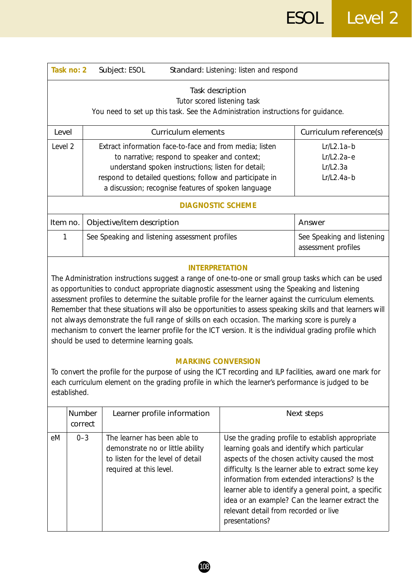|                                                                                                                                                                                                                                                            | Task no: 2                                                                                                                                                                                                                                                                                                                                                                                                                                                                                                                                                                                                                                                                                                            | Subject: ESOL                                                                                                                                                                                                                                                                                                                                 | Standard: Listening: listen and respond                                                                 |                                                                                                                                                                                                                                                                                                                        |  |
|------------------------------------------------------------------------------------------------------------------------------------------------------------------------------------------------------------------------------------------------------------|-----------------------------------------------------------------------------------------------------------------------------------------------------------------------------------------------------------------------------------------------------------------------------------------------------------------------------------------------------------------------------------------------------------------------------------------------------------------------------------------------------------------------------------------------------------------------------------------------------------------------------------------------------------------------------------------------------------------------|-----------------------------------------------------------------------------------------------------------------------------------------------------------------------------------------------------------------------------------------------------------------------------------------------------------------------------------------------|---------------------------------------------------------------------------------------------------------|------------------------------------------------------------------------------------------------------------------------------------------------------------------------------------------------------------------------------------------------------------------------------------------------------------------------|--|
|                                                                                                                                                                                                                                                            | Task description<br>Tutor scored listening task<br>You need to set up this task. See the Administration instructions for guidance.                                                                                                                                                                                                                                                                                                                                                                                                                                                                                                                                                                                    |                                                                                                                                                                                                                                                                                                                                               |                                                                                                         |                                                                                                                                                                                                                                                                                                                        |  |
| Level                                                                                                                                                                                                                                                      |                                                                                                                                                                                                                                                                                                                                                                                                                                                                                                                                                                                                                                                                                                                       | <b>Curriculum elements</b>                                                                                                                                                                                                                                                                                                                    |                                                                                                         | Curriculum reference(s)                                                                                                                                                                                                                                                                                                |  |
| Level 2                                                                                                                                                                                                                                                    |                                                                                                                                                                                                                                                                                                                                                                                                                                                                                                                                                                                                                                                                                                                       | Extract information face-to-face and from media; listen<br>$Lr/L2.1a-b$<br>$Lr/L2.2a-e$<br>to narrative; respond to speaker and context;<br>understand spoken instructions; listen for detail;<br>Lr/L2.3a<br>respond to detailed questions; follow and participate in<br>$Lr/L2.4a-b$<br>a discussion; recognise features of spoken language |                                                                                                         |                                                                                                                                                                                                                                                                                                                        |  |
|                                                                                                                                                                                                                                                            |                                                                                                                                                                                                                                                                                                                                                                                                                                                                                                                                                                                                                                                                                                                       |                                                                                                                                                                                                                                                                                                                                               | <b>DIAGNOSTIC SCHEME</b>                                                                                |                                                                                                                                                                                                                                                                                                                        |  |
| Item no.                                                                                                                                                                                                                                                   |                                                                                                                                                                                                                                                                                                                                                                                                                                                                                                                                                                                                                                                                                                                       | Objective/item description                                                                                                                                                                                                                                                                                                                    |                                                                                                         | Answer                                                                                                                                                                                                                                                                                                                 |  |
| 1                                                                                                                                                                                                                                                          |                                                                                                                                                                                                                                                                                                                                                                                                                                                                                                                                                                                                                                                                                                                       | See Speaking and listening assessment profiles                                                                                                                                                                                                                                                                                                |                                                                                                         | See Speaking and listening<br>assessment profiles                                                                                                                                                                                                                                                                      |  |
|                                                                                                                                                                                                                                                            | <b>INTERPRETATION</b><br>The Administration instructions suggest a range of one-to-one or small group tasks which can be used<br>as opportunities to conduct appropriate diagnostic assessment using the Speaking and listening<br>assessment profiles to determine the suitable profile for the learner against the curriculum elements.<br>Remember that these situations will also be opportunities to assess speaking skills and that learners will<br>not always demonstrate the full range of skills on each occasion. The marking score is purely a<br>mechanism to convert the learner profile for the ICT version. It is the individual grading profile which<br>should be used to determine learning goals. |                                                                                                                                                                                                                                                                                                                                               |                                                                                                         |                                                                                                                                                                                                                                                                                                                        |  |
| <b>MARKING CONVERSION</b><br>To convert the profile for the purpose of using the ICT recording and ILP facilities, award one mark for<br>each curriculum element on the grading profile in which the learner's performance is judged to be<br>established. |                                                                                                                                                                                                                                                                                                                                                                                                                                                                                                                                                                                                                                                                                                                       |                                                                                                                                                                                                                                                                                                                                               |                                                                                                         |                                                                                                                                                                                                                                                                                                                        |  |
|                                                                                                                                                                                                                                                            | <b>Number</b><br>correct                                                                                                                                                                                                                                                                                                                                                                                                                                                                                                                                                                                                                                                                                              | Learner profile information                                                                                                                                                                                                                                                                                                                   |                                                                                                         | Next steps                                                                                                                                                                                                                                                                                                             |  |
| eМ                                                                                                                                                                                                                                                         | $0 - 3$                                                                                                                                                                                                                                                                                                                                                                                                                                                                                                                                                                                                                                                                                                               | The learner has been able to<br>demonstrate no or little ability<br>to listen for the level of detail<br>required at this level.                                                                                                                                                                                                              | learning goals and identify which particular<br>relevant detail from recorded or live<br>presentations? | Use the grading profile to establish appropriate<br>aspects of the chosen activity caused the most<br>difficulty. Is the learner able to extract some key<br>information from extended interactions? Is the<br>learner able to identify a general point, a specific<br>idea or an example? Can the learner extract the |  |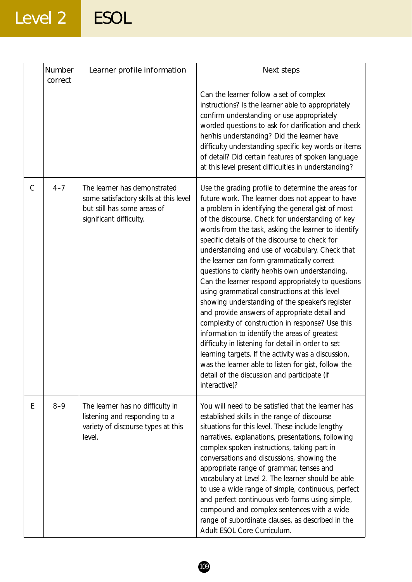# Level 2 ESOL

|               | Number<br>correct | Learner profile information                                                                                                      | Next steps                                                                                                                                                                                                                                                                                                                                                                                                                                                                                                                                                                                                                                                                                                                                                                                                                                                                                                                                                                                                                        |
|---------------|-------------------|----------------------------------------------------------------------------------------------------------------------------------|-----------------------------------------------------------------------------------------------------------------------------------------------------------------------------------------------------------------------------------------------------------------------------------------------------------------------------------------------------------------------------------------------------------------------------------------------------------------------------------------------------------------------------------------------------------------------------------------------------------------------------------------------------------------------------------------------------------------------------------------------------------------------------------------------------------------------------------------------------------------------------------------------------------------------------------------------------------------------------------------------------------------------------------|
|               |                   |                                                                                                                                  | Can the learner follow a set of complex<br>instructions? Is the learner able to appropriately<br>confirm understanding or use appropriately<br>worded questions to ask for clarification and check<br>her/his understanding? Did the learner have<br>difficulty understanding specific key words or items<br>of detail? Did certain features of spoken language<br>at this level present difficulties in understanding?                                                                                                                                                                                                                                                                                                                                                                                                                                                                                                                                                                                                           |
| $\mathcal{C}$ | $4 - 7$           | The learner has demonstrated<br>some satisfactory skills at this level<br>but still has some areas of<br>significant difficulty. | Use the grading profile to determine the areas for<br>future work. The learner does not appear to have<br>a problem in identifying the general gist of most<br>of the discourse. Check for understanding of key<br>words from the task, asking the learner to identify<br>specific details of the discourse to check for<br>understanding and use of vocabulary. Check that<br>the learner can form grammatically correct<br>questions to clarify her/his own understanding.<br>Can the learner respond appropriately to questions<br>using grammatical constructions at this level<br>showing understanding of the speaker's register<br>and provide answers of appropriate detail and<br>complexity of construction in response? Use this<br>information to identify the areas of greatest<br>difficulty in listening for detail in order to set<br>learning targets. If the activity was a discussion,<br>was the learner able to listen for gist, follow the<br>detail of the discussion and participate (if<br>interactive)? |
| E             | $8 - 9$           | The learner has no difficulty in<br>listening and responding to a<br>variety of discourse types at this<br>level.                | You will need to be satisfied that the learner has<br>established skills in the range of discourse<br>situations for this level. These include lengthy<br>narratives, explanations, presentations, following<br>complex spoken instructions, taking part in<br>conversations and discussions, showing the<br>appropriate range of grammar, tenses and<br>vocabulary at Level 2. The learner should be able<br>to use a wide range of simple, continuous, perfect<br>and perfect continuous verb forms using simple,<br>compound and complex sentences with a wide<br>range of subordinate clauses, as described in the<br>Adult ESOL Core Curriculum.                                                                                                                                                                                                                                                                                                                                                                             |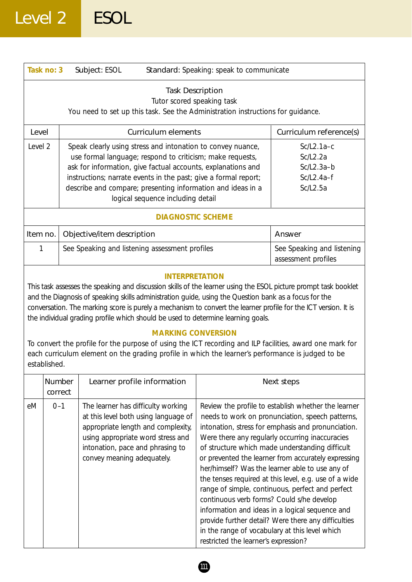| Task no: 3                                                                                                                                                                                                                                                                                                                                                                                                                                                                                                                                                                                                                                                                                                                                                                                                                                                                                                                                                                              |                   | Subject: ESOL                                                                                                                                                                                                                                                                                                                                                                                                                                                                                                                 | Standard: Speaking: speak to communicate              |                                                   |
|-----------------------------------------------------------------------------------------------------------------------------------------------------------------------------------------------------------------------------------------------------------------------------------------------------------------------------------------------------------------------------------------------------------------------------------------------------------------------------------------------------------------------------------------------------------------------------------------------------------------------------------------------------------------------------------------------------------------------------------------------------------------------------------------------------------------------------------------------------------------------------------------------------------------------------------------------------------------------------------------|-------------------|-------------------------------------------------------------------------------------------------------------------------------------------------------------------------------------------------------------------------------------------------------------------------------------------------------------------------------------------------------------------------------------------------------------------------------------------------------------------------------------------------------------------------------|-------------------------------------------------------|---------------------------------------------------|
|                                                                                                                                                                                                                                                                                                                                                                                                                                                                                                                                                                                                                                                                                                                                                                                                                                                                                                                                                                                         |                   | You need to set up this task. See the Administration instructions for guidance.                                                                                                                                                                                                                                                                                                                                                                                                                                               | <b>Task Description</b><br>Tutor scored speaking task |                                                   |
| Level                                                                                                                                                                                                                                                                                                                                                                                                                                                                                                                                                                                                                                                                                                                                                                                                                                                                                                                                                                                   |                   | <b>Curriculum elements</b>                                                                                                                                                                                                                                                                                                                                                                                                                                                                                                    |                                                       | Curriculum reference(s)                           |
| Level 2                                                                                                                                                                                                                                                                                                                                                                                                                                                                                                                                                                                                                                                                                                                                                                                                                                                                                                                                                                                 |                   | $Sc/L2.1a-c$<br>Speak clearly using stress and intonation to convey nuance,<br>use formal language; respond to criticism; make requests,<br>Sc/L2.2a<br>ask for information, give factual accounts, explanations and<br>$Sc/L2.3a-b$<br>instructions; narrate events in the past; give a formal report;<br>$Sc/L2.4a-f$<br>describe and compare; presenting information and ideas in a<br>Sc/L2.5a<br>logical sequence including detail                                                                                       |                                                       |                                                   |
|                                                                                                                                                                                                                                                                                                                                                                                                                                                                                                                                                                                                                                                                                                                                                                                                                                                                                                                                                                                         |                   |                                                                                                                                                                                                                                                                                                                                                                                                                                                                                                                               | <b>DIAGNOSTIC SCHEME</b>                              |                                                   |
| Item no.                                                                                                                                                                                                                                                                                                                                                                                                                                                                                                                                                                                                                                                                                                                                                                                                                                                                                                                                                                                |                   | Objective/item description                                                                                                                                                                                                                                                                                                                                                                                                                                                                                                    |                                                       | Answer                                            |
| 1                                                                                                                                                                                                                                                                                                                                                                                                                                                                                                                                                                                                                                                                                                                                                                                                                                                                                                                                                                                       |                   | See Speaking and listening assessment profiles                                                                                                                                                                                                                                                                                                                                                                                                                                                                                |                                                       | See Speaking and listening<br>assessment profiles |
| established.                                                                                                                                                                                                                                                                                                                                                                                                                                                                                                                                                                                                                                                                                                                                                                                                                                                                                                                                                                            |                   | and the Diagnosis of speaking skills administration guide, using the Question bank as a focus for the<br>conversation. The marking score is purely a mechanism to convert the learner profile for the ICT version. It is<br>the individual grading profile which should be used to determine learning goals.<br>To convert the profile for the purpose of using the ICT recording and ILP facilities, award one mark for<br>each curriculum element on the grading profile in which the learner's performance is judged to be | <b>MARKING CONVERSION</b>                             |                                                   |
|                                                                                                                                                                                                                                                                                                                                                                                                                                                                                                                                                                                                                                                                                                                                                                                                                                                                                                                                                                                         | Number<br>correct | Learner profile information                                                                                                                                                                                                                                                                                                                                                                                                                                                                                                   |                                                       | Next steps                                        |
| $0 - 1$<br>The learner has difficulty working<br>Review the profile to establish whether the learner<br>eM<br>at this level both using language of<br>needs to work on pronunciation, speech patterns,<br>appropriate length and complexity,<br>intonation, stress for emphasis and pronunciation.<br>using appropriate word stress and<br>Were there any regularly occurring inaccuracies<br>of structure which made understanding difficult<br>intonation, pace and phrasing to<br>convey meaning adequately.<br>or prevented the learner from accurately expressing<br>her/himself? Was the learner able to use any of<br>the tenses required at this level, e.g. use of a wide<br>range of simple, continuous, perfect and perfect<br>continuous verb forms? Could s/he develop<br>information and ideas in a logical sequence and<br>provide further detail? Were there any difficulties<br>in the range of vocabulary at this level which<br>restricted the learner's expression? |                   |                                                                                                                                                                                                                                                                                                                                                                                                                                                                                                                               |                                                       |                                                   |

 $\underline{\bullet}$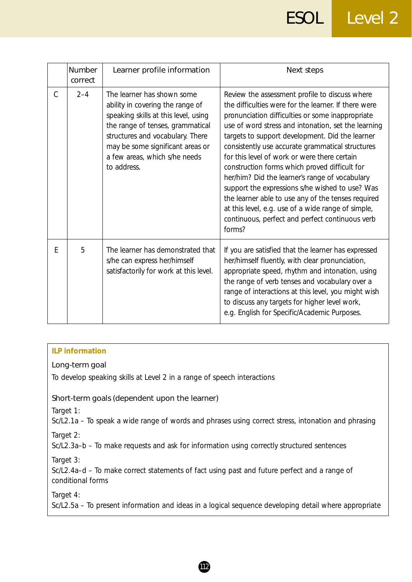|               | Number<br>correct | Learner profile information                                                                                                                                                                                                                                        | Next steps                                                                                                                                                                                                                                                                                                                                                                                                                                                                                                                                                                                                                                                                                              |
|---------------|-------------------|--------------------------------------------------------------------------------------------------------------------------------------------------------------------------------------------------------------------------------------------------------------------|---------------------------------------------------------------------------------------------------------------------------------------------------------------------------------------------------------------------------------------------------------------------------------------------------------------------------------------------------------------------------------------------------------------------------------------------------------------------------------------------------------------------------------------------------------------------------------------------------------------------------------------------------------------------------------------------------------|
| $\mathcal{C}$ | $2 - 4$           | The learner has shown some<br>ability in covering the range of<br>speaking skills at this level, using<br>the range of tenses, grammatical<br>structures and vocabulary. There<br>may be some significant areas or<br>a few areas, which s/he needs<br>to address. | Review the assessment profile to discuss where<br>the difficulties were for the learner. If there were<br>pronunciation difficulties or some inappropriate<br>use of word stress and intonation, set the learning<br>targets to support development. Did the learner<br>consistently use accurate grammatical structures<br>for this level of work or were there certain<br>construction forms which proved difficult for<br>her/him? Did the learner's range of vocabulary<br>support the expressions s/he wished to use? Was<br>the learner able to use any of the tenses required<br>at this level, e.g. use of a wide range of simple,<br>continuous, perfect and perfect continuous verb<br>forms? |
| E             | 5                 | The learner has demonstrated that<br>s/he can express her/himself<br>satisfactorily for work at this level.                                                                                                                                                        | If you are satisfied that the learner has expressed<br>her/himself fluently, with clear pronunciation,<br>appropriate speed, rhythm and intonation, using<br>the range of verb tenses and vocabulary over a<br>range of interactions at this level, you might wish<br>to discuss any targets for higher level work,<br>e.g. English for Specific/Academic Purposes.                                                                                                                                                                                                                                                                                                                                     |

### **ILP information**

### Long-term goal

To develop speaking skills at Level 2 in a range of speech interactions

### Short-term goals (dependent upon the learner)

*Target 1:*

Sc/L2.1a – To speak a wide range of words and phrases using correct stress, intonation and phrasing *Target 2:*

Sc/L2.3a–b – To make requests and ask for information using correctly structured sentences

*Target 3:*

Sc/L2.4a–d – To make correct statements of fact using past and future perfect and a range of conditional forms

*Target 4:*

Sc/L2.5a – To present information and ideas in a logical sequence developing detail where appropriate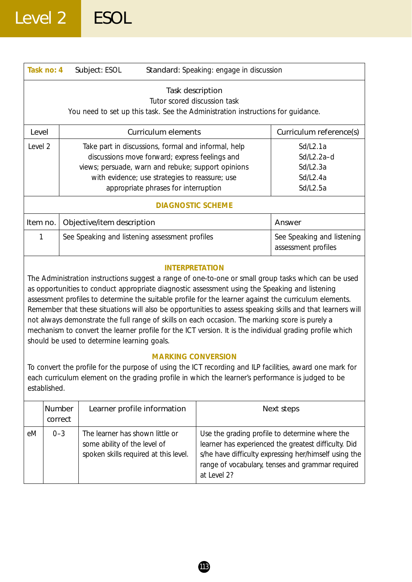|          | Task no: 4                                                                                                                                                                                                                                                                                                                                                                                                                                                                                                                                                                                                                                                                                                                                                                                                                                                                                                                                                                          | Subject: ESOL                                                                                            | Standard: Speaking: engage in discussion |                                                                                                                                                                                                                     |
|----------|-------------------------------------------------------------------------------------------------------------------------------------------------------------------------------------------------------------------------------------------------------------------------------------------------------------------------------------------------------------------------------------------------------------------------------------------------------------------------------------------------------------------------------------------------------------------------------------------------------------------------------------------------------------------------------------------------------------------------------------------------------------------------------------------------------------------------------------------------------------------------------------------------------------------------------------------------------------------------------------|----------------------------------------------------------------------------------------------------------|------------------------------------------|---------------------------------------------------------------------------------------------------------------------------------------------------------------------------------------------------------------------|
|          | Task description<br>Tutor scored discussion task<br>You need to set up this task. See the Administration instructions for quidance.                                                                                                                                                                                                                                                                                                                                                                                                                                                                                                                                                                                                                                                                                                                                                                                                                                                 |                                                                                                          |                                          |                                                                                                                                                                                                                     |
| Level    |                                                                                                                                                                                                                                                                                                                                                                                                                                                                                                                                                                                                                                                                                                                                                                                                                                                                                                                                                                                     | <b>Curriculum elements</b>                                                                               |                                          | Curriculum reference(s)                                                                                                                                                                                             |
| Level 2  | Take part in discussions, formal and informal, help<br>Sd/L2.1a<br>discussions move forward; express feelings and<br>Sd/L2.2a-d<br>views; persuade, warn and rebuke; support opinions<br>Sd/L2.3a<br>with evidence; use strategies to reassure; use<br>Sd/L2.4a<br>appropriate phrases for interruption<br>Sd/L2.5a                                                                                                                                                                                                                                                                                                                                                                                                                                                                                                                                                                                                                                                                 |                                                                                                          |                                          |                                                                                                                                                                                                                     |
|          |                                                                                                                                                                                                                                                                                                                                                                                                                                                                                                                                                                                                                                                                                                                                                                                                                                                                                                                                                                                     | <b>DIAGNOSTIC SCHEME</b>                                                                                 |                                          |                                                                                                                                                                                                                     |
| Item no. | Objective/item description<br>Answer                                                                                                                                                                                                                                                                                                                                                                                                                                                                                                                                                                                                                                                                                                                                                                                                                                                                                                                                                |                                                                                                          |                                          |                                                                                                                                                                                                                     |
| 1        |                                                                                                                                                                                                                                                                                                                                                                                                                                                                                                                                                                                                                                                                                                                                                                                                                                                                                                                                                                                     | See Speaking and listening assessment profiles<br>assessment profiles                                    |                                          | See Speaking and listening                                                                                                                                                                                          |
|          | <b>INTERPRETATION</b><br>The Administration instructions suggest a range of one-to-one or small group tasks which can be used<br>as opportunities to conduct appropriate diagnostic assessment using the Speaking and listening<br>assessment profiles to determine the suitable profile for the learner against the curriculum elements.<br>Remember that these situations will also be opportunities to assess speaking skills and that learners will<br>not always demonstrate the full range of skills on each occasion. The marking score is purely a<br>mechanism to convert the learner profile for the ICT version. It is the individual grading profile which<br>should be used to determine learning goals.<br><b>MARKING CONVERSION</b><br>To convert the profile for the purpose of using the ICT recording and ILP facilities, award one mark for<br>each curriculum element on the grading profile in which the learner's performance is judged to be<br>established. |                                                                                                          |                                          |                                                                                                                                                                                                                     |
|          | Number<br>correct                                                                                                                                                                                                                                                                                                                                                                                                                                                                                                                                                                                                                                                                                                                                                                                                                                                                                                                                                                   | Learner profile information                                                                              |                                          | Next steps                                                                                                                                                                                                          |
| eM       | $0 - 3$                                                                                                                                                                                                                                                                                                                                                                                                                                                                                                                                                                                                                                                                                                                                                                                                                                                                                                                                                                             | The learner has shown little or<br>some ability of the level of<br>spoken skills required at this level. | at Level 2?                              | Use the grading profile to determine where the<br>learner has experienced the greatest difficulty. Did<br>s/he have difficulty expressing her/himself using the<br>range of vocabulary, tenses and grammar required |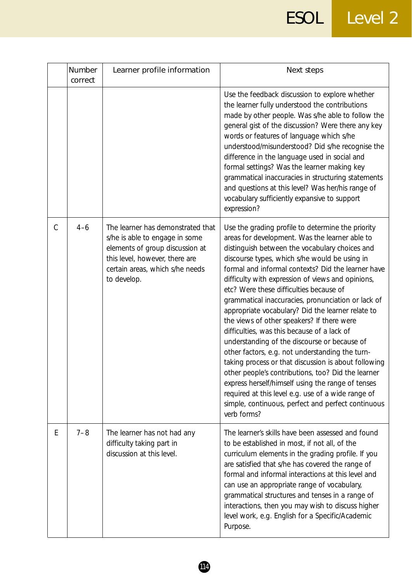# ESOL Level 2

|               | Number<br>correct | Learner profile information                                                                                                                                                                | Next steps                                                                                                                                                                                                                                                                                                                                                                                                                                                                                                                                                                                                                                                                                                                                                                                                                                                                                                                                                            |
|---------------|-------------------|--------------------------------------------------------------------------------------------------------------------------------------------------------------------------------------------|-----------------------------------------------------------------------------------------------------------------------------------------------------------------------------------------------------------------------------------------------------------------------------------------------------------------------------------------------------------------------------------------------------------------------------------------------------------------------------------------------------------------------------------------------------------------------------------------------------------------------------------------------------------------------------------------------------------------------------------------------------------------------------------------------------------------------------------------------------------------------------------------------------------------------------------------------------------------------|
|               |                   |                                                                                                                                                                                            | Use the feedback discussion to explore whether<br>the learner fully understood the contributions<br>made by other people. Was s/he able to follow the<br>general gist of the discussion? Were there any key<br>words or features of language which s/he<br>understood/misunderstood? Did s/he recognise the<br>difference in the language used in social and<br>formal settings? Was the learner making key<br>grammatical inaccuracies in structuring statements<br>and questions at this level? Was her/his range of<br>vocabulary sufficiently expansive to support<br>expression?                                                                                                                                                                                                                                                                                                                                                                                 |
| $\mathcal{C}$ | $4 - 6$           | The learner has demonstrated that<br>s/he is able to engage in some<br>elements of group discussion at<br>this level, however, there are<br>certain areas, which s/he needs<br>to develop. | Use the grading profile to determine the priority<br>areas for development. Was the learner able to<br>distinguish between the vocabulary choices and<br>discourse types, which s/he would be using in<br>formal and informal contexts? Did the learner have<br>difficulty with expression of views and opinions,<br>etc? Were these difficulties because of<br>grammatical inaccuracies, pronunciation or lack of<br>appropriate vocabulary? Did the learner relate to<br>the views of other speakers? If there were<br>difficulties, was this because of a lack of<br>understanding of the discourse or because of<br>other factors, e.g. not understanding the turn-<br>taking process or that discussion is about following<br>other people's contributions, too? Did the learner<br>express herself/himself using the range of tenses<br>required at this level e.g. use of a wide range of<br>simple, continuous, perfect and perfect continuous<br>verb forms? |
| Ε             | $7 - 8$           | The learner has not had any<br>difficulty taking part in<br>discussion at this level.                                                                                                      | The learner's skills have been assessed and found<br>to be established in most, if not all, of the<br>curriculum elements in the grading profile. If you<br>are satisfied that s/he has covered the range of<br>formal and informal interactions at this level and<br>can use an appropriate range of vocabulary,<br>grammatical structures and tenses in a range of<br>interactions, then you may wish to discuss higher<br>level work, e.g. English for a Specific/Academic<br>Purpose.                                                                                                                                                                                                                                                                                                                                                                                                                                                                             |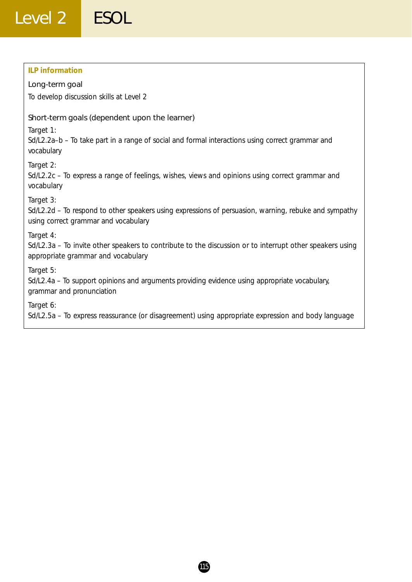### **ILP information**

### Long-term goal

To develop discussion skills at Level 2

### Short-term goals (dependent upon the learner)

*Target 1:*

Sd/L2.2a–b – To take part in a range of social and formal interactions using correct grammar and vocabulary

*Target 2:*

Sd/L2.2c – To express a range of feelings, wishes, views and opinions using correct grammar and vocabulary

*Target 3:*

Sd/L2.2d – To respond to other speakers using expressions of persuasion, warning, rebuke and sympathy using correct grammar and vocabulary

*Target 4:*

Sd/L2.3a – To invite other speakers to contribute to the discussion or to interrupt other speakers using appropriate grammar and vocabulary

*Target 5:*

Sd/L2.4a – To support opinions and arguments providing evidence using appropriate vocabulary, grammar and pronunciation

*Target 6:*

Sd/L2.5a – To express reassurance (or disagreement) using appropriate expression and body language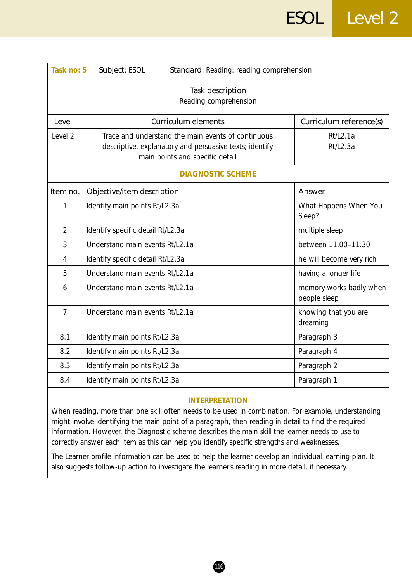| Task no: 5     | Standard: Reading: reading comprehension<br>Subject: ESOL                                                                                        |                                         |  |  |
|----------------|--------------------------------------------------------------------------------------------------------------------------------------------------|-----------------------------------------|--|--|
|                | Task description<br>Reading comprehension                                                                                                        |                                         |  |  |
| Level          | <b>Curriculum elements</b>                                                                                                                       | Curriculum reference(s)                 |  |  |
| Level 2        | Trace and understand the main events of continuous<br>descriptive, explanatory and persuasive texts; identify<br>main points and specific detail | Rt/L2.1a<br>Rt/L2.3a                    |  |  |
|                | <b>DIAGNOSTIC SCHEME</b>                                                                                                                         |                                         |  |  |
| Item no.       | Objective/item description                                                                                                                       | Answer                                  |  |  |
| 1              | Identify main points Rt/L2.3a                                                                                                                    | What Happens When You<br>Sleep?         |  |  |
| $\overline{2}$ | Identify specific detail Rt/L2.3a                                                                                                                | multiple sleep                          |  |  |
| 3              | Understand main events Rt/L2.1a                                                                                                                  | between 11.00-11.30                     |  |  |
| 4              | Identify specific detail Rt/L2.3a                                                                                                                | he will become very rich                |  |  |
| 5              | Understand main events Rt/L2.1a                                                                                                                  | having a longer life                    |  |  |
| 6              | Understand main events Rt/L2.1a                                                                                                                  | memory works badly when<br>people sleep |  |  |
| $\overline{7}$ | Understand main events Rt/L2.1a                                                                                                                  | knowing that you are<br>dreaming        |  |  |
| 8.1            | Identify main points Rt/L2.3a                                                                                                                    | Paragraph 3                             |  |  |
| 8.2            | Identify main points Rt/L2.3a                                                                                                                    | Paragraph 4                             |  |  |
| 8.3            | Identify main points Rt/L2.3a                                                                                                                    | Paragraph 2                             |  |  |
| 8.4            | Identify main points Rt/L2.3a                                                                                                                    | Paragraph 1                             |  |  |

### **INTERPRETATION**

When reading, more than one skill often needs to be used in combination. For example, understanding might involve identifying the main point of a paragraph, then reading in detail to find the required information. However, the Diagnostic scheme describes the main skill the learner needs to use to correctly answer each item as this can help you identify specific strengths and weaknesses.

The Learner profile information can be used to help the learner develop an individual learning plan. It also suggests follow-up action to investigate the learner's reading in more detail, if necessary.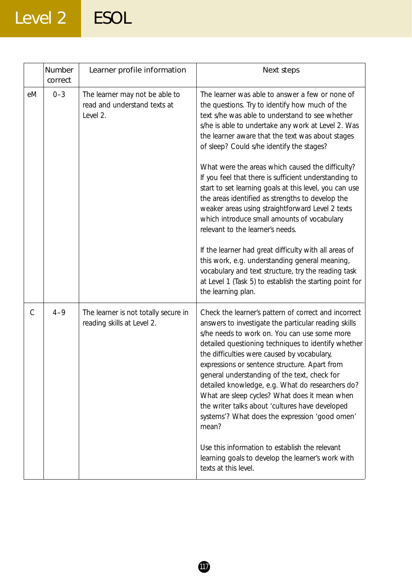# Level 2 ESOL

|               | Number<br>correct | Learner profile information                                                | Next steps                                                                                                                                                                                                                                                                                                                                                                                                                                                                                                                                                                             |
|---------------|-------------------|----------------------------------------------------------------------------|----------------------------------------------------------------------------------------------------------------------------------------------------------------------------------------------------------------------------------------------------------------------------------------------------------------------------------------------------------------------------------------------------------------------------------------------------------------------------------------------------------------------------------------------------------------------------------------|
| eM            | $0 - 3$           | The learner may not be able to<br>read and understand texts at<br>Level 2. | The learner was able to answer a few or none of<br>the questions. Try to identify how much of the<br>text s/he was able to understand to see whether<br>s/he is able to undertake any work at Level 2. Was<br>the learner aware that the text was about stages<br>of sleep? Could s/he identify the stages?                                                                                                                                                                                                                                                                            |
|               |                   |                                                                            | What were the areas which caused the difficulty?<br>If you feel that there is sufficient understanding to<br>start to set learning goals at this level, you can use<br>the areas identified as strengths to develop the<br>weaker areas using straightforward Level 2 texts<br>which introduce small amounts of vocabulary<br>relevant to the learner's needs.                                                                                                                                                                                                                         |
|               |                   |                                                                            | If the learner had great difficulty with all areas of<br>this work, e.g. understanding general meaning,<br>vocabulary and text structure, try the reading task<br>at Level 1 (Task 5) to establish the starting point for<br>the learning plan.                                                                                                                                                                                                                                                                                                                                        |
| $\mathcal{C}$ | $4 - 9$           | The learner is not totally secure in<br>reading skills at Level 2.         | Check the learner's pattern of correct and incorrect<br>answers to investigate the particular reading skills<br>s/he needs to work on. You can use some more<br>detailed questioning techniques to identify whether<br>the difficulties were caused by vocabulary,<br>expressions or sentence structure. Apart from<br>general understanding of the text, check for<br>detailed knowledge, e.g. What do researchers do?<br>What are sleep cycles? What does it mean when<br>the writer talks about 'cultures have developed<br>systems'? What does the expression 'good omen'<br>mean? |
|               |                   |                                                                            | Use this information to establish the relevant<br>learning goals to develop the learner's work with<br>texts at this level.                                                                                                                                                                                                                                                                                                                                                                                                                                                            |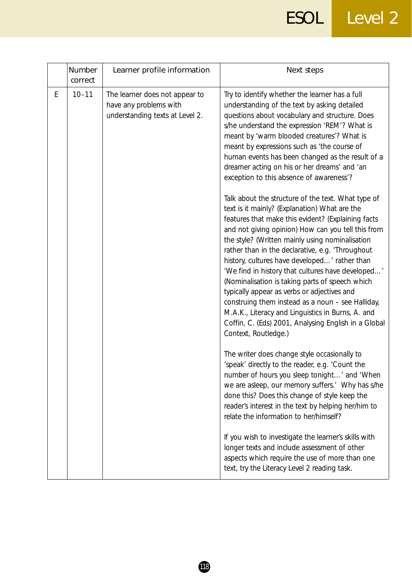ESOL Level 2

|   | Number<br>correct | Learner profile information                                                                 | Next steps                                                                                                                                                                                                                                                                                                                                                                                                                                                                                                                                                                                                                                                                                                               |
|---|-------------------|---------------------------------------------------------------------------------------------|--------------------------------------------------------------------------------------------------------------------------------------------------------------------------------------------------------------------------------------------------------------------------------------------------------------------------------------------------------------------------------------------------------------------------------------------------------------------------------------------------------------------------------------------------------------------------------------------------------------------------------------------------------------------------------------------------------------------------|
| E | $10 - 11$         | The learner does not appear to<br>have any problems with<br>understanding texts at Level 2. | Try to identify whether the learner has a full<br>understanding of the text by asking detailed<br>questions about vocabulary and structure. Does<br>s/he understand the expression 'REM'? What is<br>meant by 'warm blooded creatures'? What is<br>meant by expressions such as 'the course of<br>human events has been changed as the result of a<br>dreamer acting on his or her dreams' and 'an<br>exception to this absence of awareness'?                                                                                                                                                                                                                                                                           |
|   |                   |                                                                                             | Talk about the structure of the text. What type of<br>text is it mainly? (Explanation) What are the<br>features that make this evident? (Explaining facts<br>and not giving opinion) How can you tell this from<br>the style? (Written mainly using nominalisation<br>rather than in the declarative, e.g. 'Throughout<br>history, cultures have developed' rather than<br>'We find in history that cultures have developed'<br>(Nominalisation is taking parts of speech which<br>typically appear as verbs or adjectives and<br>construing them instead as a noun - see Halliday,<br>M.A.K., Literacy and Linguistics in Burns, A. and<br>Coffin, C. (Eds) 2001, Analysing English in a Global<br>Context, Routledge.) |
|   |                   |                                                                                             | The writer does change style occasionally to<br>'speak' directly to the reader, e.g. 'Count the<br>number of hours you sleep tonight' and 'When<br>we are asleep, our memory suffers.' Why has s/he<br>done this? Does this change of style keep the<br>reader's interest in the text by helping her/him to<br>relate the information to her/himself?                                                                                                                                                                                                                                                                                                                                                                    |
|   |                   |                                                                                             | If you wish to investigate the learner's skills with<br>longer texts and include assessment of other<br>aspects which require the use of more than one<br>text, try the Literacy Level 2 reading task.                                                                                                                                                                                                                                                                                                                                                                                                                                                                                                                   |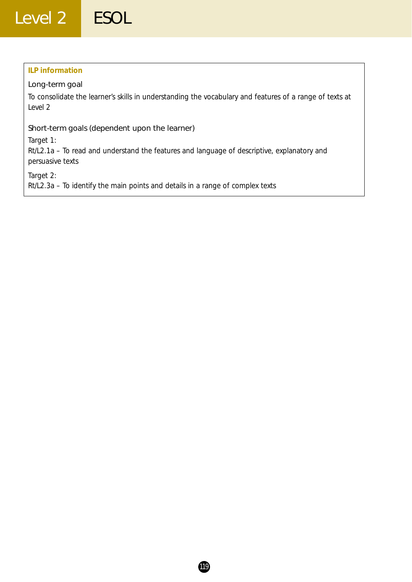### **ILP information**

### Long-term goal

To consolidate the learner's skills in understanding the vocabulary and features of a range of texts at Level 2

### Short-term goals (dependent upon the learner)

*Target 1:*

Rt/L2.1a – To read and understand the features and language of descriptive, explanatory and persuasive texts

*Target 2:*

Rt/L2.3a – To identify the main points and details in a range of complex texts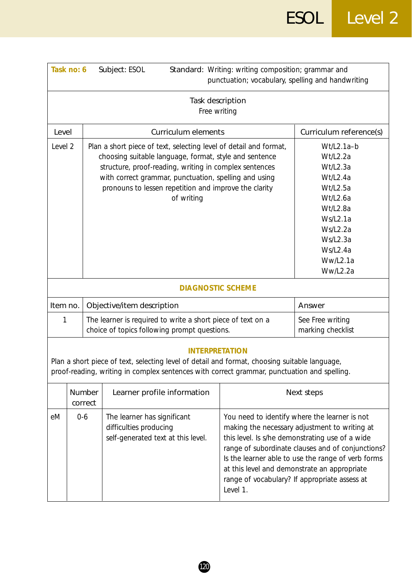| Task no: 6                                                                                                                                                                                                            |  | Standard: Writing: writing composition; grammar and<br>Subject: ESOL<br>punctuation; vocabulary, spelling and handwriting                                                                                                                                                                                             |                                                                                             |                                                                                                                                                            |                                                                                                                                                                                                                                                                                                               |
|-----------------------------------------------------------------------------------------------------------------------------------------------------------------------------------------------------------------------|--|-----------------------------------------------------------------------------------------------------------------------------------------------------------------------------------------------------------------------------------------------------------------------------------------------------------------------|---------------------------------------------------------------------------------------------|------------------------------------------------------------------------------------------------------------------------------------------------------------|---------------------------------------------------------------------------------------------------------------------------------------------------------------------------------------------------------------------------------------------------------------------------------------------------------------|
| Task description<br>Free writing                                                                                                                                                                                      |  |                                                                                                                                                                                                                                                                                                                       |                                                                                             |                                                                                                                                                            |                                                                                                                                                                                                                                                                                                               |
| Level                                                                                                                                                                                                                 |  |                                                                                                                                                                                                                                                                                                                       | <b>Curriculum elements</b>                                                                  |                                                                                                                                                            | Curriculum reference(s)                                                                                                                                                                                                                                                                                       |
| Level 2                                                                                                                                                                                                               |  | Plan a short piece of text, selecting level of detail and format,<br>choosing suitable language, format, style and sentence<br>structure, proof-reading, writing in complex sentences<br>with correct grammar, punctuation, spelling and using<br>pronouns to lessen repetition and improve the clarity<br>of writing |                                                                                             | Wt/L2.1a-b<br>Wt/L2.2a<br>Wt/L2.3a<br>Wt/L2.4a<br>Wt/L2.5a<br>Wt/L2.6a<br>Wt/L2.8a<br>Ws/L2.1a<br>Ws/L2.2a<br>Ws/L2.3a<br>Ws/L2.4a<br>Ww/L2.1a<br>Ww/L2.2a |                                                                                                                                                                                                                                                                                                               |
|                                                                                                                                                                                                                       |  |                                                                                                                                                                                                                                                                                                                       | <b>DIAGNOSTIC SCHEME</b>                                                                    |                                                                                                                                                            |                                                                                                                                                                                                                                                                                                               |
| Item no.                                                                                                                                                                                                              |  |                                                                                                                                                                                                                                                                                                                       | Objective/item description                                                                  |                                                                                                                                                            | Answer                                                                                                                                                                                                                                                                                                        |
| 1                                                                                                                                                                                                                     |  | The learner is required to write a short piece of text on a<br>choice of topics following prompt questions.                                                                                                                                                                                                           |                                                                                             | See Free writing<br>marking checklist                                                                                                                      |                                                                                                                                                                                                                                                                                                               |
| <b>INTERPRETATION</b><br>Plan a short piece of text, selecting level of detail and format, choosing suitable language,<br>proof-reading, writing in complex sentences with correct grammar, punctuation and spelling. |  |                                                                                                                                                                                                                                                                                                                       |                                                                                             |                                                                                                                                                            |                                                                                                                                                                                                                                                                                                               |
| Number<br>Learner profile information<br>correct                                                                                                                                                                      |  | Next steps                                                                                                                                                                                                                                                                                                            |                                                                                             |                                                                                                                                                            |                                                                                                                                                                                                                                                                                                               |
| $0-6$<br>eM                                                                                                                                                                                                           |  |                                                                                                                                                                                                                                                                                                                       | The learner has significant<br>difficulties producing<br>self-generated text at this level. | at this level and demonstrate an appropriate<br>Level 1.                                                                                                   | You need to identify where the learner is not<br>making the necessary adjustment to writing at<br>this level. Is s/he demonstrating use of a wide<br>range of subordinate clauses and of conjunctions?<br>Is the learner able to use the range of verb forms<br>range of vocabulary? If appropriate assess at |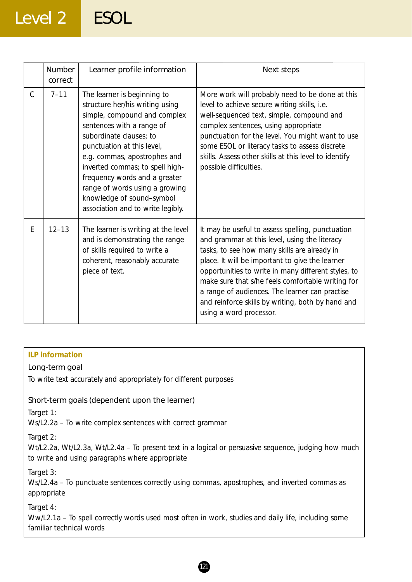# Level 2 ESOL

|   | <b>Number</b><br>correct | Learner profile information                                                                                                                                                                                                                                                                                                                                                                  | Next steps                                                                                                                                                                                                                                                                                                                                                                                                                                         |
|---|--------------------------|----------------------------------------------------------------------------------------------------------------------------------------------------------------------------------------------------------------------------------------------------------------------------------------------------------------------------------------------------------------------------------------------|----------------------------------------------------------------------------------------------------------------------------------------------------------------------------------------------------------------------------------------------------------------------------------------------------------------------------------------------------------------------------------------------------------------------------------------------------|
| C | $7 - 11$                 | The learner is beginning to<br>structure her/his writing using<br>simple, compound and complex<br>sentences with a range of<br>subordinate clauses; to<br>punctuation at this level,<br>e.g. commas, apostrophes and<br>inverted commas; to spell high-<br>frequency words and a greater<br>range of words using a growing<br>knowledge of sound-symbol<br>association and to write legibly. | More work will probably need to be done at this<br>level to achieve secure writing skills, i.e.<br>well-sequenced text, simple, compound and<br>complex sentences, using appropriate<br>punctuation for the level. You might want to use<br>some ESOL or literacy tasks to assess discrete<br>skills. Assess other skills at this level to identify<br>possible difficulties.                                                                      |
| E | $12 - 13$                | The learner is writing at the level<br>and is demonstrating the range<br>of skills required to write a<br>coherent, reasonably accurate<br>piece of text.                                                                                                                                                                                                                                    | It may be useful to assess spelling, punctuation<br>and grammar at this level, using the literacy<br>tasks, to see how many skills are already in<br>place. It will be important to give the learner<br>opportunities to write in many different styles, to<br>make sure that s/he feels comfortable writing for<br>a range of audiences. The learner can practise<br>and reinforce skills by writing, both by hand and<br>using a word processor. |

### **ILP information**

### Long-term goal

To write text accurately and appropriately for different purposes

### Short-term goals (dependent upon the learner)

*Target 1:*

Ws/L2.2a – To write complex sentences with correct grammar

*Target 2:*

Wt/L2.2a, Wt/L2.3a, Wt/L2.4a – To present text in a logical or persuasive sequence, judging how much to write and using paragraphs where appropriate

*Target 3:*

Ws/L2.4a – To punctuate sentences correctly using commas, apostrophes, and inverted commas as appropriate

### *Target 4:*

Ww/L2.1a - To spell correctly words used most often in work, studies and daily life, including some familiar technical words

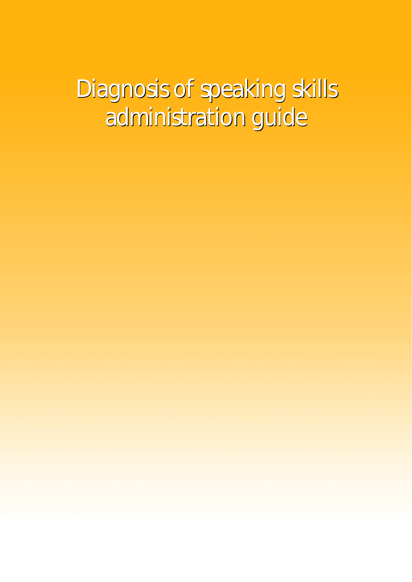Diagnosis of speaking skills Diagnosis of speaking skills administration guide administration guide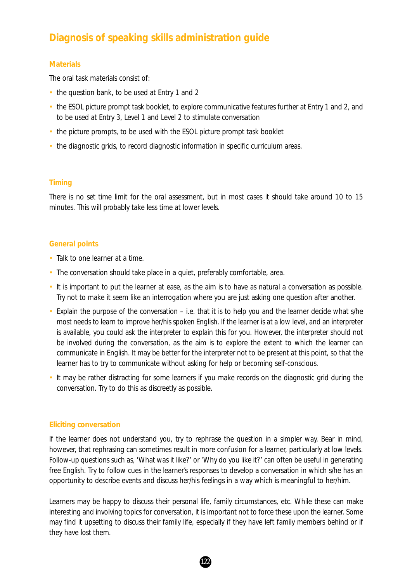### **Diagnosis of speaking skills administration guide**

### **Materials**

The oral task materials consist of:

- the question bank, to be used at Entry 1 and 2
- the ESOL picture prompt task booklet, to explore communicative features further at Entry 1 and 2, and to be used at Entry 3, Level 1 and Level 2 to stimulate conversation
- the picture prompts, to be used with the ESOL picture prompt task booklet
- the diagnostic grids, to record diagnostic information in specific curriculum areas.

### **Timing**

There is no set time limit for the oral assessment, but in most cases it should take around 10 to 15 minutes. This will probably take less time at lower levels.

### **General points**

- Talk to one learner at a time.
- The conversation should take place in a quiet, preferably comfortable, area.
- It is important to put the learner at ease, as the aim is to have as natural a conversation as possible. Try not to make it seem like an interrogation where you are just asking one question after another.
- Explain the purpose of the conversation i.e. that it is to help you and the learner decide what s/he most needs to learn to improve her/his spoken English. If the learner is at a low level, and an interpreter is available, you could ask the interpreter to explain this for you. However, the interpreter should not be involved during the conversation, as the aim is to explore the extent to which the learner can communicate in English. It may be better for the interpreter not to be present at this point, so that the learner has to try to communicate without asking for help or becoming self-conscious.
- It may be rather distracting for some learners if you make records on the diagnostic grid during the conversation. Try to do this as discreetly as possible.

### **Eliciting conversation**

If the learner does not understand you, try to rephrase the question in a simpler way. Bear in mind, however, that rephrasing can sometimes result in more confusion for a learner, particularly at low levels. Follow-up questions such as, 'What was it like?' or 'Why do you like it?' can often be useful in generating free English. Try to follow cues in the learner's responses to develop a conversation in which s/he has an opportunity to describe events and discuss her/his feelings in a way which is meaningful to her/him.

Learners may be happy to discuss their personal life, family circumstances, etc. While these can make interesting and involving topics for conversation, it is important not to force these upon the learner. Some may find it upsetting to discuss their family life, especially if they have left family members behind or if they have lost them.

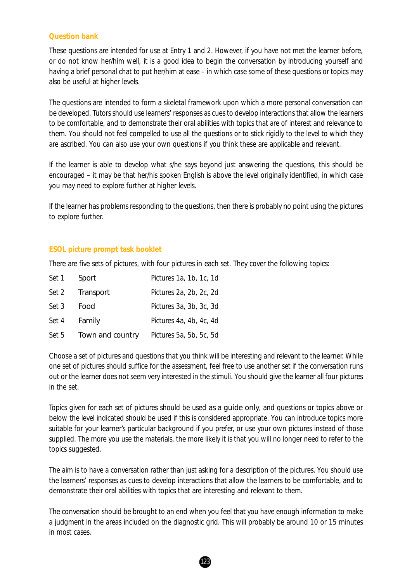### **Question bank**

These questions are intended for use at Entry 1 and 2. However, if you have not met the learner before, or do not know her/him well, it is a good idea to begin the conversation by introducing yourself and having a brief personal chat to put her/him at ease – in which case some of these questions or topics may also be useful at higher levels.

The questions are intended to form a skeletal framework upon which a more personal conversation can be developed. Tutors should use learners' responses as cues to develop interactions that allow the learners to be comfortable, and to demonstrate their oral abilities with topics that are of interest and relevance to them. You should not feel compelled to use all the questions or to stick rigidly to the level to which they are ascribed. You can also use your own questions if you think these are applicable and relevant.

If the learner is able to develop what s/he says beyond just answering the questions, this should be encouraged – it may be that her/his spoken English is above the level originally identified, in which case you may need to explore further at higher levels.

If the learner has problems responding to the questions, then there is probably no point using the pictures to explore further.

### **ESOL picture prompt task booklet**

There are five sets of pictures, with four pictures in each set. They cover the following topics:

| Set 1 | Sport            | Pictures 1a, 1b, 1c, 1d |
|-------|------------------|-------------------------|
| Set 2 | Transport        | Pictures 2a, 2b, 2c, 2d |
| Set 3 | Food             | Pictures 3a, 3b, 3c, 3d |
| Set 4 | Family           | Pictures 4a, 4b, 4c, 4d |
| Set 5 | Town and country | Pictures 5a, 5b, 5c, 5d |

Choose a set of pictures and questions that you think will be interesting and relevant to the learner. While one set of pictures should suffice for the assessment, feel free to use another set if the conversation runs out or the learner does not seem very interested in the stimuli. You should give the learner all four pictures in the set.

Topics given for each set of pictures should be used as a guide only, and questions or topics above or below the level indicated should be used if this is considered appropriate. You can introduce topics more suitable for your learner's particular background if you prefer, or use your own pictures instead of those supplied. The more you use the materials, the more likely it is that you will no longer need to refer to the topics suggested.

The aim is to have a conversation rather than just asking for a description of the pictures. You should use the learners' responses as cues to develop interactions that allow the learners to be comfortable, and to demonstrate their oral abilities with topics that are interesting and relevant to them.

The conversation should be brought to an end when you feel that you have enough information to make a judgment in the areas included on the diagnostic grid. This will probably be around 10 or 15 minutes in most cases.

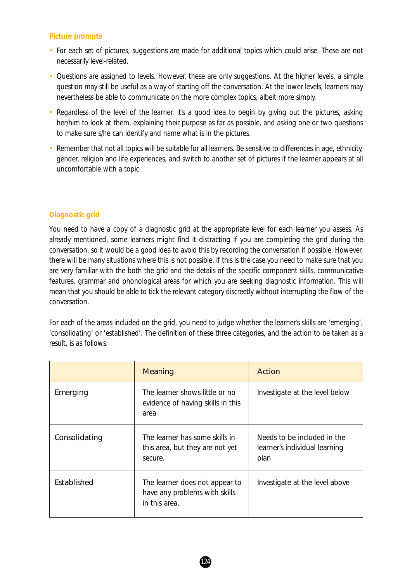### **Picture prompts**

- For each set of pictures, suggestions are made for additional topics which could arise. These are not necessarily level-related.
- Questions are assigned to levels. However, these are only suggestions. At the higher levels, a simple question may still be useful as a way of starting off the conversation. At the lower levels, learners may nevertheless be able to communicate on the more complex topics, albeit more simply.
- Regardless of the level of the learner, it's a good idea to begin by giving out the pictures, asking her/him to look at them, explaining their purpose as far as possible, and asking one or two questions to make sure s/he can identify and name what is in the pictures.
- Remember that not all topics will be suitable for all learners. Be sensitive to differences in age, ethnicity, gender, religion and life experiences, and switch to another set of pictures if the learner appears at all uncomfortable with a topic.

### **Diagnostic grid**

You need to have a copy of a diagnostic grid at the appropriate level for each learner you assess. As already mentioned, some learners might find it distracting if you are completing the grid during the conversation, so it would be a good idea to avoid this by recording the conversation if possible. However, there will be many situations where this is not possible. If this is the case you need to make sure that you are very familiar with the both the grid and the details of the specific component skills, communicative features, grammar and phonological areas for which you are seeking diagnostic information. This will mean that you should be able to tick the relevant category discreetly without interrupting the flow of the conversation.

For each of the areas included on the grid, you need to judge whether the learner's skills are 'emerging', 'consolidating' or 'established'. The definition of these three categories, and the action to be taken as a result, is as follows:

|               | Meaning                                                                          | Action                                                               |
|---------------|----------------------------------------------------------------------------------|----------------------------------------------------------------------|
| Emerging      | The learner shows little or no<br>evidence of having skills in this<br>area      | Investigate at the level below                                       |
| Consolidating | The learner has some skills in<br>this area, but they are not yet<br>secure.     | Needs to be included in the<br>learner's individual learning<br>plan |
| Established   | The learner does not appear to<br>have any problems with skills<br>in this area. | Investigate at the level above                                       |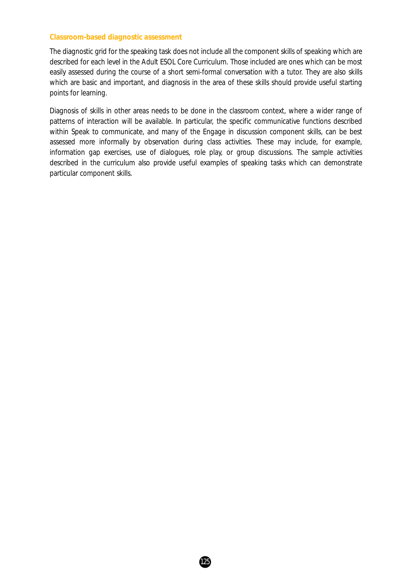### **Classroom-based diagnostic assessment**

The diagnostic grid for the speaking task does not include all the component skills of speaking which are described for each level in the *Adult ESOL Core Curriculum*. Those included are ones which can be most easily assessed during the course of a short semi-formal conversation with a tutor. They are also skills which are basic and important, and diagnosis in the area of these skills should provide useful starting points for learning.

Diagnosis of skills in other areas needs to be done in the classroom context, where a wider range of patterns of interaction will be available. In particular, the specific communicative functions described within Speak to communicate, and many of the Engage in discussion component skills, can be best assessed more informally by observation during class activities. These may include, for example, information gap exercises, use of dialogues, role play, or group discussions. The sample activities described in the curriculum also provide useful examples of speaking tasks which can demonstrate particular component skills.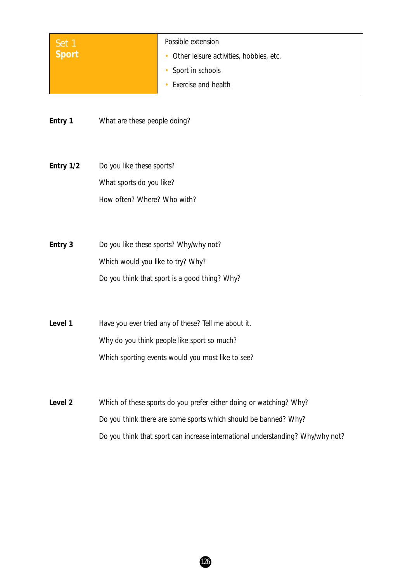| Set 1                                             | Possible extension                                                             |
|---------------------------------------------------|--------------------------------------------------------------------------------|
| <b>Sport</b>                                      | Other leisure activities, hobbies, etc.                                        |
|                                                   | Sport in schools<br>٠                                                          |
|                                                   | Exercise and health                                                            |
|                                                   |                                                                                |
| Entry 1                                           | What are these people doing?                                                   |
|                                                   |                                                                                |
|                                                   |                                                                                |
| Entry 1/2                                         | Do you like these sports?                                                      |
|                                                   | What sports do you like?                                                       |
|                                                   | How often? Where? Who with?                                                    |
|                                                   |                                                                                |
|                                                   |                                                                                |
| Entry 3                                           | Do you like these sports? Why/why not?                                         |
|                                                   | Which would you like to try? Why?                                              |
|                                                   | Do you think that sport is a good thing? Why?                                  |
|                                                   |                                                                                |
|                                                   |                                                                                |
| Level 1                                           | Have you ever tried any of these? Tell me about it.                            |
|                                                   | Why do you think people like sport so much?                                    |
| Which sporting events would you most like to see? |                                                                                |
|                                                   |                                                                                |
|                                                   |                                                                                |
| Level 2                                           | Which of these sports do you prefer either doing or watching? Why?             |
|                                                   | Do you think there are some sports which should be banned? Why?                |
|                                                   | Do you think that sport can increase international understanding? Why/why not? |
|                                                   |                                                                                |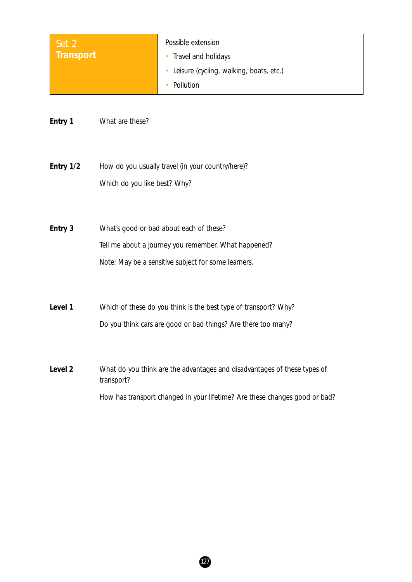| Set 2     | Possible extension                      |
|-----------|-----------------------------------------|
| Transport | Travel and holidays                     |
|           | Leisure (cycling, walking, boats, etc.) |
|           | Pollution                               |

**Entry 1** What are these?

**Entry 1/2** How do you usually travel (in your country/here)? Which do you like best? Why?

**Entry 3** What's good or bad about each of these? Tell me about a journey you remember. What happened? *Note: May be a sensitive subject for some learners.*

Level 1 Which of these do you think is the best type of transport? Why? Do you think cars are good or bad things? Are there too many?

**Level 2** What do you think are the advantages and disadvantages of these types of transport? How has transport changed in your lifetime? Are these changes good or bad?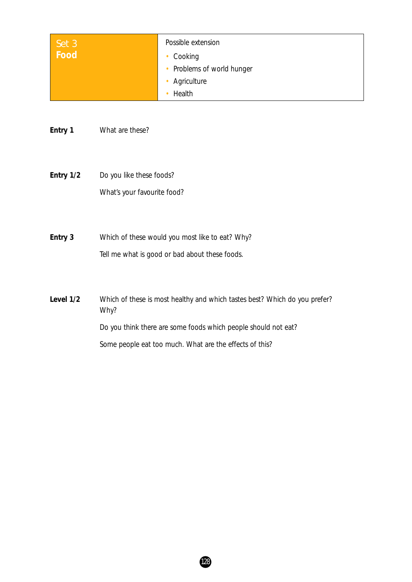| Set 3<br>Food | Possible extension         |
|---------------|----------------------------|
|               | Cooking                    |
|               | • Problems of world hunger |
|               | Agriculture                |
|               | Health                     |

**Entry 1** What are these?

**Entry 1/2** Do you like these foods? What's your favourite food?

**Entry 3** Which of these would you most like to eat? Why? Tell me what is good or bad about these foods.

**Level 1/2** Which of these is most healthy and which tastes best? Which do you prefer? Why? Do you think there are some foods which people should not eat? Some people eat too much. What are the effects of this?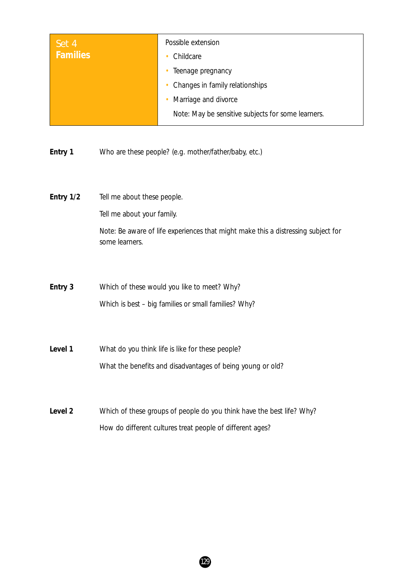| Set 4<br><b>Families</b> | Possible extension<br>Childcare                    |
|--------------------------|----------------------------------------------------|
|                          | Teenage pregnancy                                  |
|                          | Changes in family relationships                    |
|                          | Marriage and divorce                               |
|                          | Note: May be sensitive subjects for some learners. |

**Entry 1** Who are these people? (e.g. mother/father/baby, etc.)

- **Entry 1/2** Tell me about these people. Tell me about your family. *Note: Be aware of life experiences that might make this a distressing subject for some learners.*
- **Entry 3** Which of these would you like to meet? Why? Which is best – big families or small families? Why?
- Level 1 What do you think life is like for these people? What the benefits and disadvantages of being young or old?
- Level 2 Which of these groups of people do you think have the best life? Why? How do different cultures treat people of different ages?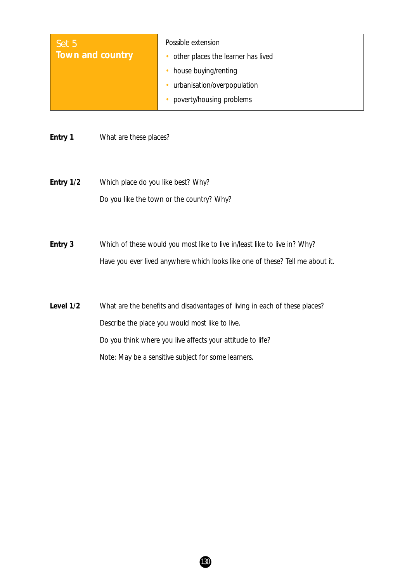| Set 5            | Possible extension                 |
|------------------|------------------------------------|
| Town and country | other places the learner has lived |
|                  | house buying/renting               |
|                  | urbanisation/overpopulation        |
|                  | poverty/housing problems           |

**Entry 1** What are these places?

**Entry 1/2** Which place do you like best? Why? Do you like the town or the country? Why?

**Entry 3** Which of these would you most like to live in/least like to live in? Why? Have you ever lived anywhere which looks like one of these? Tell me about it.

Level 1/2 What are the benefits and disadvantages of living in each of these places? Describe the place you would most like to live. Do you think where you live affects your attitude to life? *Note: May be a sensitive subject for some learners.*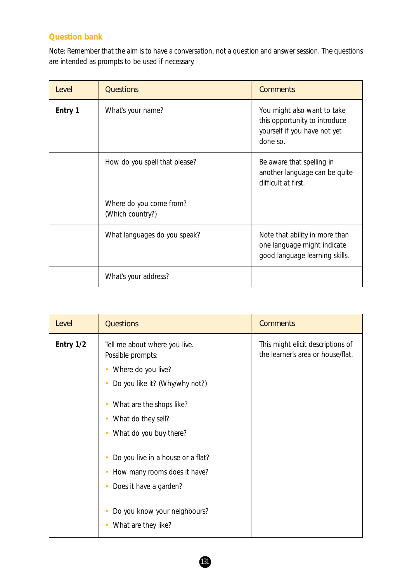### **Question bank**

*Note:* Remember that the aim is to have a conversation, not a question and answer session. The questions are intended as prompts to be used if necessary.

| Level   | <b>Questions</b>                            | <b>Comments</b>                                                                                          |
|---------|---------------------------------------------|----------------------------------------------------------------------------------------------------------|
| Entry 1 | What's your name?                           | You might also want to take<br>this opportunity to introduce<br>yourself if you have not yet<br>done so. |
|         | How do you spell that please?               | Be aware that spelling in<br>another language can be quite<br>difficult at first.                        |
|         | Where do you come from?<br>(Which country?) |                                                                                                          |
|         | What languages do you speak?                | Note that ability in more than<br>one language might indicate<br>good language learning skills.          |
|         | What's your address?                        |                                                                                                          |

| Level     | <b>Questions</b>                                                                                                | <b>Comments</b>                                                        |
|-----------|-----------------------------------------------------------------------------------------------------------------|------------------------------------------------------------------------|
| Entry 1/2 | Tell me about where you live.<br>Possible prompts:<br>Where do you live?<br>٠<br>Do you like it? (Why/why not?) | This might elicit descriptions of<br>the learner's area or house/flat. |
|           | What are the shops like?<br>$\bullet$<br>What do they sell?<br>What do you buy there?<br>$\bullet$              |                                                                        |
|           | Do you live in a house or a flat?<br>How many rooms does it have?<br>Does it have a garden?<br>٠                |                                                                        |
|           | Do you know your neighbours?<br>What are they like?                                                             |                                                                        |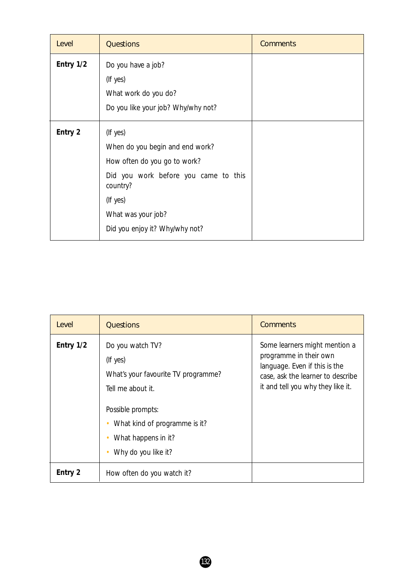| Level     | <b>Questions</b>                                 | <b>Comments</b> |
|-----------|--------------------------------------------------|-----------------|
| Entry 1/2 | Do you have a job?                               |                 |
|           | (If yes)                                         |                 |
|           | What work do you do?                             |                 |
|           | Do you like your job? Why/why not?               |                 |
| Entry 2   | (If yes)                                         |                 |
|           | When do you begin and end work?                  |                 |
|           | How often do you go to work?                     |                 |
|           | Did you work before you came to this<br>country? |                 |
|           | (If yes)                                         |                 |
|           | What was your job?                               |                 |
|           | Did you enjoy it? Why/why not?                   |                 |

| Level     | <b>Questions</b>                                                                                                                                                                             | <b>Comments</b>                                                                                                                                                    |
|-----------|----------------------------------------------------------------------------------------------------------------------------------------------------------------------------------------------|--------------------------------------------------------------------------------------------------------------------------------------------------------------------|
| Entry 1/2 | Do you watch TV?<br>(If yes)<br>What's your favourite TV programme?<br>Tell me about it.<br>Possible prompts:<br>What kind of programme is it?<br>What happens in it?<br>Why do you like it? | Some learners might mention a<br>programme in their own<br>language. Even if this is the<br>case, ask the learner to describe<br>it and tell you why they like it. |
| Entry 2   | How often do you watch it?                                                                                                                                                                   |                                                                                                                                                                    |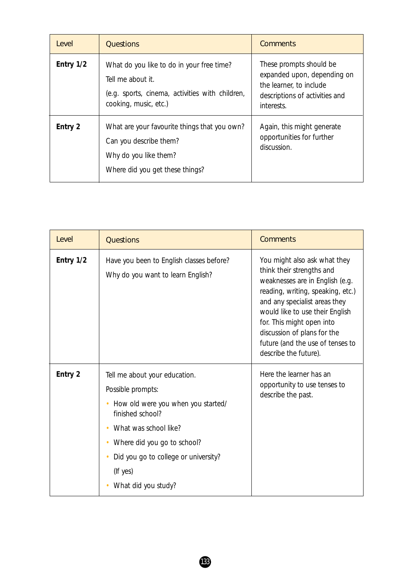| <i>Level</i> | <b>Questions</b>                                                                                                                           | <b>Comments</b>                                                                                                                   |
|--------------|--------------------------------------------------------------------------------------------------------------------------------------------|-----------------------------------------------------------------------------------------------------------------------------------|
| Entry 1/2    | What do you like to do in your free time?<br>Tell me about it.<br>(e.g. sports, cinema, activities with children,<br>cooking, music, etc.) | These prompts should be<br>expanded upon, depending on<br>the learner, to include<br>descriptions of activities and<br>interests. |
| Entry 2      | What are your favourite things that you own?<br>Can you describe them?<br>Why do you like them?<br>Where did you get these things?         | Again, this might generate<br>opportunities for further<br>discussion.                                                            |

| Level     | <b>Questions</b>                                                                                                                                                                                                                                | <b>Comments</b>                                                                                                                                                                                                                                                                                                                |
|-----------|-------------------------------------------------------------------------------------------------------------------------------------------------------------------------------------------------------------------------------------------------|--------------------------------------------------------------------------------------------------------------------------------------------------------------------------------------------------------------------------------------------------------------------------------------------------------------------------------|
| Entry 1/2 | Have you been to English classes before?<br>Why do you want to learn English?                                                                                                                                                                   | You might also ask what they<br>think their strengths and<br>weaknesses are in English (e.g.<br>reading, writing, speaking, etc.)<br>and any specialist areas they<br>would like to use their English<br>for. This might open into<br>discussion of plans for the<br>future (and the use of tenses to<br>describe the future). |
| Entry 2   | Tell me about your education.<br>Possible prompts:<br>How old were you when you started/<br>finished school?<br>What was school like?<br>Where did you go to school?<br>Did you go to college or university?<br>(If yes)<br>What did you study? | Here the learner has an<br>opportunity to use tenses to<br>describe the past.                                                                                                                                                                                                                                                  |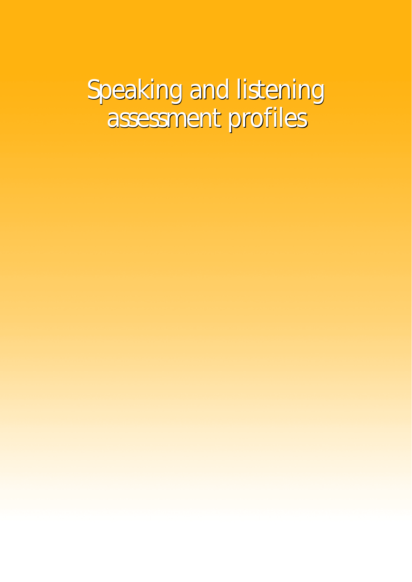# Speaking and listening Speaking and listening assessment profiles assessment profiles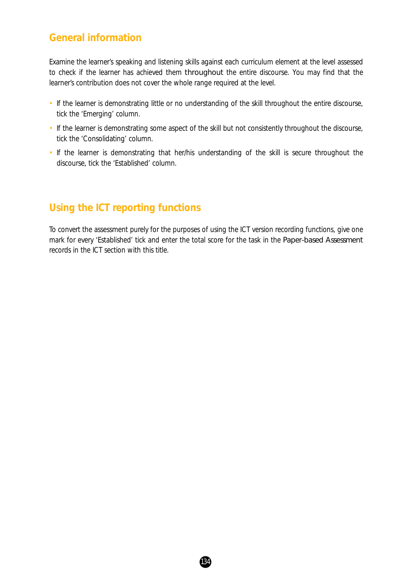### **General information**

Examine the learner's speaking and listening skills against each curriculum element at the level assessed to check if the learner has achieved them throughout the entire discourse. You may find that the learner's contribution does not cover the whole range required at the level.

- If the learner is demonstrating little or no understanding of the skill throughout the entire discourse, tick the 'Emerging' column.
- If the learner is demonstrating some aspect of the skill but not consistently throughout the discourse, tick the 'Consolidating' column.
- If the learner is demonstrating that her/his understanding of the skill is secure throughout the discourse, tick the 'Established' column.

### **Using the ICT reporting functions**

To convert the assessment purely for the purposes of using the ICT version recording functions, give one mark for every 'Established' tick and enter the total score for the task in the *Paper-based Assessment* records in the ICT section with this title.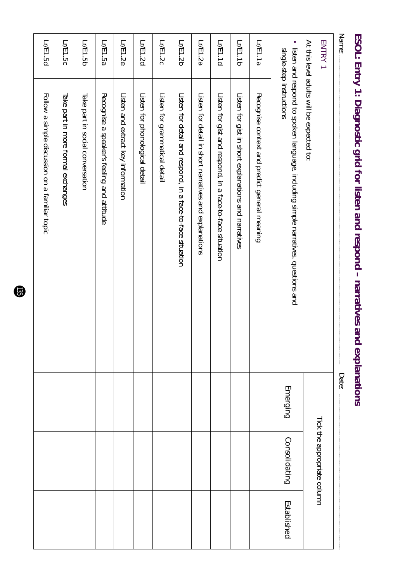| Name:    | ESOL: Entry 1: Diagnostic grid for listen and respond – narratives and                                        | explanations<br>Date: |                             |             |
|----------|---------------------------------------------------------------------------------------------------------------|-----------------------|-----------------------------|-------------|
| ENTRY 1  | At this level adults will be expected to:                                                                     |                       | Tick the appropriate column |             |
| ٠        | listen and respond to spoken language, including simple narratives, questions and<br>single-step instructions | Emerging              | Consolidating               | Established |
| Lr/E1.1a | Recognise context and predict general meaning                                                                 |                       |                             |             |
| Lr/E1.1b | Listen for gist in short explanations and narratives                                                          |                       |                             |             |
| Lr/E1.1d | Listen for gist and respond, in a face-to-face situation                                                      |                       |                             |             |
| Lr/E1.2a | Listen for detail in short narratives and explanations                                                        |                       |                             |             |
| Lr/E1.2b | Listen for detail and respond, in a face-to-face situation                                                    |                       |                             |             |
| Lr/E1.2c | Listen for grammatical detail                                                                                 |                       |                             |             |
| Lr/E1.2d | Listen for phonological detail                                                                                |                       |                             |             |
| Lr/E1.2e | Listen and extract key information                                                                            |                       |                             |             |
| Lr/E1.5a | Recognise a speaker's feeling and attitude                                                                    |                       |                             |             |
| Lr/E1.5b | Take part in social conversation                                                                              |                       |                             |             |
| Lr/E1.5c | Take part in more formal exchanges                                                                            |                       |                             |             |
| Lr/E1.5d | Follow a simple discussion on a familiar topic                                                                |                       |                             |             |

# **ESOL: Entry 1: Diagnostic grid for listen and respond – narratives and explanations**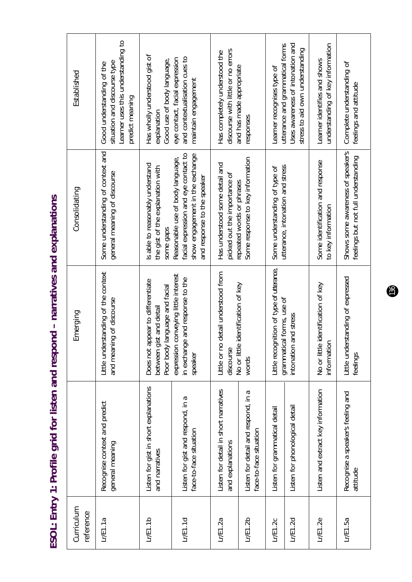ESOL: Entry 1: Profile grid for listen and respond - narratives and explanations **ESOL: Entry 1: Profile grid for listen and respond – narratives and explanations**

| Curriculum<br>reference |                                                               | Emerging                                                                                           | Consolidating                                                                                                                              | Established                                                                                                        |
|-------------------------|---------------------------------------------------------------|----------------------------------------------------------------------------------------------------|--------------------------------------------------------------------------------------------------------------------------------------------|--------------------------------------------------------------------------------------------------------------------|
| L/E1.1a                 | Recognise context and predict<br>general meaning              | Little understanding of the context<br>and meaning of discourse                                    | Some understanding of context and<br>general meaning of discourse                                                                          | Learner uses this understanding to<br>situation and discourse type<br>Good understanding of the<br>predict meaning |
| L/E1.1b                 | Listen for gist in short explanations<br>and narratives       | Does not appear to differentiate<br>language and facial<br>st and detai<br>between gi<br>Poor body | Is able to reasonably understand<br>the gist of the explanation with<br>some gaps                                                          | Has wholly understood gist of<br>Good use of body language,<br>explanation                                         |
| L/E1.1d                 | Listen for gist and respond, in a<br>face-to-face situation   | conveying little interest<br>in exchange and response to the<br>expression<br>speaker              | facial expression and eye contact to<br>show engagement in the exchange<br>Reasonable use of body language,<br>and response to the speaker | and contextualisation cues to<br>eye contact, facial expression<br>maintain engagement                             |
| L/E1.2a                 | Listen for detail in short narratives<br>and explanations     | detail understood from<br>Little or no<br>discourse                                                | Has understood some detail and<br>picked out the importance of                                                                             | discourse with little or no errors<br>Has completely understood the                                                |
| LrE1.2b                 | Listen for detail and respond, in a<br>face-to-face situation | identification of key<br>No or little<br>words                                                     | Some response to key information<br>repeated words or phrases                                                                              | and has made appropriate<br>responses                                                                              |
| LrE1.2c                 | Listen for grammatical detail                                 | Little recognition of type of utterance,<br>grammatical forms, use of                              | utterance, intonation and stress<br>Some understanding of type of                                                                          | Learner recognises type of                                                                                         |
| LrE1.2d                 | Listen for phonological detail                                | ntonation and stress                                                                               |                                                                                                                                            | Uses awareness of intonation and<br>utterance and grammatical forms<br>stress to aid own understanding             |
| L/E1.2e                 | Listen and extract key information                            | identification of key<br>No or little<br>information                                               | Some identification and response<br>to key information                                                                                     | understanding of key information<br>Learner identifies and shows                                                   |
| L/E1.5a                 | Recognise a speaker's feeling and<br>attitude                 | Little understanding of expressed<br>feelings                                                      | Shows some awareness of speaker's<br>feelings but not full understanding                                                                   | Complete understanding of<br>feelings and attitude                                                                 |

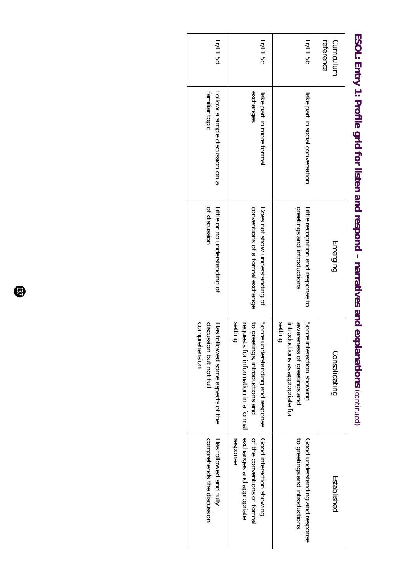| Lr/E1.5d                                                                     | Lr/E1.5c                                                                                                                 | Lr/E1.5b                                                                                                              | Curriculum<br>reference |
|------------------------------------------------------------------------------|--------------------------------------------------------------------------------------------------------------------------|-----------------------------------------------------------------------------------------------------------------------|-------------------------|
| Follow a simple discussion on a<br>familiar topic                            | exchanges<br>Take part in more formal                                                                                    | Take part in social conversation                                                                                      |                         |
| of discussion<br>Litle or no understanding of                                | conventions of a formal exchange<br>Does not show understanding of                                                       | greetings and introductions<br>Little recognition and response to                                                     | Emerging                |
| comprehension<br>discussion but not full<br>Has followed some aspects of the | setting<br>requests for information in a formal<br>to greetings, introductions and<br>Some<br>understanding and response | setting<br>Some<br><b>AVVaren</b><br>introductions as appropriate for<br>ness of greetings and<br>interaction showing | Consolidating           |
| comprehends the discussion<br>Has followed and fully                         | exchanges and appropriate<br>response<br>Good interaction showing<br>of the conventions of formal                        | to greetings and introductions<br>Good understanding and response                                                     | Established             |

# ESOL: Entry 1: Profile grid for listen and respond - narratives and explanations (continued) **ESOL: Entry 1: Profile grid for listen and respond – narratives and explanations** *(continued)*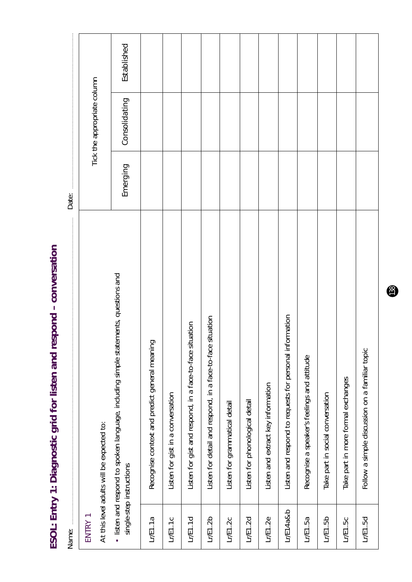ESOL: Entry 1: Diagnostic grid for listen and respond - conversation **ESOL: Entry 1: Diagnostic grid for listen and respond – conversation**

Established *Emerging Consolidating Established*Tick the appropriate column Tick the appropriate column Consolidating Emerging Date: Name: Date: listen and respond to spoken language, including simple statements, questions and • listen and respond to spoken language, including simple statements, questions and Listen and respond to requests for personal information Listen for detail and respond, in a face-to-face situation Lr/E1.4a & b Listen and respond to requests for personal information Lr/E1.2b Listen for detail and respond, in a face-to-face situation Listen for gist and respond, in a face-to-face situation Lr/E1.1d Listen for gist and respond, in a face-to-face situation Recognise context and predict general meaning Lr/E1.1a Recognise context and predict general meaning Follow a simple discussion on a familiar topic Lr/E1.5d Follow a simple discussion on a familiar topic Recognise a speaker's feelings and attitude Lr/E1.5a Recognise a speaker's feelings and attitude Take part in more formal exchanges Lr/E1.5c Take part in more formal exchanges Listen and extract key information Lr/E1.2e Listen and extract key information Listen for gist in a conversation Take part in social conversation Lr/E1.1c Listen for gist in a conversation Lr/E1.5b Take part in social conversation Listen for phonological detail Listen for grammatical detail Lr/E1.2d Listen for phonological detail Lr/E1.2c Listen for grammatical detail At this level adults will be expected to: At this level adults will be expected to: single-step instructions single-step instructions  $LrE1.4a8b$ ENTRY 1  $L/E1.1d$  $LrE1.2b$  $LrE1.2e$  $L/E1.1a$  $LrE1.1c$  $L/E1.2c$  $LrE1.2d$  $L/E1.5a$  $LrE1.5b$  $L/E1.5c$  $L/E1.5d$ Name: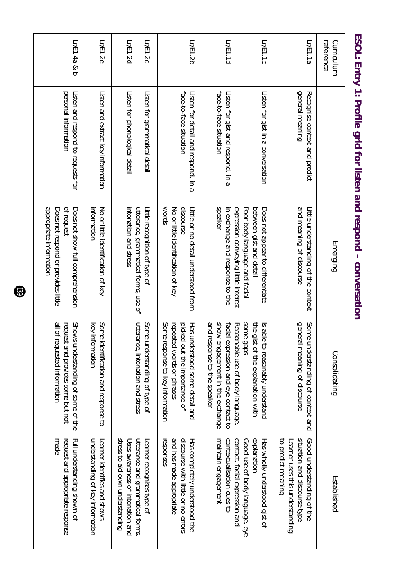| reference<br>Curriculum |                                                               | Emerging                                                                                                         | Consolidating                                                                                                                             | Established                                                                                                        |
|-------------------------|---------------------------------------------------------------|------------------------------------------------------------------------------------------------------------------|-------------------------------------------------------------------------------------------------------------------------------------------|--------------------------------------------------------------------------------------------------------------------|
| Lr/E1.1a                | general meaning<br>Recognise context and predict              | and meaning of discourse<br>Little understanding of the context                                                  | general<br>Some understanding of context and<br>I meaning of discourse                                                                    | situation and discourse type<br>Good understanding of the<br>to predict meaning<br>Learner uses this understanding |
| Lr/E1.1c                | Listen for gist in a conversation                             | Poor body language and facial<br>between gist and detail<br>Does not appear to differentiate                     | sane gaps<br>the gist<br>Is able<br>to reasonably understand<br>t of the explanation with                                                 | explanation<br>Good use of body language, eye<br>Has wholly understood gist of                                     |
| Lr/E1.1d                | face-to-face situation<br>Listen for gist and respond, in a   | speaker<br>expression conveying little interest<br>in exchange and response to the                               | show engagement in the exchange<br>and response to the speaker<br>facial expression and eye contact to<br>Reasonable use of body language | maintain engagement<br>contextualisation cues to<br>contact, facial expression and                                 |
| Lr/E1.2b                | face-to-face situation<br>Listen for detail and respond, in a | WOrds<br>discourse<br>No or little identification of key<br>Litle or no detail understood from                   | Some response to key information<br>repeated words or phrases<br>Has understood some detail and<br>picked<br>out the importance of        | and has made appropriate<br>discourse with little or no errors<br>responses<br>Has completely understood the       |
| LrF1.2c                 | Listen for grammatical detail                                 | Little recognition of type of                                                                                    | Some understanding of type of                                                                                                             | Learner recognises type of                                                                                         |
| LrF1.2d                 | Listen for phonological detail                                | intonation and stress<br>utterance, grammatical forms, use of                                                    | utterance, intonation and stress                                                                                                          | stress to aid own understanding<br>utterance and grammatical forms.<br>Uses awareness of intonation and            |
| LrF1.2e                 | Listen and extract key information                            | information<br>No or little identification of key                                                                | Some identification and response to<br>key information                                                                                    | understanding of key information<br>Learner identifies and shows                                                   |
| L/F1.4a8                | personal information<br>Listen and respond to requests for    | appropriate information<br>ot request<br>Does not respond or provides little<br>Does not show full comprehension | all of requested information<br>request and provides some but not<br>Syons<br>understanding of some of the                                | made<br>request and appropriate response<br>Full understanding shown of                                            |

## ESOL: Entry 1: Profile grid for listen and respond - conversation **ESOL: Entry 1: Profile grid for listen and respond – conversation**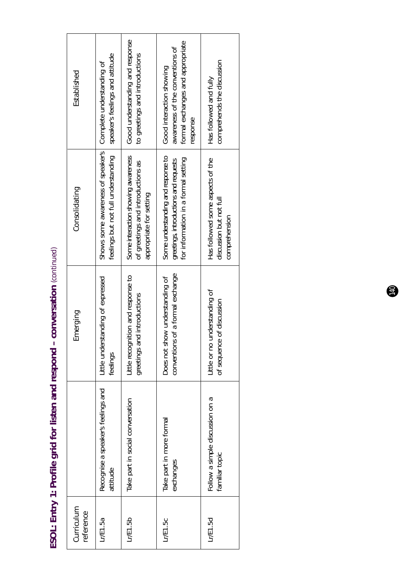| <b>הממורכים†הים האי</b><br>ESOL: Entry 1: Profile grid for listen and respond - conversatior |
|----------------------------------------------------------------------------------------------|
|                                                                                              |
|                                                                                              |
|                                                                                              |
|                                                                                              |
|                                                                                              |
|                                                                                              |

| Curriculum<br>reference |                                                   | Emerging                                                           | Consolidating                                                                                                      | Established                                                                                                 |
|-------------------------|---------------------------------------------------|--------------------------------------------------------------------|--------------------------------------------------------------------------------------------------------------------|-------------------------------------------------------------------------------------------------------------|
| Lr/E1.5a                | Recognise a speaker's feelings and<br>attitude    | Little understanding of expressed<br>feelings                      | Shows some awareness of speaker's<br>feelings but not full understanding                                           | speaker's feelings and attitude<br>Complete understanding of                                                |
| Lr/E1.5b                | Take part in social conversation                  | little recognition and response to<br>greetings and introductions  | Some interaction showing awareness<br>of greetings and introductions as<br>appropriate for setting                 | Good understanding and response<br>to greetings and introductions                                           |
| Lr/E1.5c                | Take part in more formal<br>exchanges             | conventions of a formal exchange<br>Does not show understanding of | Some understanding and response to<br>for information in a formal setting<br>greetings, introductions and requests | formal exchanges and appropriate<br>awareness of the conventions of<br>Good interaction showing<br>response |
| Lr/E1.5d                | Follow a simple discussion on a<br>familiar topic | little or no understanding of<br>of sequence of discussion         | Has followed some aspects of the<br>discussion but not full<br>comprehension                                       | comprehends the discussion<br>Has followed and fully                                                        |

 $\bigcirc$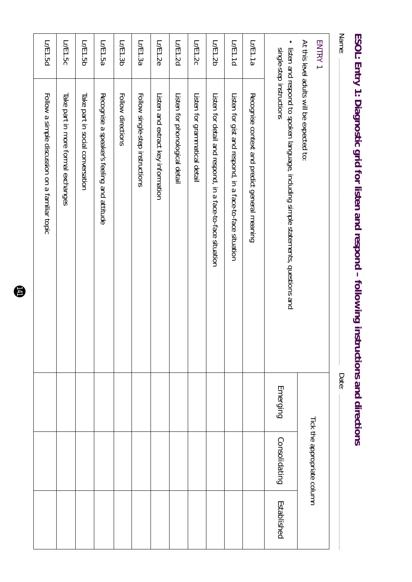| At this level adults will be expected to:                                                                       |          |               |                                                                                                                              |
|-----------------------------------------------------------------------------------------------------------------|----------|---------------|------------------------------------------------------------------------------------------------------------------------------|
| · listen and respond to spoken language, including simple statements, questions and<br>single-step instructions | Emerging | Consolidating | Established                                                                                                                  |
| Recognise context and predict general meaning                                                                   |          |               |                                                                                                                              |
| Listen for gist and respond, in a face-to-face situation                                                        |          |               |                                                                                                                              |
| Listen for detail and respond, in a face-to-face situation                                                      |          |               |                                                                                                                              |
| Listen for grammatical detail                                                                                   |          |               |                                                                                                                              |
| Listen for phonological detail                                                                                  |          |               |                                                                                                                              |
| Listen and extract key information                                                                              |          |               |                                                                                                                              |
| Follow single-step instructions                                                                                 |          |               |                                                                                                                              |
| Follow directions                                                                                               |          |               |                                                                                                                              |
| Recognise a speaker's feeling and attitude                                                                      |          |               |                                                                                                                              |
| Take part in social conversation                                                                                |          |               |                                                                                                                              |
| Take part in more formal exchanges                                                                              |          |               |                                                                                                                              |
| Follow a simple discussion on a familiar topic                                                                  |          |               |                                                                                                                              |
|                                                                                                                 |          | Date:         | ESOL: Entry 1: Diagnostic grid for listen and respond – following instructions and directions<br>Tick the appropriate column |

# **ESOL: Entry 1: Diagnostic grid for listen and respond – following instructions and directions**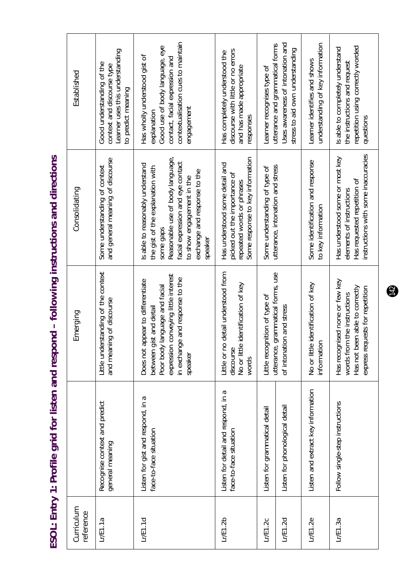ESOL: Entry 1: Profile grid for listen and respond - following instructions and directions **ESOL: Entry 1: Profile grid for listen and respond – following instructions and directions**

| Established             | Learner uses this understanding<br>Good understanding of the<br>context and discourse type<br>to predict meaning | contextualisation cues to maintain<br>Good use of body language, eye<br>Has wholly understood gist of<br>contact, facial expression and<br>engagement<br>explanation                                                              | discourse with little or no errors<br>Has completely understood the<br>and has made appropriate<br>responses                    | Uses awareness of intonation and<br>utterance and grammatical forms<br>stress to aid own understanding<br>Learner recognises type of | understanding of key information<br>Learner identifies and shows | repetition using correctly worded<br>Is able to completely understand<br>the instructions and request<br>questions                 |
|-------------------------|------------------------------------------------------------------------------------------------------------------|-----------------------------------------------------------------------------------------------------------------------------------------------------------------------------------------------------------------------------------|---------------------------------------------------------------------------------------------------------------------------------|--------------------------------------------------------------------------------------------------------------------------------------|------------------------------------------------------------------|------------------------------------------------------------------------------------------------------------------------------------|
| Consolidating           | and general meaning of discourse<br>Some understanding of context                                                | Reasonable use of body language,<br>facial expression and eye contact<br>Is able to reasonably understand<br>the gist of the explanation with<br>exchange and response to the<br>to show engagement in the<br>some gaps<br>speake | Some response to key information<br>Has understood some detail and<br>picked out the importance of<br>repeated words or phrases | utterance, intonation and stress<br>Some understanding of type of                                                                    | Some identification and response<br>to key information           | instructions with some inaccuracies<br>Has understood some or most key<br>Has requested repetition of<br>elements of instructions  |
| Emerging                | Little understanding of the context<br>and meaning of discourse                                                  | conveying little interest<br>in exchange and response to the<br>Does not appear to differentiate<br>anguage and facial<br>st and detail<br>between gi<br>expression<br>Poor body<br>speaker                                       | detail understood from<br>identification of key<br>Little or no<br>No or little<br>discourse<br>words                           | utterance, grammatical forms, use<br>Little recognition of type of<br>of intonation and stress                                       | identification of key<br>information<br>No or little             | Has recognised none or few key<br>Has not been able to correctly<br>express requests for repetition<br>words from the instructions |
|                         | Recognise context and predict<br>general meaning                                                                 | Listen for gist and respond, in a<br>face-to-face situation                                                                                                                                                                       | Listen for detail and respond, in a<br>face-to-face situation                                                                   | Listen for phonological detail<br>Listen for grammatical detail                                                                      | Listen and extract key information                               | Follow single-step instructions                                                                                                    |
| Curriculum<br>reference | L/E1.1a                                                                                                          | L/E1.1d                                                                                                                                                                                                                           | LrE1.2b                                                                                                                         | LrE1.2d<br>LrE1.2c                                                                                                                   | $L$ $E1.2e$                                                      | L/E1.3a                                                                                                                            |

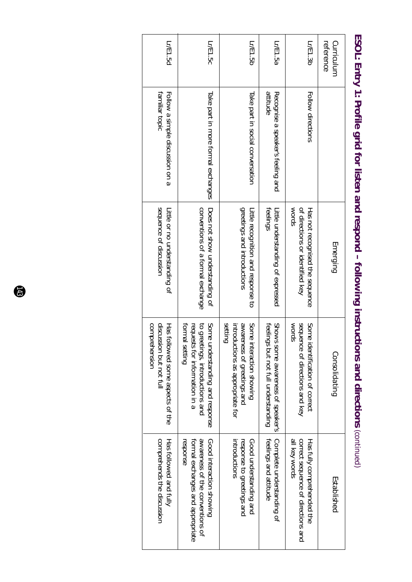| Lr/E1.5d                                                                          | Lr/E1.5c                                                                                                                                | Lr/E1.5b                                                                                                     | Lr/E1.5a                                                                    | Lr/E1.3b                                                                          | reference<br>Curriculum |
|-----------------------------------------------------------------------------------|-----------------------------------------------------------------------------------------------------------------------------------------|--------------------------------------------------------------------------------------------------------------|-----------------------------------------------------------------------------|-----------------------------------------------------------------------------------|-------------------------|
| Follow a simple discussion on a<br>familiar topic                                 | Take part in more formal exchanges                                                                                                      | Take part in social conversation                                                                             | attitude<br>Recognise a speaker's feeling and                               | Follow directions                                                                 |                         |
| sequence of discussion<br>Little or no understanding of                           | Does not show understanding of<br>conventions of a formal exchange                                                                      | greetings and introductions<br>Little recognition and response to                                            | <b>teelings</b><br>Little understanding of expressed                        | of directions or identified key<br>WOrds<br>Has not recognised the sequence       | Emerging                |
| discussion but not full<br>comprehension<br>Has fol<br>llowed some aspects of the | Some<br>requests for information in a<br><b>TOrmal</b><br>to gree<br>setting<br>etings, introductions and<br>understanding and response | aware<br>setting<br>Some<br>introductions as appropriate for<br>ness of greetings and<br>interaction showing | Swous<br>feelings but not full understanding<br>some awareness of speaker's | sequer<br>Some<br>WOrds<br>nce of directions and key<br>identification of correct | Consolidating           |
| comprehends the discussion<br>Has followed and fully                              | formal exchanges and appropriate<br>awareness of the conventions of<br>response<br>Good interaction showing                             | Good understanding and<br>response to greetings and<br>introductions                                         | feelings and attitude<br>Complete understanding of                          | all key words<br>correct sequence of directions and<br>Has fully comprehended the | Established             |

## ESOL: Entry 1: Profile grid for listen and respond - following instructions and directions (continued) **ESOL: Entry 1: Profile grid for listen and respond – following instructions and directions** *(continued)*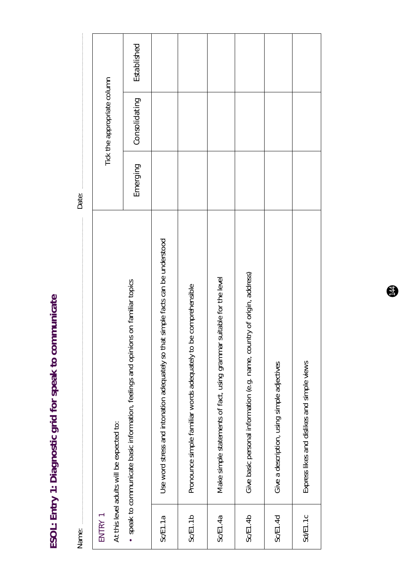ESOL: Entry 1: Diagnostic grid for speak to communicate **ESOL: Entry 1: Diagnostic grid for speak to communicate**

| Name:    |                                                                                    | Date:    |                             |             |  |
|----------|------------------------------------------------------------------------------------|----------|-----------------------------|-------------|--|
| ENTRY 1  | At this level adults will be expected to:                                          |          | Tick the appropriate column |             |  |
|          | • speak to communicate basic information, feelings and opinions on familiar topics | Emerging | Consolidating               | Established |  |
| SCE1.1a  | Use word stress and intonation adequately so that simple facts can be understood   |          |                             |             |  |
| SCE1.1b  | Pronounce simple familiar words adequately to be comprehensible                    |          |                             |             |  |
| SCE1.4a  | Make simple statements of fact, using grammar suitable for the level               |          |                             |             |  |
| Sc/E1.4b | Give basic personal information (e.g. name, country of origin, address)            |          |                             |             |  |
| Sc/E1.4d | Give a description, using simple adjectives                                        |          |                             |             |  |
| Sd/E1.1c | Express likes and dislikes and simple views                                        |          |                             |             |  |

 $\bigoplus$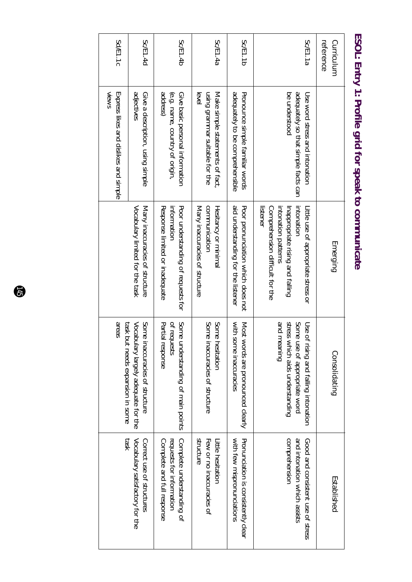| Sc/E1.1a<br>reference<br>Curriculum | Use sond stress and intonation                                                | Little use of appropriate stress or<br>Emerging                                                                      | Use of rising and falling intonation<br>Consolidating                          |
|-------------------------------------|-------------------------------------------------------------------------------|----------------------------------------------------------------------------------------------------------------------|--------------------------------------------------------------------------------|
|                                     | adequately so that simple facts can<br>be understood                          | intonation patterns<br>Comprehension difficult for the<br>listener<br>intonation<br>Inappropriate rising and falling | gnineam bns<br>stress which aids understanding<br>Some use of appropriate word |
| Sc/E1.1b                            | adequately to be comprehensible<br>Pronounce simple familiar words            | aid understanding for the listener<br>Poor proncriation sylich does not                                              | with some inaccuracies<br>Most words are pronounced clearly                    |
| Sc/E1.4a                            | using grammar suitable for the<br>Make simple statements of fact,<br>evel     | communication<br>Many inaccuracies of structure<br>Hesitancy or minimal                                              | Some inaccuracies of structure<br>Some hesitation                              |
| Sc/E1.4b                            | address)<br>(e.g. name, country of origin,<br>Give basic personal information | Response limited or inadequate<br>information<br>Poor understanding of requests for                                  | Some understanding of main points<br>Partial response<br>of requests           |
| Sc/E1.4d                            | adjectives<br>Give a description, using simple                                | Vocabulary limited for the task<br>Many inaccuracies of structure                                                    | Vocabulary largely adequate for the<br>Some inaccuracies of structure          |
| Sd/E1.1c                            | <b>NIGWS</b><br>Express likes and dislikes and simple                         |                                                                                                                      | seas<br>task but needs expansion in some                                       |

#### ESOL: Entry 1: Profile grid for speak to communicate **ESOL: Entry 1: Profile grid for speak to communicate**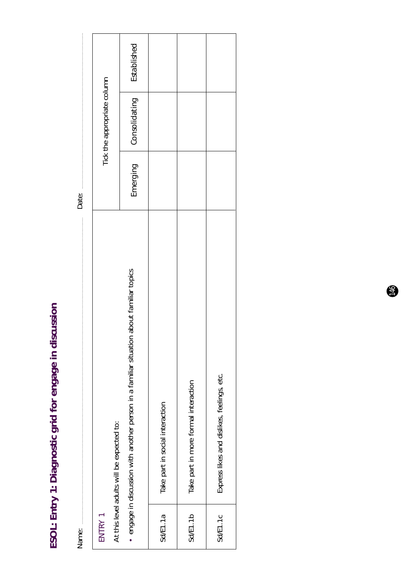ESOL: Entry 1: Diagnostic grid for engage in discussion **ESOL: Entry 1: Diagnostic grid for engage in discussion**

|          | $N$ ame $\cdot$                                                                        |          |                             |             |
|----------|----------------------------------------------------------------------------------------|----------|-----------------------------|-------------|
| ENTRY 1  | At this level adults will be expected to:                                              |          | Tick the appropriate column |             |
|          | engage in discussion with another person in a familiar situation about familiar topics | Emerging | Consolidating               | Established |
| SdE1.1a  | Take part in social interaction                                                        |          |                             |             |
| SdE1.1b  | Take part in more formal interaction                                                   |          |                             |             |
| Sd/E1.1c | Express likes and dislikes, feelings, etc.                                             |          |                             |             |

 $\bigcirc$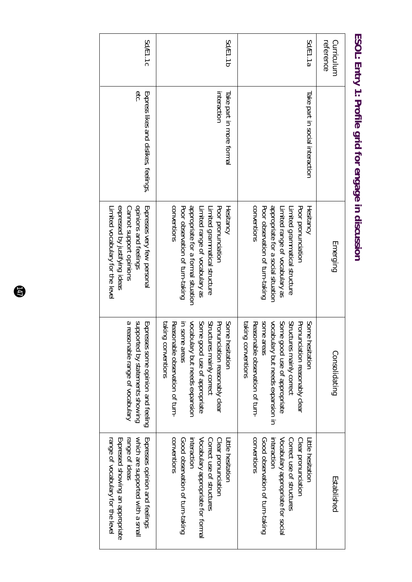| Sd/E1.1c                                                                                                                                                      | Sd/E1.1b                                                                                                                                                                                                                   | Sd/E1.1a                                                                                                                                                                                                                               | reference<br>Curriculum |
|---------------------------------------------------------------------------------------------------------------------------------------------------------------|----------------------------------------------------------------------------------------------------------------------------------------------------------------------------------------------------------------------------|----------------------------------------------------------------------------------------------------------------------------------------------------------------------------------------------------------------------------------------|-------------------------|
| etc<br>Express likes and dislikes, feelings,                                                                                                                  | interaction<br>Take part in more formal                                                                                                                                                                                    | Take part in social interaction                                                                                                                                                                                                        |                         |
| expressed by justifying ideas<br>Expresses very few personal<br>opinions and feelings<br>Limited vocabulary for the level<br>Cannot support opinions          | conventions<br>appropriate for a formal situation<br>Limited range of vocabulary as<br>Poor pronunciation<br>Poor observation of turn-taking<br><b>Hesitancy</b><br>Limited grammatical structure                          | conventions<br>appropriate for a social situation<br>Limited range of vocabulary as<br>Poor observation of turn-taking<br>Poor pronunciation<br><b>Hesitancy</b><br>Limited grammatical structure                                      | Emerging                |
| a reasonable range of vocabulary<br>supported by statements showing<br>Expresses some opinion and feeling                                                     | vocabulary but needs expansion<br>Some hesitation<br>Some good use of appropriate<br>Structures mainly correct<br>Reasonable observation of trin-<br>Pronunciation reasonably clear<br>taking conventions<br>in some areas | vocabulary but needs expansion in<br>Structures mainly correct<br>some a<br>Some good use of appropriate<br>Some hesitation<br>Pronunciation reasonably clear<br>taking conventions<br>Reasonable observation of turn-<br><b>IFeas</b> | Consolidating           |
| which are supported with a small<br>range of vocabulary for the level<br>Expressed showing an appropriate<br>range of ideas<br>Expresses opinion and feelings | conventions<br>Vocabulary appropriate for formal<br>Correct use of structures<br>Clear pronunciation<br>Good observation of turn-taking<br>Little hesitation<br>Interaction                                                | conventions<br>Good observation of turn-taking<br>Vocabulary appropriate for social<br>Correct use of structures<br>Clear pronunciation<br>Little hesitation<br>nteraction                                                             | Established             |

#### ESOL: Entry 1: Profile grid for engage in discussion **ESOL: Entry 1: Profile grid for engage in discussion**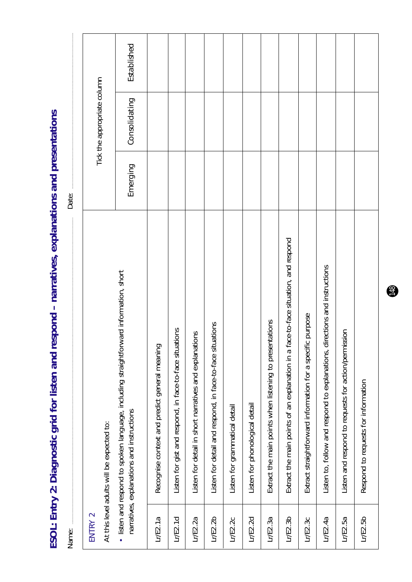Established *Emerging Consolidating Established*Tick the appropriate column Tick the appropriate column Consolidating Emerging Date: Name: Date: Extract the main points of an explanation in a face-to-face situation, and respond Lr/E2.3b Extract the main points of an explanation in a face-to-face situation, and respond Listen to, follow and respond to explanations, directions and instructions Lr/E2.4a  $\parallel$  Listen to, follow and respond to explanations, directions and instructions • listen and respond to spoken language, including straightforward information, short listen and respond to spoken language, including straightforward information, short Extract straightforward information for a specific purpose Lr/E2.3c Extract straightforward information for a specific purpose Extract the main points when listening to presentations Lr/E2.3a Extract the main points when listening to presentations Listen for detail and respond, in face-to-face situations Lr/E2.2b Listen for detail and respond, in face-to-face situations Listen for gist and respond, in face-to-face situations Lr/E2.1d Listen for gist and respond, in face-to-face situations Listen and respond to requests for action/permission Lr/E2.5a Listen and respond to requests for action/permission Listen for detail in short narratives and explanations Lr/E2.2a Listen for detail in short narratives and explanations Recognise context and predict general meaning Lr/E2.1a Recognise context and predict general meaning Respond to requests for information Lr/E2.5b Respond to requests for information Listen for phonological detail Listen for grammatical detail Lr/E2.2d Listen for phonological detail Lr/E2.2c Listen for grammatical detail narratives, explanations and instructions narratives, explanations and instructions At this level adults will be expected to: At this level adults will be expected to: ENTRY 2 ENTRY 2  $LrE2.1d$  $LrE2.1a$  $LrE2.2b$  $LrE2.3b$  $LrE2.5b$  $LrE2.2a$  $LrE2.2c$  $LrE2.2d$  $LrE2.3a$  $LrE2.3c$  $LrE2.4a$  $LrE2.5a$ Name:

ESOL: Entry 2: Diagnostic grid for listen and respond - narratives, explanations and presentations **ESOL: Entry 2: Diagnostic grid for listen and respond – narratives, explanations and presentations**

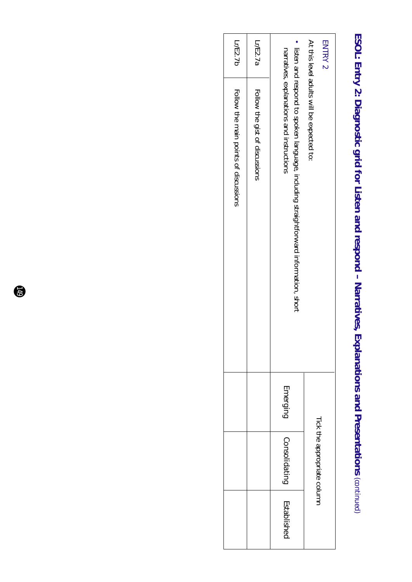## ESOL: Entry 2: Diagnostic grid for Listen and respond - Narratives, Explanations and Presentations (continued) **ESOL: Entry 2: Diagnostic grid for Listen and respond – Narratives, Explanations and Presentations** *(continued)*

| Lr/E2.7b                              | Lr/E2.7a                       |                                                                                                                                  | <b>ENTRY 2</b>                             |
|---------------------------------------|--------------------------------|----------------------------------------------------------------------------------------------------------------------------------|--------------------------------------------|
| Follow the main points of discussions | Follow the gist of discussions | listen and respond to spoken language, including straightforward information, short<br>narratives, explanations and instructions | At this level addits syill be expected to: |
|                                       |                                | Emerging                                                                                                                         |                                            |
|                                       |                                | Consolidating                                                                                                                    | Tick the appropriate column                |
|                                       |                                | Establishec                                                                                                                      |                                            |

 $\bullet$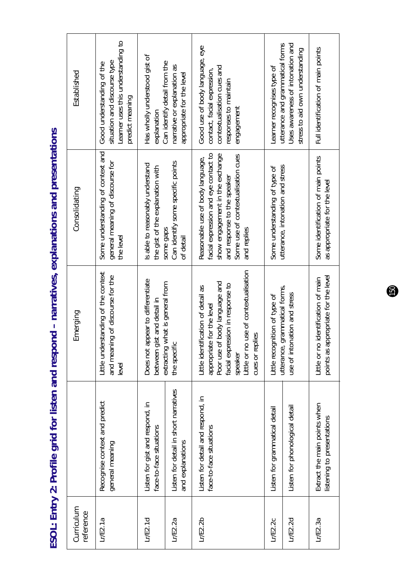ESOL: Entry 2: Profile grid for listen and respond - narratives, explanations and presentations **ESOL: Entry 2: Profile grid for listen and respond – narratives, explanations and presentations**

| Curriculum<br>reference |                                                              | Emerging                                                                                                                                                                                                    | Consolidating                                                                                                                                                                                   | Established                                                                                                                        |
|-------------------------|--------------------------------------------------------------|-------------------------------------------------------------------------------------------------------------------------------------------------------------------------------------------------------------|-------------------------------------------------------------------------------------------------------------------------------------------------------------------------------------------------|------------------------------------------------------------------------------------------------------------------------------------|
| L/E2.1a                 | Recognise context and predict<br>general meaning             | Little understanding of the context<br>and meaning of discourse for the<br>level                                                                                                                            | Some understanding of context and<br>general meaning of discourse for<br>the level                                                                                                              | Learner uses this understanding to<br>situation and discourse type<br>Good understanding of the<br>predict meaning                 |
| L/E2.1d                 | Listen for gist and respond, in<br>face-to-face situations   | Does not appear to differentiate<br>st and detail in<br>between gi                                                                                                                                          | Is able to reasonably understand<br>the gist of the explanation with                                                                                                                            | Has wholly understood gist of<br>explanation                                                                                       |
| Lr/E2.2a                | Listen for detail in short narratives<br>and explanations    | extracting what is general from<br>the specific                                                                                                                                                             | Can identify some specific points<br>some gaps<br>of detail                                                                                                                                     | Can identify detail from the<br>narrative or explanation as<br>appropriate for the level                                           |
| LrE2.2b                 | Listen for detail and respond, in<br>face-to-face situations | Little or no use of contextualisation<br>Poor use of body language and<br>facial expression in response to<br>Little identification of detail as<br>appropriate for the level<br>cues or replies<br>speaker | facial expression and eye contact to<br>show engagement in the exchange<br>Some use of contextualisation cues<br>Reasonable use of body language,<br>and response to the speaker<br>and replies | Good use of body language, eye<br>contextualisation cues and<br>contact, facial expression,<br>responses to maintain<br>engagement |
| L/E2.2c                 | Listen for grammatical detail                                | Little recognition of type of                                                                                                                                                                               | Some understanding of type of                                                                                                                                                                   | Learner recognises type of                                                                                                         |
| LrE2.2d                 | Listen for phonological detail                               | grammatical forms,<br>use of intonation and stress<br>utterance,                                                                                                                                            | utterance, intonation and stress                                                                                                                                                                | Uses awareness of intonation and<br>utterance and grammatical forms<br>stress to aid own understanding                             |
| L/E2.3a                 | Extract the main points when<br>listening to presentations   | points as appropriate for the level<br>Little or no identification of main                                                                                                                                  | Some identification of main points<br>as appropriate for the level                                                                                                                              | Full identification of main points                                                                                                 |

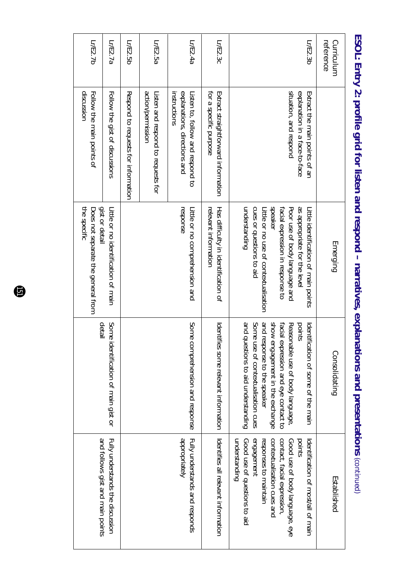| reference<br>Curriculum |                                                                                          | Emerging                                                                                                                                                                                                                                  | Consolidating                                                                                                                                                                                                                                                            | Established                                                                                                                                                                                                                         |
|-------------------------|------------------------------------------------------------------------------------------|-------------------------------------------------------------------------------------------------------------------------------------------------------------------------------------------------------------------------------------------|--------------------------------------------------------------------------------------------------------------------------------------------------------------------------------------------------------------------------------------------------------------------------|-------------------------------------------------------------------------------------------------------------------------------------------------------------------------------------------------------------------------------------|
| Lr/E2.3b                | situation, and respond<br>explanation in a face-to-face<br>Extract the main points of an | speaker<br>onderstanding<br>cues or questions to aid<br>facial expression in response to<br>as appropriate for the leve<br>Little or no use of contextualisation<br>Poor use of body language and<br>Little identification of main points | and questions to aid understanding<br>and response to the speaker<br>show engagement in the exchange<br>Some<br>facial expression and eye contact to<br>Reasonable use of body language.<br>points<br>dentification of some of the main<br>use of contextualisation cues | understanding<br>contact, facial expression,<br>engagement<br>contextualisation cues and<br>points<br>Good use of questions to aid<br>responses to maintain<br>Good use of body language, eye<br>ldentification of most/all of main |
| Lr/E2.3c                | for a specific purpose<br>Extract straightforward information                            | relevant information<br>Has difficulty in identification of                                                                                                                                                                               | Identifies some relevant information                                                                                                                                                                                                                                     | Identifies all relevant information                                                                                                                                                                                                 |
| Lr/E2.4a                | explanations, directions and<br>instructions<br>Listen to, follow and respond to         | response<br>Little or no comprehension and                                                                                                                                                                                                | Some<br>comprehension and response                                                                                                                                                                                                                                       | dpropriately<br>Fully understands and responds                                                                                                                                                                                      |
| Lr/E2.5a                | action/permission<br>Listen and respond to requests for                                  |                                                                                                                                                                                                                                           |                                                                                                                                                                                                                                                                          |                                                                                                                                                                                                                                     |
| Lr/E2.5b                | Respond to reduests for information                                                      |                                                                                                                                                                                                                                           |                                                                                                                                                                                                                                                                          |                                                                                                                                                                                                                                     |
| Lr/E2.7a                | Follow the gist of discussions                                                           | gist or detail<br>Little or no identification of Hain                                                                                                                                                                                     | detail<br>Some<br>identification of main gist or                                                                                                                                                                                                                         | Fully understands the discussion<br>and follows gist and main points                                                                                                                                                                |
| Lr/E2.7b                | discussion<br>Follow the main points of                                                  | the specific<br>Does not separate the general from                                                                                                                                                                                        |                                                                                                                                                                                                                                                                          |                                                                                                                                                                                                                                     |

ESOL: Entry 2: profile grid for listen and respond respond and presentations and presentations. **ESOL: Entry 2: profile grid for listen and respond – narratives, explanations and presentations** *(continued)*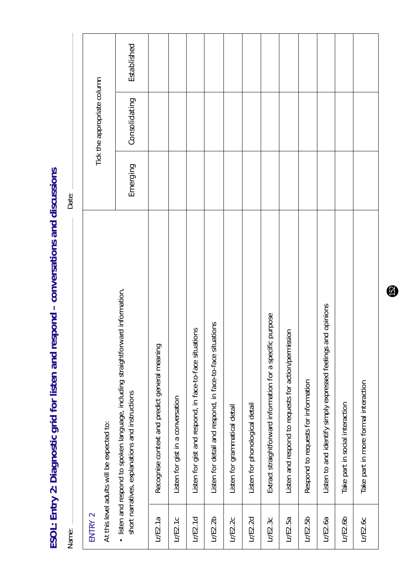Established *Emerging Consolidating Established*Tick the appropriate column Tick the appropriate column Consolidating Emerging Date: Name: Date: • listen and respond to spoken language, including straightforward information, listen and respond to spoken language, including straightforward information, Listen to and identify simply expressed feelings and opinions Lr/E2.6a Listen to and identify simply expressed feelings and opinions Extract straightforward information for a specific purpose Lr/E2.3c Extract straightforward information for a specific purpose Listen for detail and respond, in face-to-face situations Lr/E2.2b Listen for detail and respond, in face-to-face situations Listen for gist and respond, in face-to-face situations Lr/E2.1d Listen for gist and respond, in face-to-face situations Listen and respond to requests for action/permission Lr/E2.5a Listen and respond to requests for action/permission Recognise context and predict general meaning Lr/E2.1a Recognise context and predict general meaning Respond to requests for information Take part in more formal interaction Lr/E2.5b Respond to requests for information Lr/E2.6c Take part in more formal interaction short narratives, explanations and instructions short narratives, explanations and instructions Listen for gist in a conversation Lr/E2.1c Listen for gist in a conversation Listen for phonological detail Take part in social interaction Lr/E2.6b Take part in social interaction Listen for grammatical detail Lr/E2.2d Listen for phonological detail Lr/E2.2c Listen for grammatical detail At this level adults will be expected to: At this level adults will be expected to: ENTRY 2 ENTRY 2  $LrE2.1a$  $LrE2.1c$  $LrE2.1d$  $LrE2.2b$  $Lr$ / $E2.5b$  $LrE2.6b$  $LrE2.2c$  $LrE2.2d$  $LrE2.3c$  $LrE2.5a$  $Lr$ / $E2.6a$  $LrE2.6c$ Name:

ESOL: Entry 2: Diagnostic grid for listen and respond - conversations and discussions **ESOL: Entry 2: Diagnostic grid for listen and respond – conversations and discussions**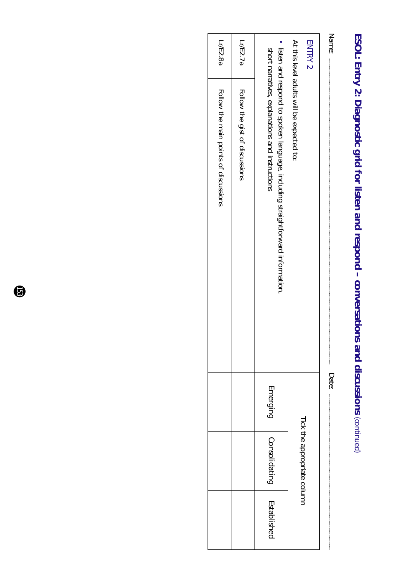## ESOL: Entry 2: Diagnostic grid for listen and respond - conversations and discussions (continued) **ESOL: Entry 2: Diagnostic grid for listen and respond – conversations and discussions** *(continued)*

| Name:          |                                                                                                                                 | Date:    |                             |             |
|----------------|---------------------------------------------------------------------------------------------------------------------------------|----------|-----------------------------|-------------|
| <b>ENTRY 2</b> |                                                                                                                                 |          |                             |             |
|                | At this level addits will be expected to:                                                                                       |          | Tick the appropriate column |             |
|                | listen and respond to spoken language, including straightforward information<br>short narratives, explanations and instructions | Emerging | Consolidating               | Established |
| Lr/E2.7a       | Follow the gist of discussions                                                                                                  |          |                             |             |
| Lr/E2.8a       | FOILOW the main points of discussions                                                                                           |          |                             |             |

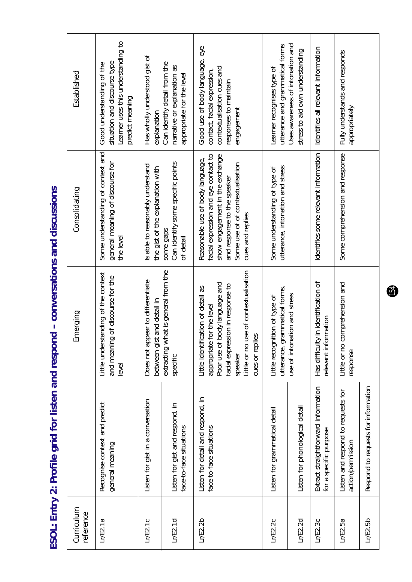| )<br>S<br>;<br>3                        |
|-----------------------------------------|
| こうじこうじて てろう りろう こうりょうじころう<br>Ĭ          |
|                                         |
|                                         |
| rofile grid for listen and respond<br>J |
| $\frac{1}{2}$                           |
|                                         |

| Curriculum<br>reference |                                                               | Emerging                                                                                                                                                                                                                            | Consolidating                                                                                                                                                                                      | Established                                                                                                                        |
|-------------------------|---------------------------------------------------------------|-------------------------------------------------------------------------------------------------------------------------------------------------------------------------------------------------------------------------------------|----------------------------------------------------------------------------------------------------------------------------------------------------------------------------------------------------|------------------------------------------------------------------------------------------------------------------------------------|
| L/E2.1a                 | Recognise context and predict<br>general meaning              | Little understanding of the context<br>and meaning of discourse for the<br>level                                                                                                                                                    | Some understanding of context and<br>general meaning of discourse for<br>the level                                                                                                                 | Learner uses this understanding to<br>situation and discourse type<br>Good understanding of the<br>predict meaning                 |
| Lr/E2.1c                | Listen for gist in a conversation                             | Does not appear to differentiate<br>between gist and detail in                                                                                                                                                                      | Is able to reasonably understand<br>the gist of the explanation with                                                                                                                               | Has wholly understood gist of<br>explanation                                                                                       |
| LrE2.1d                 | Listen for gist and respond, in<br>face-to-face situations    | extracting what is general from the<br>specific                                                                                                                                                                                     | Can identify some specific points<br>some gaps<br>of detail                                                                                                                                        | Can identify detail from the<br>narrative or explanation as<br>appropriate for the level                                           |
| Lr/E2.2b                | Listen for detail and respond, in<br>face-to-face situations  | use of contextualisation<br>body language and<br>facial expression in response to<br>Little identification of detail as<br>for the level<br>$\mathcal{S}$<br>appropriate<br>Poor use of<br>cues or repli<br>Little or no<br>speaker | facial expression and eye contact to<br>show engagement in the exchange<br>Reasonable use of body language,<br>Some use of of contextualisation<br>and response to the speaker<br>cues and replies | Good use of body language, eye<br>contextualisation cues and<br>contact, facial expression,<br>responses to maintain<br>engagement |
| LrE2.2c                 | Listen for grammatical detail                                 | utterance, grammatical forms,<br>Little recognition of type of                                                                                                                                                                      | utterance, intonation and stress<br>Some understanding of type of                                                                                                                                  | utterance and grammatical forms<br>Learner recognises type of                                                                      |
| LrE2.2d                 | Listen for phonological detail                                | use of intonation and stress                                                                                                                                                                                                        |                                                                                                                                                                                                    | Uses awareness of intonation and<br>stress to aid own understanding                                                                |
| LrE2.3c                 | Extract straightforward information<br>for a specific purpose | Has difficulty in identification of<br>relevant information                                                                                                                                                                         | Identifies some relevant information                                                                                                                                                               | Identifies all relevant information                                                                                                |
| $L$ r/ $E$ 2.5a         | Listen and respond to requests for<br>action/permission       | comprehension and<br>Little or no<br>response                                                                                                                                                                                       | Some comprehension and response                                                                                                                                                                    | Fully understands and responds<br>appropriately                                                                                    |
| Lr/E2.5b                | Respond to requests for information                           |                                                                                                                                                                                                                                     |                                                                                                                                                                                                    |                                                                                                                                    |

 $\bigoplus$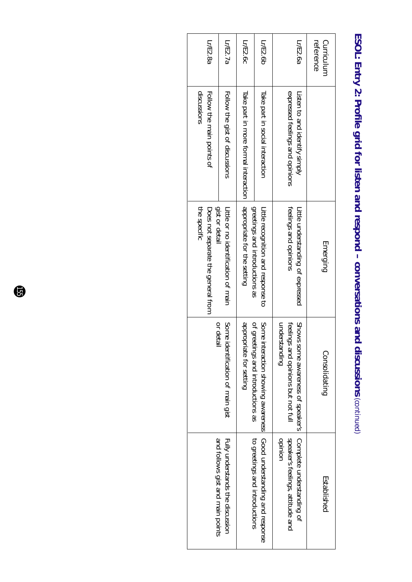| Lr/E2.8a                                           | Lr/E2.7a                                                                                                                                         | Lr/E2.6c                             | Lr/E2.6b                                                            | Lr/E2.6a                                                                                 | reference<br>Curriculum |
|----------------------------------------------------|--------------------------------------------------------------------------------------------------------------------------------------------------|--------------------------------------|---------------------------------------------------------------------|------------------------------------------------------------------------------------------|-------------------------|
| Follow the main points of<br>discussions           | Follow the gist of discussions                                                                                                                   | Iake part in more formal interaction | Take part in social interaction                                     | expressed feelings and opinions<br>Listen to and identify simply                         |                         |
| Does not separate the general from<br>the specific | gist or detai<br>Little Or DO identification Of Hain                                                                                             | appropriate for the setting          | greetings and intoductions as<br>Little recognition and response to | feelings and opinions<br>Little understanding of expressed                               | Emerging                |
|                                                    | appropriate for setting<br>or detai<br>Some<br>of greetings and introductions as<br>identification of main gist<br>interaction showing awareness |                                      | Some                                                                | understanding<br>feelings and opinions but not full<br>Shows some awareness of speaker's | Consolidating           |
|                                                    | and follows gist and main points<br>Fully understands the discussion                                                                             |                                      | Good understanding and response<br>to greetings and introductions   | Complete understanding of<br>speaker's feelings, attitude and<br>opinion                 | Established             |

#### ESOL: Entry 2: Profile grid for listen and respond - conversations and discussions (continued) **ESOL: Entry 2: Profile grid for listen and respond – conversations and discussions** *(continued)*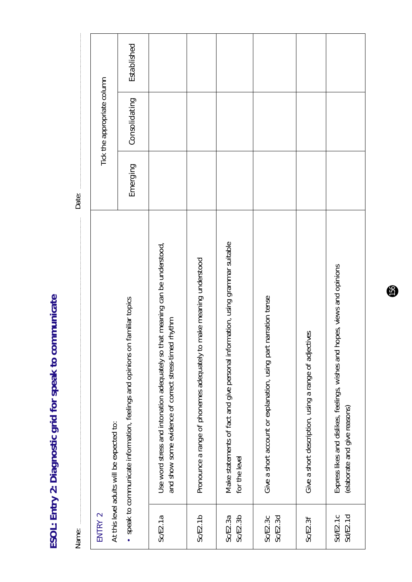| 2: Diagnostic grid for speak to communicat |   |
|--------------------------------------------|---|
|                                            |   |
|                                            |   |
|                                            |   |
| J                                          |   |
|                                            |   |
| į                                          |   |
|                                            |   |
| FSOL: Entry 2: D.C.                        | ١ |

| Name:                |                                                                                                                                       | Date:    |                             |             |
|----------------------|---------------------------------------------------------------------------------------------------------------------------------------|----------|-----------------------------|-------------|
| ENTRY 2              | At this level adults will be expected to:                                                                                             |          | Tick the appropriate column |             |
|                      | • speak to communicate information, feelings and opinions on familiar topics                                                          | Emerging | Consolidating               | Established |
| SCE2.1a              | Use word stress and intonation adequately so that meaning can be understood,<br>and show some evidence of correct stress-timed rhythm |          |                             |             |
| Sc/E2.1b             | make meaning understood<br>Pronounce a range of phonemes adequately to                                                                |          |                             |             |
| Sc/E2.3b<br>Sc/E2.3a | Make statements of fact and give personal information, using grammar suitable<br>for the level                                        |          |                             |             |
| Sc/E2.3d<br>Sc/E2.3c | narration tense<br>Give a short account or explanation, using part                                                                    |          |                             |             |
| Sc/E2.3f             | Give a short description, using a range of adjectives                                                                                 |          |                             |             |
| SdE2.1d<br>Sd/E2.1c  | Express likes and dislikes, feelings, wishes and hopes, views and opinions<br>(elaborate and give reasons)                            |          |                             |             |

 $\mathbf{6}$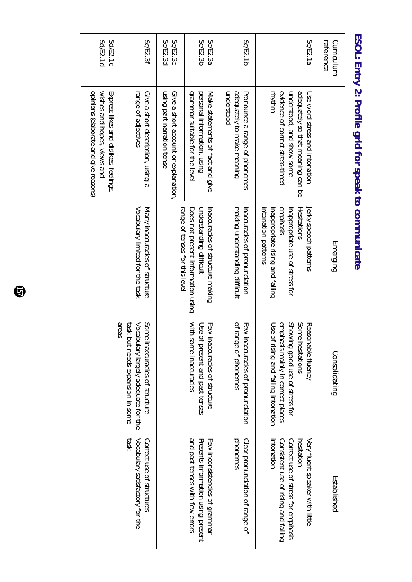| Sd/E2.1d<br>Sd/E2.1c                                                                                          | Sc/E2.3f                                                                                                                       | Sc/E2.3d<br>Sc/E2.3c                                               | Sc/E2.3b<br>Sc/E2.3a                                                                                    | Sc/E2.1b                                                                  | Sc/E2.1a                                                                                                                                              | Curriculum<br>reference |
|---------------------------------------------------------------------------------------------------------------|--------------------------------------------------------------------------------------------------------------------------------|--------------------------------------------------------------------|---------------------------------------------------------------------------------------------------------|---------------------------------------------------------------------------|-------------------------------------------------------------------------------------------------------------------------------------------------------|-------------------------|
| opinions (elaborate and give reasons)<br>wishes and hopes, views and<br>Express likes and dislikes, feelings. | range of adjectives<br>Give a short description, using a                                                                       | Give a short account or explanation,<br>using part narration tense | grammar suitable for the level<br>personal information, using<br>Make statements of fact and give       | adequately to make meaning<br>understood<br>Pronounce a range of phonemes | mhtmm<br>evidence of correct stress-timed<br>adequately so that meaning can be<br>understood, and show some<br>Use syord stress and intoration        |                         |
|                                                                                                               | Many inaccuracies of structure<br>Vocabulary limited for the task                                                              | range of tenses for this level                                     | understanding difficult<br>Does not present information using<br>Inaccuracies of structure making       | making understanding difficult<br>Inaccuracies of pronunciation           | emphasis<br>intonation patterns<br>Inappropriate rising and falling<br>Inappropriate use of stress for<br>Hesitations<br>Jerky speech patterns        | Emerging                |
| areas                                                                                                         | Some i<br><b>Task bu</b><br>Vocabu<br>it needs expansion in some<br>naccuracies of structure<br>llary largely adequate for the |                                                                    | with some inaccuracies<br>Few inaccuracies of structure<br>Use of<br>present and past tenses            | of range of phonemes<br>Few inaccuracies of pronunciation                 | Some hesitations<br>Showing good use of stress for<br>Use of rising and falling intonation<br>emphasis mainly in correct places<br>Reasonable fluency | Consolidating           |
|                                                                                                               | <b>ASE1</b><br>Vocabulary satisfactory for the<br>Correct use of structures                                                    |                                                                    | and past tenses with few errors<br>Presents information using present<br>Few inconsistencies of grammar | Clear pronunciation of range of<br>phonemes                               | mtonation<br>Consistent use of rising and falling<br>Correct use of stress for emphasis<br>Very fluent speaker with little<br>hesitation              | Established             |

#### ESOL: Entry 2: Profile grid for speak to communicate **ESOL: Entry 2: Profile grid for speak to communicate**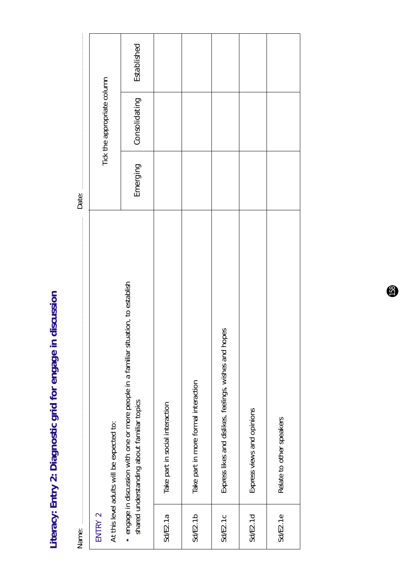Literacy: Entry 2: Diagnostic grid for engage in discussion **Literacy: Entry 2: Diagnostic grid for engage in discussion**

| Name:           |                                                                                                                                  | Date:    |                             |             |
|-----------------|----------------------------------------------------------------------------------------------------------------------------------|----------|-----------------------------|-------------|
| ENTRY 2         | At this level adults will be expected to:                                                                                        |          | Tick the appropriate column |             |
|                 | engage in discussion with one or more people in a familiar situation, to establish<br>shared understanding about familiar topics | Emerging | Consolidating               | Established |
| Sd/E2.1a        | Take part in social interaction                                                                                                  |          |                             |             |
| <b>Sd/E2.1b</b> | Take part in more formal interaction                                                                                             |          |                             |             |
| Sd/E2.1c        | Express likes and dislikes, feelings, wishes and hopes                                                                           |          |                             |             |
| SdEE.1d         | Express views and opinions                                                                                                       |          |                             |             |
| SdEE2.1e        | Relate to other speakers                                                                                                         |          |                             |             |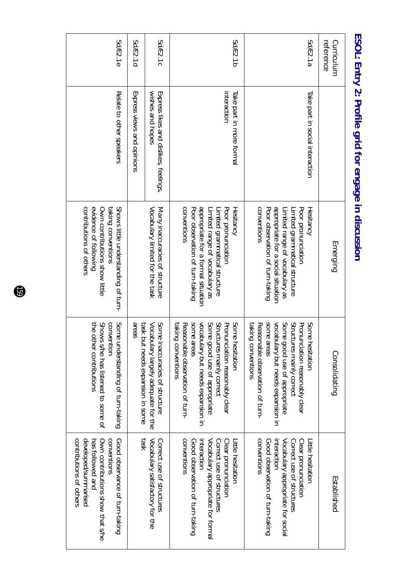| Sd/E2.1e                                                                                                                                                 | Sd/E2.1d                                                                                                             | Sd/E2.1c                                                     | Sd/E2.1b                                                                                                                                                                                                                         | Sd/E2.1a                                                                                                                                                                                                                          | Curriculum<br>reference |  |
|----------------------------------------------------------------------------------------------------------------------------------------------------------|----------------------------------------------------------------------------------------------------------------------|--------------------------------------------------------------|----------------------------------------------------------------------------------------------------------------------------------------------------------------------------------------------------------------------------------|-----------------------------------------------------------------------------------------------------------------------------------------------------------------------------------------------------------------------------------|-------------------------|--|
| Relate to other speakers                                                                                                                                 | Express views and opinions                                                                                           | wishes and hopes<br>Express likes and dislikes, feelings,    | interaction<br>Take part in more formal                                                                                                                                                                                          | Take part in social interaction                                                                                                                                                                                                   |                         |  |
| contributions of others<br>evidence of following<br>Shows little understanding of turn-<br>Own contributions show little<br>taking conventions           | Vocabulary limited for the task<br>Many inaccuracies of structure                                                    |                                                              | conventions<br>appropriate for a formal situation<br>Poor observation of turn-taking<br>Poor pronunciation<br>Limited range of vocabulary as<br>Limited grammatical structure<br>Hesitancy                                       | appropriate for a social situation<br>conventions<br>Poor observation of turn-taking<br>Limited range of vocabulary as<br>Poor pronunciation<br>Hesitancy<br>Limited grammatical structure                                        | Emerging                |  |
| Some u<br>the other contributions<br>Shows s/he has listened to some of<br>convention<br>understanding of turn-taking                                    | Some<br>areas<br>task but needs expansion in some<br>Vocabulary largely adequate for the<br>naccuracies of structure |                                                              | vocabulary but needs expansion in<br>Some good use of appropriate<br>Structures mainly correct<br>spme areas<br>Some<br>Pronunciation reasonably clear<br>Reasonable observation of thin-<br>taking<br>conventions<br>hesitation | spune areas<br>vocabulary but needs expansion in<br>Structures mainly correct<br>Some<br>Some good use of appropriate<br>Pronunciation reasonably clear<br>taking<br>Reasonable observation of trun-<br>conventions<br>nesitation | Consolidating           |  |
| contributions of others<br>developed/summarised<br>conventions<br>Own contributions show that s/he<br>Good observance of turn-taking<br>has followed and | <b>task</b>                                                                                                          | Vocabulary satisfactory for the<br>Correct use of structures | conventions<br>Vocabulary appropriate for formal<br>Good observation of turn-taking<br>interaction<br>Correct use of structures<br>Clear pronunciation<br>Little hesitation                                                      | <b>CONVENTIONS</b><br>Good observation of turn-taking<br>Vocabulary appropriate for social<br>Clear pronunciation<br>interaction<br>Correct use of structures<br>Litle hesitatior                                                 | Established             |  |

ESOL: Entry 2: Profile grid for engage in discussion **ESOL: Entry 2: Profile grid for engage in discussion**

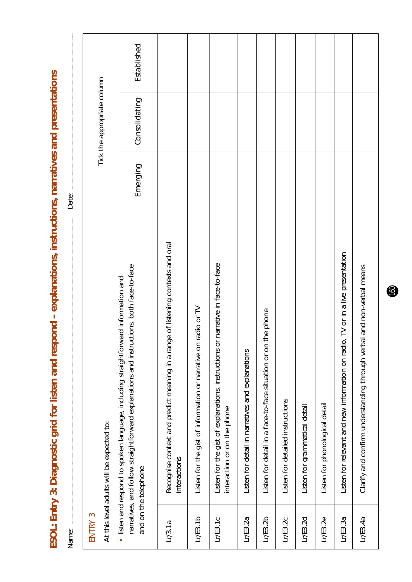ESOL: Entry 3: Diagnostic grid for listen and respond - explanations, instructions, narratives and presentations **ESOL: Entry 3: Diagnostic grid for listen and respond – explanations, instructions, narratives and presentations**

| Established<br>Tick the appropriate column<br>Consolidating | Emerging<br>Date: | Recognise context and predict meaning in a range of listening contexts and oral<br>Listen for relevant and new information on radio, TV or in a live presentation<br>Listen for the gist of explanations, instructions or narrative in face-to-face<br>narratives, and follow straightforward explanations and instructions, both face-to-face<br>isten and respond to spoken language, including straightforward information and<br>radio or TV<br>the phone<br>Listen for the gist of information or narrative on<br>Listen for detail in a face-to-face situation or on<br>Listen for detail in narratives and explanations<br>Listen for detailed instructions<br>Listen for phonological detail<br>Listen for grammatical detail<br>interaction or on the phone<br>At this level adults will be expected to:<br>interactions<br>and on the telephone | ENTRY 3<br>LrE3.2b<br>LrE3.1b<br>LrE3.2d<br>LrE3.2e<br>LrE3.1c<br>LrE3.2a<br>LrE3.2c<br>LrE3.3a<br>Lr/3.1a<br>Name: |
|-------------------------------------------------------------|-------------------|-----------------------------------------------------------------------------------------------------------------------------------------------------------------------------------------------------------------------------------------------------------------------------------------------------------------------------------------------------------------------------------------------------------------------------------------------------------------------------------------------------------------------------------------------------------------------------------------------------------------------------------------------------------------------------------------------------------------------------------------------------------------------------------------------------------------------------------------------------------|---------------------------------------------------------------------------------------------------------------------|
|                                                             |                   | Clarify and confirm understanding through verbal and non-verbal means                                                                                                                                                                                                                                                                                                                                                                                                                                                                                                                                                                                                                                                                                                                                                                                     | LrE3.4a                                                                                                             |
|                                                             |                   |                                                                                                                                                                                                                                                                                                                                                                                                                                                                                                                                                                                                                                                                                                                                                                                                                                                           |                                                                                                                     |
|                                                             |                   |                                                                                                                                                                                                                                                                                                                                                                                                                                                                                                                                                                                                                                                                                                                                                                                                                                                           |                                                                                                                     |
|                                                             |                   |                                                                                                                                                                                                                                                                                                                                                                                                                                                                                                                                                                                                                                                                                                                                                                                                                                                           |                                                                                                                     |
|                                                             |                   |                                                                                                                                                                                                                                                                                                                                                                                                                                                                                                                                                                                                                                                                                                                                                                                                                                                           |                                                                                                                     |
|                                                             |                   |                                                                                                                                                                                                                                                                                                                                                                                                                                                                                                                                                                                                                                                                                                                                                                                                                                                           |                                                                                                                     |
|                                                             |                   |                                                                                                                                                                                                                                                                                                                                                                                                                                                                                                                                                                                                                                                                                                                                                                                                                                                           |                                                                                                                     |
|                                                             |                   |                                                                                                                                                                                                                                                                                                                                                                                                                                                                                                                                                                                                                                                                                                                                                                                                                                                           |                                                                                                                     |
|                                                             |                   |                                                                                                                                                                                                                                                                                                                                                                                                                                                                                                                                                                                                                                                                                                                                                                                                                                                           |                                                                                                                     |
|                                                             |                   |                                                                                                                                                                                                                                                                                                                                                                                                                                                                                                                                                                                                                                                                                                                                                                                                                                                           |                                                                                                                     |
|                                                             |                   |                                                                                                                                                                                                                                                                                                                                                                                                                                                                                                                                                                                                                                                                                                                                                                                                                                                           |                                                                                                                     |
|                                                             |                   |                                                                                                                                                                                                                                                                                                                                                                                                                                                                                                                                                                                                                                                                                                                                                                                                                                                           |                                                                                                                     |
|                                                             |                   |                                                                                                                                                                                                                                                                                                                                                                                                                                                                                                                                                                                                                                                                                                                                                                                                                                                           |                                                                                                                     |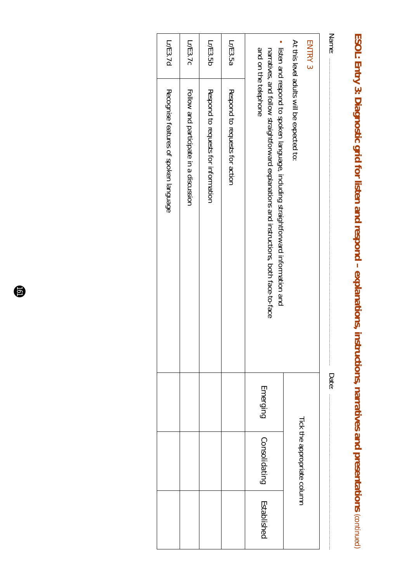| 「くい!」<br>Ĵ<br>Ī                                 |
|-------------------------------------------------|
|                                                 |
|                                                 |
|                                                 |
|                                                 |
|                                                 |
|                                                 |
| <u>לי</u><br>אוניינד                            |
|                                                 |
|                                                 |
|                                                 |
|                                                 |
|                                                 |
|                                                 |
|                                                 |
|                                                 |
|                                                 |
|                                                 |
| $\overline{\phantom{a}}$                        |
|                                                 |
|                                                 |
| į                                               |
|                                                 |
| ֧֧֧֧֧֚֚֚֚֚֚֚֚֚֚֚֚֚֚֚֚֚֚֚֚֚֚֚֚֚֚֚֬֝֡֝֬֝֝֬֝֓֝֬֝֓֝ |
| j                                               |
| ī                                               |
|                                                 |
|                                                 |
| l                                               |
|                                                 |
|                                                 |
|                                                 |
|                                                 |
|                                                 |
|                                                 |
|                                                 |
|                                                 |
|                                                 |
|                                                 |
|                                                 |
|                                                 |
|                                                 |
|                                                 |
|                                                 |

| Name:          |                                                                                                                                                                               | Date:    |                             |             |
|----------------|-------------------------------------------------------------------------------------------------------------------------------------------------------------------------------|----------|-----------------------------|-------------|
| <b>ENTRY 3</b> |                                                                                                                                                                               |          |                             |             |
|                | At this level adults will be expected to:                                                                                                                                     |          | Tick the appropriate column |             |
|                | • listen and respond to spoken language, including straightforward information and<br>narratives, and follow straightforward explanations and instructions, both face-to-face | Emerging | Consolidating               | Established |
|                | and on the telephone                                                                                                                                                          |          |                             |             |
| Lr/E3.5a       | Respond to requests for action                                                                                                                                                |          |                             |             |
| Lr/E3.5b       | Respond to requests for information                                                                                                                                           |          |                             |             |
| Lr/E3.7c       | Follow and participate in a discussion                                                                                                                                        |          |                             |             |
| Lr/E3.7d       | Recognise features of spoken language                                                                                                                                         |          |                             |             |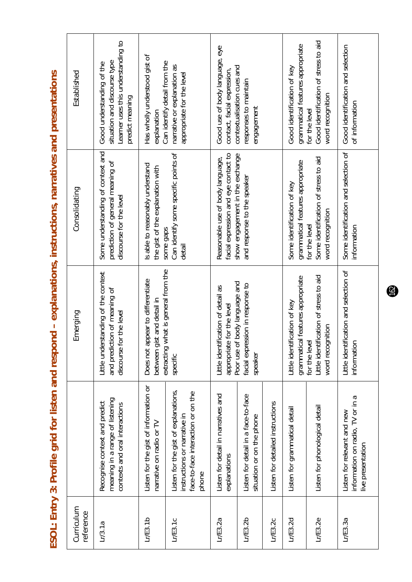ESOL: Entry 3: Profile grid for listen and respond - explanations, instructions, narratives and presentations **ESOL: Entry 3: Profile grid for listen and respond – explanations, instructions, narratives and presentations**

| Curriculum<br>reference |                                                                                                                     | Emerging                                                                                       | Consolidating                                                                                    | Established                                                                                                        |
|-------------------------|---------------------------------------------------------------------------------------------------------------------|------------------------------------------------------------------------------------------------|--------------------------------------------------------------------------------------------------|--------------------------------------------------------------------------------------------------------------------|
| Lr/3.1a                 | meaning in a range of listening<br>Recognise context and predict<br>contexts and oral interactions                  | Little understanding of the context<br>and prediction of meaning of<br>discourse for the level | Some understanding of context and<br>prediction of general meaning of<br>discourse for the level | Learner uses this understanding to<br>situation and discourse type<br>Good understanding of the<br>predict meaning |
| $L$ $E$ 3.1 $b$         | Listen for the gist of information or<br>narrative on radio or TV                                                   | Does not appear to differentiate<br>between gist and detail in                                 | Is able to reasonably understand<br>the gist of the explanation with                             | Has wholly understood gist of<br>Can identify detail from the<br>explanation                                       |
| L/ES.1C                 | Listen for the gist of explanations,<br>face-to-face interaction or on the<br>instructions or narrative in<br>phone | extracting what is general from the<br>specific                                                | Can identify some specific points of<br>some gaps<br>detail                                      | narrative or explanation as<br>appropriate for the level                                                           |
| L/E3.2a                 | Listen for detail in narratives and<br>explanations                                                                 | Little identification of detail as<br>for the level<br>appropriate<br>Poor use of              | facial expression and eye contact to<br>Reasonable use of body language,                         | Good use of body language, eye<br>contact, facial expression,                                                      |
| Lr/E3.2b                | Listen for detail in a face-to-face<br>situation or on the phone                                                    | body language and<br>facial expression in response to<br>speaker                               | show engagement in the exchange<br>and response to the speaker                                   | contextualisation cues and<br>responses to maintain<br>engagement                                                  |
| LrE3.2c                 | Listen for detailed instructions                                                                                    |                                                                                                |                                                                                                  |                                                                                                                    |
| Lr/E3.2d                | Listen for grammatical detail                                                                                       | grammatical features appropriate<br>Little identification of key                               | grammatical features appropriate<br>Some identification of key                                   | grammatical features appropriate<br>Good identification of key                                                     |
| $L$ r/E3.2e             | Listen for phonological detail                                                                                      | Little identification of stress to aid<br>word recognition<br>for the level                    | Some identification of stress to aid<br>word recognition<br>for the level                        | Good identification of stress to aid<br>word recognition<br>for the level                                          |
| L/E3.3a                 | information on radio, TV or in a<br>Listen for relevant and new<br>live presentation                                | Little identification and selection of<br>information                                          | Some identification and selection of<br>information                                              | Good identification and selection<br>of information                                                                |

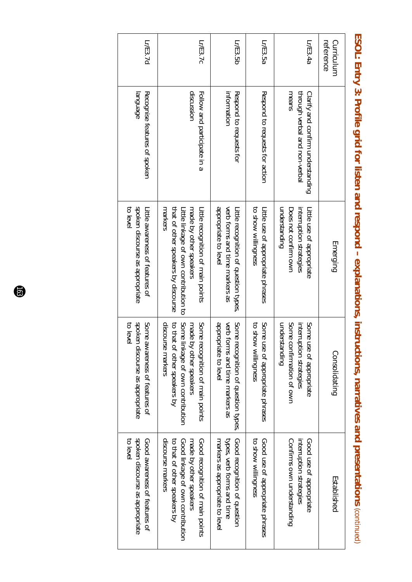| Lr/E3.7d                                                                          | Lr/E3.7c                                                                                                                                                         | Lr/E3.5b                                                                                         | Lr/E3.5a                                                  | Lr/E3.4a                                                                                           | Curriculum<br>reference |
|-----------------------------------------------------------------------------------|------------------------------------------------------------------------------------------------------------------------------------------------------------------|--------------------------------------------------------------------------------------------------|-----------------------------------------------------------|----------------------------------------------------------------------------------------------------|-------------------------|
| abenbuel<br>Recognise features of spoken                                          | discussion<br>Follow and participate in a                                                                                                                        | information<br>Respond to requests for                                                           | Respond to requests for action                            | means<br>through verbal and non-verbal<br>Clarify and confirm understanding                        |                         |
| spoken discourse as appropriate<br>to level<br>Little assurences of features of   | markers<br>that of other speakers by discourse<br>Little linkage of own contribution to<br>Litle recognition of main points<br>made by other speakers            | appropriate to level<br>verb forms and time markers as<br>Litle recognition of question types    | to show willingness<br>Little use of appropriate phrases  | understanding<br>interruption strategies<br>Little use of appropriate<br>Does not confirm own      | Emerging                |
| spoker<br>Some<br>to leve<br>awareness of features of<br>alscourse as appropriate | Some<br>Some<br>discourse markers<br>to that<br>made<br>t of other speakers by<br>by other speakers<br>recognition of main points<br>linkage of own contribution | appropriate to level<br>verb forms and time markers as<br>Some<br>recognition of question types, | Some<br>to show willingness<br>use of appropriate phrases | understanding<br>Some confirmation of own<br>interruption strategies<br>Some<br>use of appropriate | Consolidating           |
| spoken discourse as appropriate<br>to level<br>Good awareness of features of      | discourse markers<br>Good recognition of main points<br>to that of other speakers by<br>Good linkage of own contribution<br>made by other speakers               | types, verb forms and time<br>Good recognition of question<br>markers as appropriate to leve     | to show willingness<br>Good use of appropriate phrases    | Confirms own understanding<br>Good use of appropriate<br>interruption strategies                   | Established             |

ESOL: Entry 3: Profile grid for listen and respond - explanations, instructions, narratives and presentations (continued) **ESOL: Entry 3: Profile grid for listen and respond – explanations, instructions, narratives and presentations** *(continued)*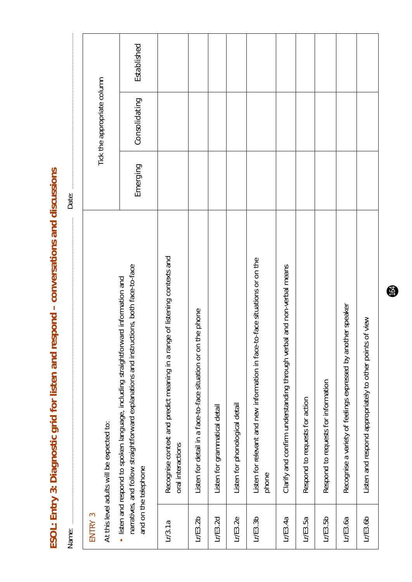ESOL: Entry 3: Diagnostic grid for listen and respond - conversations and discussions **ESOL: Entry 3: Diagnostic grid for listen and respond – conversations and discussions**

Established *Emerging Consolidating Established*Tick the appropriate column Tick the appropriate column Consolidating Emerging Date: Name: Date: Recognise context and predict meaning in a range of listening contexts and Lr/3.1a Recognise context and predict meaning in a range of listening contexts and Lr/E3.3b Listen for relevant and new information in face-to-face situations or on the Listen for relevant and new information in face-to-face situations or on the narratives, and follow straightforward explanations and instructions, both face-to-face Clarify and confirm understanding through verbal and non-verbal means Lr/E3.4a Clarify and confirm understanding through verbal and non-verbal means narratives, and follow straightforward explanations and instructions, both face-to-face listen and respond to spoken language, including straightforward information and • listen and respond to spoken language, including straightforward information and Lr/E3.6a Recognise a variety of feelings expressed by another speaker Recognise a variety of feelings expressed by another speaker Listen for detail in a face-to-face situation or on the phone Lr/E3.2b  $\parallel$  Listen for detail in a face-to-face situation or on the phone Listen and respond appropriately to other points of view Lr/E3.6b Listen and respond appropriately to other points of view Respond to requests for information Lr/E3.5b Respond to requests for information Respond to requests for action Lr/E3.5a Respond to requests for action Listen for phonological detail Listen for grammatical detail Lr/E3.2e Listen for phonological detail Lr/E3.2d Listen for grammatical detail At this level adults will be expected to: At this level adults will be expected to: oral interactions oral interactions and on the telephone and on the telephone phone ENTRY 3 ENTRY 3  $LrE3.2b$  $LrE3.3b$  $LrE3.4a$  $LrE3.6b$  $LrE3.2d$  $LrE3.2e$  $LrE3.5a$  $LrE3.5b$  $LrE3.6a$  $Lr/3.1a$ Name: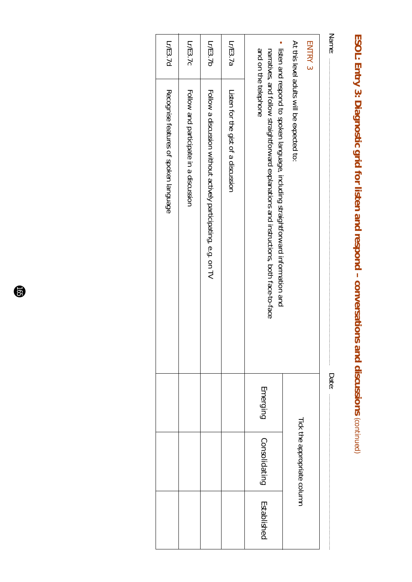## ESOL: Entry 3: Diagnostic grid for listen and respond - conversations and discussions (continued) **ESOL: Entry 3: Diagnostic grid for listen and respond – conversations and discussions** *(continued)*

| Name:          |                                                                                                                                                                                                       | <b>Date:</b> |                             |             |
|----------------|-------------------------------------------------------------------------------------------------------------------------------------------------------------------------------------------------------|--------------|-----------------------------|-------------|
| <b>ENTRY 3</b> |                                                                                                                                                                                                       |              | Tick the appropriate column |             |
|                | At this level adults will be expected to:                                                                                                                                                             |              |                             |             |
|                | • listen and respond to spoken language, including straightforward information and<br>and on the telephone<br>narratives, and follow straightforward explanations and instructions, both face-to-face | Emerging     | Consolidating               | Established |
| Lr/E3.7a       | Listen for the gist of a discussion                                                                                                                                                                   |              |                             |             |
| Lr/E3.7b       | Follow a discussion without actively participating, e.g. on TV                                                                                                                                        |              |                             |             |
| Lr/E3.7c       | Follow and participate in a discussion                                                                                                                                                                |              |                             |             |
| Lr/E3.7d       | Recognise features of spoken language                                                                                                                                                                 |              |                             |             |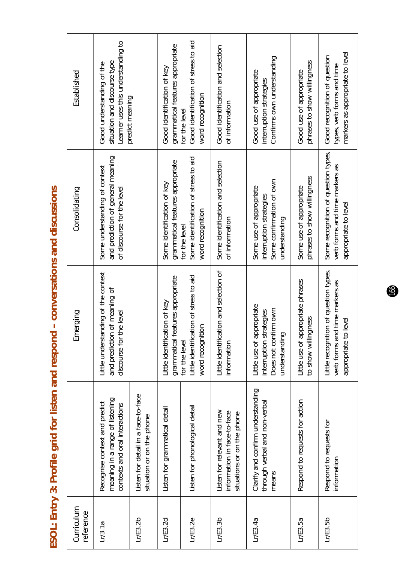| うちろう<br>くろく こうりょうしょう<br>$\overline{a}$ |
|----------------------------------------|
|                                        |
| י האמר בכל ב                           |
|                                        |
| $\frac{1}{2}$                          |
| ニュー wiki                               |
| こうこう くうさ<br>J                          |
|                                        |
|                                        |
|                                        |
|                                        |
| Í                                      |
|                                        |

| Curriculum<br>reference |                                                                                                    | Emerging                                                                                        | Consolidating                                                                                    | Established                                                                                     |
|-------------------------|----------------------------------------------------------------------------------------------------|-------------------------------------------------------------------------------------------------|--------------------------------------------------------------------------------------------------|-------------------------------------------------------------------------------------------------|
|                         | meaning in a range of listening<br>Recognise context and predict<br>contexts and oral interactions | Little understanding of the context<br>and prediction of meaning of<br>discourse for the level  | and prediction of general meaning<br>Some understanding of context<br>of discourse for the level | Learner uses this understanding to<br>situation and discourse type<br>Good understanding of the |
|                         | Listen for detail in a face-to-face<br>situation or on the phone                                   |                                                                                                 |                                                                                                  | predict meaning                                                                                 |
|                         | Listen for grammatical detail                                                                      | grammatical features appropriate<br>Little identification of key                                | grammatical features appropriate<br>Some identification of key                                   | grammatical features appropriate<br>Good identification of key                                  |
|                         | Listen for phonological detail                                                                     | Little identification of stress to aid<br>word recognition<br>for the leve                      | Some identification of stress to aid<br>word recognition<br>for the level                        | Good identification of stress to aid<br>word recognition<br>for the level                       |
|                         | Listen for relevant and new<br>information in face-to-face<br>situations or on the phone           | ification and selection of<br>nformation<br>Little identi                                       | Some identification and selection<br>of information                                              | Good identification and selection<br>of information                                             |
|                         | Clarify and confirm understanding<br>through verbal and non-verbal<br>means                        | Little use of appropriate<br>Does not confirm own<br>interruption strategies<br>understanding   | Some confirmation of own<br>Some use of appropriate<br>interruption strategies<br>understanding  | Confirms own understanding<br>Good use of appropriate<br>interruption strategies                |
|                         | Respond to requests for action                                                                     | Little use of appropriate phrases<br>to show willingness                                        | phrases to show willingness<br>Some use of appropriate                                           | phrases to show willingness<br>Good use of appropriate                                          |
|                         | Respond to requests for<br>information                                                             | Little recognition of question types,<br>verb forms and time markers as<br>appropriate to level | Some recognition of question types,<br>verb forms and time markers as<br>appropriate to level    | markers as appropriate to level<br>Good recognition of question<br>types, verb forms and time   |

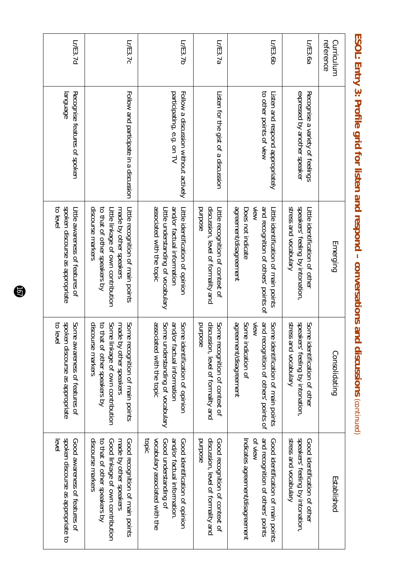| reference<br>Curriculum |                                                                   | Emerging                                                                                                                                               | Consolidating                                                                                                                                                  | Established                                                                                                                                        |
|-------------------------|-------------------------------------------------------------------|--------------------------------------------------------------------------------------------------------------------------------------------------------|----------------------------------------------------------------------------------------------------------------------------------------------------------------|----------------------------------------------------------------------------------------------------------------------------------------------------|
| Lr/E3.6a                | expressed by another speaker<br>Recognise a variety of feelings   | stress and vocabulary<br>speakers' feeling by intonation,<br>Little identification of other                                                            | speakers' feeling by intonation<br>stress and vocabulary<br>Some<br>identification of other                                                                    | Stress and vocabulary<br>speakers' feeling by intonation.<br>Good identification of other                                                          |
| Lr/E3.6b                | to other points of view<br>Listen and respond appropriately       | agreement/disagreement<br>and recognition of others' points of<br>Does not indicate<br>View<br>Little identification of Hain points                    | agreement/disagreement<br>Some<br>and recognition of others' points of<br>View<br>Some<br>indication of<br>identification of main points                       | and recognition of others' points<br>Indicates agreement/disagreement<br>of view<br>Good identification of main points                             |
| Lr/E3.7a                | Listen for the gist of a discussion                               | discussion, level of formality and<br>purpose<br>Little recognition of context of                                                                      | discussion, level of formality and<br>Some<br>purpose<br>recognition of context of                                                                             | discussion, level of formality and<br>purpose<br>Good recognition of context of                                                                    |
| Lr/E3.7b                | participating, e.g. on TV<br>Follow a discussion without actively | associated with the topic<br>and/or factual information<br>Little understanding of vocabulary<br>Little identification of opinion                      | associated with the topic<br>and/or<br>Some<br>Some<br>understanding of vocabulary<br>identification of opinion<br>factual information                         | vocabulary associated with the<br>topic<br>and/or factual information.<br>Cood identification of opinion<br>Good understanding of                  |
| Lr/E3.7c                | Follow and participate in a discussion                            | discourse markers<br>made by other speakers<br>to that of other speakers by<br>Little linkage of own contribution<br>Little recognition of main points | discourse markers<br>Some<br>Some<br>to that<br>made<br>linkage of own contribution<br>by other speakers<br>recognition of main points<br>of other speakers by | discourse markers<br>to that of other speakers by<br>Good linkage of own contribution<br>Good recognition of main points<br>made by other speakers |
| Lr/E3.7d                | Recognise features of spoken<br>language                          | spoken discourse as appropriate<br>to level<br>Litle awareness of features of                                                                          | spoken<br>Some.<br>to leve<br>awareness of features of<br>ontse as appropriate                                                                                 | spoken discourse as appropriate to<br>Good awareness of features of<br>evel                                                                        |

ESOL: Entry 3: Profile grid for listen and respond - conversations and discussions (continued) **ESOL: Entry 3: Profile grid for listen and respond – conversations and discussions** *(continued)*

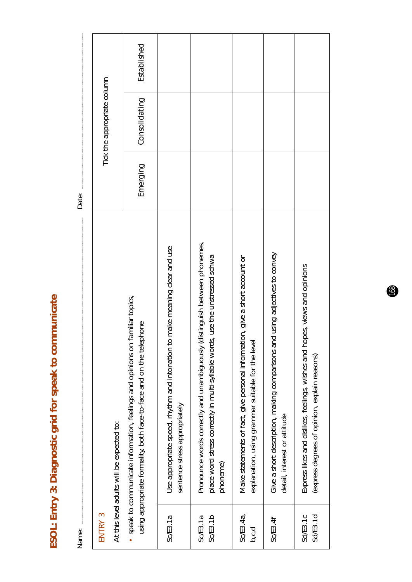ESOL: Entry 3: Diagnostic grid for speak to communicate **ESOL: Entry 3: Diagnostic grid for speak to communicate**

| Name:               |                                                                                                                                                                           | Date:    |                             |             |
|---------------------|---------------------------------------------------------------------------------------------------------------------------------------------------------------------------|----------|-----------------------------|-------------|
| ENTRY 3             | At this level adults will be expected to:                                                                                                                                 |          | Tick the appropriate column |             |
|                     | speak to communicate information, feelings and opinions on familiar topics,<br>using appropriate formality, both face-to-face and on the telephone                        | Emerging | Consolidating               | Established |
| SCES.1a             | Use appropriate speed, rhythm and intonation to make meaning clear and use<br>sentence stress appropriately                                                               |          |                             |             |
| Sc/E3.1b<br>SCE3.1a | distinguish between phonemes,<br>place word stress correctly in multi-syllable words, use the unstressed schwa<br>Pronounce words correctly and unambiguously<br>phoneme) |          |                             |             |
| Sc/E3.4a,<br>b,c,d  | Make statements of fact, give personal information, give a short account or<br>explanation, using grammar suitable for the leve                                           |          |                             |             |
| Sc/E3.4f            | Give a short description, making comparisons and using adjectives to convey<br>detail, interest or attitude                                                               |          |                             |             |
| SdE3.1d<br>Sd/E3.1c | Express likes and dislikes, feelings, wishes and hopes, views and opinions<br>(express degrees of opinion, explain reasons)                                               |          |                             |             |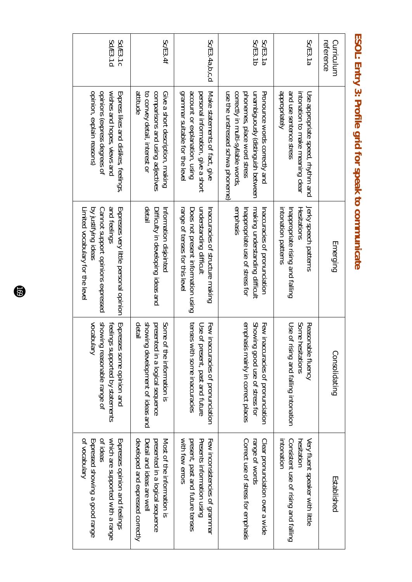| Sd/E3.1d<br>Sd/E3.1c                                                                                                                                   | Sc/E3.4f                                                                                                                        | SCE3.4a,b,c,d                                                                                                                         | Sc/E3.1b<br>Sc/E3.1a                                                                                                                                                         | Sc/E3.1a                                                                                                          | reference<br>Curriculum |
|--------------------------------------------------------------------------------------------------------------------------------------------------------|---------------------------------------------------------------------------------------------------------------------------------|---------------------------------------------------------------------------------------------------------------------------------------|------------------------------------------------------------------------------------------------------------------------------------------------------------------------------|-------------------------------------------------------------------------------------------------------------------|-------------------------|
| opinion, explain reasons)<br>opinions (express degrees of<br>wishes and hopes, views and<br>Express likes and dislikes, feelings,                      | attitude<br>comparisons and using adjectives<br>to convey detail, interest or<br>Give a short description, making               | grammar suitable for the leve<br>account or explanation, using<br>personal information, give a short<br>Make statements of fact, give | use the unstressed schwa phoneme)<br>correctly in multi-syllable words<br>unambiguously (distinguish between<br>Pronounce words correctly and<br>phonemes, place word stress | dopuopriately<br>and use sentence stress<br>intonation to make meaning clear<br>Use appropriate speed, rhythm and |                         |
| by justifying ideas<br>and feelings<br>Expresses very little personal opinion<br>Limited vocabulary for the level<br>Cannot support opinions expressed | detall<br>Difficulty in developing ideas and<br>Information disjointed                                                          | understanding difficult<br>range of tenses for this level<br>Does not present information using<br>Inaccuracies of structure making   | emphasis<br>Inappropriate use of stress for<br>making understanding difficult<br>Inaccuracies of pronunciation                                                               | intonation patterns<br>Inappropriate rising and falling<br>Hesitations<br>Jerky speech patterns                   | Emerging                |
| Vocabulary<br>showing reasonable range of<br>Expresses some opinion and<br>feelings supported by statements                                            | detail<br>showing development of ideas and<br>presented in a logical sequence<br>Some of the information is                     | tenses<br>Few inaccuracies of pronunciation<br>Use of<br>with some inaccuracies<br>present, past and future                           | emphasis mainly in correct places<br>Showing good use of stress for<br>Few inaccuracies of pronunciation                                                                     | Some hesitations<br>Reasonable fluency<br>Use of<br>rising and falling intonation                                 | Consolidating           |
| of ideas<br>which are supported with a range<br>of vocabulary<br>Expressed showing a good range<br>Expresses opinion and feelings                      | developed and expressed correctly<br>presented in a logical sequence<br>Most of the information is<br>Detail and ideas are well | with few errors<br>Presents information using<br>present, past and future tenses<br>Few inconsistencies of grammar                    | Correct use of stress for emphasis<br>range of words<br>Clear pronunciation over a wide                                                                                      | intonation<br>Very fluent speaker with little<br>Consistent use of rising and falling<br>hesitation               | Established             |

#### ESOL: Entry 3: Profile grid for speak to communicate **ESOL: Entry 3: Profile grid for speak to communicate**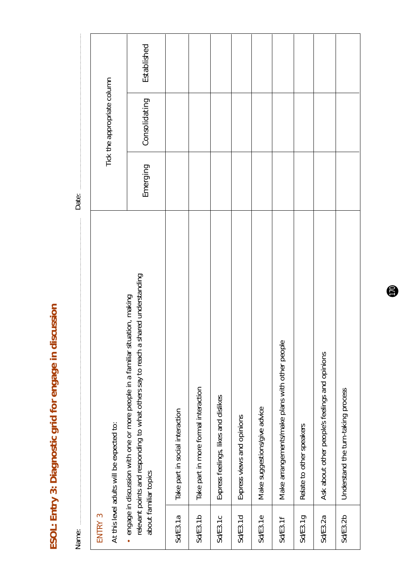ESOL: Entry 3: Diagnostic grid for engage in discussion **ESOL: Entry 3: Diagnostic grid for engage in discussion**

Established *Emerging Consolidating Established*Tick the appropriate column Tick the appropriate column Consolidating Emerging Date: Name: Date: relevant points and responding to what others say to reach a shared understanding relevant points and responding to what others say to reach a shared understanding · engage in discussion with one or more people in a familiar situation, making engage in discussion with one or more people in a familiar situation, making Make arrangements/make plans with other people Sd/E3.1f Make arrangements/make plans with other people Ask about other people's feelings and opinions Sd/E3.2a Ask about other people's feelings and opinions Take part in more formal interaction Sd/E3.1b Take part in more formal interaction Understand the turn-taking process Sd/E3.2b Understand the turn-taking process Express feelings, likes and dislikes Sd/E3.1c Express feelings, likes and dislikes Make suggestions/give advice Take part in social interaction Sd/E3.1e Make suggestions/give advice Sd/E3.1a Take part in social interaction Express views and opinions Sd/E3.1d Express views and opinions At this level adults will be expected to: At this level adults will be expected to: Relate to other speakers Sd/E3.1g | Relate to other speakers about familiar topics about familiar topics Sd/E3.1g ENTRY 3 ENTRY 3  $Sd/ES.1a$  $Sd/ES.1b$ Sd/E3.2b Sd/E3.1c  $Sd/ES.1d$ Sd/E3.1e Sd/E3.1f Sd/E3.2a Name: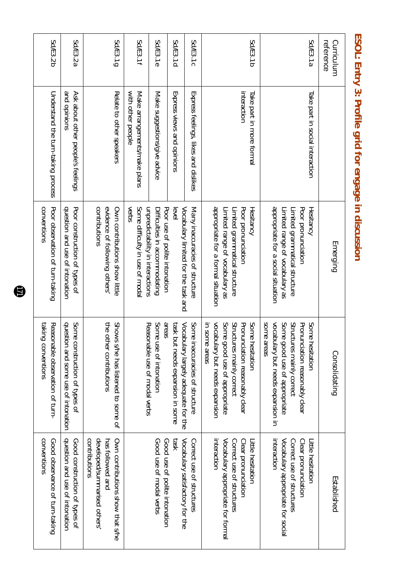| reference<br>Curriculum |                                                   | Emerging                                                                                                                                        | Consolidating                                                                                                                                                                         | Established                                                                                                               |
|-------------------------|---------------------------------------------------|-------------------------------------------------------------------------------------------------------------------------------------------------|---------------------------------------------------------------------------------------------------------------------------------------------------------------------------------------|---------------------------------------------------------------------------------------------------------------------------|
| Sd/E3.1a                | Take part in social interaction                   | appropriate for a social situation<br>Poor pronunciation<br>Limited range of vocabulary as<br>Limited grammatical structure<br><b>Hesitancy</b> | Pronunciation reasonably clear<br>seare areas<br>vocabulary but needs expansion in<br>Some <sub>i</sub><br>Structures mainly correct<br>Some<br>good use of appropriate<br>hesitation | interaction<br>Vocabulary appropriate for social<br>Correct use of structures<br>Clear pronunciation<br>Little hesitation |
| Sd/E3.1b                | interaction<br>Take part in more formal           | appropriate for a formal situation<br>Poor pronunciation<br>Limited range of vocabulary as<br>Limited grammatical structure<br><b>Hesitancy</b> | vocabulary but needs expansion<br>Some (<br>Structures mainly correct<br>Pronunciation reasonably clear<br>in some areas<br>Some<br>good use of appropriate<br>hesitation             | interaction<br>Vocabulary appropriate for formal<br>Correct use of structures<br>Clear pronunciation<br>Little hesitation |
| Sd/E3.1c                | Express feelings, likes and dislikes              | Many inaccuracies of structure<br>Vocabulary limited for the task and                                                                           | Some<br>Vocabulary largely adequate for the<br>inaccuracies of structure                                                                                                              | Vocabulary satisfactory for the<br>Correct use of structures                                                              |
| Sd/E3.1d                | Express views and opinions                        | evel                                                                                                                                            | task bu<br>ut needs expansion in some                                                                                                                                                 | <b>ASE1</b>                                                                                                               |
| Sd/E3.1e                | Make suggestions/give advice                      | Poor use of polite intonation<br>Difficulties in accommodating                                                                                  | Some<br>areas<br>use of intonation                                                                                                                                                    | Good use of modal verbs<br>Good use of polite intonation                                                                  |
| Sd/E3.1f                | with other people<br>Make arrangements/make plans | verbs<br>unpredictability in interactions<br>Some difficulty in use of modal                                                                    | Reasonable use of modal verbs                                                                                                                                                         |                                                                                                                           |
| Sd/E3.1g                | Relate to other speakers                          | contributions<br>evidence of following others'<br>Own contributions show little                                                                 | the other contributions<br><b>Sworks</b><br>s/he has listened to some of                                                                                                              | developed/summarised others<br>contributions<br>has tollowed and<br>Own contributions show that s/he                      |
| Sd/E3.2a                | and opinions<br>Ask about other people's feelings | Poor construction of types of<br>question and use of intonation                                                                                 | Some<br>question and some use of intonation<br>construction of types of                                                                                                               | question and use of intonation<br>Good construction of types of                                                           |
| Sd/E3.2b                | Understand the turn-taking process                | conventions<br>Poor observation of turn-taking                                                                                                  | taking<br>Reasonable observation of turn-<br>conventions                                                                                                                              | conventions<br>Good observance of turn-taking                                                                             |

ESOL: Entry 3: Profile grid for engage in discussion **ESOL: Entry 3: Profile grid for engage in discussion**

 $\bullet$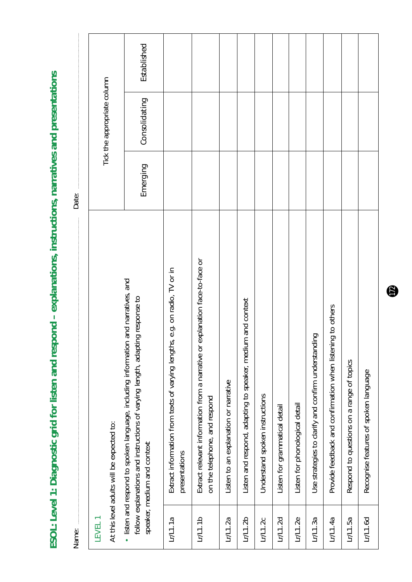ESOL: Level 1: Diagnostic grid for listen and respond - explanations, instructions, narratives and presentations **ESOL: Level 1: Diagnostic grid for listen and respond – explanations, instructions, narratives and presentations**

| Name:              |                                                                                                                                                                                                      | Date:    |                             |             |  |
|--------------------|------------------------------------------------------------------------------------------------------------------------------------------------------------------------------------------------------|----------|-----------------------------|-------------|--|
| LEVEL <sub>1</sub> | At this level adults will be expected to:                                                                                                                                                            |          | Tick the appropriate column |             |  |
|                    | and narratives, and<br>follow explanations and instructions of varying length, adapting response to<br>· listen and respond to spoken language, including information<br>speaker, medium and context | Emerging | Consolidating               | Established |  |
| LrL1.1a            | Extract information from texts of varying lengths, e.g. on radio, TV or in<br>presentations                                                                                                          |          |                             |             |  |
| LrL1.1b            | explanation face-to-face or<br>Extract relevant information from a narrative or<br>on the telephone, and respond                                                                                     |          |                             |             |  |
| LrL1.2a            | Listen to an explanation or narrative                                                                                                                                                                |          |                             |             |  |
| LrL1.2b            | Listen and respond, adapting to speaker, medium and context                                                                                                                                          |          |                             |             |  |
| LrL1.2c            | Understand spoken instructions                                                                                                                                                                       |          |                             |             |  |
| LrL1.2d            | Listen for grammatical detail                                                                                                                                                                        |          |                             |             |  |
| LrL1.2e            | Listen for phonological detail                                                                                                                                                                       |          |                             |             |  |
| LrL1.3a            | Οui.<br>Use strategies to clarify and confirm understand                                                                                                                                             |          |                             |             |  |
| LrL1.4a            | Provide feedback and confirmation when listening to others                                                                                                                                           |          |                             |             |  |
| Lr/1.5a            | Respond to questions on a range of topics                                                                                                                                                            |          |                             |             |  |
| Lr/L1.6d           | Recognise features of spoken language                                                                                                                                                                |          |                             |             |  |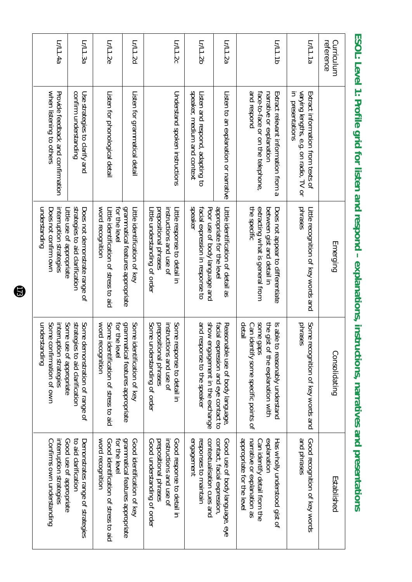| Lr/L1.4a                                                                                                | Lr/L1.3a                                                             | Lr/L1.2e                                                                        | Lr/L1.2d                                                          | Lr/L1.2c                                                                                                            | Lr/L1.2b                                                                     | Lr/L1.2a                                                                 | Lr/L1.1b                                                                                                                                                 | Lr/L1.1a                                                                                       | reference<br>Curriculum |
|---------------------------------------------------------------------------------------------------------|----------------------------------------------------------------------|---------------------------------------------------------------------------------|-------------------------------------------------------------------|---------------------------------------------------------------------------------------------------------------------|------------------------------------------------------------------------------|--------------------------------------------------------------------------|----------------------------------------------------------------------------------------------------------------------------------------------------------|------------------------------------------------------------------------------------------------|-------------------------|
| when listening to others<br>Provide feedback and confirmation                                           | confirm understanding<br>Use strategies to clarify and               | Listen for phonological detail                                                  | Listen for grammatical detail                                     | Understand spoken instructions                                                                                      | speaker, medium and context<br>Listen and respond, adapting to               | Listen to an explanation or narrative                                    | and respond<br>face-to-face or on the telephone,<br>Extract relevant information from a<br>narrative or explanation                                      | varying lengths, e.g. on radio, TV or<br>in presentations<br>Extract information from texts of |                         |
| pribristanding<br>interruption strategies<br>Little use of appropriate<br>Does not confirm own          | strategies to aid clarification<br>Does not demonstrate range of     | word recognition<br>for the level<br>Little identification of stress to aid     | grammatical features appropriate<br>Little identification of key  | instructions and use of<br>prepositional phrases<br>Little understanding of order<br>Little response to detail in   | speaker<br>facial expression in response to<br>Poor use of body language and | appropriate for the level<br>Little identification of detail as          | extracting what is general from<br>the specific<br>between gist and detail in<br>Does not appear to differentiate                                        | pnrases<br>Little recognition of key words and                                                 | Emerging                |
| understanding<br>interruption strategies<br>Some I<br>Some<br>confirmation of own<br>use of appropriate | strategies to aid clarification<br>Some<br>demonstration of range of | word recognition<br>Some<br>for the<br>identification of stress to aid<br>ievel | grammatical features appropriate<br>Some<br>identification of Key | Some<br>instructions and use of<br>Some<br>prepositional phrases<br>understanding of order<br>response to detail in | show engagement in the exchange<br>and response to the speaker               | facial expression and eye contact to<br>Reasonable use of body language, | some i<br>the gist of the explanation with<br>detail<br><b>S</b> able<br>Can identify some specific points of<br><b>Gaps</b><br>to reasonably understand | Some<br>phrases<br>recognition of key words and                                                | Consolidating           |
| Good use of appropriate<br>Confirms own understanding<br>interruption strategies                        | Demonstrates range of strategies<br>to aid clarification             | word recognition<br>for the level<br>Good identification of stress to aid       | grammatical features appropriate<br>Good identification of key    | instructions and use of<br>Good response to detail in<br>Good understanding of order<br>prepositional phrases       | engagement<br>contextualisation cues and<br>responses to maintain            | contact, facial expression,<br>Good use of body language, eye            | appropriate for the level<br>explanation<br>Has wholly understood gist of<br>narrative or explanation as<br>Can identify detail from the                 | and phrases<br>Good recognition of key words                                                   | Established             |

ESOL: Level 1: Profile grid for listen and respond - explanations, instructions, narratives and presentations **ESOL: Level 1: Profile grid for listen and respond – explanations, instructions, narratives and presentations**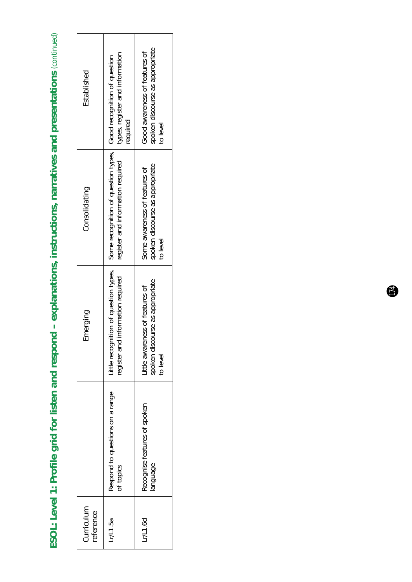ESOL: Level 1: Profile grid for listen and respond - explanations, instructions, narratives and presentations (continued) **ESOL: Level 1: Profile grid for listen and respond – explanations, instructions, narratives and presentations** *(continued)*

| Established             | types, register and information<br>required                                                                                                      | spoken discourse as appropriate<br>Good awareness of features of<br>to level   |
|-------------------------|--------------------------------------------------------------------------------------------------------------------------------------------------|--------------------------------------------------------------------------------|
| Consolidating           | little recognition of question types,   Some recognition of question types,   Good recognition of question.<br>register and information required | spoken discourse as appropriate<br>Some awareness of features of<br>to level   |
| Emerging                | register and information required                                                                                                                | spoken discourse as appropriate<br>little awareness of features of<br>to level |
|                         | Respond to questions on a range<br>of topics                                                                                                     | Recognise features of spoken<br>anguage                                        |
| Curriculum<br>reference | Lr/L1.5a                                                                                                                                         | Lr/L1.6d                                                                       |

 $\ddot{r}$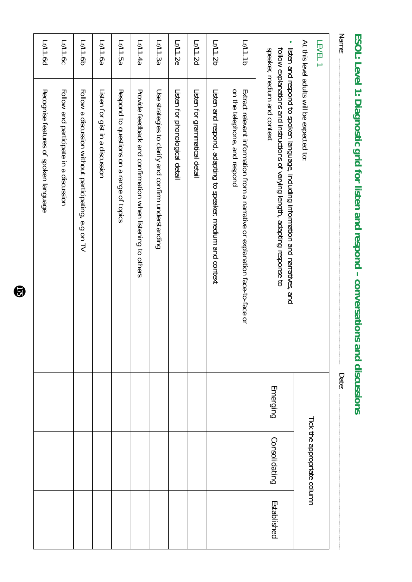|                                                                                                               | Emerging                                                                                                                                                                                                                                     | Consolidating | Established                 |
|---------------------------------------------------------------------------------------------------------------|----------------------------------------------------------------------------------------------------------------------------------------------------------------------------------------------------------------------------------------------|---------------|-----------------------------|
| on the telephone, and respond<br>Extract relevant information from a narrative or explanation face-to-face or |                                                                                                                                                                                                                                              |               |                             |
| Listen and respond, adapting to speaker, medium and context                                                   |                                                                                                                                                                                                                                              |               |                             |
| Listen for grammatical detail                                                                                 |                                                                                                                                                                                                                                              |               |                             |
| Listen for phonological detail                                                                                |                                                                                                                                                                                                                                              |               |                             |
| Use strategies to clarify and confirm understanding                                                           |                                                                                                                                                                                                                                              |               |                             |
| Provide feedback and confirmation when listening to others                                                    |                                                                                                                                                                                                                                              |               |                             |
| Respond to questions on a range of topics                                                                     |                                                                                                                                                                                                                                              |               |                             |
| Listen for gist in a discussion                                                                               |                                                                                                                                                                                                                                              |               |                             |
| Follow a discussion without participating, e.g on TV                                                          |                                                                                                                                                                                                                                              |               |                             |
| Follow and participate in a discussion                                                                        |                                                                                                                                                                                                                                              |               |                             |
| Recognise features of spoken language                                                                         |                                                                                                                                                                                                                                              |               |                             |
|                                                                                                               | At this level adults will be expected to:<br>listen and respond to spoken language, including information and narratives, and<br>speaker, medium and context<br>follow explanations and instructions of varying length, adapting response to | Date:         | Tick the appropriate column |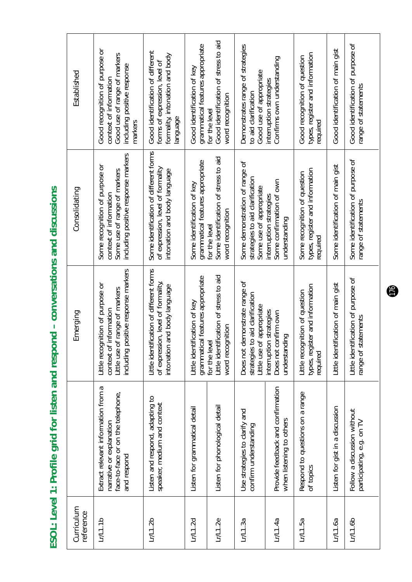ESOL: Level 1: Profile grid for listen and respond - conversations and discussions **ESOL: Level 1: Profile grid for listen and respond – conversations and discussions**

| Curriculum<br>reference |                                                                                                                     | Emerging                                                                                                                              | Consolidating                                                                                                                   | Established                                                                                                                        |
|-------------------------|---------------------------------------------------------------------------------------------------------------------|---------------------------------------------------------------------------------------------------------------------------------------|---------------------------------------------------------------------------------------------------------------------------------|------------------------------------------------------------------------------------------------------------------------------------|
| L/L1.1b                 | Extract relevant information from a<br>face-to-face or on the telephone,<br>narrative or explanation<br>and respond | including positive response markers<br>Little recognition of purpose or<br>Little use of range of markers<br>nformation<br>context of | including positive response markers<br>Some recognition of purpose or<br>Some use of range of markers<br>context of information | Good recognition of purpose or<br>Good use of range of markers<br>including positive response<br>context of information<br>markers |
| Lr/1.2b                 | Listen and respond, adapting to<br>speaker, medium and context                                                      | Little identification of different forms<br>of expression, level of formality,<br>intonation and body language                        | Some identification of different forms<br>of expression, level of formality<br>intonation and body language                     | Good identification of different<br>formality, intonation and body<br>forms of expression, level of<br>language                    |
| Lr/L1.2d                | Listen for grammatical detail                                                                                       | grammatical features appropriate<br>Little identification of key                                                                      | grammatical features appropriate<br>Some identification of key                                                                  | grammatical features appropriate<br>Good identification of key                                                                     |
| LrL1.2e                 | Listen for phonological detail                                                                                      | Little identification of stress to aid<br>word recognition<br>for the level                                                           | Some identification of stress to aid<br>word recognition<br>for the level                                                       | Good identification of stress to aid<br>word recognition<br>for the level                                                          |
| LrL1.3a                 | Use strategies to clarify and<br>confirm understanding                                                              | Does not demonstrate range of<br>strategies to aid clarification<br>appropriate<br>Little use of                                      | Some demonstration of range of<br>strategies to aid clarification<br>Some use of appropriate                                    | Demonstrates range of strategies<br>Good use of appropriate<br>to aid clarification                                                |
| LrL1.4a                 | Provide feedback and confirmation<br>when listening to others                                                       | strategies<br>Does not confirm own<br>understanding<br>interruption                                                                   | Some confirmation of own<br>interruption strategies<br>understanding                                                            | Confirms own understanding<br>interruption strategies                                                                              |
| Lr/L1.5a                | Respond to questions on a range<br>of topics                                                                        | types, register and information<br>Little recognition of question<br>required                                                         | types, register and information<br>Some recognition of question<br>required                                                     | types, register and information<br>Good recognition of question<br>required                                                        |
| LrL1.6a                 | Listen for gist in a discussion                                                                                     | Little identification of main gist                                                                                                    | Some identification of main gist                                                                                                | Good identification of main gist                                                                                                   |
| LrL1.6b                 | Follow a discussion without<br>participating, e.g. on TV                                                            | Little identification of purpose of<br>range of statements                                                                            | Some identification of purpose of<br>range of statements                                                                        | Good identification of purpose of<br>range of statements                                                                           |
|                         |                                                                                                                     |                                                                                                                                       |                                                                                                                                 |                                                                                                                                    |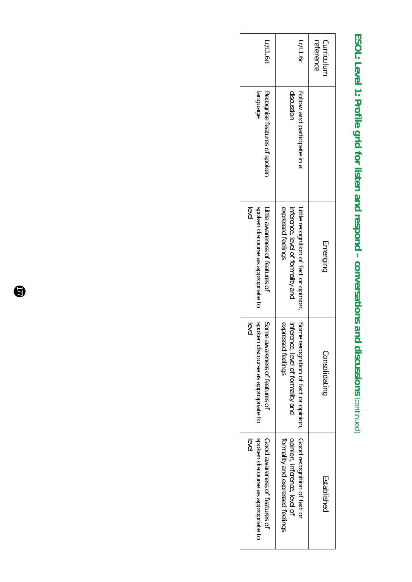# ESOL: Level 1: Profile grid for listen and respond - conversations and discussions (continued) **ESOL: Level 1: Profile grid for listen and respond – conversations and discussions** *(continued)*

| Lr/L1.6d                                                                           | Lr/L1.6c                                                                                                | reference<br><b>Curriculum</b> |
|------------------------------------------------------------------------------------|---------------------------------------------------------------------------------------------------------|--------------------------------|
| Recognise features of spoken<br><b>anguage</b>                                     | discussior<br>Follow and participate in a                                                               |                                |
| spoken discourse as appropriate to<br>level<br>Little awareness of features of     | expressed feelings<br>inference, level of formality and<br>Little recognition of fact or opinion,       | Emerging                       |
| Some<br>spoker<br>level<br>awareness of features of<br>discourse as appropriate to | Some<br>expressed feelings<br>inferer<br>nce, level of formality and<br>recognition of fact or opinion, | Consolidating                  |
| spoken discourse as appropriate to<br>Good awareness of features of<br>evel        | Good recognition of fact or<br>formality and expressed feelings<br>opinion, inference, level of         | Established                    |

 $\bigcirc$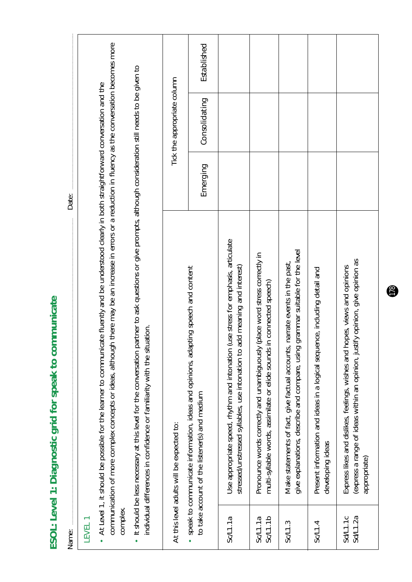communication of more complex concepts or ideas, although there may be an increase in errors or a reduction in fluency as the conversation becomes more communication of more complex concepts or ideas, although there may be an increase in errors or a reduction in fluency as the conversation becomes more Established *Emerging Consolidating Established*It should be less necessary at this level for the conversation partner to ask questions or give prompts, although consideration still needs to be given to It should be less necessary at this level for the conversation partner to ask questions or give prompts, although consideration still needs to be given to Tick the appropriate column Tick the appropriate column • At Level 1, it should be possible for the learner to communicate fluently and be understood clearly in both straightforward conversation and the At Level 1, it should be possible for the learner to communicate fluently and be understood clearly in both straightforward conversation and the Consolidating Emerging Date: Name: Date: Use appropriate speed, rhythm and intonation (use stress for emphasis, articulate Sc/L1.1a Use appropriate speed, rhythm and intonation (use stress for emphasis, articulate give explanations, describe and compare, using grammar suitable for the level give explanations, describe and compare, using grammar suitable for the level Pronounce words correctly and unambiguously (place word stress correctly in Sc/L1.1a Pronounce words correctly and unambiguously (place word stress correctly in express a range of ideas within an opinion, justify opinion, give opinion as Sd/L1.2a | (express a range of ideas within an opinion, justify opinion, give opinion as Make statements of fact, give factual accounts, narrate events in the past, Sc/L1.3 Make statements of fact, give factual accounts, narrate events in the past, Express likes and dislikes, feelings, wishes and hopes, views and opinions • speak to communicate information, ideas and opinions, adapting speech and content speak to communicate information, ideas and opinions, adapting speech and content stressed/unstressed syllables, use intonation to add meaning and interest) stressed/unstressed syllables, use intonation to add meaning and interest) Sd/L1.1c Express likes and dislikes, feelings, wishes and hopes, views and opinions Present information and ideas in a logical sequence, including detail and  $\Gamma$  Present in a logical sequence in a logical sequence in a logical sequence in a logical sequence, including details multi-syllable words, assimilate or elide sounds in connected speech) Sc/L1.1b multi-syllable words, assimilate or elide sounds in connected speech) ESOL: Level 1: Diagnostic grid for speak to communicate **ESOL: Level 1: Diagnostic grid for speak to communicate** individual differences in confidence or familiarity with the situation. individual differences in confidence or familiarity with the situation. to take account of the listener(s) and medium to take account of the listener(s) and medium At this level adults will be expected to: At this level adults will be expected to: developing ideas developing ideas appropriate) appropriate) complex. Sc/L1.1a<br>Sc/L1.1b Sd/L1.1c<br>Sd/L1.2a  $SCL1.1a$ LEVEL 1 Sc/L1.3  $Sc/L1.4$ Name: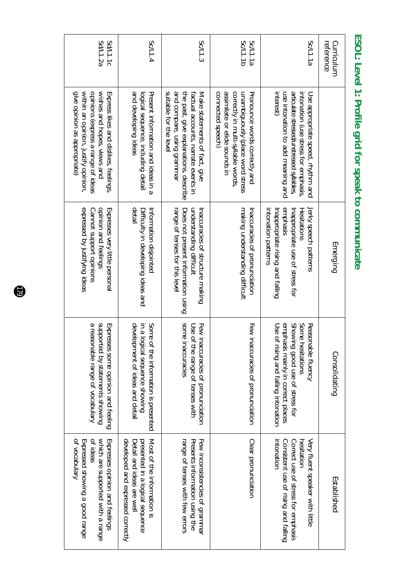| reference<br>Curriculum |                                                                                                                                                                                   | Emerging                                                                                                                                       | Consolidating                                                                                                                                            | Established                                                                                                                               |
|-------------------------|-----------------------------------------------------------------------------------------------------------------------------------------------------------------------------------|------------------------------------------------------------------------------------------------------------------------------------------------|----------------------------------------------------------------------------------------------------------------------------------------------------------|-------------------------------------------------------------------------------------------------------------------------------------------|
| Sc/L1.1a                | Interest)<br>use intonation to add meaning and<br>articulate stressed/unstressed syllables,<br>Use appropriate speed, rhythm and<br>intonation (use stress for emphasis,          | intonation patterns<br>emphasis<br>Inappropriate rising and falling<br>Inappropriate use of stress for<br>Hesitations<br>Jerky speech patterns | Some hesitations<br>Showing good use of stress for<br>Use of<br>emphasis mainly in correct places<br>Reasonable fluency<br>rising and falling intonation | intonation<br>Very fluent speaker with little<br>Consistent use of rising and falling<br>Correct use of stress for emphasis<br>hesitation |
| Sc/L1.1b<br>Sc/L1.1a    | assimilate or elide sounds in<br>correctly in multi-syllable words,<br>connected speech)<br>unambiguously (place word stress<br>Pronounce words correctly and                     | making understanding difficult<br>Inaccuracies of pronunciation                                                                                | Few inaccuracies of pronunciation                                                                                                                        | Clear pronunciation                                                                                                                       |
| Sc/L1.3                 | suitable for the leve<br>and compare, using grammar<br>the past, give explanations, describe<br>Make statements of fact, give<br>factual accounts, narrate events in              | understanding difficult<br>range of tenses for this level<br>Does not present information using<br>Inaccuracies of structure making            | some inaccuracies<br>Few inaccuracies of pronunciation<br>Use of the range of tenses with                                                                | range of tenses with few errors<br>Few inconsistencies of grammar<br>Presents information using the                                       |
| Sc/L1.4                 | and developing ideas<br>Present information and ideas in a<br>logical sequence, including detail                                                                                  | detail<br>Difficulty in developing ideas and<br>Information disjointed                                                                         | development of ideas and detail<br>Some of the information is presented<br>in a logical sequence showing                                                 | developed and expressed correctly<br>presented in a logical sequence<br>Most of the information is<br>Detail and ideas are well           |
| Sd/L1.2a<br>Sd/L1.1c    | give opinion as appropriate)<br>within an opinion, justify opinion,<br>opinions (express a range of ideas<br>wishes and hopes, views and<br>Express likes and dislikes, feelings, | expressed by justifying ideas<br>opinion and feelings<br>Cannot support opinions<br>Expresses very little personal                             | a reasonable range of vocabulary<br>supported by statements showing<br>Expresses some opinion and feeling                                                | of vocabulary<br>Expressed showing a good range<br>ot ideas<br>which are supported with a range<br>Expresses opinion and feelings         |

## ESOL: Level 1: Profile grid for speak to communicate **ESOL: Level 1: Profile grid for speak to communicate**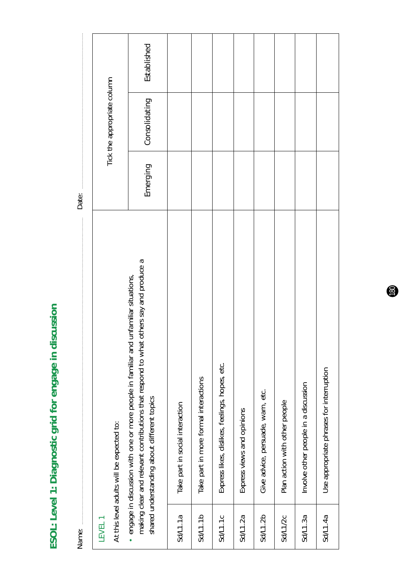ESOL: Level 1: Diagnostic grid for engage in discussion **ESOL: Level 1: Diagnostic grid for engage in discussion** 

|       |                                           | Established                                                                                                                                                                                                                         |                                 |                                       |                                                |                            |                                   |                               |                                      |                                          |
|-------|-------------------------------------------|-------------------------------------------------------------------------------------------------------------------------------------------------------------------------------------------------------------------------------------|---------------------------------|---------------------------------------|------------------------------------------------|----------------------------|-----------------------------------|-------------------------------|--------------------------------------|------------------------------------------|
|       | Tick the appropriate column               | Consolidating                                                                                                                                                                                                                       |                                 |                                       |                                                |                            |                                   |                               |                                      |                                          |
| Date: |                                           | Emerging                                                                                                                                                                                                                            |                                 |                                       |                                                |                            |                                   |                               |                                      |                                          |
|       | At this level adults will be expected to: | others say and produce a<br>unfamiliar situations,<br>making clear and relevant contributions that respond to what<br>· engage in discussion with one or more people in familiar and<br>shared understanding about different topics | Take part in social interaction | Take part in more formal interactions | Express likes, dislikes, feelings, hopes, etc. | Express views and opinions | Give advice, persuade, warn, etc. | Plan action with other people | Involve other people in a discussion | Use appropriate phrases for interruption |
| Name: | LEVEL <sub>1</sub>                        |                                                                                                                                                                                                                                     | Sd/L1.1a                        | Sd/L1.1b                              | Sd/L1.1c                                       | Sd/L1.2a                   | Sd/L1.2b                          | Sd/L1/2c                      | Sd/L1.3a                             | Sd/L1.4a                                 |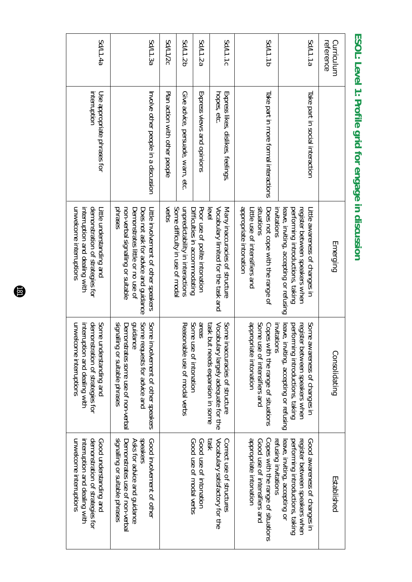| reference<br>Curriculum |                                                 | Emerging                                                                                                                                                         | Consolidating                                                                                                                                          | Established                                                                                                                               |
|-------------------------|-------------------------------------------------|------------------------------------------------------------------------------------------------------------------------------------------------------------------|--------------------------------------------------------------------------------------------------------------------------------------------------------|-------------------------------------------------------------------------------------------------------------------------------------------|
| Sd/L1.1a                | Take part in social interaction                 | register between speakers when<br>leave, inviting, accepting or refusing<br>pertorming introductions, taking<br>Litle awareness of changes in                    | register<br>leave, inviting, accepting or refusing<br>pertorming introductions, taking<br>Some awareness of changes in<br>between speakers when        | register between speakers when<br>leave, inviting, accepting or<br>performing introductions, taking<br>Good awareness of changes in       |
| <b>Sd/L1.1b</b>         | Take part in more formal interactions           | appropriate intonation<br>situations<br>invitations<br>Does not cope with the range of<br>Litle use of intensifiers and                                          | appropriate intonation<br>Some use of intensifiers and<br>invitations<br>Copes with the range of situations                                            | appropriate intonation<br>Copes with the range of situations<br>refusing invitations<br>Good use of intensifiers and                      |
| Sd/L1.1c                | Express likes, dislikes, feelings<br>hopes, etc | Vocabulary limited for the task and<br>Many inaccuracies of structure<br>evel                                                                                    | task but needs expansion in some<br>Vocabulary largely adequate for the<br>Some inaccuracies of structure                                              | Vocabulary satisfactory for the<br><b>J</b> set<br>Correct use of structures                                                              |
| Sd/L1.2a                | Express views and opinions                      | Poor use of polite intonation<br>Difficulties in accommodating                                                                                                   | areas<br>Some use of intonation                                                                                                                        | Good use of modal verbs<br>Good use of intonation                                                                                         |
| Sd/L1.2b                | Give advice, persuade, warn, etc.               | Some difficulty in use of moda<br>unpredictability in interactions                                                                                               | Reasonable use of modal verbs                                                                                                                          |                                                                                                                                           |
| <b>Sd/L1/2c</b>         | Plan action with other people                   | verbs                                                                                                                                                            |                                                                                                                                                        |                                                                                                                                           |
| Sd/L1.3a                | Involve other people in a discussion            | phrases<br>Little involvement of other speakers<br>non-verbal signalling or suitable<br>Demonstrates little or no use of<br>Does not ask for advice and guidance | signalling or suitable phrases<br>Some requests for advice and<br>guidance<br>Some involvement of other speakers<br>Demonstrates some use of non-verba | speakers<br>signalling or suitable phrases<br>Good involvement of other<br>Demonstrates use of non-verbal<br>Asks for advice and guidance |
| <b>Sd/L1.4a</b>         | interruption<br>Use appropriate phrases for     | unwelcome interruptions<br>demonstration of strategies for<br>interruption and dealing with<br>litle understanding and                                           | unwelcome interruptions<br>interruption and dealing with<br>demonstration of strategies for<br>Some understanding and                                  | unwelcome interruptions<br>demonstration of strategies for<br>Good understanding and<br>interruption and dealing with                     |

## ESOL: Level 1: Profile grid for engage in discussion **ESOL: Level 1: Profile grid for engage in discussion**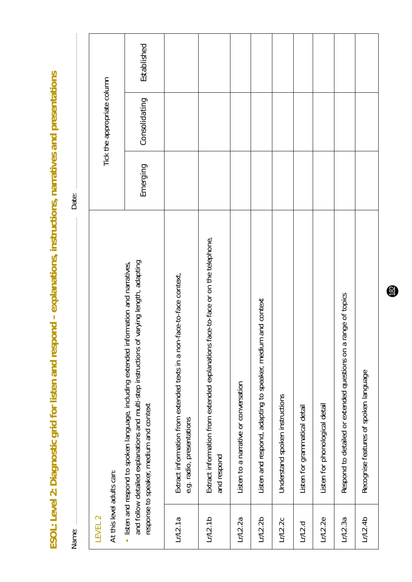ESOL: Level 2: Diagnostic grid for listen and respond - explanations, instructions, narratives and presentations **ESOL: Level 2: Diagnostic grid for listen and respond – explanations, instructions, narratives and presentations**

Name: Date:

Name:

Date:

Established *Emerging Consolidating Established*Tick the appropriate column Tick the appropriate column Consolidating Emerging Extract information from extended explanations face-to-face or on the telephone, Lr/L2.1b Extract information from extended explanations face-to-face or on the telephone, and follow detailed explanations and multi-step instructions of varying length, adapting and follow detailed explanations and multi-step instructions of varying length, adapting • listen and respond to spoken language, including extended information and narratives, listen and respond to spoken language, including extended information and narratives, Lr/L2.1a Extract information from extended texts in a non-face-to-face context, Extract information from extended texts in a non-face-to-face context, Respond to detailed or extended questions on a range of topics Lr/L2.3a Respond to detailed or extended questions on a range of topics Listen and respond, adapting to speaker, medium and context Lr/L2.2b Listen and respond, adapting to speaker, medium and context Recognise features of spoken language Lr/L2.4b Recognise features of spoken language Listen to a narrative or conversation Lr/L2.2a Listen to a narrative or conversation Lr/L2.2c Understand spoken instructions Understand spoken instructions response to speaker, medium and context Listen for phonological detail response to speaker, medium and context Lr/L2.2e Listen for phonological detail Listen for grammatical detail Lr/L2.d Listen for grammatical detail e.g. radio, presentations e.g. radio, presentations and respond and respond At this level adults can: At this level adults can: LEVEL 2  $LrL2.1a$  $Lr/2.1b$  $Lr/2.2b$  $Lr/L2.2e$  $Lr/L2.3a$  $LrL2.4b$  $Lr/2.2a$  $Lr/2.2c$  $Lr/L2.d$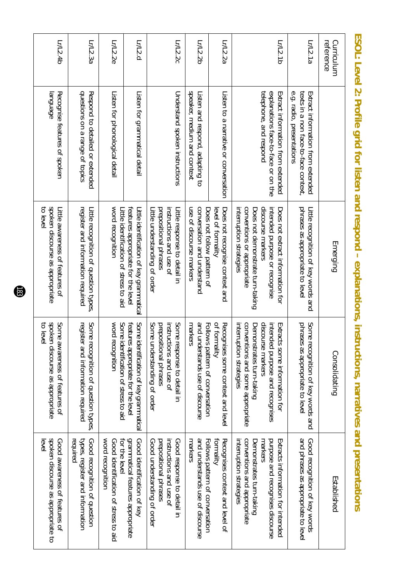| L/L.4b                                                                            | Lr/L2.3a                                                                         | Lr/L2.2e                                                                  | Lr/L2.d                                                                        | Lr/L2.2c                                                                                                            | Lr/L2.2b                                                                              | Lr/L2.2a                                             | L/L2.1b                                                                                                                                                                             | Lr/L2.1a                                                                                              | reference<br>Curriculum |
|-----------------------------------------------------------------------------------|----------------------------------------------------------------------------------|---------------------------------------------------------------------------|--------------------------------------------------------------------------------|---------------------------------------------------------------------------------------------------------------------|---------------------------------------------------------------------------------------|------------------------------------------------------|-------------------------------------------------------------------------------------------------------------------------------------------------------------------------------------|-------------------------------------------------------------------------------------------------------|-------------------------|
| Recognise features of spoken<br>language                                          | questions on a range of topics<br>Respond to detailed or extended                | Listen for phonological detail                                            | Listen for grammatical detail                                                  | Understand spoken instructions                                                                                      | speaker, medium and context<br>Listen and respond, adapting to                        | Listen to a narrative or conversation                | telephone, and respond<br>explanations face-to-face or on the<br>Extract information from extended                                                                                  | e.g. radio, presentations<br>texts in a non tace-to-tace context<br>Extract information from extended |                         |
| spoken discourse as appropriate<br>to level<br>Little awareness of features of    | register and information required<br>Little recognition of question types.       | word recognition<br>Little identification of stress to aid                | features appropriate for the level<br>Little identification of key grammatical | instructions and use of<br>prepositional phrases<br>Little understanding of order<br>Little response to detail in   | use of discourse markers<br>conversation and understand<br>Does not follow pattern of | Does not recognise context and<br>level of formality | conventions or appropriate<br>interruption strategies<br>discourse markers<br>Does not demonstrate turn-taking<br>Does not extract information for<br>intended purpose or recognise | phrases as appropriate to leve<br>Little recognition of key words and                                 | Emerging                |
| spoken<br>Some<br>to leve<br>awareness of features of<br>discourse as appropriate | register<br>Some<br>recognition of question types,<br>r and information required | word recognition<br>Some identification of stress to aid                  | features appropriate for the level<br>Some identification of key grammatical   | instructions and use of<br>Some<br>Some<br>prepositional phrases<br>understanding of order<br>response to detail in | Follows pattern of conversation<br>and understands use of discourse<br>markers        | of formality<br>Recognises some context and level    | conventions and some appropriate<br>discourse markers<br>interruption strategies<br>intended purpose and recognises<br>Demonstrates turn-taking<br>Extracts some information for    | Some<br>phrases as appropriate to level<br>recognition of key words and                               | Consolidating           |
| spoken discourse as appropriate to<br>Good awareness of features of<br>evel       | required<br>Good recognition of question<br>types, register and information      | word recognition<br>for the level<br>Good identification of stress to aid | grammatical features appropriate<br>Good identification of key                 | instructions and use of<br>prepositional phrases<br>Good response to detail in<br>Good understanding of order       | markers<br>and understands use of discourse<br>Follows pattern of conversation        | tormality<br>Recognises context and level of         | interruption strategies<br>conventions and appropriate<br>purpose and recognises discourse<br>Extracts information for intended<br>Demonstrates turn-taking<br>markers              | and phrases as appropriate to level<br>Good recognition of key words                                  | Established             |

ESOL: Level 2: Profile grid for listen and respond - explanations, instructions, narratives and presentations **ESOL: Level 2: Profile grid for listen and respond – explanations, instructions, narratives and presentations**

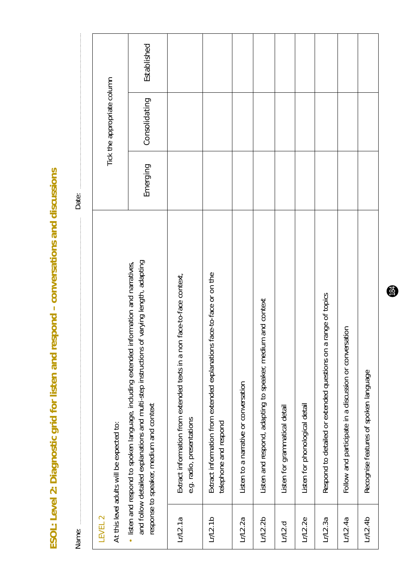ESOL: Level 2: Diagnostic grid for listen and respond - conversations and discussions **ESOL: Level 2: Diagnostic grid for listen and respond – conversations and discussions**

Established *Emerging Consolidating Established*Tick the appropriate column Tick the appropriate column Consolidating Emerging Date: Name: Date: Date: Part of the Market of the Market of the Market of the Market of the Market of the Market of the Market of the Market of the Market of the Market of the Market of the Market of the Market of the Market of and follow detailed explanations and multi-step instructions of varying length, adapting and follow detailed explanations and multi-step instructions of varying length, adapting • listen and respond to spoken language, including extended information and narratives, listen and respond to spoken language, including extended information and narratives, Lr/L2.1b Extract information from extended explanations face-to-face or on the Lr/L2.1a Extract information from extended texts in a non face-to-face context, Extract information from extended explanations face-to-face or on the Extract information from extended texts in a non face-to-face context, Lr/L2.3a Respond to detailed or extended questions on a range of topics Respond to detailed or extended questions on a range of topics Listen and respond, adapting to speaker, medium and context Lr/L2.2b Listen and respond, adapting to speaker, medium and context Follow and participate in a discussion or conversation Lr/L2.4a Follow and participate in a discussion or conversation Recognise features of spoken language Lr/L2.4b Recognise features of spoken language Listen to a narrative or conversation Lr/L2.2a Listen to a narrative or conversation Listen for phonological detail response to speaker, medium and context response to speaker, medium and context Listen for grammatical detail Lr/L2.2e Listen for phonological detail Lr/L2.d Listen for grammatical detail e.g. radio, presentations e.g. radio, presentations elephone and respond At this level adults will be expected to: telephone and respond At this level adults will be expected to: LEVEL 2  $Lr/L2.1b$  $LrL2.1a$  $LrL2.2a$  $Lr/L2.2b$ Lr/L2.2e  $Lr/2.4a$  $L/L2.4b$  $Lr/2.3a$  $Lr/2.d$ Name: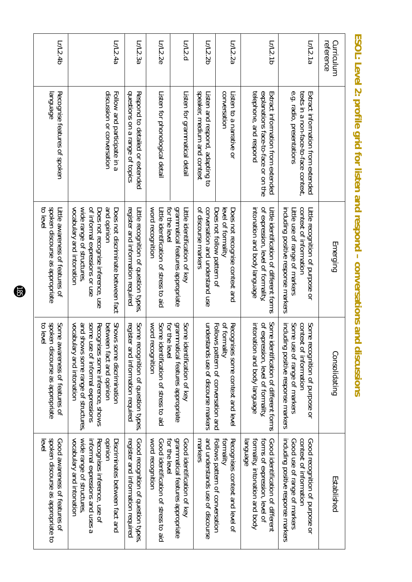| L/12.4b                                                                            | Lr/L2.4a                                                                                                                                                                                                    | Lr/L2.3a                                                                    | Lr/L2.2e                                                                    | Lr/L2.d                                                          | Lr/L2.2b                                                       | Lr/L2.2a                                                                                 | Lr/L2.1b                                                                                                       | Lr/L2.1a                                                                                                                          | Curriculum<br>reference |
|------------------------------------------------------------------------------------|-------------------------------------------------------------------------------------------------------------------------------------------------------------------------------------------------------------|-----------------------------------------------------------------------------|-----------------------------------------------------------------------------|------------------------------------------------------------------|----------------------------------------------------------------|------------------------------------------------------------------------------------------|----------------------------------------------------------------------------------------------------------------|-----------------------------------------------------------------------------------------------------------------------------------|-------------------------|
| Recognise features of spoken<br><b>abenbuel</b>                                    | discussion or conversation<br>Follow and participate in a                                                                                                                                                   | questions on a range of topics<br>Respond to detailed or extended           | Listen for phonological detail                                              | Listen for grammatical detail                                    | speaker, medium and context<br>Listen and respond, adapting to | CONVERSIBUD<br>Listen to a narrative or                                                  | explanations face-to-face or on the<br>telephone, and respond<br>Extract information from extended             | e.g. radio, presentations<br>texts in a non-face-to-face context,<br>Extract information from extended                            |                         |
| spoken discourse as appropriate<br>to level<br>Litle awareness of features of      | vocabulary and intonation<br>wide range of structures<br>of informal expressions or use<br>and opinion<br>Does not discriminate between fact<br>Does not recognise inference, use                           | register and information required<br>Little recognition of question types   | word recognition<br>Little identification of stress to aid<br>for the level | grammatical features appropriate<br>Little identification of key | conversation and understand use<br>of discourse markers        | Does not follow pattern of<br>level of formality<br>Does not recognise context and       | of expression, level of formality,<br>intonation and body language<br>Little identification of different torns | context of information<br>including positive response markers<br>Litle recognition of purpose or<br>Litle use of range of markers | Emerging                |
| spoken<br>Some awareness of features of<br>to level<br>discourse as appropriate    | some use of informal expressions<br>vocabulary and intonation<br>and shows some range of structures,<br><b>SMONS</b><br>Recognises some inference, shows<br>between fact and opinion<br>some discrimination | Some recognition of question types,<br>register<br>and information required | for the level<br>word recognition<br>Some identification of stress to aid   | grammatical features appropriate<br>Some identification of key   | understands use of discourse markers                           | of formality<br>Follows pattern of conversation and<br>Recognises some context and level | Some identification of different forms<br>of expression, level of formality,<br>intonation and body language   | context of information<br>Some use of range of markers<br>Some recognition of purpose or<br>including positive response markers   | Consolidating           |
| spoken discourse as appropriate to<br>Good awareness of features of<br><b>evel</b> | vocabulary and intonation<br>wide range of structures<br>donundo<br>Recognises inference, use of<br>Discriminates between fact and<br>informal expressions and uses a                                       | register and information required<br>Good recognition of question types,    | word recognition<br>Good identification of stress to aid<br>for the level   | grammatical features appropriate<br>Good identification of key   | and understands use of discourse<br>markers                    | Recognises context and level of<br>Follows pattern of conversation<br>tormality          | Good identification of different<br>formality, intonation and body<br>forms of expression, level of<br>anguage | context of information<br>including positive response markers<br>Good recognition of purpose or<br>Good use of range of markers   | Established             |

ESOL: Level 2: profile grid for listen and respond - conversations and discussions **ESOL: Level 2: profile grid for listen and respond – conversations and discussions**

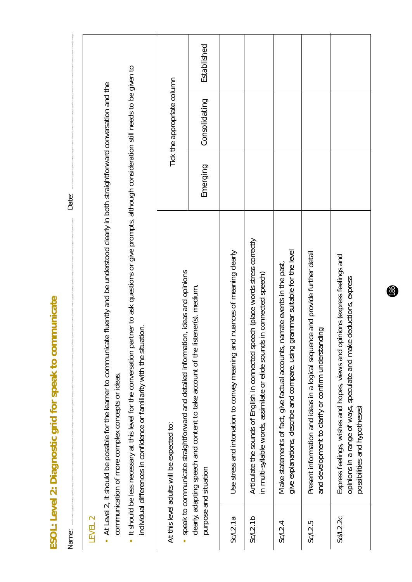ESOL: Level 2: Diagnostic grid for speak to communicate **ESOL: Level 2: Diagnostic grid for speak to communicate**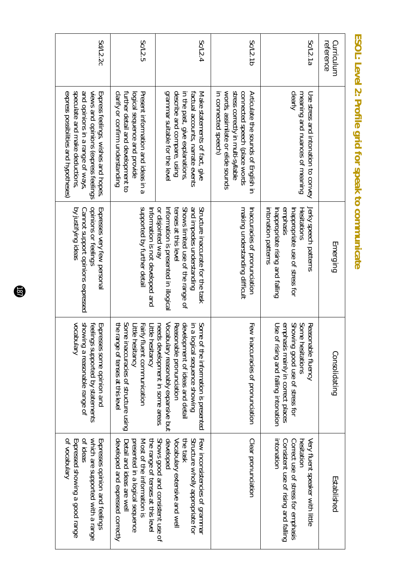| Sd/L2.2c                                                                                                                                                                                  | Sc/L2.5                                                                                                                                                              | Sc/L2.4                                                                                                                                                                                                        | Sc/L2.1b                                                                                                                                                                | Sc/L2.1a                                                                                                                                              | reference<br>Curriculum |
|-------------------------------------------------------------------------------------------------------------------------------------------------------------------------------------------|----------------------------------------------------------------------------------------------------------------------------------------------------------------------|----------------------------------------------------------------------------------------------------------------------------------------------------------------------------------------------------------------|-------------------------------------------------------------------------------------------------------------------------------------------------------------------------|-------------------------------------------------------------------------------------------------------------------------------------------------------|-------------------------|
| speculate and make deductions,<br>and opinions in a range of ways,<br>express possibilities and hypotheses)<br>views and opinions (express feelings<br>Express feelings, wishes and hopes | clarify or confirm understanding<br>further detail and development to<br>Present information and ideas in a<br>logical sequence and provide                          | grammar suitable for the level<br>describe and compare, using<br>in the past, give explanations,<br>factual accounts, narrate events<br>Make statements of fact, give                                          | words, assimilate or elide sounds<br>stress correctly in multi-syllable<br>connected speech (place words<br>in connected speech)<br>Articulate the sounds of English in | clearly<br>meaning and nuances of meaning<br>Use stress and intoration to convey                                                                      |                         |
| opinions or feelings<br>by justifying ideas<br>Cannot support opinions expressed<br>Expresses very few personal                                                                           | supported by further detail<br>Information is not developed and                                                                                                      | or disjointed way<br>Shows limited use of the range of<br>and impedes understanding<br>Structure inaccurate for the task<br>tenses at this level<br>Information is presented in illogical                      | making understanding difficult<br>Inaccuracies of pronunciation                                                                                                         | emphasis<br>Hesitations<br>intonation patterns<br>Jerky speech patterns<br>Inappropriate use of stress for<br>Inappropriate rising and falling        | Emerging                |
| showing a reasonable range of<br>vocabulary<br>Expresses some opinion and<br>feelings supported by statements                                                                             | Some inaccuracies of structure using<br>the range of tenses at this level<br>Fairly fluent communication<br>Little hesitancy<br>Little hesitancy                     | Vocabulary reasonably expansive but<br>development of ideas and detail<br>in a logical sequence showing<br>Some of the information is presented<br>needs development in some areas<br>Reasonable pronunciation | Few inaccuracies of pronunciation                                                                                                                                       | emphasis mainly in correct places<br>Showing good use of stress for<br>Some hesitations<br>Use of rising and falling intonation<br>Reasonable fluency | Consolidating           |
| of ideas<br>which are supported with a range<br>Expresses opinion and feelings<br>of vocabulary<br>Expressed showing a good range                                                         | the range of tenses at this level<br>developed and expressed correctly<br>Most of the information is<br>presented in a logical sequence<br>Detail and ideas are well | Shows good and consistent use of<br>developed<br>Structure wholly appropriate for<br>Few inconsistencies of grammar<br>the task<br>Vocabulary extensive and well                                               | Clear pronunciation                                                                                                                                                     | intonation<br>Consistent use of rising and falling<br>Correct ase of stress for emphasis<br>hesitation<br>Very fluent speaker with little             | Established             |

## ESOL: Level 2: Profile grid for speak to communicate **ESOL: Level 2: Profile grid for speak to communicate**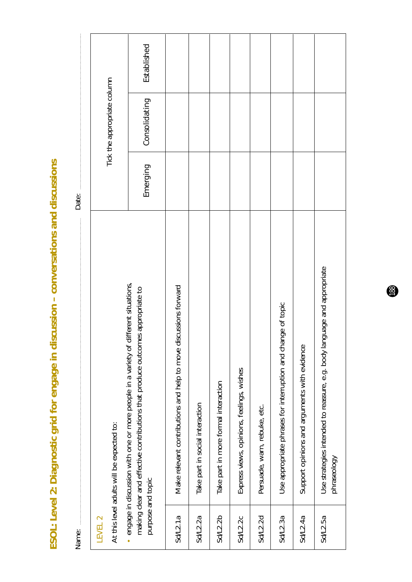ESOL: Level 2: Diagnostic grid for engage in discussion - conversations and discussions **ESOL: Level 2: Diagnostic grid for engage in discussion – conversations and discussions**

| Name:              |                                                                                                                                                                     | Date:    |                             |             |  |
|--------------------|---------------------------------------------------------------------------------------------------------------------------------------------------------------------|----------|-----------------------------|-------------|--|
| LEVEL <sub>2</sub> | At this level adults will be expected to:                                                                                                                           |          | Tick the appropriate column |             |  |
| purpose and topic  | engage in discussion with one or more people in a variety of different situations,<br>making clear and effective contributions that produce outcomes appropriate to | Emerging | Consolidating               | Established |  |
| Sd/L.1a            | Make relevant contributions and help to move discussions forward                                                                                                    |          |                             |             |  |
| Sd/L2.2a           | Take part in social interaction                                                                                                                                     |          |                             |             |  |
| Sd/2.2b            | Take part in more formal interaction                                                                                                                                |          |                             |             |  |
| Sd/12.2c           | Express views, opinions, feelings, wishes                                                                                                                           |          |                             |             |  |
| <b>Sd/L2.2d</b>    | Persuade, warn, rebuke, etc.                                                                                                                                        |          |                             |             |  |
| Sd/L2.3a           | Use appropriate phrases for interruption and change of topic                                                                                                        |          |                             |             |  |
| Sd/L2.4a           | Support opinions and arguments with evidence                                                                                                                        |          |                             |             |  |
| Sd/L2.5a           | guage and appropriate<br>Use strategies intended to reassure, e.g. body lan<br>phraseology                                                                          |          |                             |             |  |

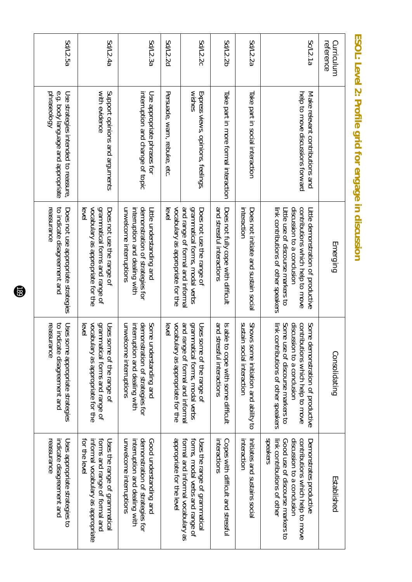| Curriculum<br>reference |                                                                                          | Emerging                                                                                                                                                                         | Consolidating                                                                                                                                                                                                   | Established                                                                                                                                                              |
|-------------------------|------------------------------------------------------------------------------------------|----------------------------------------------------------------------------------------------------------------------------------------------------------------------------------|-----------------------------------------------------------------------------------------------------------------------------------------------------------------------------------------------------------------|--------------------------------------------------------------------------------------------------------------------------------------------------------------------------|
| Sc/L2.1a                | help to move discussions forward<br>Make relevant contributions and                      | contributions shich help to mose<br>link contributions of other speakers<br>discussion to a conclusion<br>Litle demonstration of productive<br>Litle use of discourse markers to | Contributions synich help to move<br>discussion to a conclusion<br>Some <sub>1</sub><br>link contributions of other speakers<br>Some <sub>1</sub><br>use of discourse markers to<br>demonstration of productive | speakers<br>discussion to a conclusion<br>contributions shich help to mose<br>link contributions of other<br>Good use of discourse markers to<br>Demonstrates productive |
| Sd/L2.2a                | Take part in social interaction                                                          | interaction<br>Does not initiate and sustain social                                                                                                                              | sustain<br><b>SNONS</b><br>some initiation and ability to<br>social interaction                                                                                                                                 | interaction<br>Initiates and sustains social                                                                                                                             |
| Sd/L2.2b                | Take part in more formal interaction                                                     | and stressful interactions<br>Does not fully cope with difficult                                                                                                                 | and stressful interactions<br>Is able<br>to cope with some difficult                                                                                                                                            | interactions<br>Copes with difficult and stressful                                                                                                                       |
| Sd/L2.2c                | wishes<br>Express views, opinions, feelings,                                             | and range of formal and informal<br>grammatical forms, modal verbs<br>Does not use the range of                                                                                  | and range of formal and informal<br>grammatical forms, modal verbs<br>Uses some of the range of                                                                                                                 | formal and informal vocabulary as<br>forms, modal verbs and range of<br>Uses the range of grammatical                                                                    |
| Sd/L2.2d                | Persuade, warn, rebuke, etc                                                              | vocabulary as appropriate for the<br>evel                                                                                                                                        | vocabulary as appropriate for the<br>evel                                                                                                                                                                       | appropriate for the level                                                                                                                                                |
| Sd/L2.3a                | interruption and change of topic<br>Use appropriate phrases for                          | demonstration of strategies for<br>unwelcome interruptions<br>interruption and dealing with<br>Little understanding and                                                          | demonstration of strategies for<br>Some<br>unwelcome interruptions<br>interruption and dealing with<br>understanding and                                                                                        | unwelcome interruptions<br>demonstration of strategies for<br>interruption and dealing with<br>Good understanding and                                                    |
| <b>Sd/L2.4a</b>         | with evidence<br>Support opinions and arguments                                          | vocabulary as appropriate for the<br>grammatical forms and range of<br>Does not use the range of<br>evel                                                                         | vocabulary as appropriate for the<br>grammatical forms and range of<br>Uses some of the range of<br>evel                                                                                                        | for the level<br>informal vocabulary as appropriate<br>forms and range of formal and<br>Uses the range of grammatical                                                    |
| Sd/L2.5a                | e.g. body language and appropriate<br>phraseology<br>Use strategies intended to reassure | reassurance<br>to indicate disagreement and<br>Does not use appropriate strategies                                                                                               | reassurance<br>to indicate disagreement and<br>Uses some appropriate strategies                                                                                                                                 | reassurance<br>indicate disagreement and<br>Uses appropriate strategies to                                                                                               |

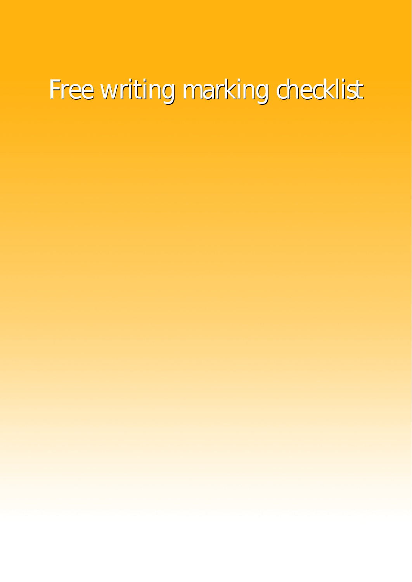## Free writing marking checklist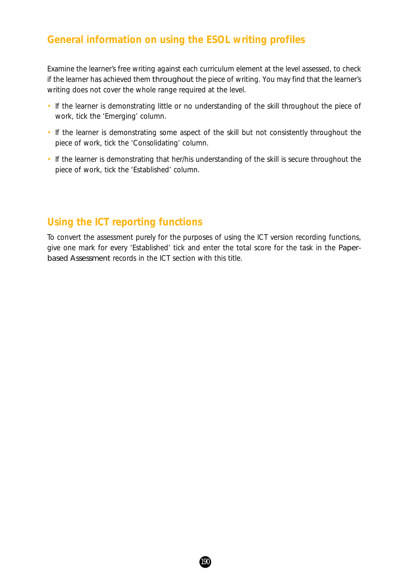#### **General information on using the ESOL writing profiles**

Examine the learner's free writing against each curriculum element at the level assessed, to check if the learner has achieved them throughout the piece of writing. You may find that the learner's writing does not cover the whole range required at the level.

- If the learner is demonstrating little or no understanding of the skill throughout the piece of work, tick the 'Emerging' column.
- If the learner is demonstrating some aspect of the skill but not consistently throughout the piece of work, tick the 'Consolidating' column.
- If the learner is demonstrating that her/his understanding of the skill is secure throughout the piece of work, tick the 'Established' column.

#### **Using the ICT reporting functions**

To convert the assessment purely for the purposes of using the ICT version recording functions, give one mark for every 'Established' tick and enter the total score for the task in the *Paperbased Assessment* records in the ICT section with this title.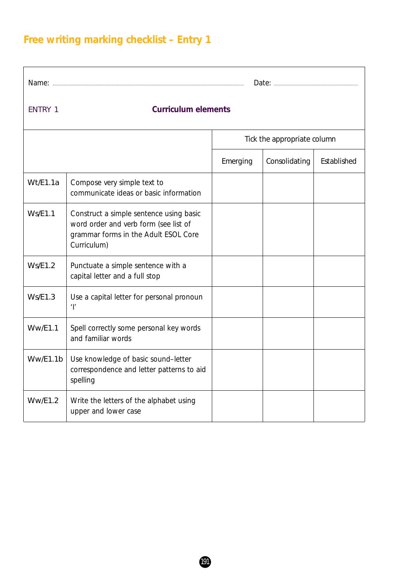## **Free writing marking checklist – Entry 1**

| <b>ENTRY 1</b> | <b>Curriculum elements</b>                                                                                                              |          |                             |             |  |  |  |
|----------------|-----------------------------------------------------------------------------------------------------------------------------------------|----------|-----------------------------|-------------|--|--|--|
|                |                                                                                                                                         |          | Tick the appropriate column |             |  |  |  |
|                |                                                                                                                                         | Emerging | Consolidating               | Established |  |  |  |
| Wt/E1.1a       | Compose very simple text to<br>communicate ideas or basic information                                                                   |          |                             |             |  |  |  |
| <b>Ws/E1.1</b> | Construct a simple sentence using basic<br>word order and verb form (see list of<br>grammar forms in the Adult ESOL Core<br>Curriculum) |          |                             |             |  |  |  |
| Ws/E1.2        | Punctuate a simple sentence with a<br>capital letter and a full stop                                                                    |          |                             |             |  |  |  |
| Ws/E1.3        | Use a capital letter for personal pronoun<br>$^{\prime}$                                                                                |          |                             |             |  |  |  |
| <b>Ww/E1.1</b> | Spell correctly some personal key words<br>and familiar words                                                                           |          |                             |             |  |  |  |
| Ww/E1.1b       | Use knowledge of basic sound-letter<br>correspondence and letter patterns to aid<br>spelling                                            |          |                             |             |  |  |  |
| WW/E1.2        | Write the letters of the alphabet using<br>upper and lower case                                                                         |          |                             |             |  |  |  |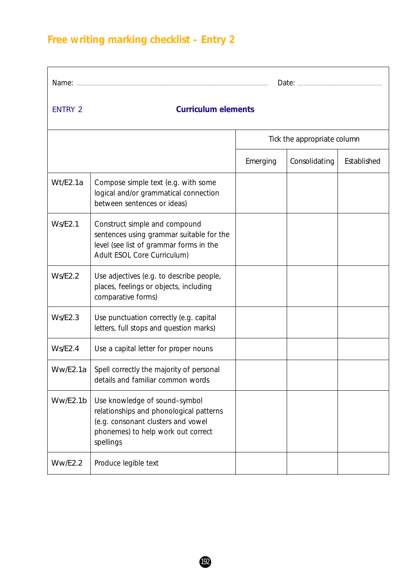## **Free writing marking checklist – Entry 2**

| <b>ENTRY 2</b> | <b>Curriculum elements</b>                                                                                                                                        |          |                             |             |  |  |
|----------------|-------------------------------------------------------------------------------------------------------------------------------------------------------------------|----------|-----------------------------|-------------|--|--|
|                |                                                                                                                                                                   |          | Tick the appropriate column |             |  |  |
|                |                                                                                                                                                                   | Emerging | Consolidating               | Established |  |  |
| Wt/E2.1a       | Compose simple text (e.g. with some<br>logical and/or grammatical connection<br>between sentences or ideas)                                                       |          |                             |             |  |  |
| Ws/E2.1        | Construct simple and compound<br>sentences using grammar suitable for the<br>level (see list of grammar forms in the<br>Adult ESOL Core Curriculum)               |          |                             |             |  |  |
| Ws/E2.2        | Use adjectives (e.g. to describe people,<br>places, feelings or objects, including<br>comparative forms)                                                          |          |                             |             |  |  |
| Ws/E2.3        | Use punctuation correctly (e.g. capital<br>letters, full stops and question marks)                                                                                |          |                             |             |  |  |
| Ws/E2.4        | Use a capital letter for proper nouns                                                                                                                             |          |                             |             |  |  |
| Ww/E2.1a       | Spell correctly the majority of personal<br>details and familiar common words                                                                                     |          |                             |             |  |  |
| Ww/E2.1b       | Use knowledge of sound-symbol<br>relationships and phonological patterns<br>(e.g. consonant clusters and vowel<br>phonemes) to help work out correct<br>spellings |          |                             |             |  |  |
| <b>Ww/E2.2</b> | Produce legible text                                                                                                                                              |          |                             |             |  |  |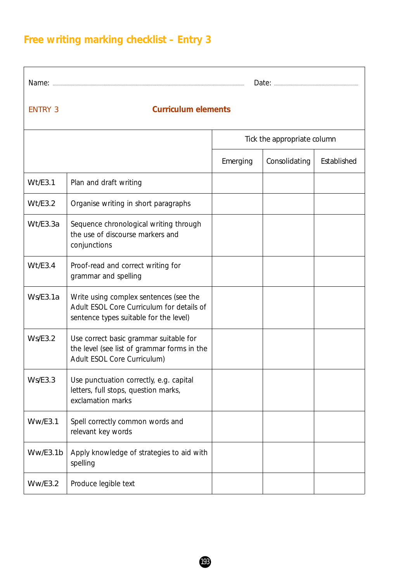## **Free writing marking checklist – Entry 3**

| Name:          |                                                                                                                               |          |                             |             |
|----------------|-------------------------------------------------------------------------------------------------------------------------------|----------|-----------------------------|-------------|
| <b>ENTRY 3</b> | <b>Curriculum elements</b>                                                                                                    |          |                             |             |
|                |                                                                                                                               |          | Tick the appropriate column |             |
|                |                                                                                                                               | Emerging | Consolidating               | Established |
| Wt/E3.1        | Plan and draft writing                                                                                                        |          |                             |             |
| Wt/E3.2        | Organise writing in short paragraphs                                                                                          |          |                             |             |
| Wt/E3.3a       | Sequence chronological writing through<br>the use of discourse markers and<br>conjunctions                                    |          |                             |             |
| Wt/E3.4        | Proof-read and correct writing for<br>grammar and spelling                                                                    |          |                             |             |
| Ws/E3.1a       | Write using complex sentences (see the<br>Adult ESOL Core Curriculum for details of<br>sentence types suitable for the level) |          |                             |             |
| Ws/E3.2        | Use correct basic grammar suitable for<br>the level (see list of grammar forms in the<br>Adult ESOL Core Curriculum)          |          |                             |             |
| Ws/E3.3        | Use punctuation correctly, e.g. capital<br>letters, full stops, question marks,<br>exclamation marks                          |          |                             |             |
| WW/ES.1        | Spell correctly common words and<br>relevant key words                                                                        |          |                             |             |
| Ww/E3.1b       | Apply knowledge of strategies to aid with<br>spelling                                                                         |          |                             |             |
| WW/ES.2        | Produce legible text                                                                                                          |          |                             |             |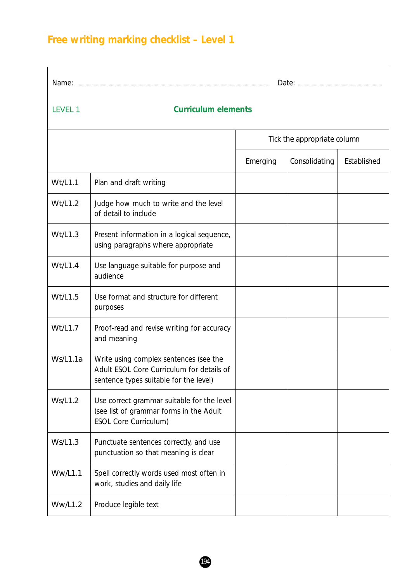## **Free writing marking checklist – Level 1**

| Name:          |                                                                                                                               |          |                             |             |  |  |  |
|----------------|-------------------------------------------------------------------------------------------------------------------------------|----------|-----------------------------|-------------|--|--|--|
| LEVEL 1        | <b>Curriculum elements</b>                                                                                                    |          |                             |             |  |  |  |
|                |                                                                                                                               |          | Tick the appropriate column |             |  |  |  |
|                |                                                                                                                               | Emerging | Consolidating               | Established |  |  |  |
| Wt/L1.1        | Plan and draft writing                                                                                                        |          |                             |             |  |  |  |
| Wt/L1.2        | Judge how much to write and the level<br>of detail to include                                                                 |          |                             |             |  |  |  |
| Wt/L1.3        | Present information in a logical sequence,<br>using paragraphs where appropriate                                              |          |                             |             |  |  |  |
| Wt/L1.4        | Use language suitable for purpose and<br>audience                                                                             |          |                             |             |  |  |  |
| Wt/L1.5        | Use format and structure for different<br>purposes                                                                            |          |                             |             |  |  |  |
| Wt/L1.7        | Proof-read and revise writing for accuracy<br>and meaning                                                                     |          |                             |             |  |  |  |
| Ws/L1.1a       | Write using complex sentences (see the<br>Adult ESOL Core Curriculum for details of<br>sentence types suitable for the level) |          |                             |             |  |  |  |
| <b>Ws/L1.2</b> | Use correct grammar suitable for the level<br>(see list of grammar forms in the Adult<br><b>ESOL Core Curriculum)</b>         |          |                             |             |  |  |  |
| <b>Ws/L1.3</b> | Punctuate sentences correctly, and use<br>punctuation so that meaning is clear                                                |          |                             |             |  |  |  |
| <b>Ww/L1.1</b> | Spell correctly words used most often in<br>work, studies and daily life                                                      |          |                             |             |  |  |  |
| <b>Ww/L1.2</b> | Produce legible text                                                                                                          |          |                             |             |  |  |  |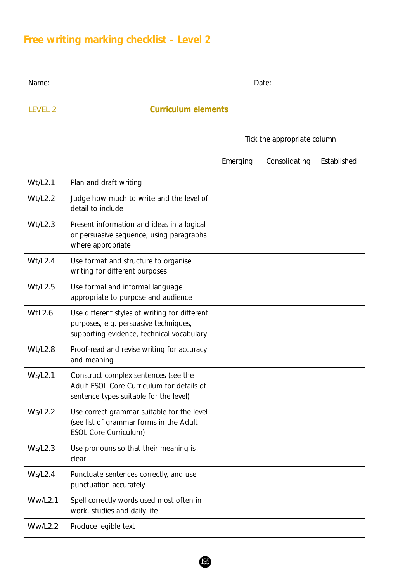## **Free writing marking checklist – Level 2**

| Name:                       |                                                                                                                                     |          |               |             |  |  |  |
|-----------------------------|-------------------------------------------------------------------------------------------------------------------------------------|----------|---------------|-------------|--|--|--|
| <b>LEVEL 2</b>              | <b>Curriculum elements</b>                                                                                                          |          |               |             |  |  |  |
| Tick the appropriate column |                                                                                                                                     |          |               |             |  |  |  |
|                             |                                                                                                                                     | Emerging | Consolidating | Established |  |  |  |
| Wt/L2.1                     | Plan and draft writing                                                                                                              |          |               |             |  |  |  |
| Wt/L2.2                     | Judge how much to write and the level of<br>detail to include                                                                       |          |               |             |  |  |  |
| Wt/L2.3                     | Present information and ideas in a logical<br>or persuasive sequence, using paragraphs<br>where appropriate                         |          |               |             |  |  |  |
| Wt/L2.4                     | Use format and structure to organise<br>writing for different purposes                                                              |          |               |             |  |  |  |
| Wt/L2.5                     | Use formal and informal language<br>appropriate to purpose and audience                                                             |          |               |             |  |  |  |
| WtL2.6                      | Use different styles of writing for different<br>purposes, e.g. persuasive techniques,<br>supporting evidence, technical vocabulary |          |               |             |  |  |  |
| Wt/L2.8                     | Proof-read and revise writing for accuracy<br>and meaning                                                                           |          |               |             |  |  |  |
| <b>Ws/L2.1</b>              | Construct complex sentences (see the<br>Adult ESOL Core Curriculum for details of<br>sentence types suitable for the level)         |          |               |             |  |  |  |
| Ws/L2.2                     | Use correct grammar suitable for the level<br>(see list of grammar forms in the Adult<br><b>ESOL Core Curriculum)</b>               |          |               |             |  |  |  |
| Ws/L2.3                     | Use pronouns so that their meaning is<br>clear                                                                                      |          |               |             |  |  |  |
| Ws/L2.4                     | Punctuate sentences correctly, and use<br>punctuation accurately                                                                    |          |               |             |  |  |  |
| <b>Ww/L2.1</b>              | Spell correctly words used most often in<br>work, studies and daily life                                                            |          |               |             |  |  |  |
| <b>Ww/L2.2</b>              | Produce legible text                                                                                                                |          |               |             |  |  |  |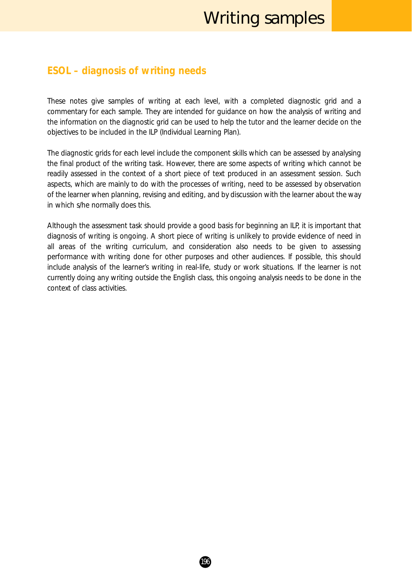## Writing samples

#### **ESOL – diagnosis of writing needs**

These notes give samples of writing at each level, with a completed diagnostic grid and a commentary for each sample. They are intended for guidance on how the analysis of writing and the information on the diagnostic grid can be used to help the tutor and the learner decide on the objectives to be included in the ILP (Individual Learning Plan).

The diagnostic grids for each level include the component skills which can be assessed by analysing the final product of the writing task. However, there are some aspects of writing which cannot be readily assessed in the context of a short piece of text produced in an assessment session. Such aspects, which are mainly to do with the processes of writing, need to be assessed by observation of the learner when planning, revising and editing, and by discussion with the learner about the way in which s/he normally does this.

Although the assessment task should provide a good basis for beginning an ILP, it is important that diagnosis of writing is ongoing. A short piece of writing is unlikely to provide evidence of need in all areas of the writing curriculum, and consideration also needs to be given to assessing performance with writing done for other purposes and other audiences. If possible, this should include analysis of the learner's writing in real-life, study or work situations. If the learner is not currently doing any writing outside the English class, this ongoing analysis needs to be done in the context of class activities.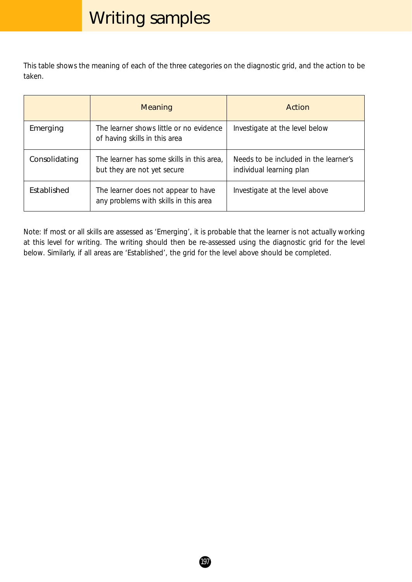## Writing samples

This table shows the meaning of each of the three categories on the diagnostic grid, and the action to be taken.

|                    | <b>Meaning</b>                                                               | Action                                                            |
|--------------------|------------------------------------------------------------------------------|-------------------------------------------------------------------|
| Emerging           | The learner shows little or no evidence<br>of having skills in this area     | Investigate at the level below                                    |
| Consolidating      | The learner has some skills in this area,<br>but they are not yet secure     | Needs to be included in the learner's<br>individual learning plan |
| <b>Fstablished</b> | The learner does not appear to have<br>any problems with skills in this area | Investigate at the level above                                    |

*Note:* If most or all skills are assessed as 'Emerging', it is probable that the learner is not actually working at this level for writing. The writing should then be re-assessed using the diagnostic grid for the level below. Similarly, if all areas are 'Established', the grid for the level above should be completed.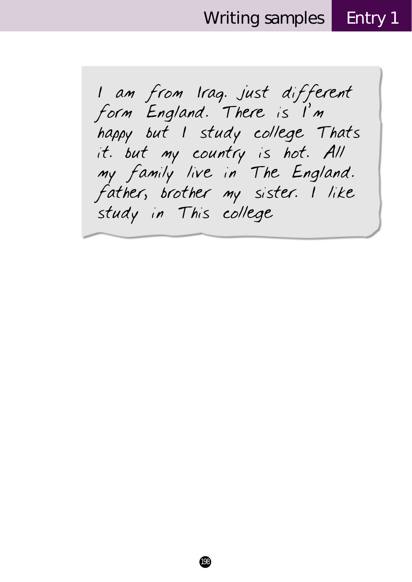Writing samples Entry 1

I am from Iraq. just different form England. There is I'm happy but I study college Thats it. but my country is hot. All my family live in The England. father, brother my sister. I like study in This college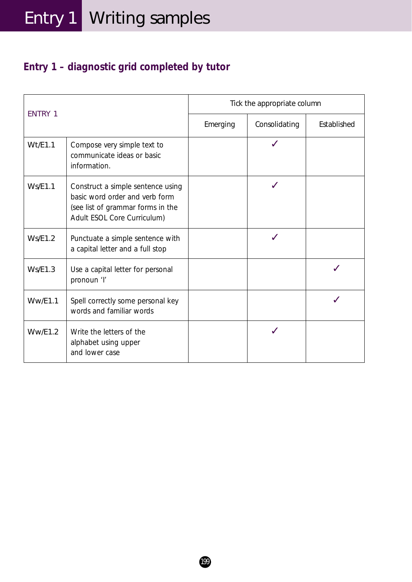## **Entry 1 – diagnostic grid completed by tutor**

| <b>ENTRY 1</b> |                                                                                                                                         | Tick the appropriate column |               |             |  |
|----------------|-----------------------------------------------------------------------------------------------------------------------------------------|-----------------------------|---------------|-------------|--|
|                |                                                                                                                                         | Emerging                    | Consolidating | Established |  |
| Wt/E1.1        | Compose very simple text to<br>communicate ideas or basic<br>information.                                                               |                             |               |             |  |
| Ws/E1.1        | Construct a simple sentence using<br>basic word order and verb form<br>(see list of grammar forms in the<br>Adult ESOL Core Curriculum) |                             |               |             |  |
| Ws/E1.2        | Punctuate a simple sentence with<br>a capital letter and a full stop                                                                    |                             |               |             |  |
| Ws/E1.3        | Use a capital letter for personal<br>pronoun 'l'                                                                                        |                             |               |             |  |
| WW/E1.1        | Spell correctly some personal key<br>words and familiar words                                                                           |                             |               |             |  |
| WW/E1.2        | Write the letters of the<br>alphabet using upper<br>and lower case                                                                      |                             |               |             |  |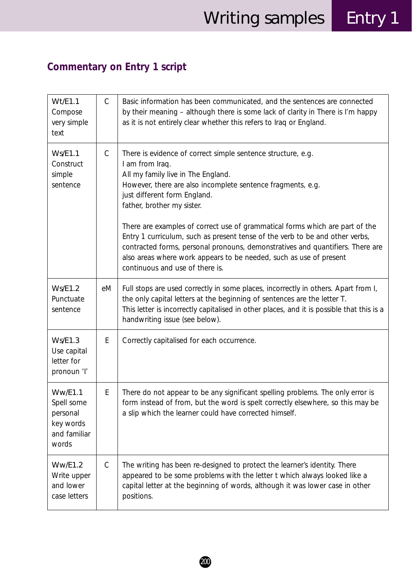## **Commentary on Entry 1 script**

| Wt/E1.1<br>Compose<br>very simple<br>text                                      | $\mathsf{C}$ | Basic information has been communicated, and the sentences are connected<br>by their meaning - although there is some lack of clarity in There is I'm happy<br>as it is not entirely clear whether this refers to Iraq or England.                                                                                                                                                                                                                                                                                                                                                                            |
|--------------------------------------------------------------------------------|--------------|---------------------------------------------------------------------------------------------------------------------------------------------------------------------------------------------------------------------------------------------------------------------------------------------------------------------------------------------------------------------------------------------------------------------------------------------------------------------------------------------------------------------------------------------------------------------------------------------------------------|
| <b>Ws/E1.1</b><br>Construct<br>simple<br>sentence                              | $\mathsf{C}$ | There is evidence of correct simple sentence structure, e.g.<br>I am from Iraq.<br>All my family live in The England.<br>However, there are also incomplete sentence fragments, e.g.<br>just different form England.<br>father, brother my sister.<br>There are examples of correct use of grammatical forms which are part of the<br>Entry 1 curriculum, such as present tense of the verb to be and other verbs,<br>contracted forms, personal pronouns, demonstratives and quantifiers. There are<br>also areas where work appears to be needed, such as use of present<br>continuous and use of there is. |
| <b>Ws/E1.2</b><br>Punctuate<br>sentence                                        | eM           | Full stops are used correctly in some places, incorrectly in others. Apart from I,<br>the only capital letters at the beginning of sentences are the letter T.<br>This letter is incorrectly capitalised in other places, and it is possible that this is a<br>handwriting issue (see below).                                                                                                                                                                                                                                                                                                                 |
| Ws/E1.3<br>Use capital<br>letter for<br>pronoun 'l'                            | E            | Correctly capitalised for each occurrence.                                                                                                                                                                                                                                                                                                                                                                                                                                                                                                                                                                    |
| <b>Ww/E1.1</b><br>Spell some<br>personal<br>key words<br>and familiar<br>words | E            | There do not appear to be any significant spelling problems. The only error is<br>form instead of from, but the word is spelt correctly elsewhere, so this may be<br>a slip which the learner could have corrected himself.                                                                                                                                                                                                                                                                                                                                                                                   |
| Ww/E1.2<br>Write upper<br>and lower<br>case letters                            | $\mathsf{C}$ | The writing has been re-designed to protect the learner's identity. There<br>appeared to be some problems with the letter t which always looked like a<br>capital letter at the beginning of words, although it was lower case in other<br>positions.                                                                                                                                                                                                                                                                                                                                                         |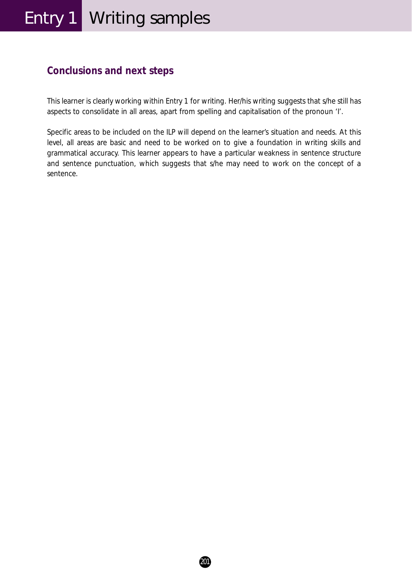## Entry 1 | Writing samples

#### **Conclusions and next steps**

This learner is clearly working within Entry 1 for writing. Her/his writing suggests that s/he still has aspects to consolidate in all areas, apart from spelling and capitalisation of the pronoun 'I'.

Specific areas to be included on the ILP will depend on the learner's situation and needs. At this level, all areas are basic and need to be worked on to give a foundation in writing skills and grammatical accuracy. This learner appears to have a particular weakness in sentence structure and sentence punctuation, which suggests that s/he may need to work on the concept of a sentence.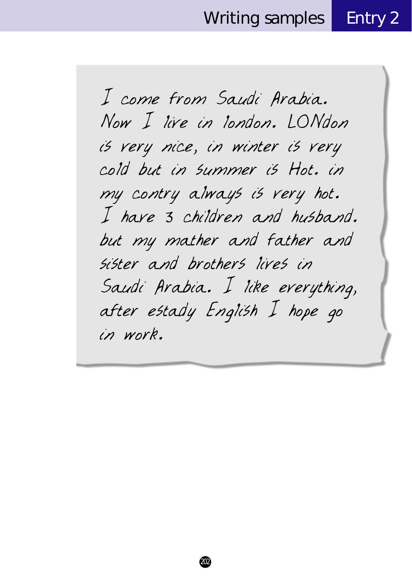I come from Saudi Arabia. Now I live in london. LONdon is very nice, in winter is very cold but in summer is Hot. in my contry always is very hot. I have 3 children and husband. but my mather and father and sister and brothers lives in Saudi Arabia. I like everything, after estady English I hope go in work.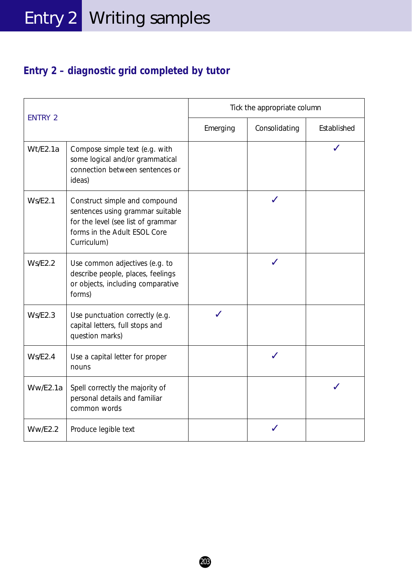### **Entry 2 – diagnostic grid completed by tutor**

| <b>ENTRY 2</b> |                                                                                                                                                        | Tick the appropriate column |               |             |  |
|----------------|--------------------------------------------------------------------------------------------------------------------------------------------------------|-----------------------------|---------------|-------------|--|
|                |                                                                                                                                                        | Emerging                    | Consolidating | Established |  |
| Wt/E2.1a       | Compose simple text (e.g. with<br>some logical and/or grammatical<br>connection between sentences or<br>ideas)                                         |                             |               |             |  |
| Ws/E2.1        | Construct simple and compound<br>sentences using grammar suitable<br>for the level (see list of grammar<br>forms in the Adult ESOL Core<br>Curriculum) |                             |               |             |  |
| Ws/E2.2        | Use common adjectives (e.g. to<br>describe people, places, feelings<br>or objects, including comparative<br>forms)                                     |                             |               |             |  |
| Ws/E2.3        | Use punctuation correctly (e.g.<br>capital letters, full stops and<br>question marks)                                                                  |                             |               |             |  |
| Ws/E2.4        | Use a capital letter for proper<br>nouns                                                                                                               |                             |               |             |  |
| Ww/E2.1a       | Spell correctly the majority of<br>personal details and familiar<br>common words                                                                       |                             |               |             |  |
| <b>Ww/E2.2</b> | Produce legible text                                                                                                                                   |                             |               |             |  |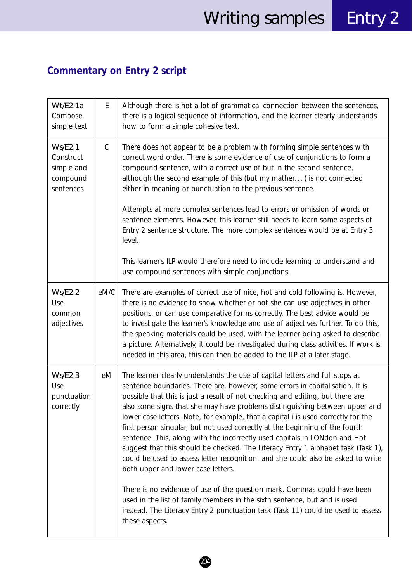## **Commentary on Entry 2 script**

| Wt/E2.1a<br>Compose<br>simple text                                 | E            | Although there is not a lot of grammatical connection between the sentences,<br>there is a logical sequence of information, and the learner clearly understands<br>how to form a simple cohesive text.                                                                                                                                                                                                                                                                                                                                                                                                                                                                                                                                                                                                                                                                                                                                                                                                                                                                 |
|--------------------------------------------------------------------|--------------|------------------------------------------------------------------------------------------------------------------------------------------------------------------------------------------------------------------------------------------------------------------------------------------------------------------------------------------------------------------------------------------------------------------------------------------------------------------------------------------------------------------------------------------------------------------------------------------------------------------------------------------------------------------------------------------------------------------------------------------------------------------------------------------------------------------------------------------------------------------------------------------------------------------------------------------------------------------------------------------------------------------------------------------------------------------------|
| <b>Ws/E2.1</b><br>Construct<br>simple and<br>compound<br>sentences | $\mathsf{C}$ | There does not appear to be a problem with forming simple sentences with<br>correct word order. There is some evidence of use of conjunctions to form a<br>compound sentence, with a correct use of but in the second sentence,<br>although the second example of this (but my mather) is not connected<br>either in meaning or punctuation to the previous sentence.<br>Attempts at more complex sentences lead to errors or omission of words or<br>sentence elements. However, this learner still needs to learn some aspects of<br>Entry 2 sentence structure. The more complex sentences would be at Entry 3<br>level.<br>This learner's ILP would therefore need to include learning to understand and<br>use compound sentences with simple conjunctions.                                                                                                                                                                                                                                                                                                       |
| <b>Ws/E2.2</b><br>Use<br>common<br>adjectives                      | eM/C         | There are examples of correct use of nice, hot and cold following is. However,<br>there is no evidence to show whether or not she can use adjectives in other<br>positions, or can use comparative forms correctly. The best advice would be<br>to investigate the learner's knowledge and use of adjectives further. To do this,<br>the speaking materials could be used, with the learner being asked to describe<br>a picture. Alternatively, it could be investigated during class activities. If work is<br>needed in this area, this can then be added to the ILP at a later stage.                                                                                                                                                                                                                                                                                                                                                                                                                                                                              |
| Ws/E2.3<br>Use<br>punctuation<br>correctly                         | еM           | The learner clearly understands the use of capital letters and full stops at<br>sentence boundaries. There are, however, some errors in capitalisation. It is<br>possible that this is just a result of not checking and editing, but there are<br>also some signs that she may have problems distinguishing between upper and<br>lower case letters. Note, for example, that a capital <i>i</i> is used correctly for the<br>first person singular, but not used correctly at the beginning of the fourth<br>sentence. This, along with the incorrectly used capitals in LONdon and Hot<br>suggest that this should be checked. The Literacy Entry 1 alphabet task (Task 1),<br>could be used to assess letter recognition, and she could also be asked to write<br>both upper and lower case letters.<br>There is no evidence of use of the question mark. Commas could have been<br>used in the list of family members in the sixth sentence, but and is used<br>instead. The Literacy Entry 2 punctuation task (Task 11) could be used to assess<br>these aspects. |

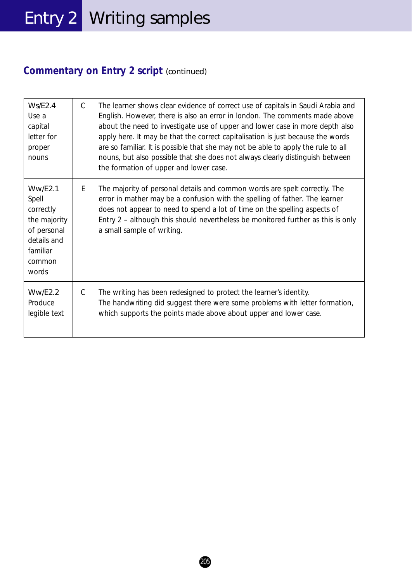## Entry 2 Writing samples

### **Commentary on Entry 2 script** *(continued)*

| Ws/E2.4<br>Use a<br>capital<br>letter for<br>proper<br>nouns                                               | $\mathcal{C}$ | The learner shows clear evidence of correct use of capitals in Saudi Arabia and<br>English. However, there is also an error in london. The comments made above<br>about the need to investigate use of upper and lower case in more depth also<br>apply here. It may be that the correct capitalisation is just because the words<br>are so familiar. It is possible that she may not be able to apply the rule to all<br>nouns, but also possible that she does not always clearly distinguish between<br>the formation of upper and lower case. |
|------------------------------------------------------------------------------------------------------------|---------------|---------------------------------------------------------------------------------------------------------------------------------------------------------------------------------------------------------------------------------------------------------------------------------------------------------------------------------------------------------------------------------------------------------------------------------------------------------------------------------------------------------------------------------------------------|
| WW/E2.1<br>Spell<br>correctly<br>the majority<br>of personal<br>details and<br>familiar<br>common<br>words | E             | The majority of personal details and common words are spelt correctly. The<br>error in <i>mather</i> may be a confusion with the spelling of <i>father</i> . The learner<br>does not appear to need to spend a lot of time on the spelling aspects of<br>Entry 2 – although this should nevertheless be monitored further as this is only<br>a small sample of writing.                                                                                                                                                                           |
| WW/E2.2<br>Produce<br>legible text                                                                         | C             | The writing has been redesigned to protect the learner's identity.<br>The handwriting did suggest there were some problems with letter formation,<br>which supports the points made above about upper and lower case.                                                                                                                                                                                                                                                                                                                             |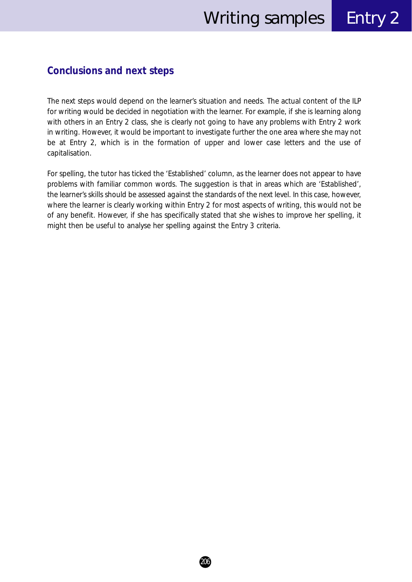#### **Conclusions and next steps**

The next steps would depend on the learner's situation and needs. The actual content of the ILP for writing would be decided in negotiation with the learner. For example, if she is learning along with others in an Entry 2 class, she is clearly not going to have any problems with Entry 2 work in writing. However, it would be important to investigate further the one area where she may not be at Entry 2, which is in the formation of upper and lower case letters and the use of capitalisation.

For spelling, the tutor has ticked the 'Established' column, as the learner does not appear to have problems with familiar common words. The suggestion is that in areas which are 'Established', the learner's skills should be assessed against the standards of the next level. In this case, however, where the learner is clearly working within Entry 2 for most aspects of writing, this would not be of any benefit. However, if she has specifically stated that she wishes to improve her spelling, it might then be useful to analyse her spelling against the Entry 3 criteria.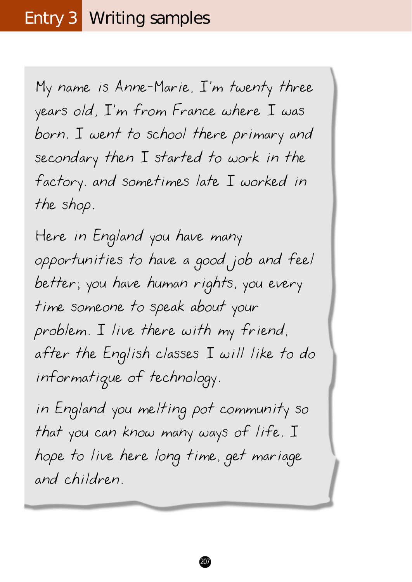## Entry 3 Writing samples

My name is Anne-Marie, I'm twenty three years old, I'm from France where I was born. I went to school there primary and secondary then I started to work in the factory. and sometimes late I worked in the shop.

Here in England you have many opportunities to have a good job and feel better; you have human rights, you every time someone to speak about your problem. I live there with my friend, after the English classes I will like to do informatique of technology.

in England you melting pot community so that you can know many ways of life. I hope to live here long time, get mariage and children.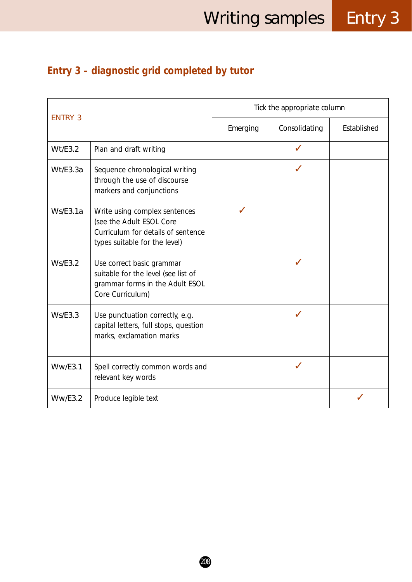## **Entry 3 – diagnostic grid completed by tutor**

| <b>ENTRY 3</b> |                                                                                                                                  | Tick the appropriate column |               |             |  |
|----------------|----------------------------------------------------------------------------------------------------------------------------------|-----------------------------|---------------|-------------|--|
|                |                                                                                                                                  | Emerging                    | Consolidating | Established |  |
| Wt/E3.2        | Plan and draft writing                                                                                                           |                             |               |             |  |
| Wt/E3.3a       | Sequence chronological writing<br>through the use of discourse<br>markers and conjunctions                                       |                             |               |             |  |
| Ws/E3.1a       | Write using complex sentences<br>(see the Adult ESOL Core<br>Curriculum for details of sentence<br>types suitable for the level) |                             |               |             |  |
| Ws/E3.2        | Use correct basic grammar<br>suitable for the level (see list of<br>grammar forms in the Adult ESOL<br>Core Curriculum)          |                             |               |             |  |
| Ws/E3.3        | Use punctuation correctly, e.g.<br>capital letters, full stops, question<br>marks, exclamation marks                             |                             |               |             |  |
| WW/ES.1        | Spell correctly common words and<br>relevant key words                                                                           |                             |               |             |  |
| WW/ES.2        | Produce legible text                                                                                                             |                             |               |             |  |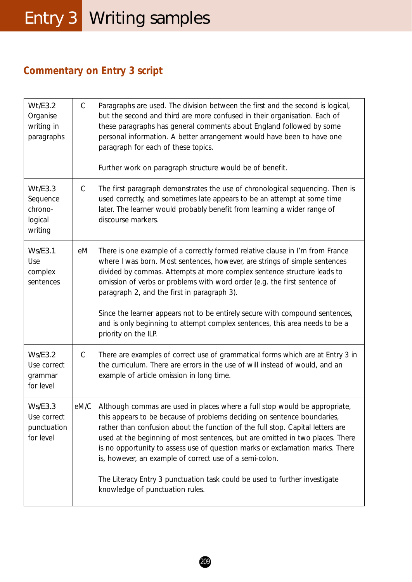## Entry 3 Writing samples

### **Commentary on Entry 3 script**

| Wt/E3.2<br>Organise<br>writing in<br>paragraphs           | $\mathsf{C}$  | Paragraphs are used. The division between the first and the second is logical,<br>but the second and third are more confused in their organisation. Each of<br>these paragraphs has general comments about England followed by some<br>personal information. A better arrangement would have been to have one<br>paragraph for each of these topics.<br>Further work on paragraph structure would be of benefit.                                                                                                                                                                      |
|-----------------------------------------------------------|---------------|---------------------------------------------------------------------------------------------------------------------------------------------------------------------------------------------------------------------------------------------------------------------------------------------------------------------------------------------------------------------------------------------------------------------------------------------------------------------------------------------------------------------------------------------------------------------------------------|
| Wt/E3.3<br>Sequence<br>chrono-<br>logical<br>writing      | $\mathsf{C}$  | The first paragraph demonstrates the use of chronological sequencing. Then is<br>used correctly, and sometimes late appears to be an attempt at some time<br>later. The learner would probably benefit from learning a wider range of<br>discourse markers.                                                                                                                                                                                                                                                                                                                           |
| <b>Ws/E3.1</b><br>Use<br>complex<br>sentences             | eM            | There is one example of a correctly formed relative clause in I'm from France<br>where I was born. Most sentences, however, are strings of simple sentences<br>divided by commas. Attempts at more complex sentence structure leads to<br>omission of verbs or problems with word order (e.g. the first sentence of<br>paragraph 2, and the first in paragraph 3).<br>Since the learner appears not to be entirely secure with compound sentences,<br>and is only beginning to attempt complex sentences, this area needs to be a<br>priority on the ILP.                             |
| <b>Ws/E3.2</b><br>Use correct<br>grammar<br>for level     | $\mathcal{C}$ | There are examples of correct use of grammatical forms which are at Entry 3 in<br>the curriculum. There are errors in the use of will instead of would, and an<br>example of article omission in long time.                                                                                                                                                                                                                                                                                                                                                                           |
| <b>Ws/E3.3</b><br>Use correct<br>punctuation<br>for level | eM/C          | Although commas are used in places where a full stop would be appropriate,<br>this appears to be because of problems deciding on sentence boundaries,<br>rather than confusion about the function of the full stop. Capital letters are<br>used at the beginning of most sentences, but are omitted in two places. There<br>is no opportunity to assess use of question marks or exclamation marks. There<br>is, however, an example of correct use of a semi-colon.<br>The Literacy Entry 3 punctuation task could be used to further investigate<br>knowledge of punctuation rules. |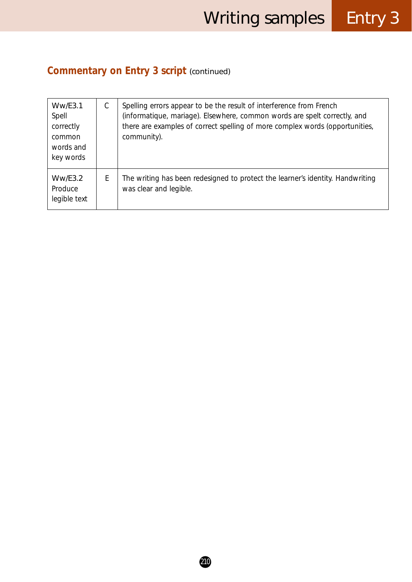# **Commentary on Entry 3 script** *(continued)*

| WW/ES.1<br>Spell<br>correctly<br>common<br>words and<br>key words | C | Spelling errors appear to be the result of interference from French<br>(informatique, mariage). Elsewhere, common words are spelt correctly, and<br>there are examples of correct spelling of more complex words (opportunities,<br>community). |
|-------------------------------------------------------------------|---|-------------------------------------------------------------------------------------------------------------------------------------------------------------------------------------------------------------------------------------------------|
| WW/ES.2<br>Produce<br>legible text                                | Ε | The writing has been redesigned to protect the learner's identity. Handwriting<br>was clear and legible.                                                                                                                                        |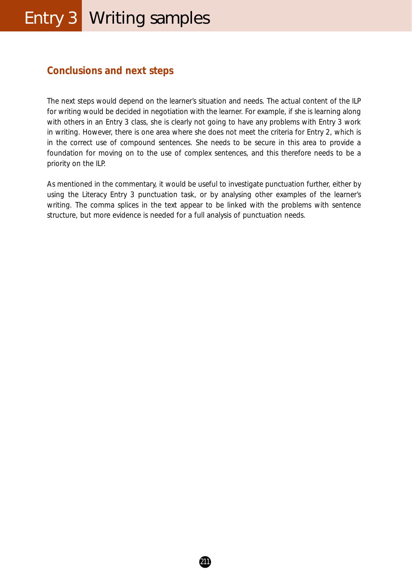# Entry 3 Writing samples

#### **Conclusions and next steps**

The next steps would depend on the learner's situation and needs. The actual content of the ILP for writing would be decided in negotiation with the learner. For example, if she is learning along with others in an Entry 3 class, she is clearly not going to have any problems with Entry 3 work in writing. However, there is one area where she does not meet the criteria for Entry 2, which is in the correct use of compound sentences. She needs to be secure in this area to provide a foundation for moving on to the use of complex sentences, and this therefore needs to be a priority on the ILP.

As mentioned in the commentary, it would be useful to investigate punctuation further, either by using the Literacy Entry 3 punctuation task, or by analysing other examples of the learner's writing. The comma splices in the text appear to be linked with the problems with sentence structure, but more evidence is needed for a full analysis of punctuation needs.

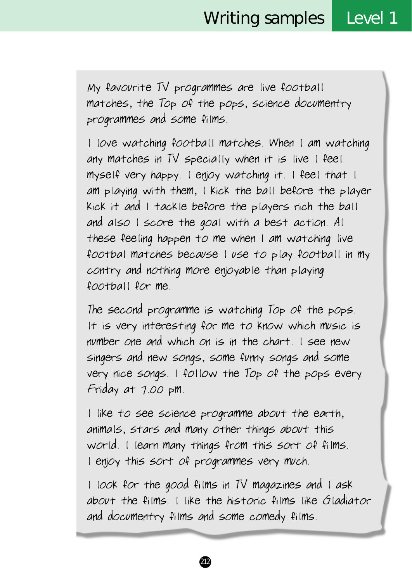My favourite TV programmes are live football matches, the Top of the pops, science documentry programmes and some films.

l love watching football matches. When l am watching any matches in TV specially when it is live l feel myself very happy. l enjoy watching it. l feel that l am playing with them, l kick the ball before the player kick it and l tackle before the players rich the ball and also l score the goal with a best action. Al these feeling happen to me when l am watching live footbal matches because l use to play football in my contry and nothing more enjoyable than playing football for me.

The second programme is watching Top of the pops. lt is very interesting for me to know which music is number one and which on is in the chart. l see new singers and new songs, some funny songs and some very nice songs. l follow the Top of the pops every Friday at 7.00 pm.

l like to see science programme about the earth, animals, stars and many other things about this world. l learn many things from this sort of films. l enjoy this sort of programmes very much.

l look for the good films in TV magazines and l ask about the films. I like the historic films like Gladiator and documentry films and some comedy films.

212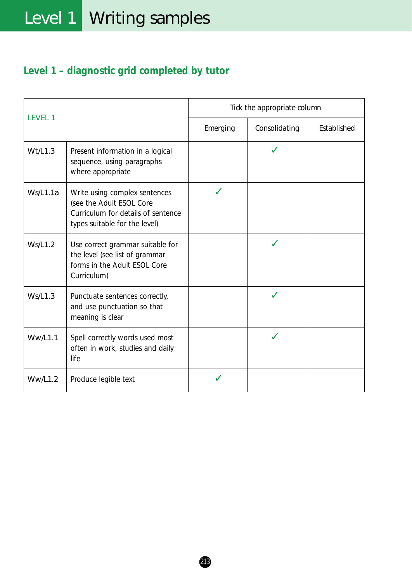# **Level 1 – diagnostic grid completed by tutor**

|                |                                                                                                                                  | Tick the appropriate column |               |             |
|----------------|----------------------------------------------------------------------------------------------------------------------------------|-----------------------------|---------------|-------------|
| LEVEL 1        |                                                                                                                                  | Emerging                    | Consolidating | Established |
| Wt/L1.3        | Present information in a logical<br>sequence, using paragraphs<br>where appropriate                                              |                             |               |             |
| Ws/L1.1a       | Write using complex sentences<br>(see the Adult ESOL Core<br>Curriculum for details of sentence<br>types suitable for the level) |                             |               |             |
| Ws/L1.2        | Use correct grammar suitable for<br>the level (see list of grammar<br>forms in the Adult ESOL Core<br>Curriculum)                |                             |               |             |
| Ws/L1.3        | Punctuate sentences correctly,<br>and use punctuation so that<br>meaning is clear                                                |                             |               |             |
| <b>Ww/L1.1</b> | Spell correctly words used most<br>often in work, studies and daily<br>life                                                      |                             |               |             |
| <b>Ww/L1.2</b> | Produce legible text                                                                                                             |                             |               |             |

213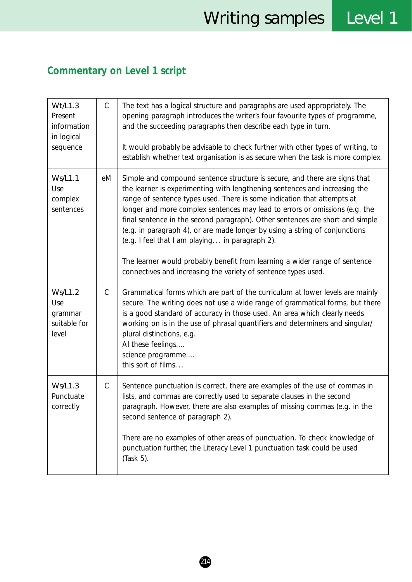# **Commentary on Level 1 script**

| Wt/L1.3<br>Present<br>information<br>in logical<br>sequence | $\mathsf{C}$ | The text has a logical structure and paragraphs are used appropriately. The<br>opening paragraph introduces the writer's four favourite types of programme,<br>and the succeeding paragraphs then describe each type in turn.<br>It would probably be advisable to check further with other types of writing, to<br>establish whether text organisation is as secure when the task is more complex.                                                                                                                                                                                                                                                                                   |
|-------------------------------------------------------------|--------------|---------------------------------------------------------------------------------------------------------------------------------------------------------------------------------------------------------------------------------------------------------------------------------------------------------------------------------------------------------------------------------------------------------------------------------------------------------------------------------------------------------------------------------------------------------------------------------------------------------------------------------------------------------------------------------------|
| <b>Ws/L1.1</b><br>Use<br>complex<br>sentences               | еM           | Simple and compound sentence structure is secure, and there are signs that<br>the learner is experimenting with lengthening sentences and increasing the<br>range of sentence types used. There is some indication that attempts at<br>longer and more complex sentences may lead to errors or omissions (e.g. the<br>final sentence in the second paragraph). Other sentences are short and simple<br>(e.g. in paragraph 4), or are made longer by using a string of conjunctions<br>(e.g. I feel that I am playing in paragraph 2).<br>The learner would probably benefit from learning a wider range of sentence<br>connectives and increasing the variety of sentence types used. |
| <b>Ws/L1.2</b><br>Use<br>grammar<br>suitable for<br>level   | $\mathsf{C}$ | Grammatical forms which are part of the curriculum at lower levels are mainly<br>secure. The writing does not use a wide range of grammatical forms, but there<br>is a good standard of accuracy in those used. An area which clearly needs<br>working on is in the use of phrasal quantifiers and determiners and singular/<br>plural distinctions, e.g.<br>Al these feelings<br>science programme<br>this sort of films                                                                                                                                                                                                                                                             |
| <b>Ws/L1.3</b><br>Punctuate<br>correctly                    | $\mathsf{C}$ | Sentence punctuation is correct, there are examples of the use of commas in<br>lists, and commas are correctly used to separate clauses in the second<br>paragraph. However, there are also examples of missing commas (e.g. in the<br>second sentence of paragraph 2).<br>There are no examples of other areas of punctuation. To check knowledge of<br>punctuation further, the Literacy Level 1 punctuation task could be used<br>(Task 5).                                                                                                                                                                                                                                        |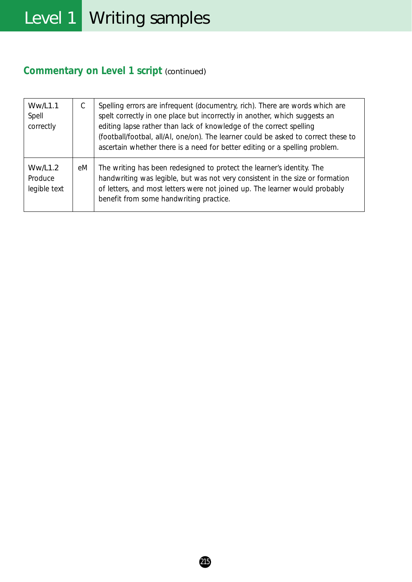# **Commentary on Level 1 script** *(continued)*

| <b>Ww/L1.1</b><br>Spell<br>correctly      | $\mathcal{C}$ | Spelling errors are infrequent (documentry, rich). There are words which are<br>spelt correctly in one place but incorrectly in another, which suggests an<br>editing lapse rather than lack of knowledge of the correct spelling<br>(football/footbal, all/Al, one/on). The learner could be asked to correct these to<br>ascertain whether there is a need for better editing or a spelling problem. |
|-------------------------------------------|---------------|--------------------------------------------------------------------------------------------------------------------------------------------------------------------------------------------------------------------------------------------------------------------------------------------------------------------------------------------------------------------------------------------------------|
| <b>Ww/L1.2</b><br>Produce<br>legible text | eM            | The writing has been redesigned to protect the learner's identity. The<br>handwriting was legible, but was not very consistent in the size or formation<br>of letters, and most letters were not joined up. The learner would probably<br>benefit from some handwriting practice.                                                                                                                      |

215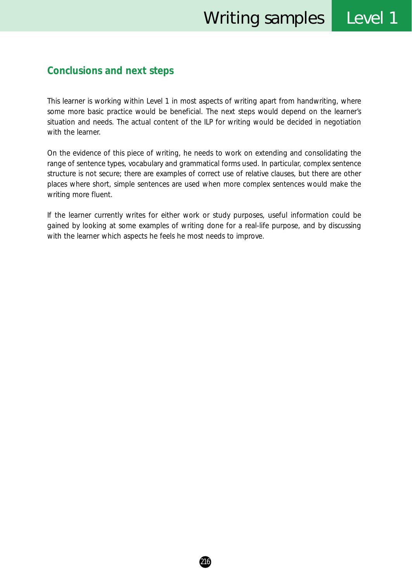#### **Conclusions and next steps**

This learner is working within Level 1 in most aspects of writing apart from handwriting, where some more basic practice would be beneficial. The next steps would depend on the learner's situation and needs. The actual content of the ILP for writing would be decided in negotiation with the learner.

On the evidence of this piece of writing, he needs to work on extending and consolidating the range of sentence types, vocabulary and grammatical forms used. In particular, complex sentence structure is not secure; there are examples of correct use of relative clauses, but there are other places where short, simple sentences are used when more complex sentences would make the writing more fluent.

If the learner currently writes for either work or study purposes, useful information could be gained by looking at some examples of writing done for a real-life purpose, and by discussing with the learner which aspects he feels he most needs to improve.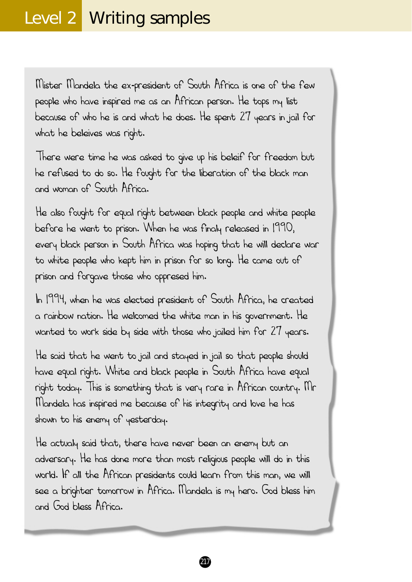Mister Mandela the ex-president of South Africa is one of the few people who have inspired me as an African person. He tops my list because of who he is and what he does. He spent 27 years in jail for what he beleives was right.

There were time he was asked to give up his beleif for freedom but he refused to do so. He fought for the liberation of the black man and woman of South Africa.

He also fought for equal right between black people and white people before he went to prison. When he was finaly released in 1990, every black person in South Africa was hoping that he will declare war to white people who kept him in prison for so long. He came out of prison and forgave those who oppresed him.

In 1994, when he was elected president of South Africa, he created a rainbow nation. He welcomed the white man in his government. He wanted to work side by side with those who jailed him for 27 years.

He said that he went to jail and stayed in jail so that people should have equal right. White and black people in South Africa have equal right today. This is something that is very rare in African country. Mr Mandela has inspired me because of his integrity and love he has shown to his enemy of yesterday.

He actualy said that, there have never been an enemy but an adversary. He has done more than most religious people will do in this world. If all the African presidents could learn from this man, we will see a brighter tomorrow in Africa. Mandela is my hero. God bless him and God bless Africa.

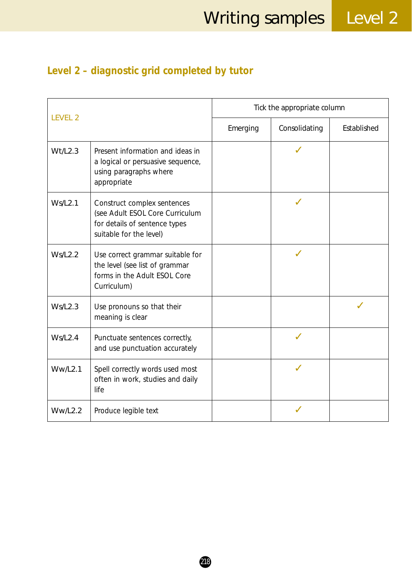# **Level 2 – diagnostic grid completed by tutor**

|                |                                                                                                                            | Tick the appropriate column |               |             |
|----------------|----------------------------------------------------------------------------------------------------------------------------|-----------------------------|---------------|-------------|
| <b>LEVEL 2</b> |                                                                                                                            | Emerging                    | Consolidating | Established |
| Wt/L2.3        | Present information and ideas in<br>a logical or persuasive sequence,<br>using paragraphs where<br>appropriate             |                             |               |             |
| Ws/L2.1        | Construct complex sentences<br>(see Adult ESOL Core Curriculum<br>for details of sentence types<br>suitable for the level) |                             |               |             |
| Ws/L2.2        | Use correct grammar suitable for<br>the level (see list of grammar<br>forms in the Adult ESOL Core<br>Curriculum)          |                             |               |             |
| Ws/L2.3        | Use pronouns so that their<br>meaning is clear                                                                             |                             |               |             |
| Ws/L2.4        | Punctuate sentences correctly,<br>and use punctuation accurately                                                           |                             |               |             |
| Ww/L2.1        | Spell correctly words used most<br>often in work, studies and daily<br>life                                                |                             |               |             |
| Ww/L2.2        | Produce legible text                                                                                                       |                             |               |             |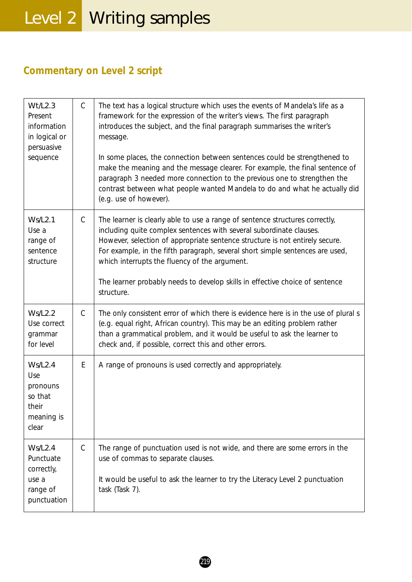# **Commentary on Level 2 script**

| Wt/L2.3<br>Present<br>information<br>in logical or<br>persuasive<br>sequence  | $\mathsf{C}$  | The text has a logical structure which uses the events of Mandela's life as a<br>framework for the expression of the writer's views. The first paragraph<br>introduces the subject, and the final paragraph summarises the writer's<br>message.<br>In some places, the connection between sentences could be strengthened to<br>make the meaning and the message clearer. For example, the final sentence of<br>paragraph 3 needed more connection to the previous one to strengthen the<br>contrast between what people wanted Mandela to do and what he actually did<br>(e.g. use of however). |
|-------------------------------------------------------------------------------|---------------|--------------------------------------------------------------------------------------------------------------------------------------------------------------------------------------------------------------------------------------------------------------------------------------------------------------------------------------------------------------------------------------------------------------------------------------------------------------------------------------------------------------------------------------------------------------------------------------------------|
| <b>Ws/L2.1</b><br>Use a<br>range of<br>sentence<br>structure                  | $\mathsf{C}$  | The learner is clearly able to use a range of sentence structures correctly,<br>including quite complex sentences with several subordinate clauses.<br>However, selection of appropriate sentence structure is not entirely secure.<br>For example, in the fifth paragraph, several short simple sentences are used,<br>which interrupts the fluency of the argument.<br>The learner probably needs to develop skills in effective choice of sentence<br>structure.                                                                                                                              |
| <b>Ws/L2.2</b><br>Use correct<br>grammar<br>for level                         | $\mathcal{C}$ | The only consistent error of which there is evidence here is in the use of plural s<br>(e.g. equal right, African country). This may be an editing problem rather<br>than a grammatical problem, and it would be useful to ask the learner to<br>check and, if possible, correct this and other errors.                                                                                                                                                                                                                                                                                          |
| Ws/L2.4<br>Use<br>pronouns<br>so that<br>their<br>meaning is<br>clear         | E             | A range of pronouns is used correctly and appropriately.                                                                                                                                                                                                                                                                                                                                                                                                                                                                                                                                         |
| <b>Ws/L2.4</b><br>Punctuate<br>correctly,<br>use a<br>range of<br>punctuation | $\mathsf{C}$  | The range of punctuation used is not wide, and there are some errors in the<br>use of commas to separate clauses.<br>It would be useful to ask the learner to try the Literacy Level 2 punctuation<br>task (Task 7).                                                                                                                                                                                                                                                                                                                                                                             |

219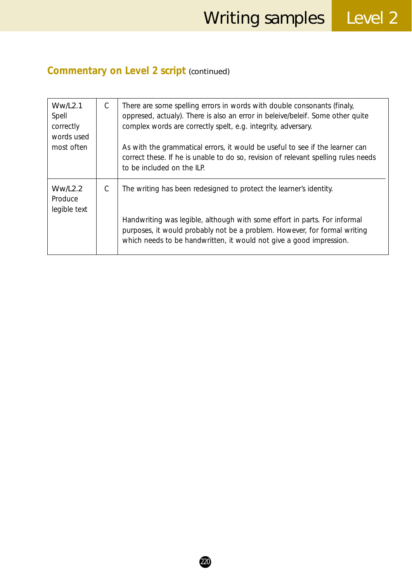## **Commentary on Level 2 script** *(continued)*

| Ww/L2.1<br>Spell<br>correctly<br>words used<br>most often | $\mathcal{C}$ | There are some spelling errors in words with double consonants (finaly,<br>oppresed, actualy). There is also an error in beleive/beleif. Some other quite<br>complex words are correctly spelt, e.g. integrity, adversary.<br>As with the grammatical errors, it would be useful to see if the learner can<br>correct these. If he is unable to do so, revision of relevant spelling rules needs<br>to be included on the ILP. |
|-----------------------------------------------------------|---------------|--------------------------------------------------------------------------------------------------------------------------------------------------------------------------------------------------------------------------------------------------------------------------------------------------------------------------------------------------------------------------------------------------------------------------------|
| Ww/L2.2<br>Produce<br>legible text                        | С             | The writing has been redesigned to protect the learner's identity.<br>Handwriting was legible, although with some effort in parts. For informal<br>purposes, it would probably not be a problem. However, for formal writing<br>which needs to be handwritten, it would not give a good impression.                                                                                                                            |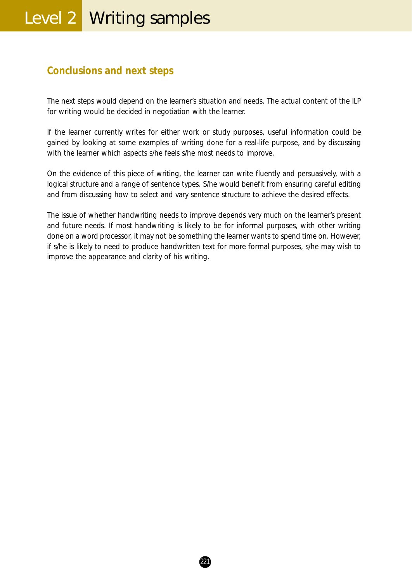# Level 2 | Writing samples

#### **Conclusions and next steps**

The next steps would depend on the learner's situation and needs. The actual content of the ILP for writing would be decided in negotiation with the learner.

If the learner currently writes for either work or study purposes, useful information could be gained by looking at some examples of writing done for a real-life purpose, and by discussing with the learner which aspects s/he feels s/he most needs to improve.

On the evidence of this piece of writing, the learner can write fluently and persuasively, with a logical structure and a range of sentence types. S/he would benefit from ensuring careful editing and from discussing how to select and vary sentence structure to achieve the desired effects.

The issue of whether handwriting needs to improve depends very much on the learner's present and future needs. If most handwriting is likely to be for informal purposes, with other writing done on a word processor, it may not be something the learner wants to spend time on. However, if s/he is likely to need to produce handwritten text for more formal purposes, s/he may wish to improve the appearance and clarity of his writing.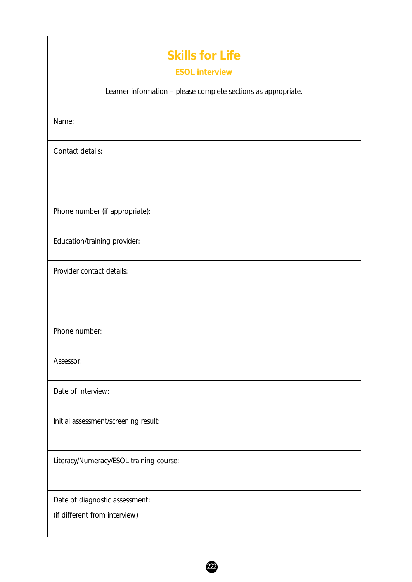# **Skills for Life**

#### **ESOL interview**

Learner information – please complete sections as appropriate.

 $(222)$ 

Name:

Contact details:

Phone number (if appropriate):

Education/training provider:

Provider contact details:

Phone number:

Assessor:

Date of interview:

Initial assessment/screening result:

Literacy/Numeracy/ESOL training course:

Date of diagnostic assessment:

(if different from interview)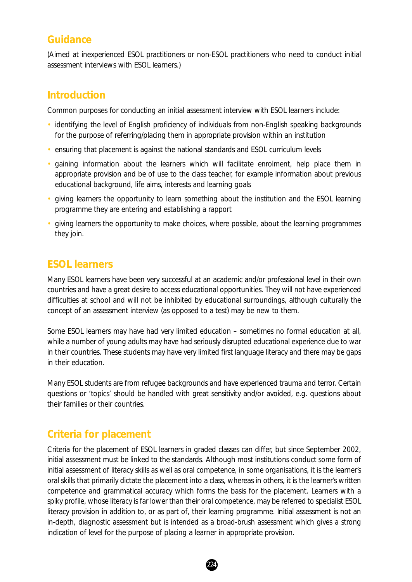#### **Guidance**

*(Aimed at inexperienced ESOL practitioners or non-ESOL practitioners who need to conduct initial assessment interviews with ESOL learners.)*

#### **Introduction**

Common purposes for conducting an initial assessment interview with ESOL learners include:

- identifying the level of English proficiency of individuals from non-English speaking backgrounds for the purpose of referring/placing them in appropriate provision within an institution
- ensuring that placement is against the national standards and ESOL curriculum levels
- gaining information about the learners which will facilitate enrolment, help place them in appropriate provision and be of use to the class teacher, for example information about previous educational background, life aims, interests and learning goals
- giving learners the opportunity to learn something about the institution and the ESOL learning programme they are entering and establishing a rapport
- giving learners the opportunity to make choices, where possible, about the learning programmes they join.

#### **ESOL learners**

Many ESOL learners have been very successful at an academic and/or professional level in their own countries and have a great desire to access educational opportunities. They will not have experienced difficulties at school and will not be inhibited by educational surroundings, although culturally the concept of an assessment interview (as opposed to a test) may be new to them.

Some ESOL learners may have had very limited education – sometimes no formal education at all, while a number of young adults may have had seriously disrupted educational experience due to war in their countries. These students may have very limited first language literacy and there may be gaps in their education.

Many ESOL students are from refugee backgrounds and have experienced trauma and terror. Certain questions or 'topics' should be handled with great sensitivity and/or avoided, e.g. questions about their families or their countries.

#### **Criteria for placement**

Criteria for the placement of ESOL learners in graded classes can differ, but since September 2002, initial assessment must be linked to the standards. Although most institutions conduct some form of initial assessment of literacy skills as well as oral competence, in some organisations, it is the learner's oral skills that primarily dictate the placement into a class, whereas in others, it is the learner's written competence and grammatical accuracy which forms the basis for the placement. Learners with a spiky profile, whose literacy is far lower than their oral competence, may be referred to specialist ESOL literacy provision in addition to, or as part of, their learning programme. Initial assessment is not an in-depth, diagnostic assessment but is intended as a broad-brush assessment which gives a strong indication of level for the purpose of placing a learner in appropriate provision.

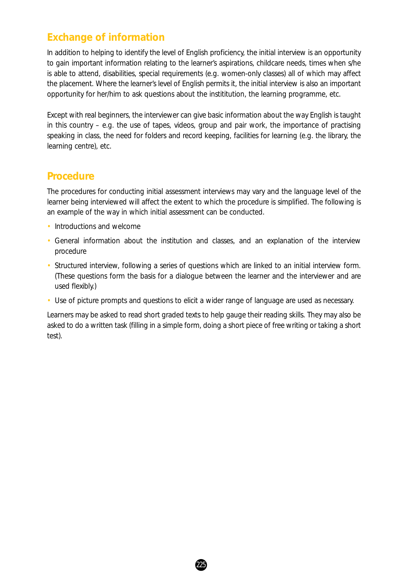#### **Exchange of information**

In addition to helping to identify the level of English proficiency, the initial interview is an opportunity to gain important information relating to the learner's aspirations, childcare needs, times when s/he is able to attend, disabilities, special requirements (e.g. women-only classes) all of which may affect the placement. Where the learner's level of English permits it, the initial interview is also an important opportunity for her/him to ask questions about the instititution, the learning programme, etc.

Except with real beginners, the interviewer can give basic information about the way English is taught in this country – e.g. the use of tapes, videos, group and pair work, the importance of practising speaking in class, the need for folders and record keeping, facilities for learning (e.g. the library, the learning centre), etc.

#### **Procedure**

The procedures for conducting initial assessment interviews may vary and the language level of the learner being interviewed will affect the extent to which the procedure is simplified. The following is an example of the way in which initial assessment can be conducted.

- Introductions and welcome
- General information about the institution and classes, and an explanation of the interview procedure
- Structured interview, following a series of questions which are linked to an initial interview form. (These questions form the basis for a dialogue between the learner and the interviewer and are used flexibly.)
- Use of picture prompts and questions to elicit a wider range of language are used as necessary.

Learners may be asked to read short graded texts to help gauge their reading skills. They may also be asked to do a written task (filling in a simple form, doing a short piece of free writing or taking a short test).

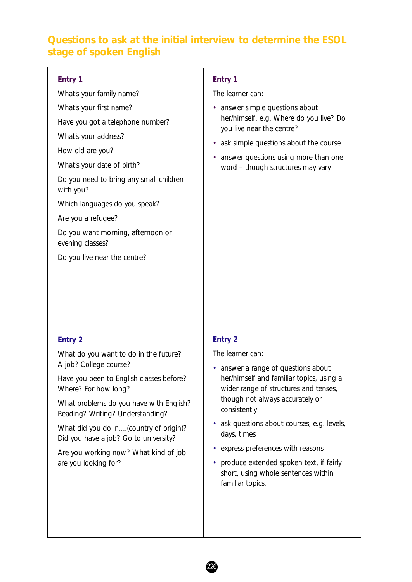#### **Questions to ask at the initial interview to determine the ESOL stage of spoken English**

| Entry 1                                               | Entry 1                                                              |
|-------------------------------------------------------|----------------------------------------------------------------------|
| What's your family name?                              | The learner can:                                                     |
| What's your first name?                               | • answer simple questions about                                      |
| Have you got a telephone number?                      | her/himself, e.g. Where do you live? Do<br>you live near the centre? |
| What's your address?                                  | ask simple questions about the course<br>٠                           |
| How old are you?                                      | answer questions using more than one<br>٠                            |
| What's your date of birth?                            | word - though structures may vary                                    |
| Do you need to bring any small children<br>with you?  |                                                                      |
| Which languages do you speak?                         |                                                                      |
| Are you a refugee?                                    |                                                                      |
| Do you want morning, afternoon or<br>evening classes? |                                                                      |
| Do you live near the centre?                          |                                                                      |
|                                                       |                                                                      |
|                                                       |                                                                      |

#### **Entry 2**

What do you want to do in the future? A job? College course?

Have you been to English classes before? Where? For how long?

What problems do you have with English? Reading? Writing? Understanding?

What did you do in....(country of origin)? Did you have a job? Go to university?

Are you working now? What kind of job are you looking for?

#### **Entry 2**

The learner can:

- answer a range of questions about her/himself and familiar topics, using a wider range of structures and tenses, though not always accurately or consistently
- ask questions about courses, e.g. levels, days, times
- express preferences with reasons
- produce extended spoken text, if fairly short, using whole sentences within familiar topics.

226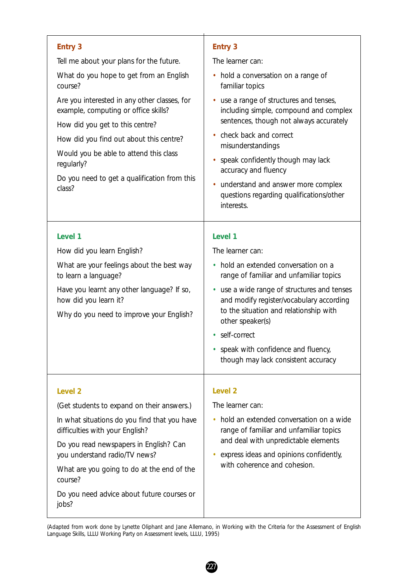| <b>Entry 3</b><br>Tell me about your plans for the future.<br>What do you hope to get from an English<br>course?<br>Are you interested in any other classes, for<br>example, computing or office skills?<br>How did you get to this centre?<br>How did you find out about this centre?<br>Would you be able to attend this class<br>regularly?<br>Do you need to get a qualification from this<br>class? | <b>Entry 3</b><br>The learner can:<br>hold a conversation on a range of<br>٠<br>familiar topics<br>use a range of structures and tenses,<br>including simple, compound and complex<br>sentences, though not always accurately<br>check back and correct<br>misunderstandings<br>speak confidently though may lack<br>accuracy and fluency<br>understand and answer more complex<br>questions regarding qualifications/other |
|----------------------------------------------------------------------------------------------------------------------------------------------------------------------------------------------------------------------------------------------------------------------------------------------------------------------------------------------------------------------------------------------------------|-----------------------------------------------------------------------------------------------------------------------------------------------------------------------------------------------------------------------------------------------------------------------------------------------------------------------------------------------------------------------------------------------------------------------------|
| Level 1<br>How did you learn English?<br>What are your feelings about the best way<br>to learn a language?<br>Have you learnt any other language? If so,<br>how did you learn it?<br>Why do you need to improve your English?                                                                                                                                                                            | interests.<br>Level 1<br>The learner can:<br>hold an extended conversation on a<br>$\bullet$<br>range of familiar and unfamiliar topics<br>use a wide range of structures and tenses<br>٠<br>and modify register/vocabulary according<br>to the situation and relationship with<br>other speaker(s)<br>self-correct<br>speak with confidence and fluency,<br>though may lack consistent accuracy                            |
| Level <sub>2</sub><br>(Get students to expand on their answers.)<br>In what situations do you find that you have<br>difficulties with your English?<br>Do you read newspapers in English? Can<br>you understand radio/TV news?<br>What are you going to do at the end of the<br>course?<br>Do you need advice about future courses or<br>jobs?                                                           | Level <sub>2</sub><br>The learner can:<br>hold an extended conversation on a wide<br>$\bullet$<br>range of familiar and unfamiliar topics<br>and deal with unpredictable elements<br>express ideas and opinions confidently,<br>with coherence and cohesion.                                                                                                                                                                |

<sup>(</sup>Adapted from work done by Lynette Oliphant and Jane Allemano, in *Working with the Criteria for the Assessment of English Language Skills*, LLLU Working Party on Assessment levels, LLLU, 1995)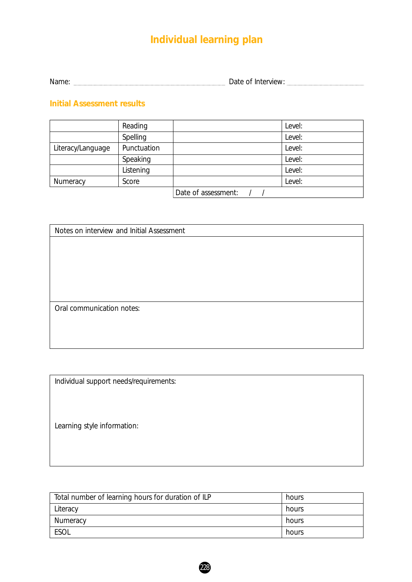Name: Date of Interview:

#### **Initial Assessment results**

|                   | Reading     |                     | Level: |
|-------------------|-------------|---------------------|--------|
|                   | Spelling    |                     | Level: |
| Literacy/Language | Punctuation |                     | Level: |
|                   | Speaking    |                     | Level: |
|                   | Listening   |                     | Level: |
| Numeracy          | Score       |                     | Level: |
|                   |             | Date of assessment: |        |

| Notes on interview and Initial Assessment |  |  |
|-------------------------------------------|--|--|
|                                           |  |  |
|                                           |  |  |
|                                           |  |  |
|                                           |  |  |
|                                           |  |  |
| Oral communication notes:                 |  |  |
|                                           |  |  |
|                                           |  |  |
|                                           |  |  |

Individual support needs/requirements:

Learning style information:

| Total number of learning hours for duration of ILP | hours |
|----------------------------------------------------|-------|
| Literacy                                           | hours |
| Numeracy                                           | hours |
| <b>ESOL</b>                                        | hours |

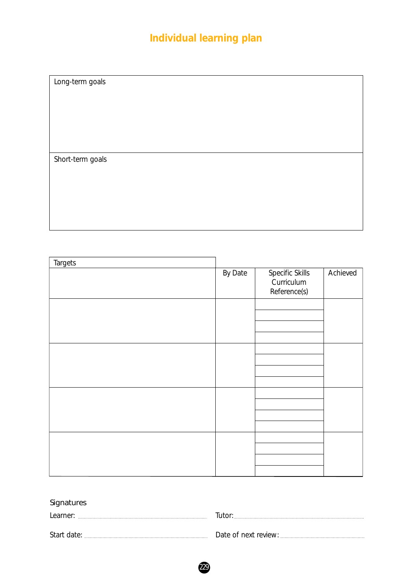Long-term goals

Short-term goals

| <b>Targets</b> |         |                                               |          |
|----------------|---------|-----------------------------------------------|----------|
|                | By Date | Specific Skills<br>Curriculum<br>Reference(s) | Achieved |
|                |         |                                               |          |
|                |         |                                               |          |
|                |         |                                               |          |
|                |         |                                               |          |

#### Signatures

| Learner     |                      |
|-------------|----------------------|
| Start date: | Jate of next review: |
|             |                      |

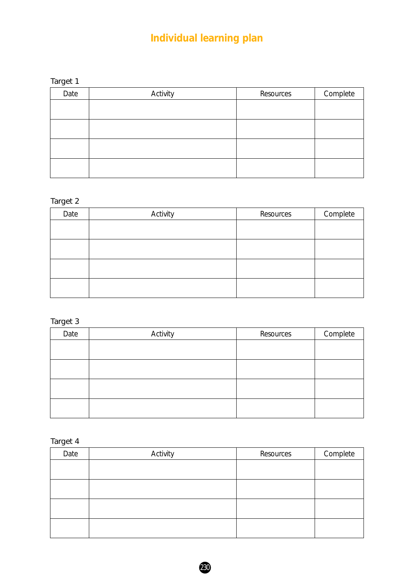| aro<br>١F |  |
|-----------|--|
|-----------|--|

| Date | Activity | Resources | Complete |
|------|----------|-----------|----------|
|      |          |           |          |
|      |          |           |          |
|      |          |           |          |
|      |          |           |          |
|      |          |           |          |
|      |          |           |          |

#### Target 2

| Date | Activity | Resources | Complete |
|------|----------|-----------|----------|
|      |          |           |          |
|      |          |           |          |
|      |          |           |          |
|      |          |           |          |

#### Target 3

| Date | Activity | Resources | Complete |
|------|----------|-----------|----------|
|      |          |           |          |
|      |          |           |          |
|      |          |           |          |
|      |          |           |          |

Target 4

| Date | Activity | Resources | Complete |
|------|----------|-----------|----------|
|      |          |           |          |
|      |          |           |          |
|      |          |           |          |
|      |          |           |          |
|      |          |           |          |

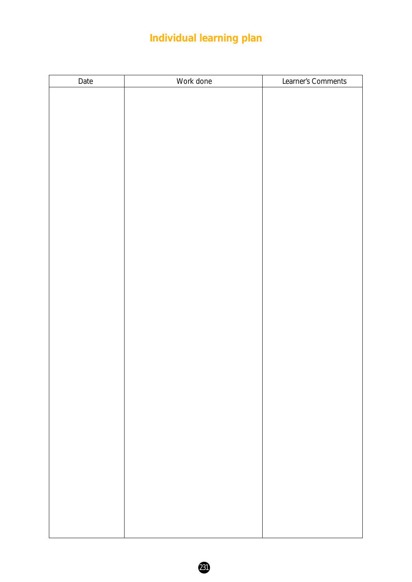| Date | Work done | Learner's Comments |
|------|-----------|--------------------|
|      |           |                    |
|      |           |                    |
|      |           |                    |
|      |           |                    |
|      |           |                    |
|      |           |                    |
|      |           |                    |
|      |           |                    |
|      |           |                    |
|      |           |                    |
|      |           |                    |
|      |           |                    |
|      |           |                    |
|      |           |                    |
|      |           |                    |
|      |           |                    |
|      |           |                    |
|      |           |                    |
|      |           |                    |
|      |           |                    |
|      |           |                    |
|      |           |                    |
|      |           |                    |
|      |           |                    |
|      |           |                    |
|      |           |                    |
|      |           |                    |
|      |           |                    |
|      |           |                    |
|      |           |                    |
|      |           |                    |
|      |           |                    |
|      |           |                    |
|      |           |                    |
|      |           |                    |

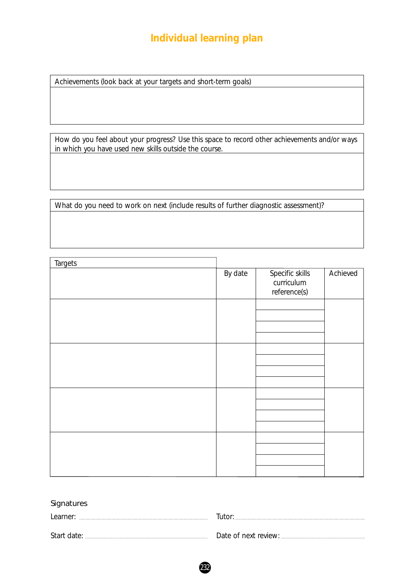Achievements (look back at your targets and short-term goals)

How do you feel about your progress? Use this space to record other achievements and/or ways in which you have used new skills outside the course.

What do you need to work on next (include results of further diagnostic assessment)?

| <b>Targets</b> |         |                                               |          |
|----------------|---------|-----------------------------------------------|----------|
|                | By date | Specific skills<br>curriculum<br>reference(s) | Achieved |
|                |         |                                               |          |
|                |         |                                               |          |
|                |         |                                               |          |
|                |         |                                               |          |
|                |         |                                               |          |
|                |         |                                               |          |
|                |         |                                               |          |
|                |         |                                               |          |
|                |         |                                               |          |
|                |         |                                               |          |

#### **Signatures**

| Learner:    |  |
|-------------|--|
| Start date: |  |

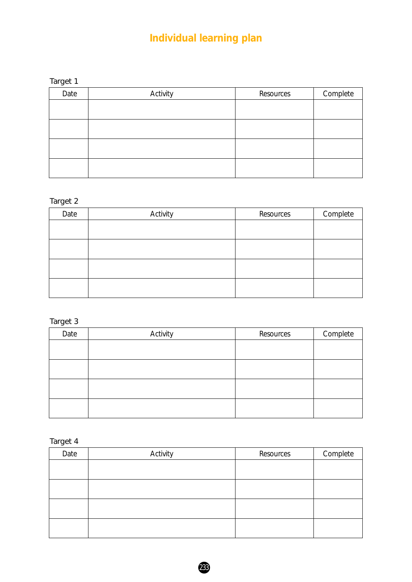| ı<br>C<br>ŧГ |  |
|--------------|--|
|--------------|--|

| Date | Activity | Resources | Complete |
|------|----------|-----------|----------|
|      |          |           |          |
|      |          |           |          |
|      |          |           |          |
|      |          |           |          |
|      |          |           |          |

#### Target 2

| Date | Activity | Resources | Complete |
|------|----------|-----------|----------|
|      |          |           |          |
|      |          |           |          |
|      |          |           |          |
|      |          |           |          |

#### Target 3

| Date | Activity | Resources | Complete |
|------|----------|-----------|----------|
|      |          |           |          |
|      |          |           |          |
|      |          |           |          |
|      |          |           |          |
|      |          |           |          |
|      |          |           |          |
|      |          |           |          |
|      |          |           |          |

Target 4

| Date | Activity | Resources | Complete |
|------|----------|-----------|----------|
|      |          |           |          |
|      |          |           |          |
|      |          |           |          |
|      |          |           |          |
|      |          |           |          |

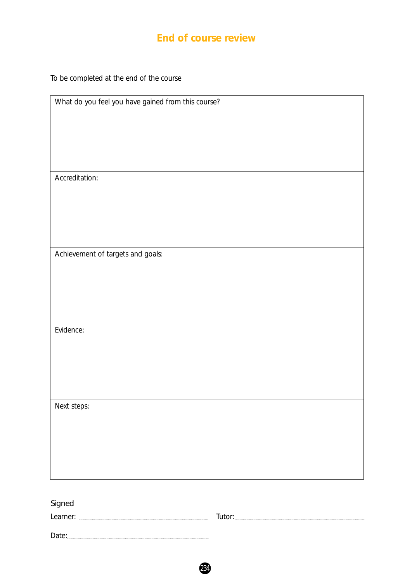#### **End of course review**

To be completed at the end of the course

| What do you feel you have gained from this course? |
|----------------------------------------------------|
|                                                    |
|                                                    |
|                                                    |
|                                                    |
|                                                    |
|                                                    |
| Accreditation:                                     |
|                                                    |
|                                                    |
|                                                    |
|                                                    |
|                                                    |
|                                                    |
| Achievement of targets and goals:                  |
|                                                    |
|                                                    |
|                                                    |
|                                                    |
|                                                    |
|                                                    |
| Evidence:                                          |
|                                                    |
|                                                    |
|                                                    |
|                                                    |
|                                                    |
|                                                    |
| Next steps:                                        |
|                                                    |
|                                                    |
|                                                    |
|                                                    |
|                                                    |
|                                                    |
|                                                    |

| Signed   |        |
|----------|--------|
| Learner: | lutor: |
| Date:    |        |

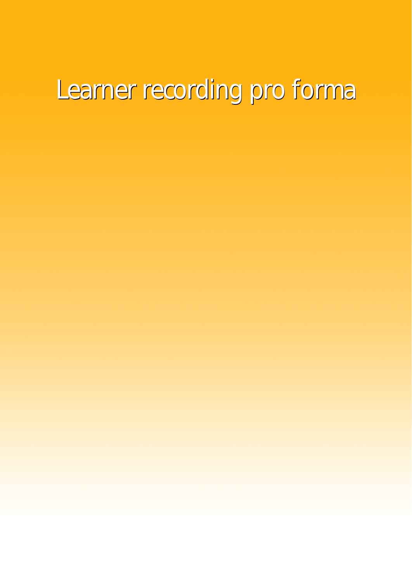# Learner recording pro forma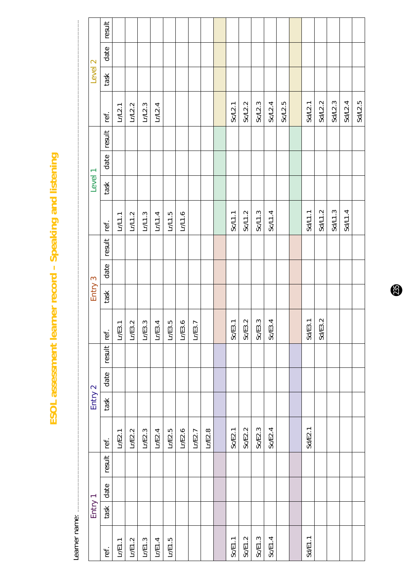ESOL assessment learner record - Speaking and listening **ESOL assessment learner record – Speaking and listening**

. Tam and the construction of the construction of the construction of the construction of the construction of the construction of the construction of the construction of the construction of the construction of the construc Learner name:

|                    | result |         |         |         |         |        |         |        |        |         |         |         |         |         |         |                          |         |         |         |
|--------------------|--------|---------|---------|---------|---------|--------|---------|--------|--------|---------|---------|---------|---------|---------|---------|--------------------------|---------|---------|---------|
|                    | date   |         |         |         |         |        |         |        |        |         |         |         |         |         |         |                          |         |         |         |
| Level <sub>2</sub> | task   |         |         |         |         |        |         |        |        |         |         |         |         |         |         |                          |         |         |         |
|                    | ref.   | LrL2.1  | Lr/L2.2 | Lr/L2.3 | Lr/2.4  |        |         |        |        | Sc/L2.1 | Sc/L2.2 | Sc/L2.3 | Sc/L2.4 | Sc/L2.5 | Sd/L2.1 | Sd/L2.2                  | Sd/L2.3 | Sd/L2.4 | Sd/L2.5 |
|                    | result |         |         |         |         |        |         |        |        |         |         |         |         |         |         |                          |         |         |         |
|                    | date   |         |         |         |         |        |         |        |        |         |         |         |         |         |         |                          |         |         |         |
| Level <sub>1</sub> | task   |         |         |         |         |        |         |        |        |         |         |         |         |         |         |                          |         |         |         |
|                    | ref.   | Lr/L1.1 | Lr/L1.2 | Lr/L1.3 | Lr/L1.4 | LrL1.5 | Lr/L1.6 |        |        | Sc/L1.1 | Sc/L1.2 | Sc/L1.3 | Sc/L1.4 |         | Sd/L1.1 | Sd/L1.2                  | Sd/L1.3 | Sd/L1.4 |         |
|                    | result |         |         |         |         |        |         |        |        |         |         |         |         |         |         |                          |         |         |         |
|                    | date   |         |         |         |         |        |         |        |        |         |         |         |         |         |         |                          |         |         |         |
| Entry 3            | task   |         |         |         |         |        |         |        |        |         |         |         |         |         |         |                          |         |         |         |
|                    | ref.   | LrE3.1  | LrE3.2  | LrE3.3  | LrE3.4  | LrE3.5 | LrE3.6  | LrE3.7 |        | Sc/E3.1 | Sc/E3.2 | Sc/E3.3 | Sc/E3.4 |         | Sd/E3.1 | $\ddot{\Omega}$<br>Sd/E3 |         |         |         |
|                    | result |         |         |         |         |        |         |        |        |         |         |         |         |         |         |                          |         |         |         |
|                    | date   |         |         |         |         |        |         |        |        |         |         |         |         |         |         |                          |         |         |         |
| Entry 2            | task   |         |         |         |         |        |         |        |        |         |         |         |         |         |         |                          |         |         |         |
|                    | ref.   | LrE2.1  | LrE2.2  | LrE2.3  | LrE2.4  | LrE2.5 | Lr/E2.6 | LrE2.7 | LrE2.8 | Sc/E2.1 | Sc/E2.2 | Sc/E2.3 | Sc/E2.4 |         | SdEE.1  |                          |         |         |         |
|                    | result |         |         |         |         |        |         |        |        |         |         |         |         |         |         |                          |         |         |         |
|                    | date   |         |         |         |         |        |         |        |        |         |         |         |         |         |         |                          |         |         |         |
| Entry 1            | task   |         |         |         |         |        |         |        |        |         |         |         |         |         |         |                          |         |         |         |
|                    | ref.   | L/E1.1  | L/E1.2  | Lr/E1.3 | L/E1.4  | L/E1.5 |         |        |        | Sc/E1.1 | Sc/E1.2 | Sc/E1.3 | Sc/E1.4 |         | Sd/E1.1 |                          |         |         |         |

 $\bigcirc$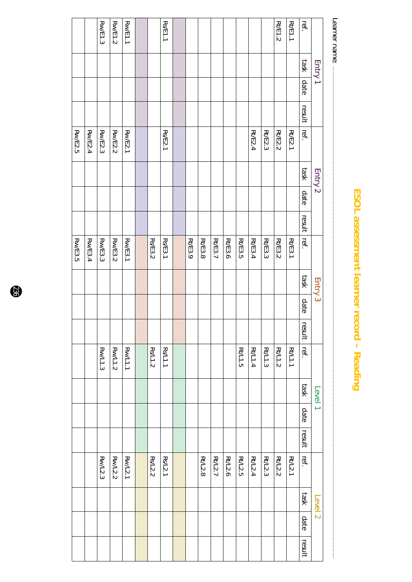# ESOL assessment learner record - Reading **ESOL assessment learner record – Reading**

Learner name: .............................................................................................................................................................................................................................................................................................................................................................................................

Learner name: Rt/E1.2Rw/E1.3Rw/E1.2Rw/E1.1Rs/E1.1Rt/E1.1ref.Entry 1 task date resultRw/E2.5Rw/E2.4Rt/E2.4Rt/E2.3 Rw/E2.3 Rw/E2.2 Rw/E2.1 Rs/E2.1 Rt/E2.2 Rt/E2.1 ref. task Entry 2 date resultRt/E3.9 Rt/E3.8Rt/E3.7Rt/E3.6Rt/E3.5Rs/E3.2 Rw/E3.5 Rw/E3.4 Rw/E3.3 Rw/E3.2 Rw/E3.1 Rs/E3.1 Rt/E3.4 Rt/E3.3 Rt/E3.2 Rt/E3.1 ref. taskEntry 3 date result Rw/L1.3Rw/L1.2 Rw/L1.1 Rs/L1.2 Rs/L1.1 Rt/L1.5 Rt/L1.4 Rt/L1.3 Rt/L1.2 Rt/L1.1 ref. taskLevel 1 date result Rt/L2.8 Rt/L2.7 Rt/L2.6 Rt/L2.5 Rt/L2.4 Rt/L2.3 Rt/L2.2 Rt/L2.1 Rw/L2.3 Rw/L2.2 Rw/L2.1 Rs/L2.2 Rs/L2.1 ref. taskLevel 2 dateresult